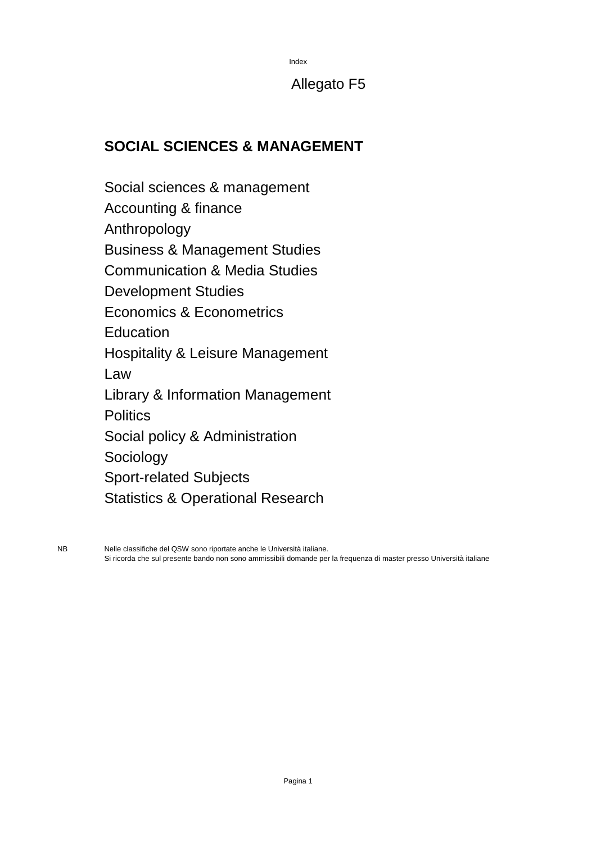Index

### Allegato F5

### **SOCIAL SCIENCES & MANAGEMENT**

Social sciences & management Accounting & finance Anthropology Business & Management Studies Communication & Media Studies Development Studies Economics & Econometrics Education Hospitality & Leisure Management Law Library & Information Management **Politics** Social policy & Administration Sociology Sport-related Subjects Statistics & Operational Research

NB Nelle classifiche del QSW sono riportate anche le Università italiane. Si ricorda che sul presente bando non sono ammissibili domande per la frequenza di master presso Università italiane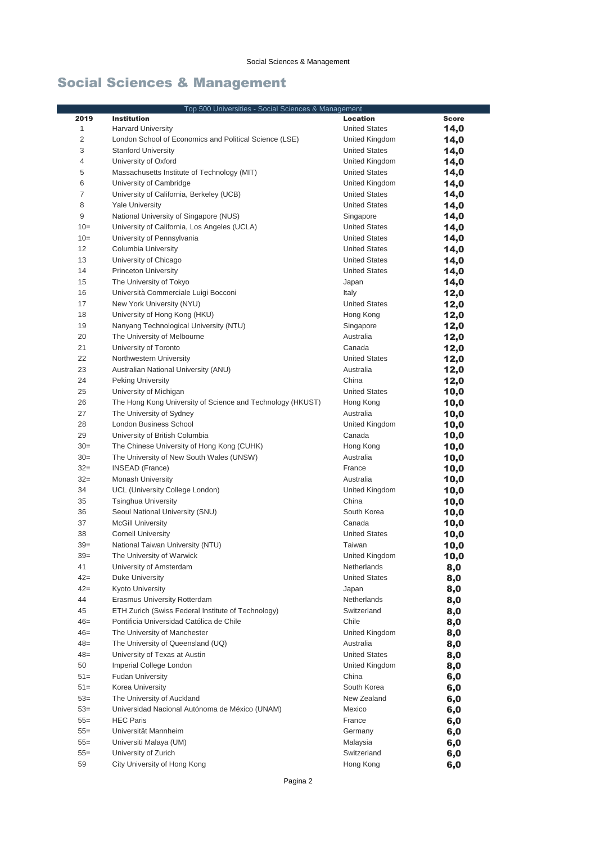| Top 500 Universities - Social Sciences & Management |                                                               |                                |              |
|-----------------------------------------------------|---------------------------------------------------------------|--------------------------------|--------------|
| 2019                                                | <b>Institution</b>                                            | <b>Location</b>                | <b>Score</b> |
| 1                                                   | <b>Harvard University</b>                                     | <b>United States</b>           | 14,0         |
| 2                                                   | London School of Economics and Political Science (LSE)        | United Kingdom                 | 14,0         |
| 3                                                   | <b>Stanford University</b>                                    | <b>United States</b>           | 14,0         |
| 4                                                   | University of Oxford                                          | United Kingdom                 | 14,0         |
| 5                                                   | Massachusetts Institute of Technology (MIT)                   | <b>United States</b>           | 14,0         |
| 6                                                   | University of Cambridge                                       | United Kingdom                 | 14,0         |
| $\overline{7}$                                      | University of California, Berkeley (UCB)                      | <b>United States</b>           | 14,0         |
| 8                                                   | <b>Yale University</b>                                        | <b>United States</b>           | 14,0         |
| 9                                                   | National University of Singapore (NUS)                        | Singapore                      | 14,0         |
| $10=$                                               | University of California, Los Angeles (UCLA)                  | <b>United States</b>           | 14,0         |
| $10=$                                               | University of Pennsylvania                                    | <b>United States</b>           | 14,0         |
| 12                                                  | Columbia University                                           | <b>United States</b>           | 14,0         |
| 13                                                  | University of Chicago                                         | <b>United States</b>           | 14,0         |
| 14                                                  | <b>Princeton University</b>                                   | <b>United States</b>           | 14,0         |
| 15                                                  | The University of Tokyo                                       | Japan                          | 14,0         |
| 16                                                  | Università Commerciale Luigi Bocconi                          | Italy                          | 12,0         |
| 17                                                  | New York University (NYU)                                     | <b>United States</b>           | 12,0         |
| 18                                                  | University of Hong Kong (HKU)                                 | Hong Kong                      | 12,0         |
| 19                                                  | Nanyang Technological University (NTU)                        | Singapore                      | 12,0         |
| 20                                                  | The University of Melbourne                                   | Australia                      | 12,0         |
| 21                                                  | University of Toronto                                         | Canada                         | 12,0         |
| 22                                                  | Northwestern University                                       | <b>United States</b>           | 12,0         |
| 23                                                  | Australian National University (ANU)                          | Australia                      | 12,0         |
| 24                                                  | <b>Peking University</b>                                      | China                          | 12,0         |
| 25                                                  | University of Michigan                                        | <b>United States</b>           | 10,0         |
| 26                                                  | The Hong Kong University of Science and Technology (HKUST)    | Hong Kong                      | 10,0         |
| 27                                                  | The University of Sydney                                      | Australia                      | 10,0         |
| 28                                                  | London Business School                                        | United Kingdom                 | 10,0         |
| 29                                                  | University of British Columbia                                | Canada                         | 10,0         |
| $30=$                                               | The Chinese University of Hong Kong (CUHK)                    | Hong Kong                      | 10,0         |
| $30=$                                               | The University of New South Wales (UNSW)                      | Australia                      | 10,0         |
| $32 =$                                              | <b>INSEAD (France)</b>                                        | France                         | 10,0         |
| $32=$                                               | <b>Monash University</b>                                      | Australia                      | 10,0         |
| 34                                                  | UCL (University College London)                               | United Kingdom<br>China        | 10,0         |
| 35<br>36                                            | <b>Tsinghua University</b>                                    | South Korea                    | 10,0         |
|                                                     | Seoul National University (SNU)                               |                                | 10,0         |
| 37<br>38                                            | <b>McGill University</b>                                      | Canada<br><b>United States</b> | 10,0         |
| $39=$                                               | <b>Cornell University</b><br>National Taiwan University (NTU) | Taiwan                         | 10,0<br>10,0 |
| $39=$                                               | The University of Warwick                                     | United Kingdom                 |              |
| 41                                                  | University of Amsterdam                                       | Netherlands                    | 10,0         |
| $42 =$                                              | Duke University                                               | <b>United States</b>           | 8,0          |
| $42 =$                                              | Kyoto University                                              | Japan                          | 8,0<br>8,0   |
| 44                                                  | <b>Erasmus University Rotterdam</b>                           | Netherlands                    | 8,0          |
| 45                                                  | ETH Zurich (Swiss Federal Institute of Technology)            | Switzerland                    | 8,0          |
| $46=$                                               | Pontificia Universidad Católica de Chile                      | Chile                          | 8,0          |
| $46=$                                               | The University of Manchester                                  | United Kingdom                 | 8,0          |
| $48 =$                                              | The University of Queensland (UQ)                             | Australia                      | 8,0          |
| $48 =$                                              | University of Texas at Austin                                 | <b>United States</b>           | 8,0          |
| 50                                                  | Imperial College London                                       | United Kingdom                 | 8,0          |
| $51 =$                                              | <b>Fudan University</b>                                       | China                          | 6,0          |
| $51 =$                                              | Korea University                                              | South Korea                    | 6,0          |
| $53=$                                               | The University of Auckland                                    | New Zealand                    | 6,0          |
| $53=$                                               | Universidad Nacional Autónoma de México (UNAM)                | Mexico                         | 6,0          |
| $55 =$                                              | <b>HEC Paris</b>                                              | France                         | 6,0          |
| $55 =$                                              | Universität Mannheim                                          | Germany                        | 6,0          |
| $55 =$                                              | Universiti Malaya (UM)                                        | Malaysia                       | 6,0          |
| $55 =$                                              | University of Zurich                                          | Switzerland                    | 6,0          |
| 59                                                  | City University of Hong Kong                                  | Hong Kong                      | 6,0          |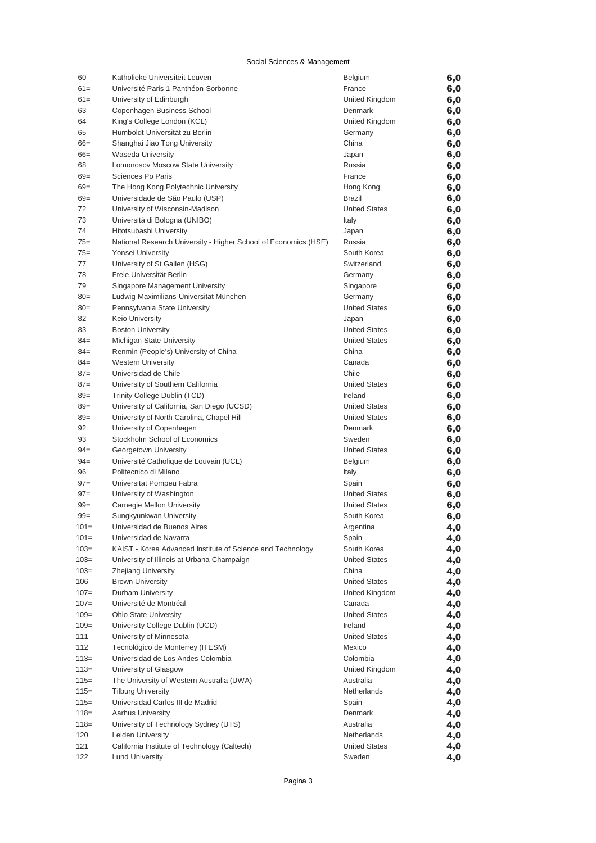| 60      | Katholieke Universiteit Leuven                                  | <b>Belgium</b>       | 6,0 |
|---------|-----------------------------------------------------------------|----------------------|-----|
| $61 =$  | Université Paris 1 Panthéon-Sorbonne                            | France               | 6,0 |
| $61 =$  | University of Edinburgh                                         | United Kingdom       | 6,0 |
| 63      | Copenhagen Business School                                      | Denmark              | 6,0 |
| 64      | King's College London (KCL)                                     | United Kingdom       | 6,0 |
| 65      | Humboldt-Universität zu Berlin                                  | Germany              | 6,0 |
| $66 =$  | Shanghai Jiao Tong University                                   | China                | 6,0 |
| $66=$   | Waseda University                                               | Japan                | 6,0 |
| 68      | Lomonosov Moscow State University                               | Russia               | 6,0 |
| $69=$   | Sciences Po Paris                                               | France               | 6,0 |
| $69 =$  | The Hong Kong Polytechnic University                            | Hong Kong            | 6,0 |
| $69 =$  | Universidade de São Paulo (USP)                                 | Brazil               | 6,0 |
| 72      | University of Wisconsin-Madison                                 | <b>United States</b> | 6,0 |
| 73      | Università di Bologna (UNIBO)                                   | Italy                | 6,0 |
| 74      | Hitotsubashi University                                         | Japan                | 6,0 |
| $75 =$  | National Research University - Higher School of Economics (HSE) | Russia               | 6,0 |
| $75 =$  | Yonsei University                                               | South Korea          | 6,0 |
| 77      | University of St Gallen (HSG)                                   | Switzerland          | 6,0 |
| 78      | Freie Universität Berlin                                        | Germany              | 6,0 |
| 79      | Singapore Management University                                 | Singapore            | 6,0 |
| $80=$   | Ludwig-Maximilians-Universität München                          | Germany              | 6,0 |
| $80=$   | Pennsylvania State University                                   | <b>United States</b> | 6,0 |
| 82      | <b>Keio University</b>                                          | Japan                | 6,0 |
| 83      | <b>Boston University</b>                                        | <b>United States</b> | 6,0 |
| $84 =$  | Michigan State University                                       | <b>United States</b> | 6,0 |
| $84 =$  | Renmin (People's) University of China                           | China                | 6,0 |
| $84 =$  | <b>Western University</b>                                       | Canada               | 6,0 |
| $87=$   | Universidad de Chile                                            | Chile                | 6,0 |
| $87=$   | University of Southern California                               | <b>United States</b> | 6,0 |
| $89=$   | Trinity College Dublin (TCD)                                    | Ireland              | 6,0 |
| $89=$   | University of California, San Diego (UCSD)                      | <b>United States</b> | 6,0 |
| $89=$   | University of North Carolina, Chapel Hill                       | <b>United States</b> | 6,0 |
| 92      | University of Copenhagen                                        | Denmark              | 6,0 |
| 93      | Stockholm School of Economics                                   | Sweden               | 6,0 |
| $94 =$  | Georgetown University                                           | <b>United States</b> | 6,0 |
| $94 =$  | Université Catholique de Louvain (UCL)                          | Belgium              | 6,0 |
| 96      | Politecnico di Milano                                           | Italy                | 6,0 |
| $97 =$  | Universitat Pompeu Fabra                                        | Spain                | 6,0 |
| $97 =$  | University of Washington                                        | <b>United States</b> | 6,0 |
| $99 =$  | Carnegie Mellon University                                      | <b>United States</b> | 6,0 |
| $99 =$  | Sungkyunkwan University                                         | South Korea          | 6,0 |
| $101 =$ | Universidad de Buenos Aires                                     | Argentina            | 4,0 |
| $101 =$ | Universidad de Navarra                                          | Spain                | 4,0 |
| $103=$  | KAIST - Korea Advanced Institute of Science and Technology      | South Korea          | 4,0 |
| $103=$  | University of Illinois at Urbana-Champaign                      | <b>United States</b> | 4,0 |
| $103=$  | <b>Zhejiang University</b>                                      | China                | 4,0 |
| 106     | <b>Brown University</b>                                         | <b>United States</b> | 4,0 |
| $107 =$ | Durham University                                               | United Kingdom       | 4,0 |
| $107 =$ | Université de Montréal                                          | Canada               | 4,0 |
| $109 =$ | <b>Ohio State University</b>                                    | <b>United States</b> | 4,0 |
| $109 =$ | University College Dublin (UCD)                                 | Ireland              | 4,0 |
| 111     | University of Minnesota                                         | <b>United States</b> | 4,0 |
| 112     | Tecnológico de Monterrey (ITESM)                                | Mexico               | 4,0 |
| $113=$  | Universidad de Los Andes Colombia                               | Colombia             | 4,0 |
| $113=$  | University of Glasgow                                           | United Kingdom       | 4,0 |
| $115=$  | The University of Western Australia (UWA)                       | Australia            | 4,0 |
| $115=$  | <b>Tilburg University</b>                                       | Netherlands          | 4,0 |
| $115=$  | Universidad Carlos III de Madrid                                | Spain                | 4,0 |
| $118 =$ | <b>Aarhus University</b>                                        | Denmark              | 4,0 |
| $118 =$ | University of Technology Sydney (UTS)                           | Australia            | 4,0 |
| 120     | Leiden University                                               | Netherlands          | 4,0 |
| 121     | California Institute of Technology (Caltech)                    | <b>United States</b> | 4,0 |
| 122     | <b>Lund University</b>                                          | Sweden               | 4,0 |
|         |                                                                 |                      |     |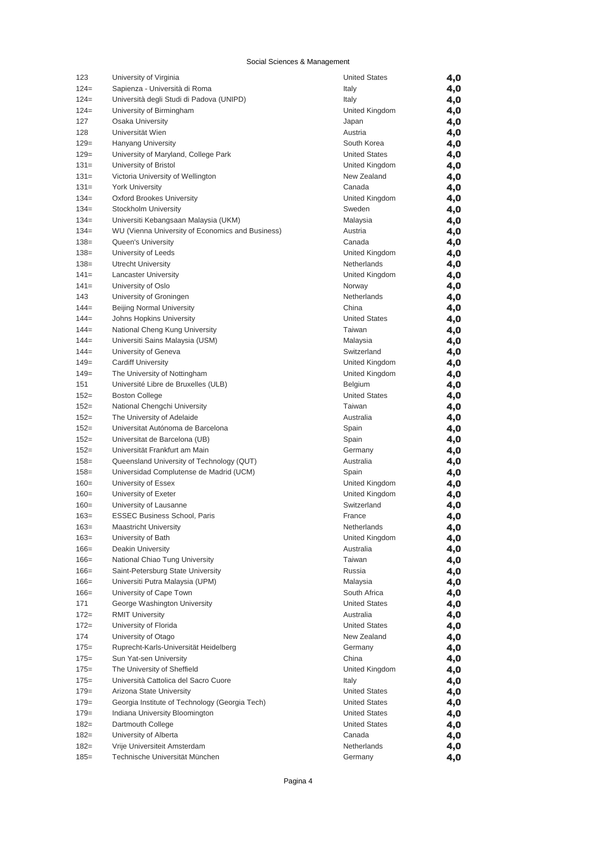| 123     | University of Virginia                           | <b>United States</b> | 4,0 |
|---------|--------------------------------------------------|----------------------|-----|
| $124=$  | Sapienza - Università di Roma                    | Italy                | 4,0 |
| $124=$  | Università degli Studi di Padova (UNIPD)         | Italy                | 4,0 |
| $124=$  | University of Birmingham                         | United Kingdom       | 4,0 |
| 127     | <b>Osaka University</b>                          | Japan                | 4,0 |
| 128     | Universität Wien                                 | Austria              | 4,0 |
| $129=$  | <b>Hanyang University</b>                        | South Korea          | 4,0 |
| $129=$  | University of Maryland, College Park             | <b>United States</b> | 4,0 |
| $131=$  | University of Bristol                            | United Kingdom       | 4,0 |
| $131=$  | Victoria University of Wellington                | New Zealand          | 4,0 |
| $131=$  | <b>York University</b>                           | Canada               | 4,0 |
| $134=$  | <b>Oxford Brookes University</b>                 | United Kingdom       | 4,0 |
| $134=$  | Stockholm University                             | Sweden               | 4,0 |
| $134=$  | Universiti Kebangsaan Malaysia (UKM)             | Malaysia             | 4,0 |
| $134=$  | WU (Vienna University of Economics and Business) | Austria              | 4,0 |
| $138 =$ | Queen's University                               | Canada               | 4,0 |
| $138 =$ | University of Leeds                              | United Kingdom       | 4,0 |
| $138 =$ | <b>Utrecht University</b>                        | Netherlands          | 4,0 |
| $141=$  | <b>Lancaster University</b>                      | United Kingdom       | 4,0 |
| $141 =$ | University of Oslo                               | Norway               | 4,0 |
| 143     | University of Groningen                          | Netherlands          | 4,0 |
| $144=$  | <b>Beijing Normal University</b>                 | China                | 4,0 |
| $144=$  | Johns Hopkins University                         | <b>United States</b> | 4,0 |
| $144=$  | National Cheng Kung University                   | Taiwan               | 4,0 |
| $144=$  | Universiti Sains Malaysia (USM)                  | Malaysia             | 4,0 |
| $144=$  | University of Geneva                             | Switzerland          | 4,0 |
| $149=$  | <b>Cardiff University</b>                        | United Kingdom       | 4,0 |
| $149=$  | The University of Nottingham                     | United Kingdom       | 4,0 |
| 151     | Université Libre de Bruxelles (ULB)              | Belgium              | 4,0 |
| $152 =$ | <b>Boston College</b>                            | <b>United States</b> | 4,0 |
| $152 =$ | National Chengchi University                     | Taiwan               | 4,0 |
| $152 =$ | The University of Adelaide                       | Australia            | 4,0 |
| $152 =$ | Universitat Autónoma de Barcelona                | Spain                | 4,0 |
| $152 =$ | Universitat de Barcelona (UB)                    | Spain                | 4,0 |
| $152 =$ | Universität Frankfurt am Main                    | Germany              | 4,0 |
| $158 =$ | Queensland University of Technology (QUT)        | Australia            | 4,0 |
| $158 =$ | Universidad Complutense de Madrid (UCM)          | Spain                | 4,0 |
| $160=$  | University of Essex                              | United Kingdom       | 4,0 |
| $160=$  | University of Exeter                             | United Kingdom       | 4,0 |
| $160=$  | University of Lausanne                           | Switzerland          | 4,0 |
| $163=$  | <b>ESSEC Business School, Paris</b>              | France               | 4,0 |
| $163=$  | <b>Maastricht University</b>                     | Netherlands          | 4,0 |
| $163=$  | University of Bath                               | United Kingdom       | 4,0 |
| $166=$  | Deakin University                                | Australia            | 4,0 |
| $166=$  | National Chiao Tung University                   | Taiwan               | 4,0 |
| $166=$  | Saint-Petersburg State University                | Russia               | 4,0 |
| $166=$  | Universiti Putra Malaysia (UPM)                  | Malaysia             | 4,0 |
| $166=$  | University of Cape Town                          | South Africa         | 4,0 |
| 171     | George Washington University                     | <b>United States</b> | 4,0 |
| $172 =$ | <b>RMIT University</b>                           | Australia            | 4,0 |
| $172 =$ | University of Florida                            | <b>United States</b> | 4,0 |
| 174     | University of Otago                              | New Zealand          | 4,0 |
| $175=$  | Ruprecht-Karls-Universität Heidelberg            | Germany              | 4,0 |
| $175=$  | Sun Yat-sen University                           | China                | 4,0 |
| $175 =$ | The University of Sheffield                      | United Kingdom       |     |
| $175=$  | Università Cattolica del Sacro Cuore             | Italy                | 4,0 |
| $179=$  | Arizona State University                         | <b>United States</b> | 4,0 |
| $179=$  | Georgia Institute of Technology (Georgia Tech)   | <b>United States</b> | 4,0 |
| $179=$  |                                                  | <b>United States</b> | 4,0 |
|         | Indiana University Bloomington                   |                      | 4,0 |
| $182 =$ | Dartmouth College                                | <b>United States</b> | 4,0 |
| $182 =$ | University of Alberta                            | Canada               | 4,0 |
| $182 =$ | Vrije Universiteit Amsterdam                     | Netherlands          | 4,0 |
| $185 =$ | Technische Universität München                   | Germany              | 4,0 |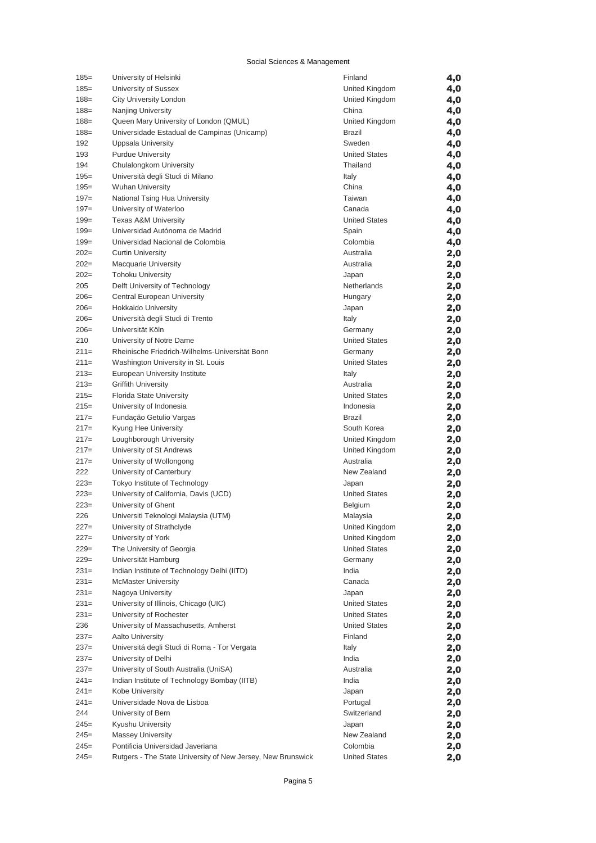| $185 =$ | University of Helsinki                                      | Finland              | 4,0 |
|---------|-------------------------------------------------------------|----------------------|-----|
| $185=$  | University of Sussex                                        | United Kingdom       | 4,0 |
| $188 =$ | City University London                                      | United Kingdom       | 4,0 |
| $188 =$ | Nanjing University                                          | China                | 4,0 |
| $188 =$ | Queen Mary University of London (QMUL)                      | United Kingdom       | 4,0 |
| $188 =$ | Universidade Estadual de Campinas (Unicamp)                 | Brazil               | 4,0 |
| 192     | Uppsala University                                          | Sweden               | 4,0 |
| 193     | <b>Purdue University</b>                                    | <b>United States</b> | 4,0 |
| 194     | Chulalongkorn University                                    | Thailand             | 4,0 |
| $195 =$ | Università degli Studi di Milano                            | Italy                | 4,0 |
| $195 =$ | <b>Wuhan University</b>                                     | China                | 4,0 |
| $197 =$ | National Tsing Hua University                               | Taiwan               | 4,0 |
| $197 =$ | University of Waterloo                                      | Canada               | 4,0 |
| $199=$  | <b>Texas A&amp;M University</b>                             | <b>United States</b> | 4,0 |
| $199=$  | Universidad Autónoma de Madrid                              | Spain                | 4,0 |
| $199=$  | Universidad Nacional de Colombia                            | Colombia             | 4,0 |
| $202=$  | <b>Curtin University</b>                                    | Australia            | 2,0 |
| $202=$  | <b>Macquarie University</b>                                 | Australia            | 2,0 |
| $202=$  | <b>Tohoku University</b>                                    | Japan                | 2,0 |
| 205     | Delft University of Technology                              | Netherlands          | 2,0 |
| $206=$  | Central European University                                 | Hungary              | 2,0 |
| $206=$  | <b>Hokkaido University</b>                                  | Japan                | 2,0 |
| $206=$  | Università degli Studi di Trento                            | Italy                | 2,0 |
| $206=$  | Universität Köln                                            | Germany              | 2,0 |
| 210     | University of Notre Dame                                    | <b>United States</b> |     |
| $211=$  | Rheinische Friedrich-Wilhelms-Universität Bonn              | Germany              | 2,0 |
| $211=$  |                                                             | <b>United States</b> | 2,0 |
|         | Washington University in St. Louis                          |                      | 2,0 |
| $213=$  | European University Institute                               | Italy                | 2,0 |
| $213=$  | <b>Griffith University</b>                                  | Australia            | 2,0 |
| $215=$  | <b>Florida State University</b>                             | <b>United States</b> | 2,0 |
| $215=$  | University of Indonesia                                     | Indonesia            | 2,0 |
| $217=$  | Fundação Getulio Vargas                                     | Brazil               | 2,0 |
| $217=$  | Kyung Hee University                                        | South Korea          | 2,0 |
| $217=$  | Loughborough University                                     | United Kingdom       | 2,0 |
| $217=$  | University of St Andrews                                    | United Kingdom       | 2,0 |
| $217=$  | University of Wollongong                                    | Australia            | 2,0 |
| 222     | University of Canterbury                                    | New Zealand          | 2,0 |
| $223=$  | Tokyo Institute of Technology                               | Japan                | 2,0 |
| $223=$  | University of California, Davis (UCD)                       | <b>United States</b> | 2,0 |
| $223=$  | University of Ghent                                         | Belgium              | 2,0 |
| 226     | Universiti Teknologi Malaysia (UTM)                         | Malaysia             | 2,0 |
| $227=$  | University of Strathclyde                                   | United Kingdom       | 2,0 |
| $227=$  | University of York                                          | United Kingdom       | 2,0 |
| $229=$  | The University of Georgia                                   | <b>United States</b> | 2,0 |
| $229=$  | Universität Hamburg                                         | Germany              | 2,0 |
| $231=$  | Indian Institute of Technology Delhi (IITD)                 | India                | 2,0 |
| $231=$  | <b>McMaster University</b>                                  | Canada               | 2,0 |
| $231=$  | Nagoya University                                           | Japan                | 2,0 |
| $231=$  | University of Illinois, Chicago (UIC)                       | <b>United States</b> | 2,0 |
| $231=$  | University of Rochester                                     | <b>United States</b> | 2,0 |
| 236     | University of Massachusetts, Amherst                        | <b>United States</b> | 2,0 |
| $237=$  | Aalto University                                            | Finland              | 2,0 |
| $237=$  | Universitá degli Studi di Roma - Tor Vergata                | Italy                | 2,0 |
| $237=$  | University of Delhi                                         | India                | 2,0 |
| $237=$  | University of South Australia (UniSA)                       | Australia            | 2,0 |
| $241=$  | Indian Institute of Technology Bombay (IITB)                | India                | 2,0 |
| $241=$  | Kobe University                                             | Japan                | 2,0 |
| $241 =$ | Universidade Nova de Lisboa                                 | Portugal             | 2,0 |
| 244     | University of Bern                                          | Switzerland          | 2,0 |
| $245=$  | Kyushu University                                           | Japan                | 2,0 |
| $245=$  | <b>Massey University</b>                                    | New Zealand          | 2,0 |
| $245=$  | Pontificia Universidad Javeriana                            | Colombia             | 2,0 |
| $245=$  | Rutgers - The State University of New Jersey, New Brunswick | <b>United States</b> | 2,0 |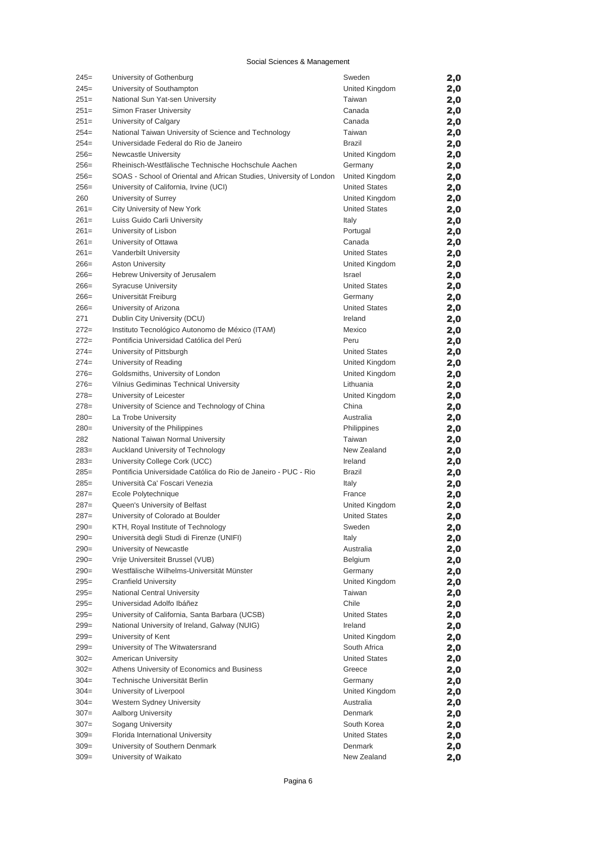| $245=$           | University of Gothenburg                                                                    | Sweden                           | 2,0        |
|------------------|---------------------------------------------------------------------------------------------|----------------------------------|------------|
| $245=$           | University of Southampton                                                                   | United Kingdom                   | 2,0        |
| $251=$           | National Sun Yat-sen University                                                             | Taiwan                           | 2,0        |
| $251=$           | Simon Fraser University                                                                     | Canada                           | 2,0        |
| $251=$           | University of Calgary                                                                       | Canada                           | 2,0        |
| $254=$           | National Taiwan University of Science and Technology                                        | Taiwan                           | 2,0        |
| $254=$           | Universidade Federal do Rio de Janeiro                                                      | <b>Brazil</b>                    | 2,0        |
| $256=$           | Newcastle University                                                                        | United Kingdom                   | 2,0        |
| $256=$           | Rheinisch-Westfälische Technische Hochschule Aachen                                         | Germany                          | 2,0        |
| $256=$           | SOAS - School of Oriental and African Studies, University of London                         | United Kingdom                   | 2,0        |
| $256=$           | University of California, Irvine (UCI)                                                      | <b>United States</b>             | 2,0        |
| 260              | University of Surrey                                                                        | United Kingdom                   | 2,0        |
| $261=$           | City University of New York                                                                 | <b>United States</b>             | 2,0        |
| $261=$           | Luiss Guido Carli University                                                                | Italy                            | 2,0        |
| $261=$           | University of Lisbon                                                                        | Portugal                         | 2,0        |
| $261=$           | University of Ottawa                                                                        | Canada                           | 2,0        |
| $261=$           | Vanderbilt University                                                                       | <b>United States</b>             | 2,0        |
| $266=$           | <b>Aston University</b>                                                                     | United Kingdom                   | 2,0        |
| $266=$           | Hebrew University of Jerusalem                                                              | <b>Israel</b>                    | 2,0        |
| $266=$           | <b>Syracuse University</b>                                                                  | <b>United States</b>             | 2,0        |
| $266=$           | Universität Freiburg                                                                        | Germany                          | 2,0        |
| $266=$           | University of Arizona                                                                       | <b>United States</b>             | 2,0        |
| 271              | Dublin City University (DCU)                                                                | Ireland                          | 2,0        |
| $272=$           | Instituto Tecnológico Autonomo de México (ITAM)<br>Pontificia Universidad Católica del Perú | Mexico                           | 2,0        |
| $272=$           | University of Pittsburgh                                                                    | Peru                             | 2,0        |
| $274=$<br>$274=$ |                                                                                             | <b>United States</b>             | 2,0        |
| $276=$           | University of Reading<br>Goldsmiths, University of London                                   | United Kingdom<br>United Kingdom | 2,0        |
| $276=$           | Vilnius Gediminas Technical University                                                      | Lithuania                        | 2,0<br>2,0 |
| $278=$           | University of Leicester                                                                     | United Kingdom                   |            |
| $278=$           | University of Science and Technology of China                                               | China                            | 2,0<br>2,0 |
| $280=$           | La Trobe University                                                                         | Australia                        | 2,0        |
| $280=$           | University of the Philippines                                                               | Philippines                      | 2,0        |
| 282              | National Taiwan Normal University                                                           | Taiwan                           | 2,0        |
| $283=$           | Auckland University of Technology                                                           | New Zealand                      | 2,0        |
| $283=$           | University College Cork (UCC)                                                               | Ireland                          | 2,0        |
| $285=$           | Pontificia Universidade Católica do Rio de Janeiro - PUC - Rio                              | Brazil                           | 2,0        |
| $285=$           | Università Ca' Foscari Venezia                                                              | Italy                            | 2,0        |
| $287=$           | Ecole Polytechnique                                                                         | France                           | 2,0        |
| $287=$           | Queen's University of Belfast                                                               | United Kingdom                   | 2,0        |
| $287=$           | University of Colorado at Boulder                                                           | <b>United States</b>             | 2,0        |
| $290=$           | KTH, Royal Institute of Technology                                                          | Sweden                           | 2,0        |
| $290=$           | Università degli Studi di Firenze (UNIFI)                                                   | Italy                            | 2,0        |
| $290=$           | University of Newcastle                                                                     | Australia                        | 2,0        |
| $290=$           | Vrije Universiteit Brussel (VUB)                                                            | Belgium                          | 2,0        |
| $290=$           | Westfälische Wilhelms-Universität Münster                                                   | Germany                          | 2,0        |
| $295 =$          | <b>Cranfield University</b>                                                                 | United Kingdom                   | 2,0        |
| $295 =$          | National Central University                                                                 | Taiwan                           | 2,0        |
| $295=$           | Universidad Adolfo Ibáñez                                                                   | Chile                            | 2,0        |
| $295=$           | University of California, Santa Barbara (UCSB)                                              | <b>United States</b>             | 2,0        |
| $299=$           | National University of Ireland, Galway (NUIG)                                               | Ireland                          | 2,0        |
| $299=$           | University of Kent                                                                          | United Kingdom                   | 2,0        |
| $299=$           | University of The Witwatersrand                                                             | South Africa                     | 2,0        |
| $302 =$          | <b>American University</b>                                                                  | <b>United States</b>             | 2,0        |
| $302 =$          | Athens University of Economics and Business                                                 | Greece                           | 2,0        |
| $304 =$          | Technische Universität Berlin                                                               | Germany                          | 2,0        |
| $304 =$          | University of Liverpool                                                                     | United Kingdom                   | 2,0        |
| $304 =$          | Western Sydney University                                                                   | Australia                        | 2,0        |
| $307 =$          | <b>Aalborg University</b>                                                                   | Denmark                          | 2,0        |
| $307 =$          | Sogang University                                                                           | South Korea                      | 2,0        |
| $309=$<br>$309=$ | Florida International University<br>University of Southern Denmark                          | <b>United States</b><br>Denmark  | 2,0        |
| $309=$           | University of Waikato                                                                       | New Zealand                      | 2,0        |
|                  |                                                                                             |                                  | 2,0        |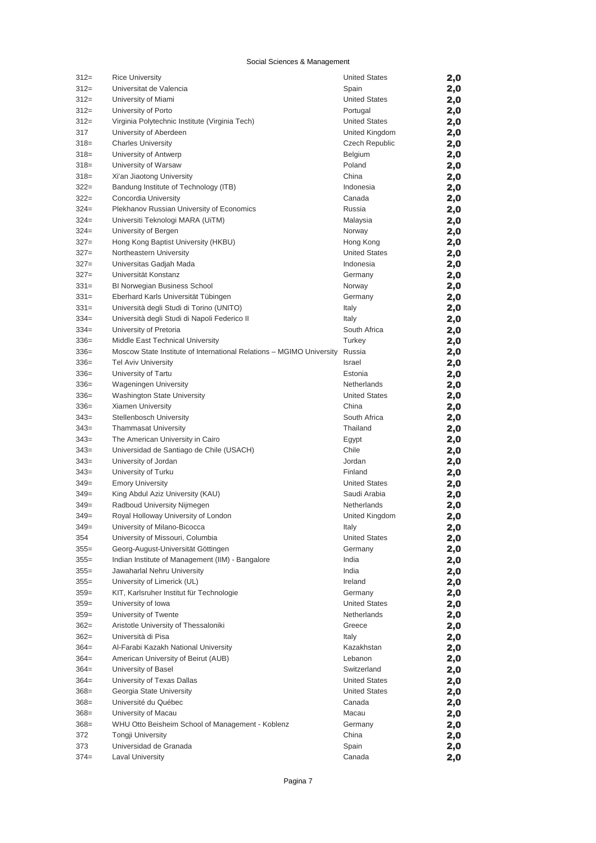| $312=$  | <b>Rice University</b>                                               | <b>United States</b> | 2,0        |
|---------|----------------------------------------------------------------------|----------------------|------------|
| $312=$  | Universitat de Valencia                                              | Spain                | 2,0        |
| $312=$  | University of Miami                                                  | <b>United States</b> | 2,0        |
| $312=$  | University of Porto                                                  | Portugal             | 2,0        |
| $312=$  | Virginia Polytechnic Institute (Virginia Tech)                       | <b>United States</b> | 2,0        |
| 317     | University of Aberdeen                                               | United Kingdom       | 2,0        |
| $318=$  | <b>Charles University</b>                                            | Czech Republic       | 2,0        |
| $318=$  | University of Antwerp                                                | Belgium              | 2,0        |
| $318=$  | University of Warsaw                                                 | Poland               | 2,0        |
| $318=$  | Xi'an Jiaotong University                                            | China                | 2,0        |
| $322 =$ | Bandung Institute of Technology (ITB)                                | Indonesia            | 2,0        |
| $322 =$ | Concordia University                                                 | Canada               | 2,0        |
| $324=$  | Plekhanov Russian University of Economics                            | Russia               | 2,0        |
| $324=$  | Universiti Teknologi MARA (UiTM)                                     | Malaysia             | 2,0        |
| $324=$  | University of Bergen                                                 | Norway               | 2,0        |
| $327=$  | Hong Kong Baptist University (HKBU)                                  | Hong Kong            | 2,0        |
| $327=$  | Northeastern University                                              | <b>United States</b> | 2,0        |
| $327=$  | Universitas Gadjah Mada                                              | Indonesia            | 2,0        |
| $327=$  | Universität Konstanz                                                 | Germany              | 2,0        |
| $331=$  | <b>BI Norwegian Business School</b>                                  | Norway               | 2,0        |
| $331=$  | Eberhard Karls Universität Tübingen                                  | Germany              | 2,0        |
| $331=$  | Università degli Studi di Torino (UNITO)                             | Italy                | 2,0        |
| $334=$  | Università degli Studi di Napoli Federico II                         | Italy                | 2,0        |
| $334=$  | University of Pretoria                                               | South Africa         | 2,0        |
| $336=$  | Middle East Technical University                                     | Turkey               | 2,0        |
| $336=$  | Moscow State Institute of International Relations - MGIMO University | Russia               | 2,0        |
| $336=$  | <b>Tel Aviv University</b>                                           | <b>Israel</b>        | 2,0        |
| $336=$  | University of Tartu                                                  | Estonia              | 2,0        |
| $336=$  | <b>Wageningen University</b>                                         | Netherlands          | 2,0        |
| $336=$  | Washington State University                                          | <b>United States</b> |            |
| $336=$  | Xiamen University                                                    | China                | 2,0        |
| $343=$  | <b>Stellenbosch University</b>                                       | South Africa         | 2,0<br>2,0 |
| $343=$  | Thammasat University                                                 | Thailand             |            |
| $343=$  | The American University in Cairo                                     | Egypt                | 2,0<br>2,0 |
| $343=$  | Universidad de Santiago de Chile (USACH)                             | Chile                | 2,0        |
| $343=$  | University of Jordan                                                 | Jordan               | 2,0        |
| $343=$  | University of Turku                                                  | Finland              | 2,0        |
| $349=$  | <b>Emory University</b>                                              | <b>United States</b> | 2,0        |
| $349=$  | King Abdul Aziz University (KAU)                                     | Saudi Arabia         | 2,0        |
| $349=$  | Radboud University Nijmegen                                          | Netherlands          | 2,0        |
| $349=$  | Royal Holloway University of London                                  | United Kingdom       | 2,0        |
| $349=$  | University of Milano-Bicocca                                         | Italy                | 2,0        |
| 354     | University of Missouri, Columbia                                     | <b>United States</b> | 2,0        |
| $355 =$ | Georg-August-Universität Göttingen                                   | Germany              | 2,0        |
| $355 =$ | Indian Institute of Management (IIM) - Bangalore                     | India                | 2,0        |
| $355 =$ | Jawaharlal Nehru University                                          | India                | 2,0        |
| $355 =$ | University of Limerick (UL)                                          | Ireland              | 2,0        |
| $359=$  | KIT, Karlsruher Institut für Technologie                             | Germany              | 2,0        |
| $359=$  | University of Iowa                                                   | <b>United States</b> | 2,0        |
| $359=$  | University of Twente                                                 | Netherlands          |            |
| $362=$  | Aristotle University of Thessaloniki                                 | Greece               | 2,0        |
| $362=$  | Università di Pisa                                                   | Italy                | 2,0        |
| $364=$  | Al-Farabi Kazakh National University                                 | Kazakhstan           | 2,0        |
|         |                                                                      | Lebanon              | 2,0        |
| $364=$  | American University of Beirut (AUB)                                  | Switzerland          | 2,0        |
| $364=$  | University of Basel                                                  |                      | 2,0        |
| $364=$  | University of Texas Dallas                                           | <b>United States</b> | 2,0        |
| $368 =$ | Georgia State University                                             | <b>United States</b> | 2,0        |
| $368 =$ | Université du Québec                                                 | Canada               | 2,0        |
| $368 =$ | University of Macau                                                  | Macau                | 2,0        |
| $368 =$ | WHU Otto Beisheim School of Management - Koblenz                     | Germany              | 2,0        |
| 372     | <b>Tongji University</b>                                             | China                | 2,0        |
| 373     | Universidad de Granada                                               | Spain                | 2,0        |
| $374 =$ | <b>Laval University</b>                                              | Canada               | 2,0        |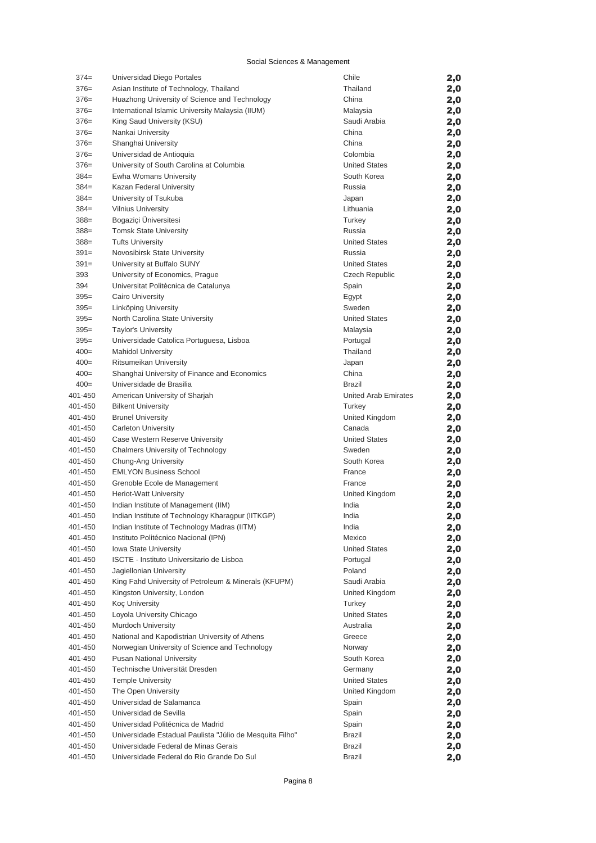| $374 =$ | Universidad Diego Portales                               | Chile                 | 2,0 |
|---------|----------------------------------------------------------|-----------------------|-----|
| $376=$  | Asian Institute of Technology, Thailand                  | Thailand              | 2,0 |
| $376=$  | Huazhong University of Science and Technology            | China                 | 2,0 |
| $376=$  | International Islamic University Malaysia (IIUM)         | Malaysia              | 2,0 |
| $376=$  | King Saud University (KSU)                               | Saudi Arabia          | 2,0 |
| $376=$  | Nankai University                                        | China                 | 2,0 |
| $376=$  | Shanghai University                                      | China                 | 2,0 |
| $376=$  | Universidad de Antioquia                                 | Colombia              | 2,0 |
| $376=$  | University of South Carolina at Columbia                 | <b>United States</b>  | 2,0 |
| $384=$  | Ewha Womans University                                   | South Korea           | 2,0 |
| $384=$  | Kazan Federal University                                 | Russia                | 2,0 |
| $384=$  | University of Tsukuba                                    | Japan                 | 2,0 |
| $384=$  | <b>Vilnius University</b>                                | Lithuania             | 2,0 |
| $388 =$ | Bogaziçi Üniversitesi                                    | Turkey                | 2,0 |
| $388 =$ | <b>Tomsk State University</b>                            | Russia                | 2,0 |
| $388 =$ | <b>Tufts University</b>                                  | <b>United States</b>  | 2,0 |
| $391=$  | Novosibirsk State University                             | Russia                | 2,0 |
| $391=$  | University at Buffalo SUNY                               | <b>United States</b>  | 2,0 |
| 393     | University of Economics, Prague                          | <b>Czech Republic</b> | 2,0 |
| 394     | Universitat Politècnica de Catalunya                     | Spain                 | 2,0 |
| $395=$  | Cairo University                                         | Egypt                 | 2,0 |
| $395=$  | Linköping University                                     | Sweden                | 2,0 |
| $395=$  | North Carolina State University                          | <b>United States</b>  | 2,0 |
| $395=$  | <b>Taylor's University</b>                               | Malaysia              | 2,0 |
| $395=$  | Universidade Catolica Portuguesa, Lisboa                 | Portugal              | 2,0 |
| $400=$  | <b>Mahidol University</b>                                | Thailand              | 2,0 |
| $400=$  | Ritsumeikan University                                   | Japan                 | 2,0 |
| $400=$  | Shanghai University of Finance and Economics             | China                 | 2,0 |
| $400=$  | Universidade de Brasilia                                 | <b>Brazil</b>         | 2,0 |
| 401-450 | American University of Sharjah                           | United Arab Emirates  | 2,0 |
| 401-450 | <b>Bilkent University</b>                                | Turkey                | 2,0 |
| 401-450 | <b>Brunel University</b>                                 | United Kingdom        | 2,0 |
| 401-450 | <b>Carleton University</b>                               | Canada                | 2,0 |
| 401-450 | Case Western Reserve University                          | <b>United States</b>  | 2,0 |
| 401-450 | <b>Chalmers University of Technology</b>                 | Sweden                | 2,0 |
| 401-450 | Chung-Ang University                                     | South Korea           | 2,0 |
| 401-450 | <b>EMLYON Business School</b>                            | France                | 2,0 |
| 401-450 | Grenoble Ecole de Management                             | France                | 2,0 |
| 401-450 | <b>Heriot-Watt University</b>                            | United Kingdom        | 2,0 |
| 401-450 | Indian Institute of Management (IIM)                     | India                 | 2,0 |
| 401-450 | Indian Institute of Technology Kharagpur (IITKGP)        | India                 | 2,0 |
| 401-450 | Indian Institute of Technology Madras (IITM)             | India                 | 2,0 |
| 401-450 | Instituto Politécnico Nacional (IPN)                     | Mexico                | 2,0 |
| 401-450 | Iowa State University                                    | <b>United States</b>  | 2,0 |
| 401-450 | ISCTE - Instituto Universitario de Lisboa                | Portugal              | 2,0 |
| 401-450 | Jagiellonian University                                  | Poland                | 2,0 |
| 401-450 | King Fahd University of Petroleum & Minerals (KFUPM)     | Saudi Arabia          | 2,0 |
| 401-450 | Kingston University, London                              | United Kingdom        | 2,0 |
| 401-450 | Koç University                                           | Turkey                | 2,0 |
| 401-450 | Loyola University Chicago                                | <b>United States</b>  | 2,0 |
| 401-450 | Murdoch University                                       | Australia             | 2,0 |
| 401-450 | National and Kapodistrian University of Athens           | Greece                | 2,0 |
| 401-450 | Norwegian University of Science and Technology           | Norway                | 2,0 |
| 401-450 | <b>Pusan National University</b>                         | South Korea           | 2,0 |
| 401-450 | Technische Universität Dresden                           | Germany               | 2,0 |
| 401-450 | <b>Temple University</b>                                 | <b>United States</b>  | 2,0 |
| 401-450 | The Open University                                      | United Kingdom        | 2,0 |
| 401-450 | Universidad de Salamanca                                 | Spain                 | 2,0 |
| 401-450 | Universidad de Sevilla                                   | Spain                 | 2,0 |
| 401-450 | Universidad Politécnica de Madrid                        | Spain                 | 2,0 |
| 401-450 | Universidade Estadual Paulista "Júlio de Mesquita Filho" | Brazil                | 2,0 |
| 401-450 | Universidade Federal de Minas Gerais                     | <b>Brazil</b>         | 2,0 |
| 401-450 | Universidade Federal do Rio Grande Do Sul                | Brazil                | 2,0 |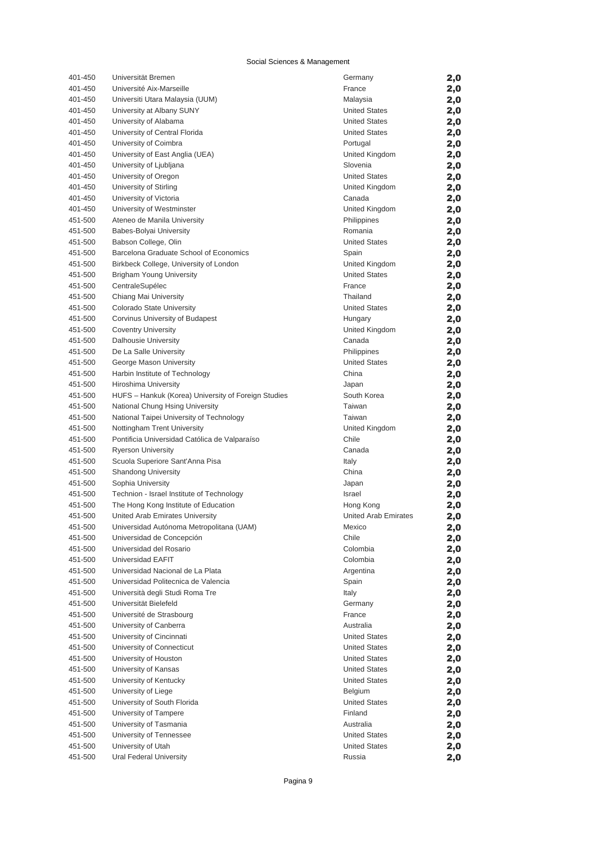| 401-450            | Universität Bremen                                   | Germany                           | 2,0        |
|--------------------|------------------------------------------------------|-----------------------------------|------------|
| 401-450            | Université Aix-Marseille                             | France                            | 2,0        |
| 401-450            | Universiti Utara Malaysia (UUM)                      | Malaysia                          | 2,0        |
| 401-450            | University at Albany SUNY                            | <b>United States</b>              | 2,0        |
| 401-450            | University of Alabama                                | <b>United States</b>              | 2,0        |
| 401-450            | University of Central Florida                        | <b>United States</b>              | 2,0        |
| 401-450            | University of Coimbra                                | Portugal                          | 2,0        |
| 401-450            | University of East Anglia (UEA)                      | United Kingdom                    | 2,0        |
| 401-450            | University of Ljubljana                              | Slovenia                          | 2,0        |
| 401-450            | University of Oregon                                 | <b>United States</b>              | 2,0        |
| 401-450            | University of Stirling                               | United Kingdom                    | 2,0        |
| 401-450            | University of Victoria                               | Canada                            | 2,0        |
| 401-450            | University of Westminster                            | United Kingdom                    | 2,0        |
| 451-500            | Ateneo de Manila University                          | Philippines                       | 2,0        |
| 451-500            | Babes-Bolyai University                              | Romania                           | 2,0        |
| 451-500            | Babson College, Olin                                 | <b>United States</b>              | 2,0        |
| 451-500            | Barcelona Graduate School of Economics               | Spain                             | 2,0        |
| 451-500            | Birkbeck College, University of London               | United Kingdom                    | 2,0        |
| 451-500            | <b>Brigham Young University</b>                      | <b>United States</b>              | 2,0        |
| 451-500            | CentraleSupélec                                      | France                            | 2,0        |
| 451-500            | Chiang Mai University                                | Thailand                          | 2,0        |
| 451-500            | Colorado State University                            | <b>United States</b>              | 2,0        |
| 451-500            | Corvinus University of Budapest                      | Hungary                           | 2,0        |
| 451-500            | <b>Coventry University</b>                           | United Kingdom                    | 2,0        |
| 451-500            | Dalhousie University                                 | Canada                            | 2,0        |
| 451-500            | De La Salle University                               | Philippines                       | 2,0        |
| 451-500            | George Mason University                              | <b>United States</b>              | 2,0        |
| 451-500            | Harbin Institute of Technology                       | China                             | 2,0        |
| 451-500            | <b>Hiroshima University</b>                          | Japan                             | 2,0        |
| 451-500            | HUFS - Hankuk (Korea) University of Foreign Studies  | South Korea                       | 2,0        |
| 451-500            | National Chung Hsing University                      | Taiwan                            | 2,0        |
| 451-500            | National Taipei University of Technology             | Taiwan                            | 2,0        |
| 451-500            | Nottingham Trent University                          | United Kingdom                    | 2,0        |
| 451-500            | Pontificia Universidad Católica de Valparaíso        | Chile                             | 2,0        |
| 451-500            | <b>Ryerson University</b>                            | Canada                            | 2,0        |
| 451-500            | Scuola Superiore Sant'Anna Pisa                      | Italy                             | 2,0        |
| 451-500            | <b>Shandong University</b>                           | China                             | 2,0        |
| 451-500            | Sophia University                                    | Japan                             | 2,0        |
| 451-500            | Technion - Israel Institute of Technology            | Israel                            | 2,0        |
| 451-500            | The Hong Kong Institute of Education                 | Hong Kong                         | 2,0        |
| 451-500            | United Arab Emirates University                      | <b>United Arab Emirates</b>       | 2,0        |
| 451-500            | Universidad Autónoma Metropolitana (UAM)             | Mexico                            | 2,0        |
| 451-500            | Universidad de Concepción                            | Chile                             | 2,0        |
| 451-500            | Universidad del Rosario                              | Colombia                          | 2,0        |
| 451-500            | Universidad EAFIT                                    | Colombia                          | 2,0        |
| 451-500            | Universidad Nacional de La Plata                     | Argentina                         | 2,0        |
| 451-500            | Universidad Politecnica de Valencia                  | Spain                             | 2,0        |
| 451-500            | Università degli Studi Roma Tre                      | Italy                             | 2,0        |
| 451-500            | Universität Bielefeld                                | Germany                           | 2,0        |
| 451-500            | Université de Strasbourg                             | France                            | 2,0        |
| 451-500            | University of Canberra<br>University of Cincinnati   | Australia<br><b>United States</b> | 2,0        |
| 451-500<br>451-500 | University of Connecticut                            | <b>United States</b>              | 2,0        |
|                    |                                                      | <b>United States</b>              | 2,0        |
| 451-500<br>451-500 | University of Houston<br>University of Kansas        | <b>United States</b>              | 2,0        |
| 451-500            | University of Kentucky                               | <b>United States</b>              | 2,0        |
| 451-500            | University of Liege                                  | Belgium                           | 2,0        |
| 451-500            |                                                      | <b>United States</b>              | 2,0        |
| 451-500            | University of South Florida<br>University of Tampere | Finland                           | 2,0        |
| 451-500            | University of Tasmania                               | Australia                         | 2,0<br>2,0 |
| 451-500            | University of Tennessee                              | <b>United States</b>              |            |
| 451-500            | University of Utah                                   | <b>United States</b>              | 2,0<br>2,0 |
| 451-500            | Ural Federal University                              | Russia                            | 2,0        |
|                    |                                                      |                                   |            |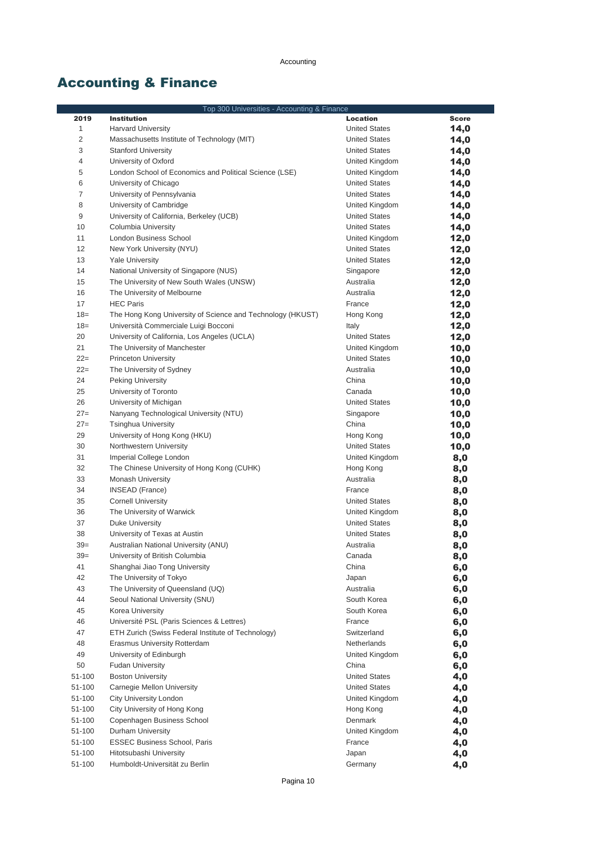# Accounting & Finance

| Top 300 Universities - Accounting & Finance |                                                                      |                            |              |
|---------------------------------------------|----------------------------------------------------------------------|----------------------------|--------------|
| 2019                                        | <b>Institution</b>                                                   | Location                   | <b>Score</b> |
| $\mathbf{1}$                                | <b>Harvard University</b>                                            | <b>United States</b>       | 14,0         |
| $\overline{c}$                              | Massachusetts Institute of Technology (MIT)                          | <b>United States</b>       | 14,0         |
| 3                                           | <b>Stanford University</b>                                           | <b>United States</b>       | 14,0         |
| 4                                           | University of Oxford                                                 | United Kingdom             | 14,0         |
| 5                                           | London School of Economics and Political Science (LSE)               | United Kingdom             | 14,0         |
| 6                                           | University of Chicago                                                | <b>United States</b>       | 14,0         |
| 7                                           | University of Pennsylvania                                           | <b>United States</b>       | 14,0         |
| 8                                           | University of Cambridge                                              | United Kingdom             | 14,0         |
| 9                                           | University of California, Berkeley (UCB)                             | <b>United States</b>       | 14,0         |
| 10                                          | Columbia University                                                  | <b>United States</b>       | 14,0         |
| 11                                          | <b>London Business School</b>                                        | United Kingdom             | 12,0         |
| 12                                          | New York University (NYU)                                            | <b>United States</b>       | 12,0         |
| 13                                          | <b>Yale University</b>                                               | <b>United States</b>       | 12,0         |
| 14                                          | National University of Singapore (NUS)                               | Singapore                  | 12,0         |
| 15                                          | The University of New South Wales (UNSW)                             | Australia                  | 12,0         |
| 16                                          | The University of Melbourne                                          | Australia                  | 12,0         |
| 17                                          | <b>HEC Paris</b>                                                     | France                     | 12,0         |
| $18=$                                       | The Hong Kong University of Science and Technology (HKUST)           | Hong Kong                  | 12,0         |
| $18=$                                       | Università Commerciale Luigi Bocconi                                 | Italy                      | 12,0         |
| 20                                          | University of California, Los Angeles (UCLA)                         | <b>United States</b>       | 12,0         |
| 21                                          | The University of Manchester                                         | United Kingdom             | 10,0         |
| $22=$                                       | <b>Princeton University</b>                                          | <b>United States</b>       | 10,0         |
| $22=$                                       | The University of Sydney                                             | Australia                  | 10,0         |
| 24                                          | <b>Peking University</b>                                             | China                      | 10,0         |
| 25                                          | University of Toronto                                                | Canada                     | 10,0         |
| 26                                          | University of Michigan                                               | <b>United States</b>       | 10,0         |
| $27=$                                       | Nanyang Technological University (NTU)                               | Singapore                  | 10,0         |
| $27=$                                       | <b>Tsinghua University</b>                                           | China                      | 10,0         |
| 29                                          | University of Hong Kong (HKU)                                        | Hong Kong                  | 10,0         |
| 30                                          | Northwestern University                                              | <b>United States</b>       | 10,0         |
| 31                                          | Imperial College London                                              | United Kingdom             | 8,0          |
| 32                                          | The Chinese University of Hong Kong (CUHK)                           | Hong Kong                  | 8,0          |
| 33                                          | <b>Monash University</b>                                             | Australia                  | 8,0          |
| 34                                          | INSEAD (France)                                                      | France                     | 8,0          |
| 35                                          | <b>Cornell University</b>                                            | <b>United States</b>       | 8,0          |
| 36                                          | The University of Warwick                                            | United Kingdom             | 8,0          |
| 37                                          | <b>Duke University</b>                                               | <b>United States</b>       | 8,0          |
| 38                                          | University of Texas at Austin                                        | <b>United States</b>       | 8,0          |
| $39=$                                       | Australian National University (ANU)                                 | Australia                  | 8,0          |
| $39=$                                       | University of British Columbia                                       | Canada                     | 8,0          |
| 41                                          | Shanghai Jiao Tong University                                        | China                      | 6,0          |
| 42                                          | The University of Tokyo                                              | Japan                      | 6,0          |
| 43<br>44                                    | The University of Queensland (UQ)<br>Seoul National University (SNU) | Australia                  | 6,0          |
| 45                                          |                                                                      | South Korea<br>South Korea | 6,0          |
|                                             | Korea University                                                     |                            | 6,0          |
| 46<br>47                                    | Université PSL (Paris Sciences & Lettres)                            | France                     | 6,0          |
| 48                                          | ETH Zurich (Swiss Federal Institute of Technology)                   | Switzerland<br>Netherlands | 6,0          |
| 49                                          | Erasmus University Rotterdam                                         | United Kingdom             | 6,0          |
| 50                                          | University of Edinburgh<br><b>Fudan University</b>                   | China                      | 6,0          |
| 51-100                                      | <b>Boston University</b>                                             | <b>United States</b>       | 6,0          |
| 51-100                                      | Carnegie Mellon University                                           | <b>United States</b>       | 4,0          |
| 51-100                                      | City University London                                               | United Kingdom             | 4,0          |
| 51-100                                      | City University of Hong Kong                                         | Hong Kong                  | 4,0<br>4,0   |
| 51-100                                      | Copenhagen Business School                                           | Denmark                    | 4,0          |
| 51-100                                      | Durham University                                                    | United Kingdom             | 4,0          |
| 51-100                                      | <b>ESSEC Business School, Paris</b>                                  | France                     | 4,0          |
| 51-100                                      | Hitotsubashi University                                              | Japan                      | 4,0          |
| 51-100                                      | Humboldt-Universität zu Berlin                                       | Germany                    | 4,0          |
|                                             |                                                                      |                            |              |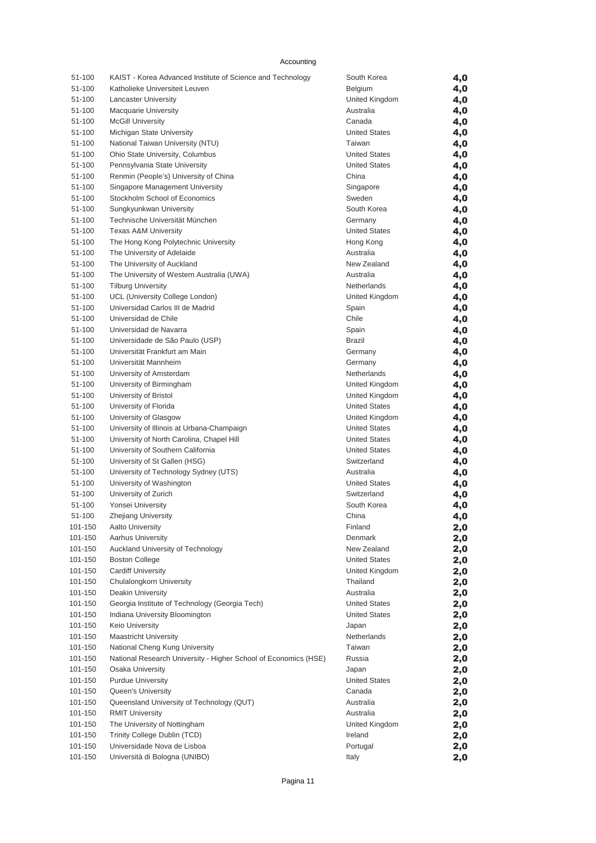| 51-100  | KAIST - Korea Advanced Institute of Science and Technology      | South Korea          | 4,0 |
|---------|-----------------------------------------------------------------|----------------------|-----|
| 51-100  | Katholieke Universiteit Leuven                                  | Belgium              | 4,0 |
| 51-100  | <b>Lancaster University</b>                                     | United Kingdom       | 4,0 |
| 51-100  | <b>Macquarie University</b>                                     | Australia            | 4,0 |
| 51-100  | <b>McGill University</b>                                        | Canada               | 4,0 |
| 51-100  | Michigan State University                                       | <b>United States</b> | 4,0 |
| 51-100  | National Taiwan University (NTU)                                | Taiwan               | 4,0 |
| 51-100  | Ohio State University, Columbus                                 | <b>United States</b> | 4,0 |
| 51-100  | Pennsylvania State University                                   | <b>United States</b> | 4,0 |
| 51-100  | Renmin (People's) University of China                           | China                | 4,0 |
| 51-100  | Singapore Management University                                 | Singapore            | 4,0 |
| 51-100  | Stockholm School of Economics                                   | Sweden               | 4,0 |
| 51-100  | Sungkyunkwan University                                         | South Korea          | 4,0 |
| 51-100  | Technische Universität München                                  | Germany              | 4,0 |
| 51-100  | <b>Texas A&amp;M University</b>                                 | <b>United States</b> | 4,0 |
| 51-100  | The Hong Kong Polytechnic University                            | Hong Kong            | 4,0 |
| 51-100  | The University of Adelaide                                      | Australia            | 4,0 |
| 51-100  | The University of Auckland                                      | New Zealand          | 4,0 |
| 51-100  | The University of Western Australia (UWA)                       | Australia            | 4,0 |
| 51-100  | <b>Tilburg University</b>                                       | Netherlands          | 4,0 |
| 51-100  | UCL (University College London)                                 | United Kingdom       | 4,0 |
| 51-100  | Universidad Carlos III de Madrid                                | Spain                | 4,0 |
| 51-100  | Universidad de Chile                                            | Chile                | 4,0 |
| 51-100  | Universidad de Navarra                                          | Spain                | 4,0 |
| 51-100  | Universidade de São Paulo (USP)                                 | <b>Brazil</b>        | 4,0 |
| 51-100  | Universität Frankfurt am Main                                   | Germany              | 4,0 |
| 51-100  | Universität Mannheim                                            | Germany              | 4,0 |
| 51-100  | University of Amsterdam                                         | Netherlands          | 4,0 |
| 51-100  | University of Birmingham                                        | United Kingdom       | 4,0 |
| 51-100  | University of Bristol                                           | United Kingdom       | 4,0 |
| 51-100  | University of Florida                                           | <b>United States</b> | 4,0 |
| 51-100  | University of Glasgow                                           | United Kingdom       | 4,0 |
| 51-100  | University of Illinois at Urbana-Champaign                      | <b>United States</b> | 4,0 |
| 51-100  | University of North Carolina, Chapel Hill                       | <b>United States</b> | 4,0 |
| 51-100  | University of Southern California                               | <b>United States</b> | 4,0 |
| 51-100  | University of St Gallen (HSG)                                   | Switzerland          | 4,0 |
| 51-100  | University of Technology Sydney (UTS)                           | Australia            | 4,0 |
| 51-100  | University of Washington                                        | <b>United States</b> | 4,0 |
| 51-100  | University of Zurich                                            | Switzerland          | 4,0 |
| 51-100  | Yonsei University                                               | South Korea          | 4,0 |
| 51-100  | <b>Zhejiang University</b>                                      | China                | 4,0 |
| 101-150 | <b>Aalto University</b>                                         | Finland              | 2,0 |
| 101-150 | Aarhus University                                               | Denmark              | 2,0 |
| 101-150 | Auckland University of Technology                               | New Zealand          | 2,0 |
| 101-150 | <b>Boston College</b>                                           | <b>United States</b> | 2,0 |
| 101-150 | <b>Cardiff University</b>                                       | United Kingdom       | 2,0 |
| 101-150 | Chulalongkorn University                                        | Thailand             | 2,0 |
| 101-150 | Deakin University                                               | Australia            | 2,0 |
| 101-150 | Georgia Institute of Technology (Georgia Tech)                  | <b>United States</b> | 2,0 |
| 101-150 | Indiana University Bloomington                                  | <b>United States</b> | 2,0 |
| 101-150 | Keio University                                                 | Japan                | 2,0 |
| 101-150 | <b>Maastricht University</b>                                    | Netherlands          | 2,0 |
| 101-150 | National Cheng Kung University                                  | Taiwan               | 2,0 |
| 101-150 | National Research University - Higher School of Economics (HSE) | Russia               | 2,0 |
| 101-150 | <b>Osaka University</b>                                         | Japan                | 2,0 |
| 101-150 | <b>Purdue University</b>                                        | <b>United States</b> | 2,0 |
| 101-150 | Queen's University                                              | Canada               | 2,0 |
| 101-150 | Queensland University of Technology (QUT)                       | Australia            | 2,0 |
| 101-150 | <b>RMIT University</b>                                          | Australia            | 2,0 |
| 101-150 | The University of Nottingham                                    | United Kingdom       | 2,0 |
| 101-150 | Trinity College Dublin (TCD)                                    | Ireland              | 2,0 |
| 101-150 | Universidade Nova de Lisboa                                     | Portugal             | 2,0 |
| 101-150 | Università di Bologna (UNIBO)                                   | Italy                | 2,0 |
|         |                                                                 |                      |     |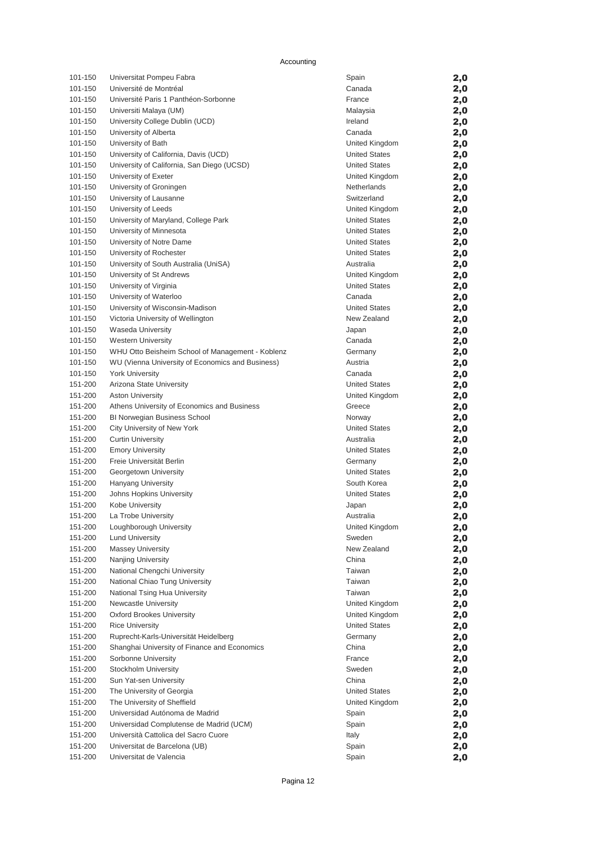| 101-150            | Universitat Pompeu Fabra                                                      | Spain                | 2,0        |
|--------------------|-------------------------------------------------------------------------------|----------------------|------------|
| 101-150            | Université de Montréal                                                        | Canada               | 2,0        |
| 101-150            | Université Paris 1 Panthéon-Sorbonne                                          | France               | 2,0        |
| 101-150            | Universiti Malaya (UM)                                                        | Malaysia             | 2,0        |
| 101-150            | University College Dublin (UCD)                                               | Ireland              | 2,0        |
| 101-150            | University of Alberta                                                         | Canada               | 2,0        |
| 101-150            | University of Bath                                                            | United Kingdom       | 2,0        |
| 101-150            | University of California, Davis (UCD)                                         | <b>United States</b> | 2,0        |
| 101-150            | University of California, San Diego (UCSD)                                    | <b>United States</b> | 2,0        |
| 101-150            | University of Exeter                                                          | United Kingdom       | 2,0        |
| 101-150            | University of Groningen                                                       | Netherlands          | 2,0        |
| 101-150            | University of Lausanne                                                        | Switzerland          | 2,0        |
| 101-150            | University of Leeds                                                           | United Kingdom       | 2,0        |
| 101-150            | University of Maryland, College Park                                          | <b>United States</b> | 2,0        |
| 101-150            | University of Minnesota                                                       | <b>United States</b> | 2,0        |
| 101-150            | University of Notre Dame                                                      | <b>United States</b> | 2,0        |
| 101-150            | University of Rochester                                                       | <b>United States</b> | 2,0        |
| 101-150            | University of South Australia (UniSA)                                         | Australia            | 2,0        |
| 101-150            | University of St Andrews                                                      | United Kingdom       | 2,0        |
| 101-150            | University of Virginia                                                        | <b>United States</b> | 2,0        |
| 101-150            | University of Waterloo                                                        | Canada               | 2,0        |
| 101-150            | University of Wisconsin-Madison                                               | <b>United States</b> | 2,0        |
| 101-150            | Victoria University of Wellington                                             | New Zealand          | 2,0        |
| 101-150            | Waseda University                                                             | Japan                | 2,0        |
| 101-150<br>101-150 | <b>Western University</b><br>WHU Otto Beisheim School of Management - Koblenz | Canada               | 2,0        |
| 101-150            | WU (Vienna University of Economics and Business)                              | Germany<br>Austria   | 2,0        |
| 101-150            | <b>York University</b>                                                        | Canada               | 2,0        |
| 151-200            | Arizona State University                                                      | <b>United States</b> | 2,0        |
| 151-200            | <b>Aston University</b>                                                       | United Kingdom       | 2,0<br>2,0 |
| 151-200            | Athens University of Economics and Business                                   | Greece               | 2,0        |
| 151-200            | <b>BI Norwegian Business School</b>                                           | Norway               | 2,0        |
| 151-200            | City University of New York                                                   | <b>United States</b> | 2,0        |
| 151-200            | <b>Curtin University</b>                                                      | Australia            | 2,0        |
| 151-200            | <b>Emory University</b>                                                       | <b>United States</b> | 2,0        |
| 151-200            | Freie Universität Berlin                                                      | Germany              | 2,0        |
| 151-200            | Georgetown University                                                         | <b>United States</b> | 2,0        |
| 151-200            | Hanyang University                                                            | South Korea          | 2,0        |
| 151-200            | Johns Hopkins University                                                      | <b>United States</b> | 2,0        |
| 151-200            | Kobe University                                                               | Japan                | 2,0        |
| 151-200            | La Trobe University                                                           | Australia            | 2,0        |
| 151-200            | Loughborough University                                                       | United Kingdom       | 2,0        |
| 151-200            | <b>Lund University</b>                                                        | Sweden               | 2,0        |
| 151-200            | <b>Massey University</b>                                                      | New Zealand          | 2,0        |
| 151-200            | Nanjing University                                                            | China                | 2,0        |
| 151-200            | National Chengchi University                                                  | Taiwan               | 2,0        |
| 151-200            | National Chiao Tung University                                                | Taiwan               | 2,0        |
| 151-200            | National Tsing Hua University                                                 | Taiwan               | 2,0        |
| 151-200            | Newcastle University                                                          | United Kingdom       | 2,0        |
| 151-200            | <b>Oxford Brookes University</b>                                              | United Kingdom       | 2,0        |
| 151-200            | <b>Rice University</b>                                                        | <b>United States</b> | 2,0        |
| 151-200            | Ruprecht-Karls-Universität Heidelberg                                         | Germany              | 2,0        |
| 151-200            | Shanghai University of Finance and Economics                                  | China                | 2,0        |
| 151-200            | Sorbonne University                                                           | France               | 2,0        |
| 151-200            | Stockholm University                                                          | Sweden               | 2,0        |
| 151-200            | Sun Yat-sen University                                                        | China                | 2,0        |
| 151-200            | The University of Georgia                                                     | <b>United States</b> | 2,0        |
| 151-200            | The University of Sheffield                                                   | United Kingdom       | 2,0        |
| 151-200            | Universidad Autónoma de Madrid                                                | Spain                | 2,0        |
| 151-200            | Universidad Complutense de Madrid (UCM)                                       | Spain                | 2,0        |
| 151-200            | Università Cattolica del Sacro Cuore                                          | Italy                | 2,0        |
| 151-200            | Universitat de Barcelona (UB)                                                 | Spain                | 2,0        |
| 151-200            | Universitat de Valencia                                                       | Spain                | 2,0        |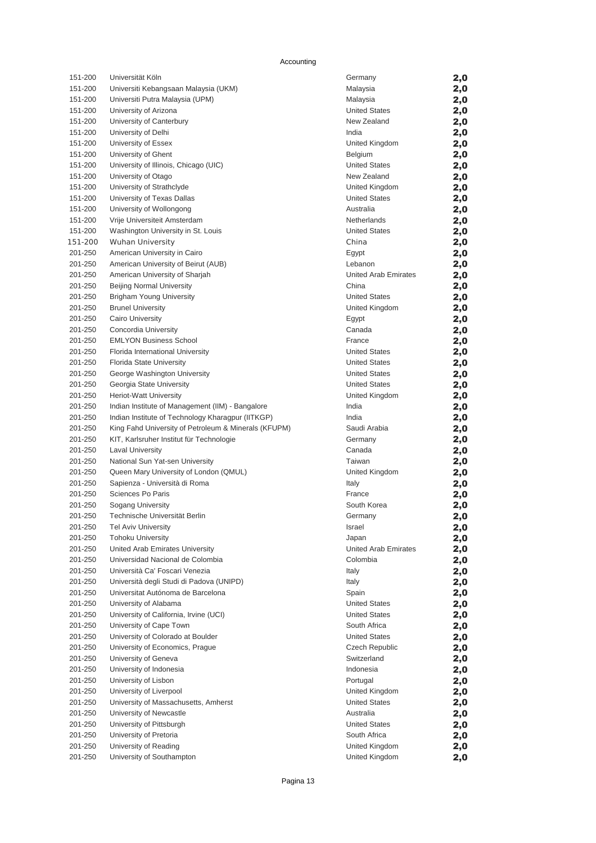| 151-200            | Universität Köln                                                           | Germany                     | 2,0        |
|--------------------|----------------------------------------------------------------------------|-----------------------------|------------|
| 151-200            | Universiti Kebangsaan Malaysia (UKM)                                       | Malaysia                    | 2,0        |
| 151-200            | Universiti Putra Malaysia (UPM)                                            | Malaysia                    | 2,0        |
| 151-200            | University of Arizona                                                      | <b>United States</b>        | 2,0        |
| 151-200            | University of Canterbury                                                   | New Zealand                 | 2,0        |
| 151-200            | University of Delhi                                                        | India                       | 2,0        |
| 151-200            | University of Essex                                                        | United Kingdom              | 2,0        |
| 151-200            | University of Ghent                                                        | Belgium                     | 2,0        |
| 151-200            | University of Illinois, Chicago (UIC)                                      | <b>United States</b>        | 2,0        |
| 151-200            | University of Otago                                                        | New Zealand                 | 2,0        |
| 151-200            | University of Strathclyde                                                  | United Kingdom              | 2,0        |
| 151-200            | University of Texas Dallas                                                 | <b>United States</b>        | 2,0        |
| 151-200            | University of Wollongong                                                   | Australia                   | 2,0        |
| 151-200            | Vrije Universiteit Amsterdam                                               | Netherlands                 | 2,0        |
| 151-200            | Washington University in St. Louis                                         | <b>United States</b>        | 2,0        |
| 151-200            | <b>Wuhan University</b>                                                    | China                       | 2,0        |
| 201-250            | American University in Cairo                                               | Egypt                       | 2,0        |
| 201-250            | American University of Beirut (AUB)                                        | Lebanon                     | 2,0        |
| 201-250            | American University of Sharjah                                             | United Arab Emirates        | 2,0        |
| 201-250            | <b>Beijing Normal University</b>                                           | China                       | 2,0        |
| 201-250            | <b>Brigham Young University</b>                                            | <b>United States</b>        | 2,0        |
| 201-250            | <b>Brunel University</b>                                                   | United Kingdom              | 2,0        |
| 201-250            | Cairo University                                                           | Egypt                       | 2,0        |
| 201-250            | Concordia University                                                       | Canada                      | 2,0        |
| 201-250            | <b>EMLYON Business School</b>                                              | France                      | 2,0        |
| 201-250            | Florida International University                                           | <b>United States</b>        | 2,0        |
| 201-250            | Florida State University                                                   | <b>United States</b>        | 2,0        |
| 201-250            | George Washington University                                               | <b>United States</b>        | 2,0        |
| 201-250            | Georgia State University                                                   | <b>United States</b>        | 2,0        |
| 201-250            | <b>Heriot-Watt University</b>                                              | United Kingdom              | 2,0        |
| 201-250            | Indian Institute of Management (IIM) - Bangalore                           | India                       | 2,0        |
| 201-250            | Indian Institute of Technology Kharagpur (IITKGP)                          | India                       | 2,0        |
| 201-250            | King Fahd University of Petroleum & Minerals (KFUPM)                       | Saudi Arabia                | 2,0        |
| 201-250            | KIT, Karlsruher Institut für Technologie                                   | Germany                     | 2,0        |
| 201-250            | <b>Laval University</b>                                                    | Canada                      | 2,0        |
| 201-250            | National Sun Yat-sen University                                            | Taiwan                      | 2,0        |
| 201-250            | Queen Mary University of London (QMUL)                                     | United Kingdom              | 2,0        |
| 201-250            | Sapienza - Università di Roma                                              | Italy                       | 2,0        |
| 201-250            | Sciences Po Paris                                                          | France                      | 2,0        |
| 201-250            | Sogang University                                                          | South Korea                 | 2,0        |
| 201-250            | Technische Universität Berlin                                              | Germany                     | 2,0        |
| 201-250            | Tel Aviv University                                                        | Israel                      | 2,0        |
| 201-250            | <b>Tohoku University</b>                                                   | Japan                       | 2,0        |
| 201-250            | United Arab Emirates University                                            | <b>United Arab Emirates</b> | 2,0        |
| 201-250            | Universidad Nacional de Colombia                                           | Colombia                    | 2,0        |
| 201-250<br>201-250 | Università Ca' Foscari Venezia<br>Università degli Studi di Padova (UNIPD) | Italy<br>Italy              | 2,0        |
| 201-250            | Universitat Autónoma de Barcelona                                          | Spain                       | 2,0        |
| 201-250            | University of Alabama                                                      | <b>United States</b>        | 2,0        |
| 201-250            | University of California, Irvine (UCI)                                     | <b>United States</b>        | 2,0        |
| 201-250            | University of Cape Town                                                    | South Africa                | 2,0<br>2,0 |
| 201-250            | University of Colorado at Boulder                                          | <b>United States</b>        | 2,0        |
| 201-250            | University of Economics, Prague                                            | Czech Republic              | 2,0        |
| 201-250            | University of Geneva                                                       | Switzerland                 | 2,0        |
| 201-250            | University of Indonesia                                                    | Indonesia                   | 2,0        |
| 201-250            | University of Lisbon                                                       | Portugal                    | 2,0        |
| 201-250            | University of Liverpool                                                    | United Kingdom              | 2,0        |
| 201-250            | University of Massachusetts, Amherst                                       | <b>United States</b>        | 2,0        |
| 201-250            | University of Newcastle                                                    | Australia                   | 2,0        |
| 201-250            | University of Pittsburgh                                                   | <b>United States</b>        | 2,0        |
| 201-250            | University of Pretoria                                                     | South Africa                | 2,0        |
| 201-250            | University of Reading                                                      | United Kingdom              | 2,0        |
| 201-250            | University of Southampton                                                  | United Kingdom              | 2,0        |
|                    |                                                                            |                             |            |

| Germany                                | 2,0        |
|----------------------------------------|------------|
| Malaysia                               | 2,0        |
| Malaysia                               | 2,0        |
| <b>United States</b>                   | 2,0        |
| New Zealand                            | 2,0        |
| India                                  | 2,0        |
| United Kingdom                         | 2,0        |
| Belgium                                | 2,0        |
| <b>United States</b>                   | 2,0        |
| New Zealand                            | 2,0        |
| United Kingdom<br><b>United States</b> | 2,0        |
| Australia                              | 2,0        |
| Netherlands                            | 2,0<br>2,0 |
| <b>United States</b>                   | 2,0        |
| China                                  | 2,0        |
| Egypt                                  | 2,0        |
| Lebanon                                | 2,0        |
| United Arab Emirates                   | 2,0        |
| China                                  | 2,0        |
| <b>United States</b>                   | 2,0        |
| United Kingdom                         | 2,0        |
| Egypt                                  | 2,0        |
| Canada                                 | 2,0        |
| France                                 | 2,0        |
| <b>United States</b>                   | 2,0        |
| <b>United States</b>                   | 2,0        |
| <b>United States</b>                   | 2,0        |
| <b>United States</b>                   | 2,0        |
| United Kingdom                         | 2,0        |
| India                                  | 2,0        |
| India                                  | 2,0        |
|                                        |            |
| Saudi Arabia                           | 2,0        |
| Germany                                | 2,0        |
| Canada                                 | 2,0        |
| Taiwan                                 | 2,0        |
| United Kingdom                         | 2,0        |
| Italy                                  | 2,0        |
| France                                 | 2,0        |
| South Korea                            | 2,0        |
| Germany                                | 2,0        |
| Israel                                 | 2,0        |
| Japan                                  | 2,0        |
| United Arab Emirates                   | 2,0        |
| Colombia                               | 2,0        |
| Italy                                  | 2,0        |
| Italy<br>Spain                         | 2,0        |
| <b>United States</b>                   | 2,0        |
| <b>United States</b>                   | 2,0        |
| South Africa                           | 2,0        |
| <b>United States</b>                   | 2,0<br>2,0 |
| <b>Czech Republic</b>                  | 2,0        |
| Switzerland                            | 2,0        |
| Indonesia                              | 2,0        |
| Portugal                               | 2,0        |
| United Kingdom                         | 2,0        |
| <b>United States</b>                   | 2,0        |
| Australia                              | 2,0        |
| <b>United States</b>                   | 2,0        |
| South Africa                           | 2,0        |
| United Kingdom<br>United Kingdom       | 2,0<br>2,0 |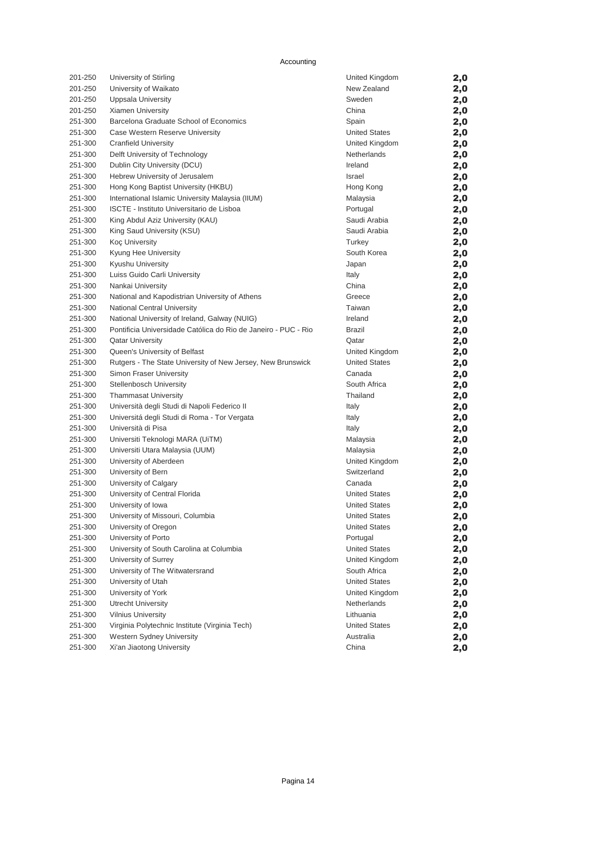| 201-250 | University of Stirling                                         | United Kingdom       | 2,0 |
|---------|----------------------------------------------------------------|----------------------|-----|
| 201-250 | University of Waikato                                          | New Zealand          | 2,0 |
| 201-250 | <b>Uppsala University</b>                                      | Sweden               | 2,0 |
| 201-250 | Xiamen University                                              | China                | 2,0 |
| 251-300 | Barcelona Graduate School of Economics                         | Spain                | 2,0 |
| 251-300 | Case Western Reserve University                                | <b>United States</b> | 2,0 |
| 251-300 | <b>Cranfield University</b>                                    | United Kingdom       | 2,0 |
| 251-300 | Delft University of Technology                                 | Netherlands          | 2,0 |
| 251-300 | Dublin City University (DCU)                                   | Ireland              | 2,0 |
| 251-300 | Hebrew University of Jerusalem                                 | Israel               | 2,0 |
| 251-300 | Hong Kong Baptist University (HKBU)                            | Hong Kong            | 2,0 |
| 251-300 | International Islamic University Malaysia (IIUM)               | Malaysia             | 2,0 |
| 251-300 | ISCTE - Instituto Universitario de Lisboa                      | Portugal             | 2,0 |
| 251-300 | King Abdul Aziz University (KAU)                               | Saudi Arabia         | 2,0 |
| 251-300 | King Saud University (KSU)                                     | Saudi Arabia         | 2,0 |
| 251-300 | <b>Koç University</b>                                          | Turkey               | 2,0 |
| 251-300 | Kyung Hee University                                           | South Korea          | 2,0 |
| 251-300 | Kyushu University                                              | Japan                | 2,0 |
| 251-300 | Luiss Guido Carli University                                   | Italy                | 2,0 |
| 251-300 | Nankai University                                              | China                | 2,0 |
| 251-300 | National and Kapodistrian University of Athens                 | Greece               | 2,0 |
| 251-300 | National Central University                                    | Taiwan               | 2,0 |
| 251-300 | National University of Ireland, Galway (NUIG)                  | Ireland              | 2,0 |
| 251-300 | Pontificia Universidade Católica do Rio de Janeiro - PUC - Rio | Brazil               | 2,0 |
| 251-300 | <b>Qatar University</b>                                        | Qatar                | 2,0 |
| 251-300 | <b>Oueen's University of Belfast</b>                           | United Kingdom       | 2,0 |
| 251-300 | Rutgers - The State University of New Jersey, New Brunswick    | <b>United States</b> | 2,0 |
| 251-300 | Simon Fraser University                                        | Canada               | 2,0 |
| 251-300 | <b>Stellenbosch University</b>                                 | South Africa         | 2,0 |
| 251-300 | <b>Thammasat University</b>                                    | Thailand             | 2,0 |
| 251-300 | Università degli Studi di Napoli Federico II                   | Italy                | 2,0 |
| 251-300 | Universitá degli Studi di Roma - Tor Vergata                   | Italy                | 2,0 |
| 251-300 | Università di Pisa                                             | Italy                | 2,0 |
| 251-300 | Universiti Teknologi MARA (UiTM)                               | Malaysia             | 2,0 |
| 251-300 | Universiti Utara Malaysia (UUM)                                | Malaysia             | 2,0 |
| 251-300 | University of Aberdeen                                         | United Kingdom       | 2,0 |
| 251-300 | University of Bern                                             | Switzerland          | 2,0 |
| 251-300 | University of Calgary                                          | Canada               | 2,0 |
| 251-300 | University of Central Florida                                  | <b>United States</b> | 2,0 |
| 251-300 | University of Iowa                                             | <b>United States</b> | 2,0 |
| 251-300 | University of Missouri, Columbia                               | <b>United States</b> | 2,0 |
| 251-300 | University of Oregon                                           | <b>United States</b> | 2,0 |
| 251-300 | University of Porto                                            | Portugal             | 2,0 |
| 251-300 | University of South Carolina at Columbia                       | <b>United States</b> | 2,0 |
| 251-300 | University of Surrey                                           | United Kingdom       | 2,0 |
| 251-300 | University of The Witwatersrand                                | South Africa         | 2,0 |
| 251-300 | University of Utah                                             | <b>United States</b> | 2,0 |
| 251-300 | University of York                                             | United Kingdom       | 2,0 |
| 251-300 | <b>Utrecht University</b>                                      | Netherlands          | 2,0 |
| 251-300 | <b>Vilnius University</b>                                      | Lithuania            | 2,0 |
| 251-300 | Virginia Polytechnic Institute (Virginia Tech)                 | <b>United States</b> | 2,0 |
| 251-300 | Western Sydney University                                      | Australia            | 2,0 |
| 251-300 | Xi'an Jiaotong University                                      | China                | 2,0 |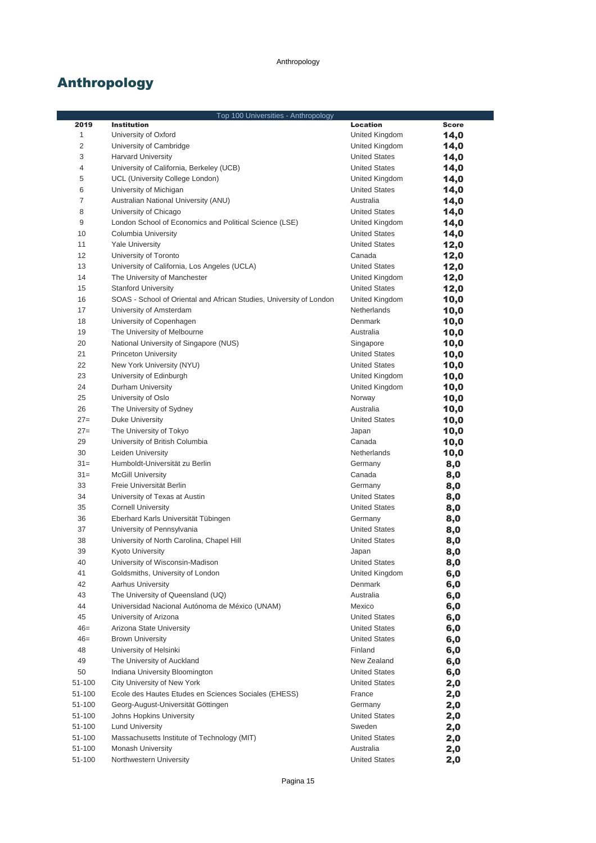# Anthropology

|                | Top 100 Universities - Anthropology                                 |                                 |              |  |
|----------------|---------------------------------------------------------------------|---------------------------------|--------------|--|
| 2019           | <b>Institution</b>                                                  | <b>Location</b>                 | <b>Score</b> |  |
| $\mathbf{1}$   | University of Oxford                                                | United Kingdom                  | 14,0         |  |
| 2              | University of Cambridge                                             | United Kingdom                  | 14,0         |  |
| 3              | <b>Harvard University</b>                                           | <b>United States</b>            | 14,0         |  |
| 4              | University of California, Berkeley (UCB)                            | <b>United States</b>            | 14,0         |  |
| 5              | UCL (University College London)                                     | United Kingdom                  | 14,0         |  |
| 6              | University of Michigan                                              | <b>United States</b>            | 14,0         |  |
| $\overline{7}$ | Australian National University (ANU)                                | Australia                       | 14,0         |  |
| 8              | University of Chicago                                               | <b>United States</b>            | 14,0         |  |
| 9              | London School of Economics and Political Science (LSE)              | United Kingdom                  | 14,0         |  |
| 10             | Columbia University                                                 | <b>United States</b>            | 14,0         |  |
| 11             | <b>Yale University</b>                                              | <b>United States</b>            | 12,0         |  |
| 12             | University of Toronto                                               | Canada                          | 12,0         |  |
| 13             | University of California, Los Angeles (UCLA)                        | <b>United States</b>            | 12,0         |  |
| 14             | The University of Manchester                                        | United Kingdom                  | 12,0         |  |
| 15             | <b>Stanford University</b>                                          | <b>United States</b>            | 12,0         |  |
| 16             | SOAS - School of Oriental and African Studies, University of London | United Kingdom                  | 10,0         |  |
| 17             | University of Amsterdam                                             | Netherlands                     | 10,0         |  |
| 18             | University of Copenhagen                                            | Denmark                         | 10,0         |  |
| 19             | The University of Melbourne                                         | Australia                       | 10,0         |  |
| 20             | National University of Singapore (NUS)                              | Singapore                       | 10,0         |  |
| 21             | <b>Princeton University</b>                                         | <b>United States</b>            | 10,0         |  |
| 22             | New York University (NYU)                                           | <b>United States</b>            | 10,0         |  |
| 23             | University of Edinburgh                                             | United Kingdom                  | 10,0         |  |
| 24             | Durham University                                                   | United Kingdom                  | 10,0         |  |
| 25             | University of Oslo                                                  | Norway                          | 10,0         |  |
| 26             | The University of Sydney                                            | Australia                       | 10,0         |  |
| $27=$          | Duke University                                                     | <b>United States</b>            | 10,0         |  |
| $27=$          | The University of Tokyo                                             | Japan                           | 10,0         |  |
| 29             | University of British Columbia                                      | Canada                          | 10,0         |  |
| 30<br>$31 =$   | Leiden University                                                   | Netherlands                     | 10,0         |  |
|                | Humboldt-Universität zu Berlin                                      | Germany                         | 8,0          |  |
| $31 =$         | <b>McGill University</b>                                            | Canada                          | 8,0          |  |
| 33<br>34       | Freie Universität Berlin                                            | Germany<br><b>United States</b> | 8,0          |  |
| 35             | University of Texas at Austin<br><b>Cornell University</b>          | <b>United States</b>            | 8,0          |  |
| 36             | Eberhard Karls Universität Tübingen                                 |                                 | 8,0          |  |
| 37             | University of Pennsylvania                                          | Germany<br><b>United States</b> | 8,0          |  |
| 38             | University of North Carolina, Chapel Hill                           | <b>United States</b>            | 8,0<br>8,0   |  |
| 39             | <b>Kyoto University</b>                                             | Japan                           |              |  |
| 40             | University of Wisconsin-Madison                                     | <b>United States</b>            | 8,0<br>8,0   |  |
| 41             | Goldsmiths, University of London                                    | United Kingdom                  | 6,0          |  |
| 42             | <b>Aarhus University</b>                                            | Denmark                         | 6,0          |  |
| 43             | The University of Queensland (UQ)                                   | Australia                       | 6,0          |  |
| 44             | Universidad Nacional Autónoma de México (UNAM)                      | Mexico                          | 6,0          |  |
| 45             | University of Arizona                                               | <b>United States</b>            | 6,0          |  |
| $46=$          | Arizona State University                                            | <b>United States</b>            | 6,0          |  |
| $46=$          | <b>Brown University</b>                                             | <b>United States</b>            | 6,0          |  |
| 48             | University of Helsinki                                              | Finland                         | 6,0          |  |
| 49             | The University of Auckland                                          | New Zealand                     | 6,0          |  |
| 50             | Indiana University Bloomington                                      | <b>United States</b>            | 6,0          |  |
| 51-100         | City University of New York                                         | <b>United States</b>            | 2,0          |  |
| 51-100         | Ecole des Hautes Etudes en Sciences Sociales (EHESS)                | France                          | 2,0          |  |
| 51-100         | Georg-August-Universität Göttingen                                  | Germany                         | 2,0          |  |
| 51-100         | Johns Hopkins University                                            | <b>United States</b>            | 2,0          |  |
| 51-100         | <b>Lund University</b>                                              | Sweden                          | 2,0          |  |
| 51-100         | Massachusetts Institute of Technology (MIT)                         | <b>United States</b>            | 2,0          |  |
| 51-100         | Monash University                                                   | Australia                       | 2,0          |  |
| 51-100         | Northwestern University                                             | <b>United States</b>            | 2,0          |  |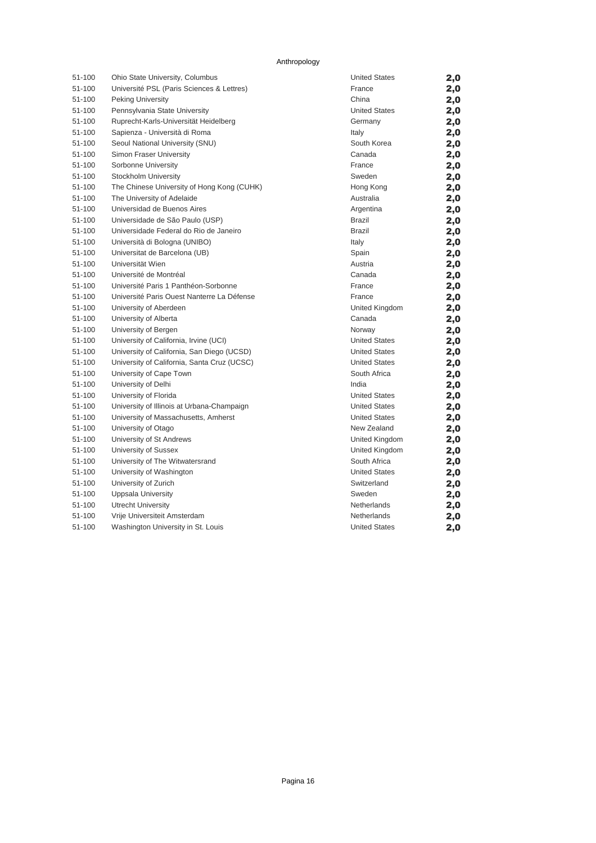#### Anthropology

| 51-100 | Ohio State University, Columbus             | <b>United States</b> | 2,0 |
|--------|---------------------------------------------|----------------------|-----|
| 51-100 | Université PSL (Paris Sciences & Lettres)   | France               | 2,0 |
| 51-100 | Peking University                           | China                | 2,0 |
| 51-100 | Pennsylvania State University               | <b>United States</b> | 2,0 |
| 51-100 | Ruprecht-Karls-Universität Heidelberg       | Germany              | 2,0 |
| 51-100 | Sapienza - Università di Roma               | Italy                | 2,0 |
| 51-100 | Seoul National University (SNU)             | South Korea          | 2,0 |
| 51-100 | Simon Fraser University                     | Canada               | 2,0 |
| 51-100 | Sorbonne University                         | France               | 2,0 |
| 51-100 | Stockholm University                        | Sweden               | 2,0 |
| 51-100 | The Chinese University of Hong Kong (CUHK)  | Hong Kong            | 2,0 |
| 51-100 | The University of Adelaide                  | Australia            | 2,0 |
| 51-100 | Universidad de Buenos Aires                 | Argentina            | 2,0 |
| 51-100 | Universidade de São Paulo (USP)             | Brazil               | 2,0 |
| 51-100 | Universidade Federal do Rio de Janeiro      | <b>Brazil</b>        | 2,0 |
| 51-100 | Università di Bologna (UNIBO)               | Italy                | 2,0 |
| 51-100 | Universitat de Barcelona (UB)               | Spain                | 2,0 |
| 51-100 | Universität Wien                            | Austria              | 2,0 |
| 51-100 | Université de Montréal                      | Canada               | 2,0 |
| 51-100 | Université Paris 1 Panthéon-Sorbonne        | France               | 2,0 |
| 51-100 | Université Paris Ouest Nanterre La Défense  | France               | 2,0 |
| 51-100 | University of Aberdeen                      | United Kingdom       | 2,0 |
| 51-100 | University of Alberta                       | Canada               | 2,0 |
| 51-100 | University of Bergen                        | Norway               | 2,0 |
| 51-100 | University of California, Irvine (UCI)      | <b>United States</b> | 2,0 |
| 51-100 | University of California, San Diego (UCSD)  | <b>United States</b> | 2,0 |
| 51-100 | University of California, Santa Cruz (UCSC) | <b>United States</b> | 2,0 |
| 51-100 | University of Cape Town                     | South Africa         | 2,0 |
| 51-100 | University of Delhi                         | India                | 2,0 |
| 51-100 | University of Florida                       | <b>United States</b> | 2,0 |
| 51-100 | University of Illinois at Urbana-Champaign  | <b>United States</b> | 2,0 |
| 51-100 | University of Massachusetts, Amherst        | <b>United States</b> | 2,0 |
| 51-100 | University of Otago                         | New Zealand          | 2,0 |
| 51-100 | University of St Andrews                    | United Kingdom       | 2,0 |
| 51-100 | University of Sussex                        | United Kingdom       | 2,0 |
| 51-100 | University of The Witwatersrand             | South Africa         | 2,0 |
| 51-100 | University of Washington                    | <b>United States</b> | 2,0 |
| 51-100 | University of Zurich                        | Switzerland          | 2,0 |
| 51-100 | <b>Uppsala University</b>                   | Sweden               | 2,0 |
| 51-100 | <b>Utrecht University</b>                   | <b>Netherlands</b>   | 2,0 |
| 51-100 | Vrije Universiteit Amsterdam                | Netherlands          | 2,0 |
| 51-100 | Washington University in St. Louis          | <b>United States</b> | 2,0 |
|        |                                             |                      |     |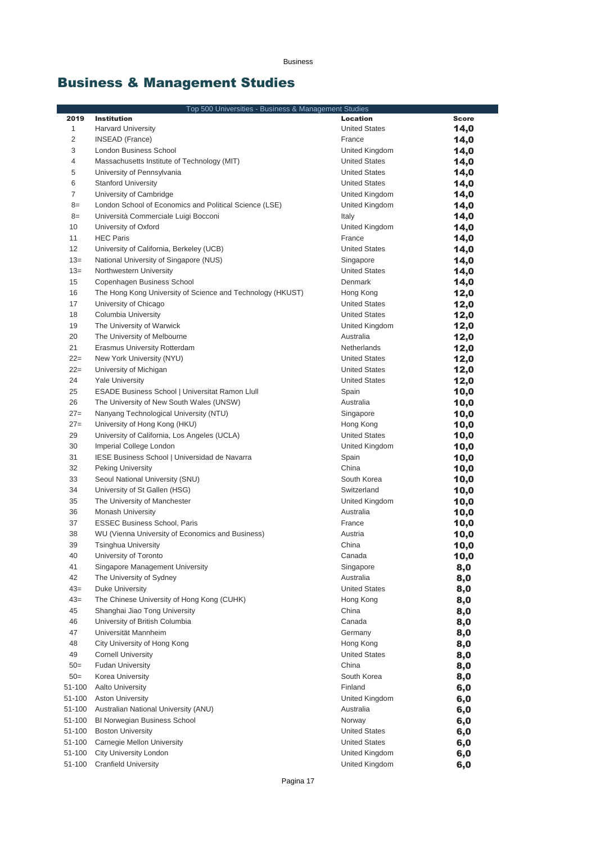# Business & Management Studies

|              | Top 500 Universities - Business & Management Studies                               |                      |              |
|--------------|------------------------------------------------------------------------------------|----------------------|--------------|
| 2019         | <b>Institution</b>                                                                 | <b>Location</b>      | <b>Score</b> |
| $\mathbf{1}$ | <b>Harvard University</b>                                                          | <b>United States</b> | 14,0         |
| 2            | <b>INSEAD</b> (France)                                                             | France               | 14,0         |
| 3            | London Business School                                                             | United Kingdom       | 14,0         |
| 4            | Massachusetts Institute of Technology (MIT)                                        | <b>United States</b> | 14,0         |
| 5            | University of Pennsylvania                                                         | <b>United States</b> | 14,0         |
| 6            | <b>Stanford University</b>                                                         | <b>United States</b> | 14,0         |
| 7            | University of Cambridge                                                            | United Kingdom       | 14,0         |
| $8=$         | London School of Economics and Political Science (LSE)                             | United Kingdom       | 14,0         |
| $8=$         | Università Commerciale Luigi Bocconi                                               | Italy                | 14,0         |
| 10           | University of Oxford                                                               | United Kingdom       | 14,0         |
| 11           | <b>HEC Paris</b>                                                                   | France               | 14,0         |
| 12           | University of California, Berkeley (UCB)                                           | <b>United States</b> | 14,0         |
| $13=$        | National University of Singapore (NUS)                                             | Singapore            | 14,0         |
| $13=$        | Northwestern University                                                            | <b>United States</b> | 14,0         |
| 15           | Copenhagen Business School                                                         | Denmark              | 14,0         |
| 16           | The Hong Kong University of Science and Technology (HKUST)                         | Hong Kong            | 12,0         |
| 17           | University of Chicago                                                              | <b>United States</b> | 12,0         |
| 18           | Columbia University                                                                | <b>United States</b> | 12,0         |
| 19           | The University of Warwick                                                          | United Kingdom       | 12,0         |
| 20           | The University of Melbourne                                                        | Australia            | 12,0         |
| 21           | Erasmus University Rotterdam                                                       | Netherlands          | 12,0         |
| $22 =$       | New York University (NYU)                                                          | <b>United States</b> | 12,0         |
| $22 =$       | University of Michigan                                                             | <b>United States</b> | 12,0         |
| 24<br>25     | <b>Yale University</b>                                                             | <b>United States</b> | 12,0         |
| 26           | ESADE Business School   Universitat Ramon Llull                                    | Spain<br>Australia   | 10,0         |
| $27=$        | The University of New South Wales (UNSW)<br>Nanyang Technological University (NTU) | Singapore            | 10,0         |
| $27=$        | University of Hong Kong (HKU)                                                      | Hong Kong            | 10,0<br>10,0 |
| 29           | University of California, Los Angeles (UCLA)                                       | <b>United States</b> | 10,0         |
| 30           | Imperial College London                                                            | United Kingdom       | 10,0         |
| 31           | IESE Business School   Universidad de Navarra                                      | Spain                | 10,0         |
| 32           | <b>Peking University</b>                                                           | China                | 10,0         |
| 33           | Seoul National University (SNU)                                                    | South Korea          | 10,0         |
| 34           | University of St Gallen (HSG)                                                      | Switzerland          | 10,0         |
| 35           | The University of Manchester                                                       | United Kingdom       | 10,0         |
| 36           | <b>Monash University</b>                                                           | Australia            | 10,0         |
| 37           | <b>ESSEC Business School, Paris</b>                                                | France               | 10,0         |
| 38           | WU (Vienna University of Economics and Business)                                   | Austria              | 10,0         |
| 39           | <b>Tsinghua University</b>                                                         | China                | 10,0         |
| 40           | University of Toronto                                                              | Canada               | 10,0         |
| 41           | Singapore Management University                                                    | Singapore            | 8,0          |
| 42           | The University of Sydney                                                           | Australia            | 8,0          |
| $43=$        | Duke University                                                                    | <b>United States</b> | 8,0          |
| $43=$        | The Chinese University of Hong Kong (CUHK)                                         | Hong Kong            | 8,0          |
| 45           | Shanghai Jiao Tong University                                                      | China                | 8,0          |
| 46           | University of British Columbia                                                     | Canada               | 8,0          |
| 47           | Universität Mannheim                                                               | Germany              | 8,0          |
| 48           | City University of Hong Kong                                                       | Hong Kong            | 8,0          |
| 49           | <b>Cornell University</b>                                                          | <b>United States</b> | 8,0          |
| $50=$        | <b>Fudan University</b>                                                            | China                | 8,0          |
| $50=$        | Korea University                                                                   | South Korea          | 8,0          |
| 51-100       | <b>Aalto University</b>                                                            | Finland              | 6,0          |
| 51-100       | <b>Aston University</b>                                                            | United Kingdom       | 6,0          |
| 51-100       | Australian National University (ANU)                                               | Australia            | 6,0          |
| 51-100       | BI Norwegian Business School                                                       | Norway               | 6,0          |
| 51-100       | <b>Boston University</b>                                                           | <b>United States</b> | 6,0          |
| 51-100       | Carnegie Mellon University                                                         | <b>United States</b> | 6,0          |
| 51-100       | City University London                                                             | United Kingdom       | 6,0          |
| 51-100       | <b>Cranfield University</b>                                                        | United Kingdom       | 6,0          |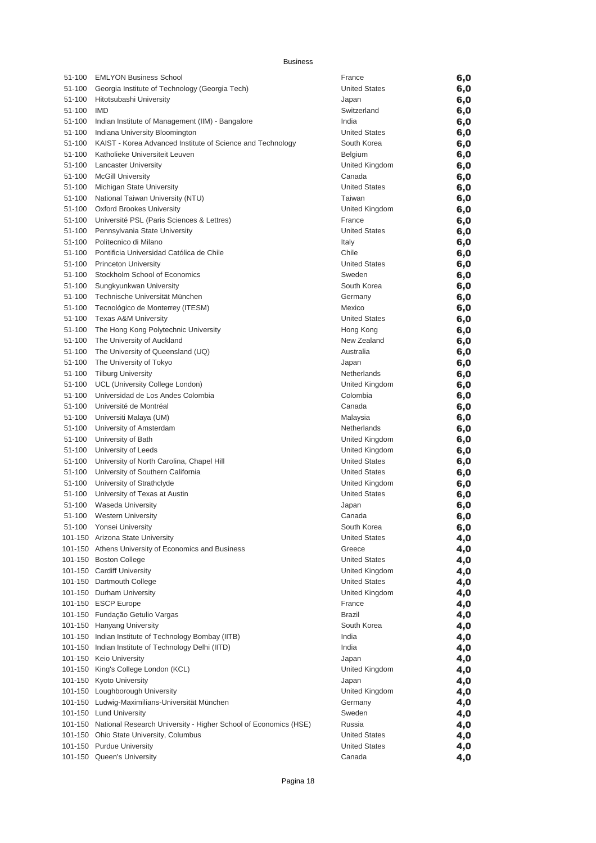| 51-100 | <b>EMLYON Business School</b>                                           | France               | 6,0 |
|--------|-------------------------------------------------------------------------|----------------------|-----|
| 51-100 | Georgia Institute of Technology (Georgia Tech)                          | <b>United States</b> | 6,0 |
| 51-100 | Hitotsubashi University                                                 | Japan                | 6,0 |
| 51-100 | <b>IMD</b>                                                              | Switzerland          | 6,0 |
| 51-100 | Indian Institute of Management (IIM) - Bangalore                        | India                | 6,0 |
| 51-100 | Indiana University Bloomington                                          | <b>United States</b> | 6,0 |
| 51-100 | KAIST - Korea Advanced Institute of Science and Technology              | South Korea          | 6,0 |
| 51-100 | Katholieke Universiteit Leuven                                          | <b>Belgium</b>       | 6,0 |
| 51-100 | <b>Lancaster University</b>                                             | United Kingdom       | 6,0 |
| 51-100 | <b>McGill University</b>                                                | Canada               | 6,0 |
| 51-100 | Michigan State University                                               | <b>United States</b> | 6,0 |
| 51-100 | National Taiwan University (NTU)                                        | Taiwan               | 6,0 |
| 51-100 | <b>Oxford Brookes University</b>                                        | United Kingdom       | 6,0 |
| 51-100 | Université PSL (Paris Sciences & Lettres)                               | France               | 6,0 |
| 51-100 | Pennsylvania State University                                           | <b>United States</b> | 6,0 |
| 51-100 | Politecnico di Milano                                                   | Italy                | 6,0 |
| 51-100 | Pontificia Universidad Católica de Chile                                | Chile                | 6,0 |
| 51-100 | <b>Princeton University</b>                                             | <b>United States</b> | 6,0 |
| 51-100 | Stockholm School of Economics                                           | Sweden               | 6,0 |
| 51-100 | Sungkyunkwan University                                                 | South Korea          | 6,0 |
| 51-100 | Technische Universität München                                          | Germany              | 6,0 |
| 51-100 | Tecnológico de Monterrey (ITESM)                                        | Mexico               | 6,0 |
| 51-100 | <b>Texas A&amp;M University</b>                                         | <b>United States</b> | 6,0 |
| 51-100 | The Hong Kong Polytechnic University                                    | Hong Kong            | 6,0 |
| 51-100 | The University of Auckland                                              | New Zealand          | 6,0 |
| 51-100 | The University of Queensland (UQ)                                       | Australia            | 6,0 |
| 51-100 | The University of Tokyo                                                 | Japan                | 6,0 |
| 51-100 | <b>Tilburg University</b>                                               | Netherlands          | 6,0 |
| 51-100 | UCL (University College London)                                         | United Kingdom       | 6,0 |
| 51-100 | Universidad de Los Andes Colombia                                       | Colombia             | 6,0 |
| 51-100 | Université de Montréal                                                  | Canada               | 6,0 |
| 51-100 | Universiti Malaya (UM)                                                  | Malaysia             | 6,0 |
| 51-100 | University of Amsterdam                                                 | Netherlands          | 6,0 |
| 51-100 | University of Bath                                                      | United Kingdom       | 6,0 |
| 51-100 | University of Leeds                                                     | United Kingdom       | 6,0 |
| 51-100 | University of North Carolina, Chapel Hill                               | <b>United States</b> | 6,0 |
| 51-100 | University of Southern California                                       | <b>United States</b> | 6,0 |
| 51-100 | University of Strathclyde                                               | United Kingdom       | 6,0 |
| 51-100 | University of Texas at Austin                                           | <b>United States</b> | 6,0 |
| 51-100 | <b>Waseda University</b>                                                | Japan                | 6,0 |
| 51-100 | <b>Western University</b>                                               | Canada               | 6,0 |
|        | 51-100 Yonsei University                                                | South Korea          | 6,0 |
|        | 101-150 Arizona State University                                        | <b>United States</b> | 4,0 |
|        | 101-150 Athens University of Economics and Business                     | Greece               | 4,0 |
|        | 101-150 Boston College                                                  | <b>United States</b> | 4,0 |
|        | 101-150 Cardiff University                                              | United Kingdom       | 4,0 |
|        | 101-150 Dartmouth College                                               | <b>United States</b> | 4,0 |
|        | 101-150 Durham University                                               | United Kingdom       | 4,0 |
|        | 101-150 ESCP Europe                                                     | France               | 4,0 |
|        | 101-150 Fundação Getulio Vargas                                         | Brazil               | 4,0 |
|        | 101-150 Hanyang University                                              | South Korea          | 4,0 |
|        | 101-150 Indian Institute of Technology Bombay (IITB)                    | India                | 4,0 |
|        | 101-150 Indian Institute of Technology Delhi (IITD)                     | India                | 4,0 |
|        | 101-150 Keio University                                                 | Japan                | 4,0 |
|        | 101-150 King's College London (KCL)                                     | United Kingdom       | 4,0 |
|        | 101-150 Kyoto University                                                | Japan                | 4,0 |
|        | 101-150 Loughborough University                                         | United Kingdom       | 4,0 |
|        | 101-150 Ludwig-Maximilians-Universität München                          | Germany              | 4,0 |
|        | 101-150 Lund University                                                 | Sweden               | 4,0 |
|        | 101-150 National Research University - Higher School of Economics (HSE) | Russia               | 4,0 |
|        | 101-150 Ohio State University, Columbus                                 | <b>United States</b> | 4,0 |
|        | 101-150 Purdue University                                               | <b>United States</b> | 4,0 |
|        | 101-150 Queen's University                                              | Canada               | 4,0 |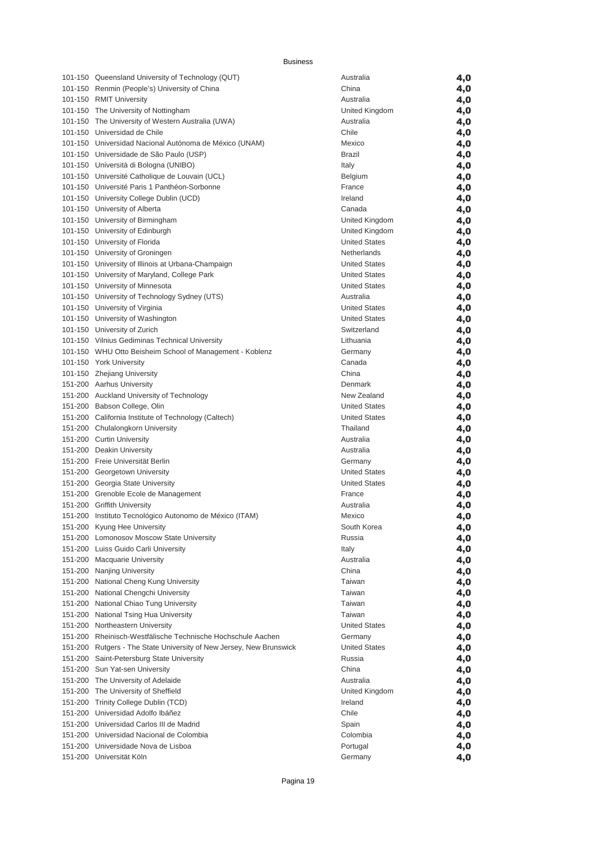| 101-150 Queensland University of Technology (QUT)                   | Australia            | 4,0 |
|---------------------------------------------------------------------|----------------------|-----|
| 101-150 Renmin (People's) University of China                       | China                | 4,0 |
| 101-150 RMIT University                                             | Australia            | 4,0 |
| 101-150 The University of Nottingham                                | United Kingdom       | 4,0 |
| 101-150 The University of Western Australia (UWA)                   | Australia            | 4,0 |
| 101-150 Universidad de Chile                                        | Chile                | 4,0 |
| 101-150 Universidad Nacional Autónoma de México (UNAM)              | Mexico               | 4,0 |
| 101-150 Universidade de São Paulo (USP)                             | Brazil               | 4,0 |
| 101-150 Università di Bologna (UNIBO)                               | Italy                | 4,0 |
| 101-150 Université Catholique de Louvain (UCL)                      | Belgium              | 4,0 |
| 101-150 Université Paris 1 Panthéon-Sorbonne                        | France               | 4,0 |
| 101-150 University College Dublin (UCD)                             | Ireland              | 4,0 |
| 101-150 University of Alberta                                       | Canada               | 4,0 |
| 101-150 University of Birmingham                                    | United Kingdom       | 4,0 |
| 101-150 University of Edinburgh                                     | United Kingdom       | 4,0 |
| 101-150 University of Florida                                       | <b>United States</b> | 4,0 |
| 101-150 University of Groningen                                     | Netherlands          | 4,0 |
| 101-150 University of Illinois at Urbana-Champaign                  | <b>United States</b> | 4,0 |
| 101-150 University of Maryland, College Park                        | <b>United States</b> | 4,0 |
| 101-150 University of Minnesota                                     | <b>United States</b> | 4,0 |
| 101-150 University of Technology Sydney (UTS)                       | Australia            | 4,0 |
| 101-150 University of Virginia                                      | <b>United States</b> | 4,0 |
| 101-150 University of Washington                                    | <b>United States</b> | 4,0 |
| 101-150 University of Zurich                                        | Switzerland          | 4,0 |
| 101-150 Vilnius Gediminas Technical University                      | Lithuania            | 4,0 |
| 101-150 WHU Otto Beisheim School of Management - Koblenz            | Germany              | 4,0 |
| 101-150 York University                                             | Canada               | 4,0 |
| 101-150 Zhejiang University                                         | China                | 4,0 |
| 151-200 Aarhus University                                           | Denmark              | 4,0 |
| 151-200 Auckland University of Technology                           | New Zealand          | 4,0 |
| 151-200 Babson College, Olin                                        | <b>United States</b> | 4,0 |
| 151-200 California Institute of Technology (Caltech)                | <b>United States</b> | 4,0 |
| 151-200 Chulalongkorn University                                    | Thailand             | 4,0 |
| 151-200 Curtin University                                           | Australia            | 4,0 |
| 151-200 Deakin University                                           | Australia            | 4,0 |
| 151-200 Freie Universität Berlin                                    | Germany              | 4,0 |
| 151-200 Georgetown University                                       | <b>United States</b> | 4,0 |
| 151-200 Georgia State University                                    | <b>United States</b> | 4,0 |
| 151-200 Grenoble Ecole de Management                                | France               | 4,0 |
| 151-200 Griffith University                                         | Australia            | 4,0 |
| 151-200 Instituto Tecnológico Autonomo de México (ITAM)             | Mexico               | 4,0 |
| 151-200 Kyung Hee University                                        | South Korea          | 4,0 |
| 151-200 Lomonosov Moscow State University                           | Russia               | 4,0 |
| 151-200 Luiss Guido Carli University                                | Italy                | 4,0 |
| 151-200 Macquarie University                                        | Australia            | 4,0 |
| 151-200 Nanjing University                                          | China                | 4,0 |
| 151-200 National Cheng Kung University                              | Taiwan               | 4,0 |
| 151-200 National Chengchi University                                | Taiwan               | 4,0 |
| 151-200 National Chiao Tung University                              | Taiwan               | 4,0 |
| 151-200 National Tsing Hua University                               | Taiwan               | 4,0 |
| 151-200 Northeastern University                                     | <b>United States</b> | 4,0 |
| 151-200 Rheinisch-Westfälische Technische Hochschule Aachen         | Germany              | 4,0 |
| 151-200 Rutgers - The State University of New Jersey, New Brunswick | <b>United States</b> | 4,0 |
| 151-200 Saint-Petersburg State University                           | Russia               | 4,0 |
| 151-200 Sun Yat-sen University                                      | China                | 4,0 |
| 151-200 The University of Adelaide                                  | Australia            | 4,0 |
| 151-200 The University of Sheffield                                 | United Kingdom       | 4,0 |
| 151-200 Trinity College Dublin (TCD)                                | Ireland              | 4,0 |
| 151-200 Universidad Adolfo Ibáñez                                   | Chile                | 4,0 |
| 151-200 Universidad Carlos III de Madrid                            | Spain                | 4,0 |
| 151-200 Universidad Nacional de Colombia                            | Colombia             | 4,0 |
| 151-200 Universidade Nova de Lisboa                                 | Portugal             | 4,0 |
| 151-200 Universität Köln                                            | Germany              | 4,0 |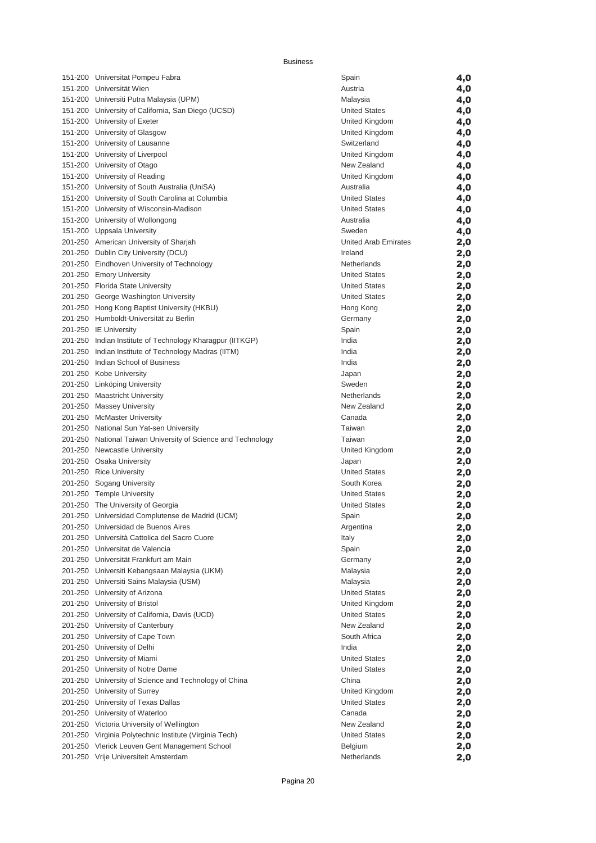| 151-200 Universitat Pompeu Fabra                             | Spain                | 4,0 |
|--------------------------------------------------------------|----------------------|-----|
| 151-200 Universität Wien                                     | Austria              | 4,0 |
| 151-200 Universiti Putra Malaysia (UPM)                      | Malaysia             |     |
|                                                              |                      | 4,0 |
| 151-200 University of California, San Diego (UCSD)           | <b>United States</b> | 4,0 |
| 151-200 University of Exeter                                 | United Kingdom       | 4,0 |
| 151-200 University of Glasgow                                | United Kingdom       | 4,0 |
| 151-200 University of Lausanne                               | Switzerland          | 4,0 |
| 151-200 University of Liverpool                              | United Kingdom       | 4,0 |
| 151-200 University of Otago                                  | New Zealand          | 4,0 |
| 151-200 University of Reading                                | United Kingdom       | 4,0 |
| 151-200 University of South Australia (UniSA)                | Australia            | 4,0 |
| 151-200 University of South Carolina at Columbia             | <b>United States</b> | 4,0 |
| 151-200 University of Wisconsin-Madison                      | <b>United States</b> | 4,0 |
| 151-200 University of Wollongong                             | Australia            |     |
|                                                              |                      | 4,0 |
| 151-200 Uppsala University                                   | Sweden               | 4,0 |
| 201-250 American University of Sharjah                       | United Arab Emirates | 2,0 |
| 201-250 Dublin City University (DCU)                         | Ireland              | 2,0 |
| 201-250 Eindhoven University of Technology                   | Netherlands          | 2,0 |
| 201-250 Emory University                                     | <b>United States</b> | 2,0 |
| 201-250 Florida State University                             | <b>United States</b> | 2,0 |
| 201-250 George Washington University                         | <b>United States</b> | 2,0 |
| 201-250 Hong Kong Baptist University (HKBU)                  | Hong Kong            | 2,0 |
| 201-250 Humboldt-Universität zu Berlin                       | Germany              | 2,0 |
| 201-250 IE University                                        | Spain                | 2,0 |
| 201-250 Indian Institute of Technology Kharagpur (IITKGP)    | India                | 2,0 |
| 201-250 Indian Institute of Technology Madras (IITM)         | India                | 2,0 |
| 201-250 Indian School of Business                            | India                | 2,0 |
| 201-250 Kobe University                                      | Japan                | 2,0 |
| 201-250 Linköping University                                 | Sweden               | 2,0 |
| 201-250 Maastricht University                                | Netherlands          | 2,0 |
| 201-250 Massey University                                    | New Zealand          |     |
|                                                              |                      | 2,0 |
| 201-250 McMaster University                                  | Canada               | 2,0 |
| 201-250 National Sun Yat-sen University                      | Taiwan               | 2,0 |
| 201-250 National Taiwan University of Science and Technology | Taiwan               | 2,0 |
| 201-250 Newcastle University                                 | United Kingdom       | 2,0 |
| 201-250 Osaka University                                     | Japan                | 2,0 |
| 201-250 Rice University                                      | <b>United States</b> | 2,0 |
| 201-250 Sogang University                                    | South Korea          | 2,0 |
| 201-250 Temple University                                    | <b>United States</b> | 2,0 |
| 201-250 The University of Georgia                            | <b>United States</b> | 2,0 |
| 201-250 Universidad Complutense de Madrid (UCM)              | Spain                | 2,0 |
| 201-250 Universidad de Buenos Aires                          | Argentina            | 2,0 |
| 201-250 Università Cattolica del Sacro Cuore                 | Italy                | 2,0 |
| 201-250 Universitat de Valencia                              | Spain                | 2,0 |
| 201-250 Universität Frankfurt am Main                        | Germany              | 2,0 |
| 201-250 Universiti Kebangsaan Malaysia (UKM)                 | Malaysia             | 2,0 |
| 201-250 Universiti Sains Malaysia (USM)                      | Malaysia             | 2,0 |
| 201-250 University of Arizona                                | <b>United States</b> |     |
|                                                              | United Kingdom       | 2,0 |
| 201-250 University of Bristol                                |                      | 2,0 |
| 201-250 University of California, Davis (UCD)                | <b>United States</b> | 2,0 |
| 201-250 University of Canterbury                             | New Zealand          | 2,0 |
| 201-250 University of Cape Town                              | South Africa         | 2,0 |
| 201-250 University of Delhi                                  | India                | 2,0 |
| 201-250 University of Miami                                  | <b>United States</b> | 2,0 |
| 201-250 University of Notre Dame                             | <b>United States</b> | 2,0 |
| 201-250 University of Science and Technology of China        | China                | 2,0 |
| 201-250 University of Surrey                                 | United Kingdom       | 2,0 |
| 201-250 University of Texas Dallas                           | <b>United States</b> | 2,0 |
| 201-250 University of Waterloo                               | Canada               | 2,0 |
|                                                              |                      |     |
| 201-250 Victoria University of Wellington                    | New Zealand          | 2,0 |
| 201-250 Virginia Polytechnic Institute (Virginia Tech)       | <b>United States</b> | 2,0 |
| 201-250 Vlerick Leuven Gent Management School                | Belgium              | 2,0 |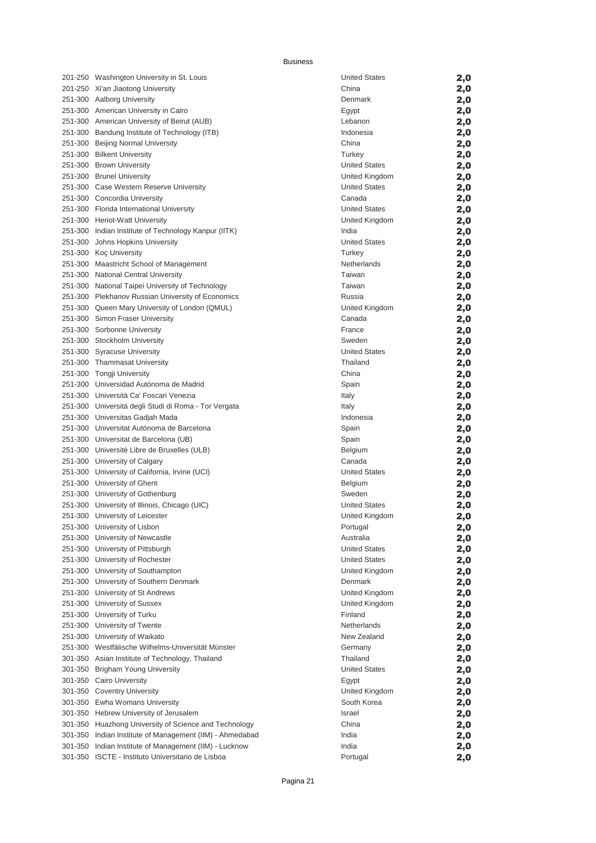| 201-250 Washington University in St. Louis                   | <b>United States</b> | 2,0        |
|--------------------------------------------------------------|----------------------|------------|
| 201-250 Xi'an Jiaotong University                            | China                | 2,0        |
| 251-300 Aalborg University                                   | Denmark              | 2,0        |
| 251-300 American University in Cairo                         | Egypt                | 2,0        |
| 251-300 American University of Beirut (AUB)                  | Lebanon              | 2,0        |
| 251-300 Bandung Institute of Technology (ITB)                | Indonesia            | 2,0        |
| 251-300 Beijing Normal University                            | China                | 2,0        |
| 251-300 Bilkent University                                   | Turkey               | 2,0        |
| 251-300 Brown University                                     | <b>United States</b> | 2,0        |
| 251-300 Brunel University                                    | United Kingdom       | 2,0        |
| 251-300 Case Western Reserve University                      | <b>United States</b> | 2,0        |
| 251-300 Concordia University                                 | Canada               | 2,0        |
| 251-300 Florida International University                     | <b>United States</b> | 2,0        |
| 251-300 Heriot-Watt University                               | United Kingdom       | 2,0        |
| 251-300 Indian Institute of Technology Kanpur (IITK)         | India                | 2,0        |
| 251-300 Johns Hopkins University                             | <b>United States</b> | 2,0        |
| 251-300 Koç University                                       | Turkey               | 2,0        |
| 251-300 Maastricht School of Management                      | Netherlands          | 2,0        |
| 251-300 National Central University                          | Taiwan               | 2,0        |
| 251-300 National Taipei University of Technology             | Taiwan               | 2,0        |
| 251-300 Plekhanov Russian University of Economics            | Russia               | 2,0        |
| 251-300 Queen Mary University of London (QMUL)               | United Kingdom       | 2,0        |
| 251-300 Simon Fraser University                              | Canada               | 2,0        |
| 251-300 Sorbonne University                                  | France               | 2,0        |
| 251-300 Stockholm University                                 | Sweden               | 2,0        |
| 251-300 Syracuse University                                  | <b>United States</b> | 2,0        |
| 251-300 Thammasat University                                 | Thailand             | 2,0        |
| 251-300 Tongji University                                    | China                | 2,0        |
| 251-300 Universidad Autónoma de Madrid                       | Spain                | 2,0        |
| 251-300 Università Ca' Foscari Venezia                       | Italy                | 2,0        |
| 251-300 Universitá degli Studi di Roma - Tor Vergata         | Italy                | 2,0        |
| 251-300 Universitas Gadjah Mada                              | Indonesia            | 2,0        |
| 251-300 Universitat Autónoma de Barcelona                    | Spain                | 2,0        |
| 251-300 Universitat de Barcelona (UB)                        | Spain                | 2,0        |
| 251-300 Université Libre de Bruxelles (ULB)                  | Belgium              | 2,0        |
| 251-300 University of Calgary                                | Canada               | 2,0        |
| 251-300 University of California, Irvine (UCI)               | <b>United States</b> | 2,0        |
| 251-300 University of Ghent                                  | Belgium              | 2,0        |
| 251-300 University of Gothenburg                             | Sweden               | 2,0        |
| 251-300 University of Illinois, Chicago (UIC)                | <b>United States</b> | 2,0        |
| 251-300 University of Leicester                              | United Kingdom       | 2,0        |
| 251-300 University of Lisbon                                 | Portugal             | 2,0        |
| 251-300 University of Newcastle                              | Australia            | 2,0        |
| 251-300 University of Pittsburgh                             | <b>United States</b> |            |
| 251-300 University of Rochester                              | <b>United States</b> | 2,0<br>2,0 |
| 251-300 University of Southampton                            | United Kingdom       | 2,0        |
| 251-300 University of Southern Denmark                       | Denmark              |            |
| 251-300 University of St Andrews                             | United Kingdom       | 2,0        |
| 251-300 University of Sussex                                 | United Kingdom       | 2,0        |
| 251-300 University of Turku                                  | Finland              | 2,0        |
| 251-300 University of Twente                                 | Netherlands          | 2,0        |
| 251-300 University of Waikato                                | New Zealand          | 2,0        |
| 251-300 Westfälische Wilhelms-Universität Münster            | Germany              | 2,0        |
| 301-350 Asian Institute of Technology, Thailand              | Thailand             | 2,0        |
|                                                              | <b>United States</b> | 2,0        |
| 301-350 Brigham Young University<br>301-350 Cairo University |                      | 2,0        |
|                                                              | Egypt                | 2,0        |
| 301-350 Coventry University                                  | United Kingdom       | 2,0        |
| 301-350 Ewha Womans University                               | South Korea          | 2,0        |
| 301-350 Hebrew University of Jerusalem                       | Israel               | 2,0        |
| 301-350 Huazhong University of Science and Technology        | China                | 2,0        |
| 301-350 Indian Institute of Management (IIM) - Ahmedabad     | India                | 2,0        |
| 301-350 Indian Institute of Management (IIM) - Lucknow       | India                | 2,0        |
| 301-350 ISCTE - Instituto Universitario de Lisboa            | Portugal             | 2,0        |

| <b>United States</b> | 2,0 |
|----------------------|-----|
| China                | 2,0 |
| Denmark              | 2,0 |
| Egypt                | 2,0 |
| Lebanon              | 2,0 |
| Indonesia            | 2,0 |
| China                | 2,0 |
|                      |     |
| Turkey               | 2,0 |
| <b>United States</b> | 2,0 |
| United Kingdom       | 2,0 |
| <b>United States</b> | 2,0 |
| Canada               | 2,0 |
| <b>United States</b> | 2,0 |
| United Kingdom       | 2,0 |
| India                | 2,0 |
| <b>United States</b> | 2,0 |
| Turkey               | 2,0 |
| Netherlands          | 2,0 |
| Taiwan               | 2,0 |
| Taiwan               | 2,0 |
| Russia               | 2,0 |
| United Kingdom       | 2,0 |
| Canada               | 2,0 |
| France               |     |
| Sweden               | 2,0 |
|                      | 2,0 |
| <b>United States</b> | 2,0 |
| Thailand             | 2,0 |
| China                | 2,0 |
| Spain                | 2,0 |
| Italy                | 2,0 |
| Italy                | 2,0 |
| Indonesia            | 2,0 |
| Spain                | 2,0 |
| Spain                | 2,0 |
| Belgium              | 2,0 |
| Canada               | 2,0 |
| <b>United States</b> | 2,0 |
| Belgium              | 2,0 |
| Sweden               | 2,0 |
| <b>United States</b> |     |
|                      | 2,0 |
| United Kingdom       | 2,0 |
| Portugal             | 2,0 |
| Australia            | 2,0 |
| <b>United States</b> | 2,0 |
| <b>United States</b> | 2,0 |
| United Kingdom       | 2,0 |
| Denmark              | 2,0 |
| United Kingdom       | 2,0 |
| United Kingdom       | 2,0 |
| Finland              | 2,0 |
| Netherlands          | 2,0 |
| New Zealand          | 2,0 |
| Germany              | 2,0 |
| Thailand             | 2,0 |
| <b>United States</b> | 2,0 |
| Egypt                | 2,0 |
| United Kingdom       |     |
|                      | 2,0 |
| South Korea          | 2,0 |
| Israel               | 2,0 |
| China                | 2,0 |
| India                | 2,0 |
| India                | 2,0 |
| Portugal             | 2,0 |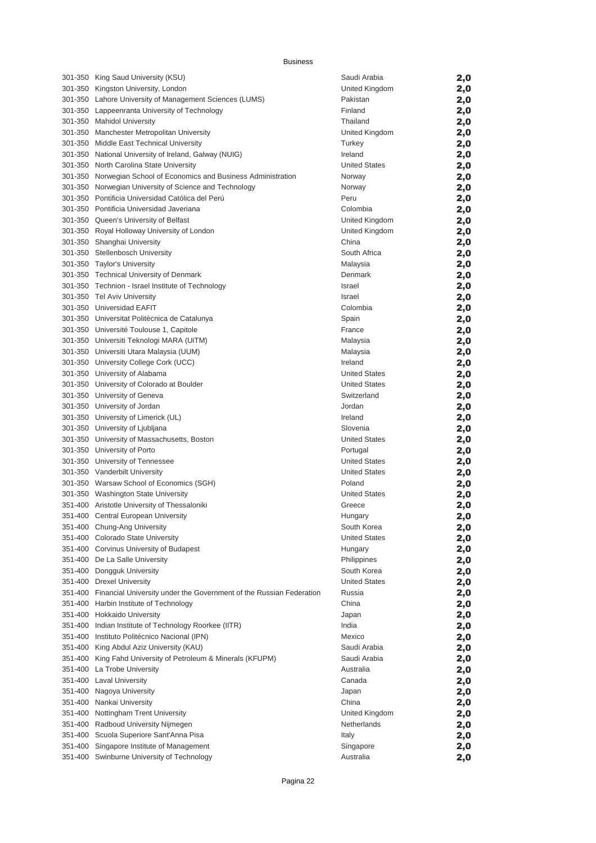| 301-350 King Saud University (KSU)                                          | Saudi Arabia                        | 2,0 |
|-----------------------------------------------------------------------------|-------------------------------------|-----|
| 301-350 Kingston University, London                                         | United Kingdom                      | 2,0 |
| 301-350 Lahore University of Management Sciences (LUMS)                     | Pakistan                            | 2,0 |
| 301-350 Lappeenranta University of Technology                               | Finland                             | 2,0 |
| 301-350 Mahidol University                                                  | Thailand                            | 2,0 |
| 301-350 Manchester Metropolitan University                                  | United Kingdom                      | 2,0 |
| 301-350 Middle East Technical University                                    | Turkey                              | 2,0 |
| 301-350 National University of Ireland, Galway (NUIG)                       | Ireland                             | 2,0 |
| 301-350 North Carolina State University                                     | <b>United States</b>                | 2,0 |
| 301-350 Norwegian School of Economics and Business Administration           | Norway                              | 2,0 |
| 301-350 Norwegian University of Science and Technology                      | Norway                              | 2,0 |
| 301-350 Pontificia Universidad Católica del Perú                            | Peru                                | 2,0 |
| 301-350 Pontificia Universidad Javeriana                                    | Colombia                            | 2,0 |
| 301-350 Queen's University of Belfast                                       | United Kingdom                      | 2,0 |
| 301-350 Royal Holloway University of London                                 | United Kingdom                      | 2,0 |
| 301-350 Shanghai University                                                 | China                               | 2,0 |
| 301-350 Stellenbosch University                                             | South Africa                        | 2,0 |
| 301-350 Taylor's University                                                 | Malaysia                            | 2,0 |
| 301-350 Technical University of Denmark                                     | Denmark                             | 2,0 |
| 301-350 Technion - Israel Institute of Technology                           | <b>Israel</b>                       | 2,0 |
| 301-350 Tel Aviv University                                                 | <b>Israel</b>                       | 2,0 |
| 301-350 Universidad EAFIT                                                   | Colombia                            | 2,0 |
| 301-350 Universitat Politècnica de Catalunya                                | Spain                               | 2,0 |
| 301-350 Université Toulouse 1, Capitole                                     | France                              | 2,0 |
| 301-350 Universiti Teknologi MARA (UiTM)                                    | Malaysia                            | 2,0 |
| 301-350 Universiti Utara Malaysia (UUM)                                     | Malaysia                            | 2,0 |
| 301-350 University College Cork (UCC)                                       | Ireland                             | 2,0 |
| 301-350 University of Alabama                                               | <b>United States</b>                | 2,0 |
| 301-350 University of Colorado at Boulder                                   | <b>United States</b>                | 2,0 |
| 301-350 University of Geneva                                                | Switzerland                         | 2,0 |
| 301-350 University of Jordan                                                | Jordan                              | 2,0 |
| 301-350 University of Limerick (UL)                                         | Ireland                             | 2,0 |
| 301-350 University of Ljubljana                                             | Slovenia                            | 2,0 |
| 301-350 University of Massachusetts, Boston                                 | <b>United States</b>                | 2,0 |
| 301-350 University of Porto                                                 | Portugal                            | 2,0 |
| 301-350 University of Tennessee                                             | <b>United States</b>                | 2,0 |
| 301-350 Vanderbilt University                                               | <b>United States</b>                | 2,0 |
| 301-350 Warsaw School of Economics (SGH)                                    | Poland                              | 2,0 |
| 301-350 Washington State University                                         | United States                       | 2,0 |
| 351-400 Aristotle University of Thessaloniki                                | Greece                              | 2,0 |
| 351-400 Central European University                                         | Hungary                             | 2,0 |
| 351-400 Chung-Ang University                                                | South Korea                         |     |
| 351-400 Colorado State University                                           | <b>United States</b>                | 2,0 |
| 351-400 Corvinus University of Budapest                                     |                                     | 2,0 |
|                                                                             | Hungary                             | 2,0 |
| 351-400 De La Salle University                                              | Philippines                         | 2,0 |
| 351-400 Dongguk University                                                  | South Korea<br><b>United States</b> | 2,0 |
| 351-400 Drexel University                                                   |                                     | 2,0 |
| 351-400 Financial University under the Government of the Russian Federation | Russia                              | 2,0 |
| 351-400 Harbin Institute of Technology                                      | China                               | 2,0 |
| 351-400 Hokkaido University                                                 | Japan                               | 2,0 |
| 351-400 Indian Institute of Technology Roorkee (IITR)                       | India                               | 2,0 |
| 351-400 Instituto Politécnico Nacional (IPN)                                | Mexico                              | 2,0 |
| 351-400 King Abdul Aziz University (KAU)                                    | Saudi Arabia                        | 2,0 |
| 351-400 King Fahd University of Petroleum & Minerals (KFUPM)                | Saudi Arabia                        | 2,0 |
| 351-400 La Trobe University                                                 | Australia                           | 2,0 |
| 351-400 Laval University                                                    | Canada                              | 2,0 |
| 351-400 Nagoya University                                                   | Japan                               | 2,0 |
| 351-400 Nankai University                                                   | China                               | 2,0 |
| 351-400 Nottingham Trent University                                         | United Kingdom                      | 2,0 |
| 351-400 Radboud University Nijmegen                                         | Netherlands                         | 2,0 |
| 351-400 Scuola Superiore Sant'Anna Pisa                                     | Italy                               | 2,0 |
| 351-400 Singapore Institute of Management                                   | Singapore                           | 2,0 |
| 351-400 Swinburne University of Technology                                  | Australia                           | 2,0 |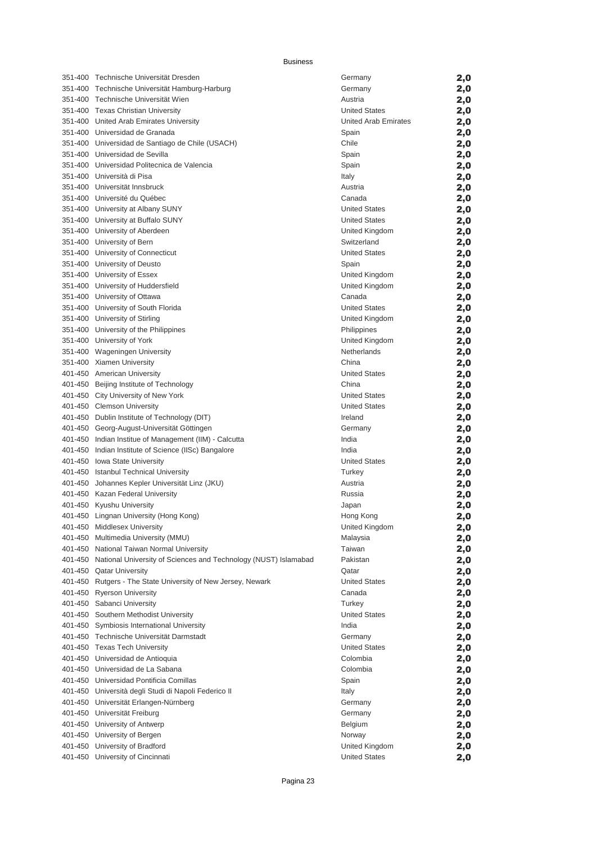| 351-400 Technische Universität Dresden                                  | Germany              | 2,0        |
|-------------------------------------------------------------------------|----------------------|------------|
| 351-400 Technische Universität Hamburg-Harburg                          | Germany              | 2,0        |
| 351-400 Technische Universität Wien                                     | Austria              | 2,0        |
| 351-400 Texas Christian University                                      | <b>United States</b> | 2,0        |
| 351-400 United Arab Emirates University                                 | United Arab Emirates | 2,0        |
| 351-400 Universidad de Granada                                          | Spain                | 2,0        |
| 351-400 Universidad de Santiago de Chile (USACH)                        | Chile                | 2,0        |
| 351-400 Universidad de Sevilla                                          | Spain                | 2,0        |
| 351-400 Universidad Politecnica de Valencia                             | Spain                | 2,0        |
| 351-400 Università di Pisa                                              | Italy                | 2,0        |
| 351-400 Universität Innsbruck                                           | Austria              | 2,0        |
| 351-400 Université du Québec                                            | Canada               | 2,0        |
| 351-400 University at Albany SUNY                                       | <b>United States</b> | 2,0        |
| 351-400 University at Buffalo SUNY                                      | <b>United States</b> | 2,0        |
| 351-400 University of Aberdeen                                          | United Kingdom       | 2,0        |
| 351-400 University of Bern                                              | Switzerland          | 2,0        |
| 351-400 University of Connecticut                                       | <b>United States</b> | 2,0        |
| 351-400 University of Deusto                                            | Spain                | 2,0        |
| 351-400 University of Essex                                             | United Kingdom       | 2,0        |
| 351-400 University of Huddersfield                                      | United Kingdom       | 2,0        |
| 351-400 University of Ottawa                                            | Canada               | 2,0        |
| 351-400 University of South Florida                                     | <b>United States</b> | 2,0        |
| 351-400 University of Stirling                                          | United Kingdom       | 2,0        |
| 351-400 University of the Philippines                                   | Philippines          | 2,0        |
| 351-400 University of York                                              | United Kingdom       | 2,0        |
| 351-400 Wageningen University                                           | Netherlands          | 2,0        |
| 351-400 Xiamen University                                               | China                | 2,0        |
| 401-450 American University                                             | <b>United States</b> | 2,0        |
| 401-450 Beijing Institute of Technology                                 | China                | 2,0        |
| 401-450 City University of New York                                     | <b>United States</b> | 2,0        |
| 401-450 Clemson University                                              | <b>United States</b> | 2,0        |
| 401-450 Dublin Institute of Technology (DIT)                            | Ireland              | 2,0        |
| 401-450 Georg-August-Universität Göttingen                              | Germany              |            |
| 401-450 Indian Institue of Management (IIM) - Calcutta                  | India                | 2,0<br>2,0 |
| 401-450 Indian Institute of Science (IISc) Bangalore                    | India                |            |
| 401-450 Iowa State University                                           | <b>United States</b> | 2,0        |
| 401-450 Istanbul Technical University                                   | Turkey               | 2,0        |
| 401-450 Johannes Kepler Universität Linz (JKU)                          | Austria              | 2,0        |
| 401-450 Kazan Federal University                                        | Russia               | 2,0        |
|                                                                         |                      | 2,0        |
| 401-450 Kyushu University                                               | Japan                | 2,0        |
| 401-450 Lingnan University (Hong Kong)                                  | Hong Kong            | 2,0        |
| 401-450 Middlesex University                                            | United Kingdom       | 2,0        |
| 401-450 Multimedia University (MMU)                                     | Malaysia             | 2,0        |
| 401-450 National Taiwan Normal University                               | Taiwan               | 2,0        |
| 401-450 National University of Sciences and Technology (NUST) Islamabad | Pakistan             | 2,0        |
| 401-450 Qatar University                                                | Qatar                | 2,0        |
| 401-450 Rutgers - The State University of New Jersey, Newark            | <b>United States</b> | 2,0        |
| 401-450 Ryerson University                                              | Canada               | 2,0        |
| 401-450 Sabanci University                                              | Turkey               | 2,0        |
| 401-450 Southern Methodist University                                   | <b>United States</b> | 2,0        |
| 401-450 Symbiosis International University                              | India                | 2,0        |
| 401-450 Technische Universität Darmstadt                                | Germany              | 2,0        |
| 401-450 Texas Tech University                                           | <b>United States</b> | 2,0        |
| 401-450 Universidad de Antioquia                                        | Colombia             | 2,0        |
| 401-450 Universidad de La Sabana                                        | Colombia             | 2,0        |
| 401-450 Universidad Pontificia Comillas                                 | Spain                | 2,0        |
| 401-450 Università degli Studi di Napoli Federico II                    | Italy                | 2,0        |
| 401-450 Universität Erlangen-Nürnberg                                   | Germany              | 2,0        |
| 401-450 Universität Freiburg                                            | Germany              | 2,0        |
| 401-450 University of Antwerp                                           | Belgium              | 2,0        |
| 401-450 University of Bergen                                            | Norway               | 2,0        |
| 401-450 University of Bradford                                          | United Kingdom       | 2,0        |
| 401-450 University of Cincinnati                                        | <b>United States</b> | 2,0        |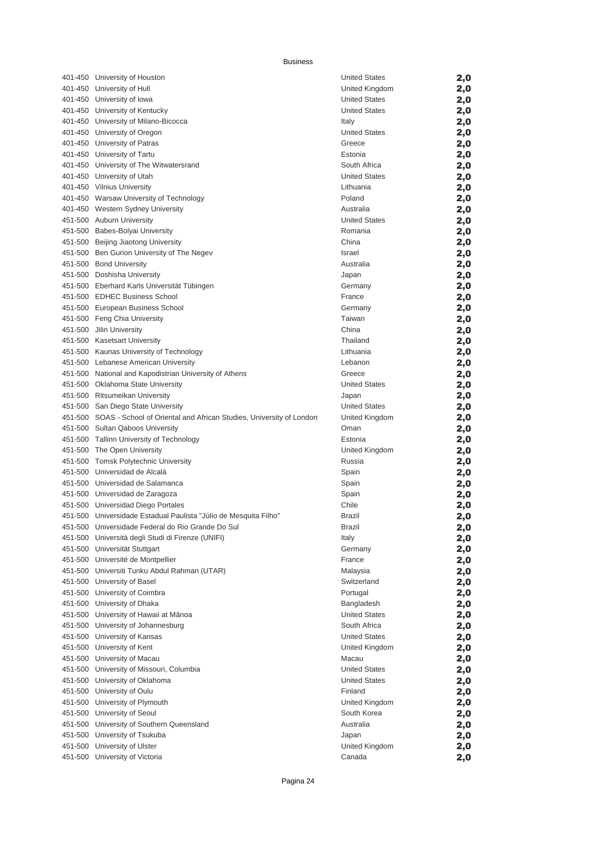| 401-450 University of Houston                                               | <b>United States</b> | 2,0 |
|-----------------------------------------------------------------------------|----------------------|-----|
| 401-450 University of Hull                                                  | United Kingdom       | 2,0 |
| 401-450 University of Iowa                                                  | <b>United States</b> | 2,0 |
| 401-450 University of Kentucky                                              | <b>United States</b> | 2,0 |
| 401-450 University of Milano-Bicocca                                        | Italy                | 2,0 |
| 401-450 University of Oregon                                                | <b>United States</b> | 2,0 |
| 401-450 University of Patras                                                | Greece               | 2,0 |
| 401-450 University of Tartu                                                 | Estonia              | 2,0 |
| 401-450 University of The Witwatersrand                                     | South Africa         | 2,0 |
| 401-450 University of Utah                                                  | <b>United States</b> | 2,0 |
| 401-450 Vilnius University                                                  | Lithuania            | 2,0 |
| 401-450 Warsaw University of Technology                                     | Poland               | 2,0 |
| 401-450 Western Sydney University                                           | Australia            | 2,0 |
| 451-500 Auburn University                                                   | <b>United States</b> | 2,0 |
| 451-500 Babes-Bolyai University                                             | Romania              | 2,0 |
| 451-500 Beijing Jiaotong University                                         | China                | 2,0 |
| 451-500 Ben Gurion University of The Negev                                  | <b>Israel</b>        | 2,0 |
| 451-500 Bond University                                                     | Australia            | 2,0 |
| 451-500 Doshisha University                                                 | Japan                | 2,0 |
| 451-500 Eberhard Karls Universität Tübingen                                 | Germany              | 2,0 |
| 451-500 EDHEC Business School                                               | France               | 2,0 |
| 451-500 European Business School                                            | Germany              | 2,0 |
| 451-500 Feng Chia University                                                | Taiwan               | 2,0 |
| 451-500 Jilin University                                                    | China                | 2,0 |
| 451-500 Kasetsart University                                                | Thailand             | 2,0 |
| 451-500 Kaunas University of Technology                                     | Lithuania            | 2,0 |
| 451-500 Lebanese American University                                        | Lebanon              | 2,0 |
| 451-500 National and Kapodistrian University of Athens                      | Greece               | 2,0 |
| 451-500 Oklahoma State University                                           | <b>United States</b> | 2,0 |
| 451-500 Ritsumeikan University                                              | Japan                | 2,0 |
| 451-500 San Diego State University                                          | <b>United States</b> | 2,0 |
| 451-500 SOAS - School of Oriental and African Studies, University of London | United Kingdom       | 2,0 |
| 451-500 Sultan Qaboos University                                            | Oman                 |     |
| 451-500 Tallinn University of Technology                                    | Estonia              | 2,0 |
| 451-500 The Open University                                                 | United Kingdom       | 2,0 |
| 451-500 Tomsk Polytechnic University                                        | Russia               | 2,0 |
| 451-500 Universidad de Alcalá                                               | Spain                | 2,0 |
| 451-500 Universidad de Salamanca                                            | Spain                | 2,0 |
|                                                                             |                      | 2,0 |
| 451-500 Universidad de Zaragoza                                             | Spain                | 2,0 |
| 451-500 Universidad Diego Portales                                          | Chile                | 2,0 |
| 451-500 Universidade Estadual Paulista "Júlio de Mesquita Filho"            | <b>Brazil</b>        | 2,0 |
| 451-500 Universidade Federal do Rio Grande Do Sul                           | <b>Brazil</b>        | 2,0 |
| 451-500 Università degli Studi di Firenze (UNIFI)                           | Italy                | 2,0 |
| 451-500 Universität Stuttgart                                               | Germany              | 2,0 |
| 451-500 Université de Montpellier                                           | France               | 2,0 |
| 451-500 Universiti Tunku Abdul Rahman (UTAR)                                | Malaysia             | 2,0 |
| 451-500 University of Basel                                                 | Switzerland          | 2,0 |
| 451-500 University of Coimbra                                               | Portugal             | 2,0 |
| 451-500 University of Dhaka                                                 | Bangladesh           | 2,0 |
| 451-500 University of Hawaii at Mānoa                                       | <b>United States</b> | 2,0 |
| 451-500 University of Johannesburg                                          | South Africa         | 2,0 |
| 451-500 University of Kansas                                                | <b>United States</b> | 2,0 |
| 451-500 University of Kent                                                  | United Kingdom       | 2,0 |
| 451-500 University of Macau                                                 | Macau                | 2,0 |
| 451-500 University of Missouri, Columbia                                    | <b>United States</b> | 2,0 |
| 451-500 University of Oklahoma                                              | <b>United States</b> | 2,0 |
| 451-500 University of Oulu                                                  | Finland              | 2,0 |
| 451-500 University of Plymouth                                              | United Kingdom       | 2,0 |
| 451-500 University of Seoul                                                 | South Korea          | 2,0 |
| 451-500 University of Southern Queensland                                   | Australia            | 2,0 |
| 451-500 University of Tsukuba                                               | Japan                | 2,0 |
| 451-500 University of Ulster                                                | United Kingdom       | 2,0 |
| 451-500 University of Victoria                                              | Canada               | 2,0 |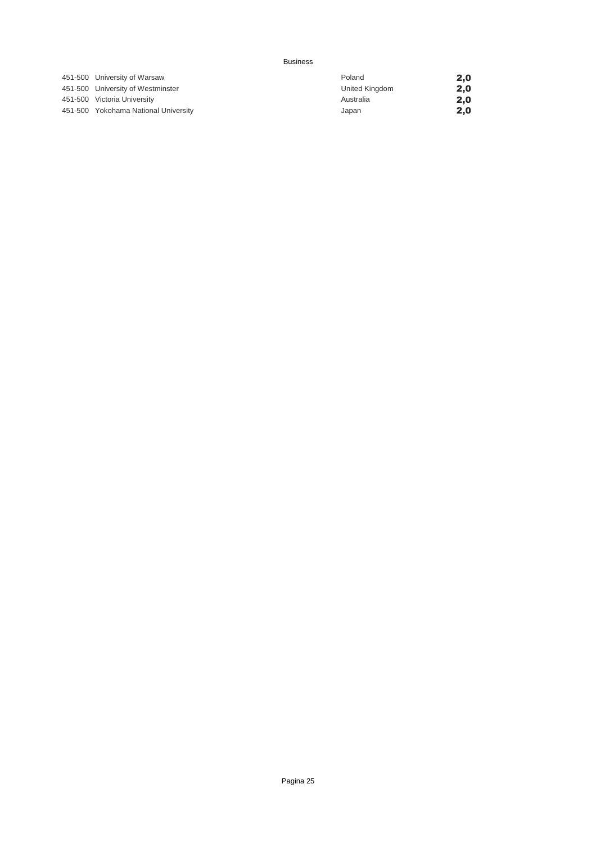| 451-500 University of Warsaw         |
|--------------------------------------|
| 451-500 University of Westminster    |
| 451-500 Victoria University          |
| 451-500 Yokohama National University |

| 451-500 University of Warsaw         | Poland         | 2,0 |
|--------------------------------------|----------------|-----|
| 451-500 University of Westminster    | United Kingdom | 2,0 |
| 451-500 Victoria University          | Australia      | 2.0 |
| 451-500 Yokohama National University | Japan          | 2,0 |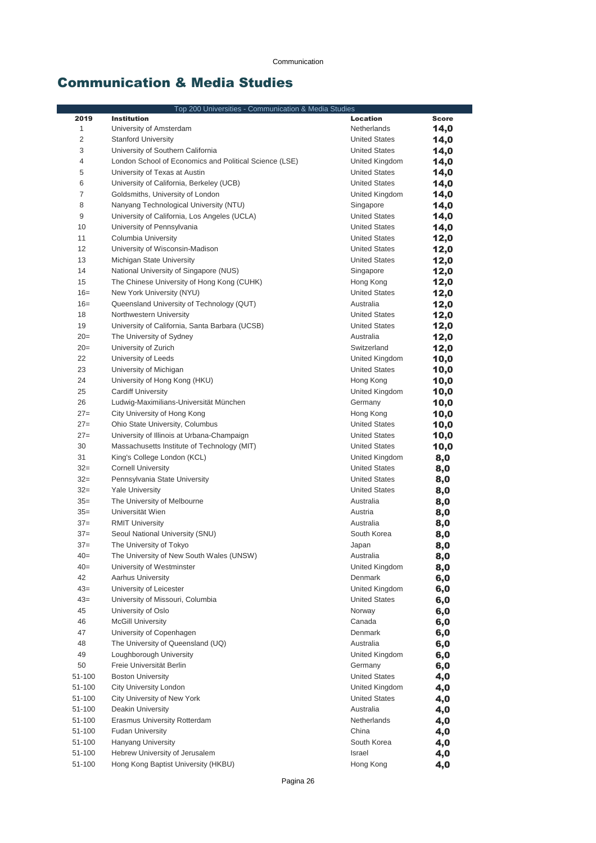### Communication & Media Studies

| Top 200 Universities - Communication & Media Studies |                                                        |                      |              |
|------------------------------------------------------|--------------------------------------------------------|----------------------|--------------|
| 2019                                                 | <b>Institution</b>                                     | <b>Location</b>      | <b>Score</b> |
| $\mathbf{1}$                                         | University of Amsterdam                                | Netherlands          | 14,0         |
| $\overline{2}$                                       | <b>Stanford University</b>                             | <b>United States</b> | 14,0         |
| 3                                                    | University of Southern California                      | <b>United States</b> | 14,0         |
| 4                                                    | London School of Economics and Political Science (LSE) | United Kingdom       | 14,0         |
| 5                                                    | University of Texas at Austin                          | <b>United States</b> | 14,0         |
| 6                                                    | University of California, Berkeley (UCB)               | <b>United States</b> | 14,0         |
| 7                                                    | Goldsmiths, University of London                       | United Kingdom       | 14,0         |
| 8                                                    | Nanyang Technological University (NTU)                 | Singapore            | 14,0         |
| 9                                                    | University of California, Los Angeles (UCLA)           | <b>United States</b> | 14,0         |
| 10                                                   | University of Pennsylvania                             | <b>United States</b> | 14,0         |
| 11                                                   | Columbia University                                    | <b>United States</b> | 12,0         |
| 12                                                   | University of Wisconsin-Madison                        | <b>United States</b> | 12,0         |
| 13                                                   | Michigan State University                              | <b>United States</b> | 12,0         |
| 14                                                   | National University of Singapore (NUS)                 | Singapore            | 12,0         |
| 15                                                   | The Chinese University of Hong Kong (CUHK)             | Hong Kong            | 12,0         |
| $16=$                                                | New York University (NYU)                              | <b>United States</b> | 12,0         |
| $16=$                                                | Queensland University of Technology (QUT)              | Australia            | 12,0         |
| 18                                                   | Northwestern University                                | <b>United States</b> | 12,0         |
| 19                                                   | University of California, Santa Barbara (UCSB)         | <b>United States</b> | 12,0         |
| $20=$                                                | The University of Sydney                               | Australia            | 12,0         |
| $20=$                                                | University of Zurich                                   | Switzerland          | 12,0         |
| 22                                                   | University of Leeds                                    | United Kingdom       | 10,0         |
| 23                                                   | University of Michigan                                 | <b>United States</b> | 10,0         |
| 24                                                   | University of Hong Kong (HKU)                          | Hong Kong            | 10,0         |
| 25                                                   | <b>Cardiff University</b>                              | United Kingdom       | 10,0         |
| 26                                                   | Ludwig-Maximilians-Universität München                 | Germany              | 10,0         |
| $27=$                                                | City University of Hong Kong                           | Hong Kong            | 10,0         |
| $27=$                                                | Ohio State University, Columbus                        | <b>United States</b> | 10,0         |
| $27=$                                                | University of Illinois at Urbana-Champaign             | <b>United States</b> | 10,0         |
| 30                                                   | Massachusetts Institute of Technology (MIT)            | <b>United States</b> | 10,0         |
| 31                                                   | King's College London (KCL)                            | United Kingdom       | 8,0          |
| $32=$                                                | <b>Cornell University</b>                              | <b>United States</b> | 8,0          |
| $32=$                                                | Pennsylvania State University                          | <b>United States</b> | 8,0          |
| $32=$                                                | <b>Yale University</b>                                 | <b>United States</b> | 8,0          |
| $35=$                                                | The University of Melbourne                            | Australia            | 8,0          |
| $35=$                                                | Universität Wien                                       | Austria              | 8,0          |
| $37=$                                                | <b>RMIT University</b>                                 | Australia            | 8,0          |
| $37=$                                                | Seoul National University (SNU)                        | South Korea          | 8,0          |
| $37=$                                                | The University of Tokyo                                | Japan                | 8,0          |
| $40=$                                                | The University of New South Wales (UNSW)               | Australia            | 8,0          |
| $40=$                                                | University of Westminster                              | United Kingdom       | 8,0          |
| 42                                                   | <b>Aarhus University</b>                               | Denmark              | 6,0          |
| $43=$                                                | University of Leicester                                | United Kingdom       | 6,0          |
| $43=$                                                | University of Missouri, Columbia                       | <b>United States</b> | 6,0          |
| 45                                                   | University of Oslo                                     | Norway               | 6,0          |
| 46                                                   | <b>McGill University</b>                               | Canada               | 6,0          |
| 47                                                   | University of Copenhagen                               | Denmark              | 6,0          |
| 48                                                   | The University of Oueensland (UO)                      | Australia            | 6,0          |
| 49                                                   | Loughborough University                                | United Kingdom       | 6,0          |
| 50                                                   | Freie Universität Berlin                               | Germany              | 6,0          |
| 51-100                                               | <b>Boston University</b>                               | <b>United States</b> | 4,0          |
| 51-100                                               | City University London                                 | United Kingdom       | 4,0          |
| 51-100                                               | City University of New York                            | <b>United States</b> | 4,0          |
| 51-100                                               | Deakin University                                      | Australia            | 4,0          |
| 51-100                                               | Erasmus University Rotterdam                           | Netherlands          | 4,0          |
| 51-100                                               | <b>Fudan University</b>                                | China                | 4,0          |
| 51-100                                               | <b>Hanyang University</b>                              | South Korea          | 4,0          |
| 51-100                                               | Hebrew University of Jerusalem                         | Israel               | 4,0          |
| 51-100                                               | Hong Kong Baptist University (HKBU)                    | Hong Kong            | 4,0          |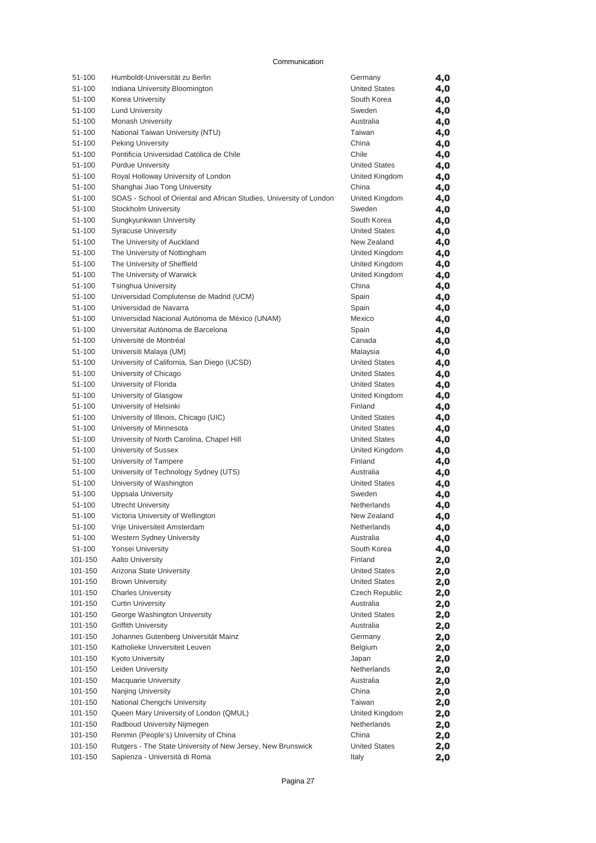#### Communication

| 51-100           | Humboldt-Universität zu Berlin                                      | Germany                          | 4,0        |
|------------------|---------------------------------------------------------------------|----------------------------------|------------|
| 51-100           | Indiana University Bloomington                                      | <b>United States</b>             | 4,0        |
| 51-100           | Korea University                                                    | South Korea                      | 4,0        |
| 51-100           | <b>Lund University</b>                                              | Sweden                           | 4,0        |
| 51-100           | <b>Monash University</b>                                            | Australia                        | 4,0        |
| 51-100           | National Taiwan University (NTU)                                    | Taiwan                           | 4,0        |
| 51-100           | <b>Peking University</b>                                            | China                            | 4,0        |
| 51-100           | Pontificia Universidad Católica de Chile                            | Chile                            | 4,0        |
| 51-100           | <b>Purdue University</b>                                            | <b>United States</b>             | 4,0        |
| 51-100           | Royal Holloway University of London                                 | United Kingdom                   | 4,0        |
| 51-100           | Shanghai Jiao Tong University                                       | China                            | 4,0        |
| 51-100           | SOAS - School of Oriental and African Studies, University of London | United Kingdom                   | 4,0        |
| 51-100           | Stockholm University                                                | Sweden                           | 4,0        |
| 51-100           | Sungkyunkwan University                                             | South Korea                      | 4,0        |
| 51-100           | <b>Syracuse University</b>                                          | <b>United States</b>             | 4,0        |
| 51-100           | The University of Auckland                                          | New Zealand                      | 4,0        |
| 51-100           | The University of Nottingham                                        | United Kingdom                   | 4,0        |
| 51-100           | The University of Sheffield                                         | United Kingdom                   | 4,0        |
| 51-100           | The University of Warwick                                           | United Kingdom                   | 4,0        |
| 51-100           | <b>Tsinghua University</b>                                          | China                            | 4,0        |
| 51-100           | Universidad Complutense de Madrid (UCM)                             | Spain                            | 4,0        |
| 51-100           | Universidad de Navarra                                              | Spain                            | 4,0        |
| 51-100           | Universidad Nacional Autónoma de México (UNAM)                      | Mexico                           | 4,0        |
| 51-100           | Universitat Autónoma de Barcelona                                   | Spain                            | 4,0        |
| 51-100           | Université de Montréal                                              | Canada                           | 4,0        |
| 51-100           | Universiti Malaya (UM)                                              | Malaysia<br><b>United States</b> | 4,0        |
| 51-100           | University of California, San Diego (UCSD)                          | <b>United States</b>             | 4,0        |
| 51-100<br>51-100 | University of Chicago                                               | <b>United States</b>             | 4,0        |
| 51-100           | University of Florida<br>University of Glasgow                      | United Kingdom                   | 4,0        |
| 51-100           | University of Helsinki                                              | Finland                          | 4,0        |
| 51-100           | University of Illinois, Chicago (UIC)                               | <b>United States</b>             | 4,0<br>4,0 |
| 51-100           | University of Minnesota                                             | <b>United States</b>             | 4,0        |
| 51-100           | University of North Carolina, Chapel Hill                           | <b>United States</b>             | 4,0        |
| 51-100           | University of Sussex                                                | United Kingdom                   | 4,0        |
| 51-100           | University of Tampere                                               | Finland                          | 4,0        |
| 51-100           | University of Technology Sydney (UTS)                               | Australia                        | 4,0        |
| 51-100           | University of Washington                                            | <b>United States</b>             | 4,0        |
| 51-100           | <b>Uppsala University</b>                                           | Sweden                           | 4,0        |
| 51-100           | <b>Utrecht University</b>                                           | <b>Netherlands</b>               | 4,0        |
| 51-100           | Victoria University of Wellington                                   | New Zealand                      | 4,0        |
| 51-100           | Vrije Universiteit Amsterdam                                        | Netherlands                      | 4,0        |
| 51-100           | Western Sydney University                                           | Australia                        | 4,0        |
| 51-100           | Yonsei University                                                   | South Korea                      | 4,0        |
| 101-150          | Aalto University                                                    | Finland                          | 2,0        |
| 101-150          | Arizona State University                                            | <b>United States</b>             | 2,0        |
| 101-150          | <b>Brown University</b>                                             | <b>United States</b>             | 2,0        |
| 101-150          | <b>Charles University</b>                                           | Czech Republic                   | 2,0        |
| 101-150          | <b>Curtin University</b>                                            | Australia                        | 2,0        |
| 101-150          | George Washington University                                        | <b>United States</b>             | 2,0        |
| 101-150          | <b>Griffith University</b>                                          | Australia                        | 2,0        |
| 101-150          | Johannes Gutenberg Universität Mainz                                | Germany                          | 2,0        |
| 101-150          | Katholieke Universiteit Leuven                                      | Belgium                          | 2,0        |
| 101-150          | Kyoto University                                                    | Japan                            | 2,0        |
| 101-150          | Leiden University                                                   | Netherlands                      | 2,0        |
| 101-150          | <b>Macquarie University</b>                                         | Australia                        | 2,0        |
| 101-150          | Nanjing University                                                  | China                            | 2,0        |
| 101-150          | National Chengchi University                                        | Taiwan                           | 2,0        |
| 101-150          | Queen Mary University of London (QMUL)                              | United Kingdom                   | 2,0        |
| 101-150          | Radboud University Nijmegen                                         | Netherlands                      | 2,0        |
| 101-150          | Renmin (People's) University of China                               | China                            | 2,0        |
| 101-150          | Rutgers - The State University of New Jersey, New Brunswick         | <b>United States</b>             | 2,0        |
| 101-150          | Sapienza - Università di Roma                                       | Italy                            | 2,0        |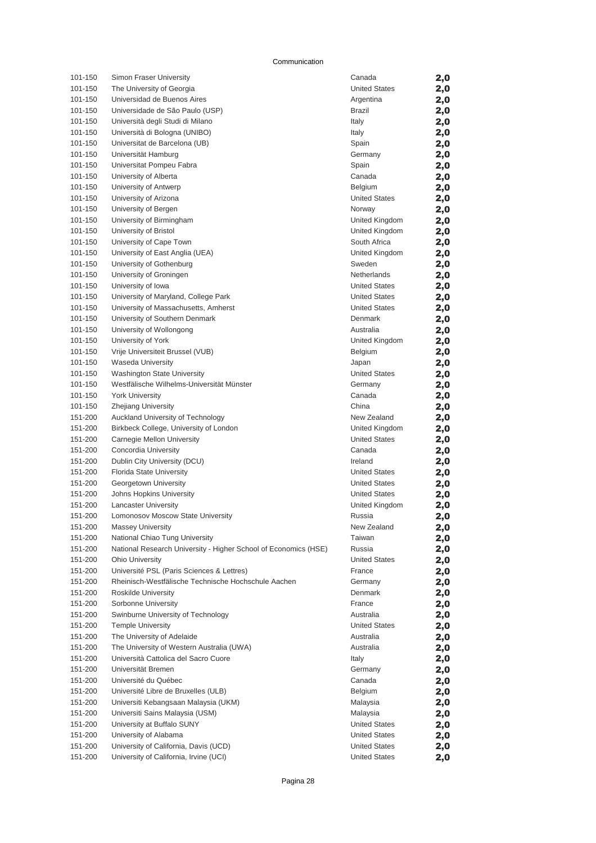#### Communication

| 101-150 | Simon Fraser University                                         | Canada               | 2,0 |
|---------|-----------------------------------------------------------------|----------------------|-----|
| 101-150 | The University of Georgia                                       | <b>United States</b> | 2,0 |
| 101-150 | Universidad de Buenos Aires                                     | Argentina            | 2,0 |
| 101-150 | Universidade de São Paulo (USP)                                 | Brazil               | 2,0 |
| 101-150 | Università degli Studi di Milano                                | Italy                | 2,0 |
| 101-150 | Università di Bologna (UNIBO)                                   | Italy                | 2,0 |
| 101-150 | Universitat de Barcelona (UB)                                   | Spain                | 2,0 |
| 101-150 | Universität Hamburg                                             | Germany              | 2,0 |
| 101-150 | Universitat Pompeu Fabra                                        | Spain                | 2,0 |
| 101-150 | University of Alberta                                           | Canada               | 2,0 |
| 101-150 | University of Antwerp                                           | Belgium              | 2,0 |
| 101-150 | University of Arizona                                           | <b>United States</b> | 2,0 |
| 101-150 | University of Bergen                                            | Norway               | 2,0 |
| 101-150 | University of Birmingham                                        | United Kingdom       | 2,0 |
| 101-150 | University of Bristol                                           | United Kingdom       | 2,0 |
| 101-150 | University of Cape Town                                         | South Africa         | 2,0 |
| 101-150 | University of East Anglia (UEA)                                 | United Kingdom       | 2,0 |
| 101-150 | University of Gothenburg                                        | Sweden               | 2,0 |
| 101-150 | University of Groningen                                         | Netherlands          | 2,0 |
| 101-150 | University of Iowa                                              | <b>United States</b> | 2,0 |
| 101-150 | University of Maryland, College Park                            | <b>United States</b> | 2,0 |
| 101-150 | University of Massachusetts, Amherst                            | <b>United States</b> | 2,0 |
| 101-150 | University of Southern Denmark                                  | Denmark              | 2,0 |
| 101-150 | University of Wollongong                                        | Australia            | 2,0 |
| 101-150 | University of York                                              | United Kingdom       | 2,0 |
| 101-150 | Vrije Universiteit Brussel (VUB)                                | Belgium              | 2,0 |
| 101-150 | <b>Waseda University</b>                                        | Japan                | 2,0 |
| 101-150 | <b>Washington State University</b>                              | <b>United States</b> | 2,0 |
| 101-150 | Westfälische Wilhelms-Universität Münster                       | Germany              | 2,0 |
| 101-150 | <b>York University</b>                                          | Canada               | 2,0 |
| 101-150 | <b>Zhejiang University</b>                                      | China                | 2,0 |
| 151-200 | Auckland University of Technology                               | New Zealand          | 2,0 |
| 151-200 | Birkbeck College, University of London                          | United Kingdom       | 2,0 |
| 151-200 | Carnegie Mellon University                                      | <b>United States</b> | 2,0 |
| 151-200 | Concordia University                                            | Canada               | 2,0 |
| 151-200 | Dublin City University (DCU)                                    | Ireland              | 2,0 |
| 151-200 | Florida State University                                        | <b>United States</b> | 2,0 |
| 151-200 | Georgetown University                                           | <b>United States</b> | 2,0 |
| 151-200 | Johns Hopkins University                                        | <b>United States</b> | 2,0 |
| 151-200 | <b>Lancaster University</b>                                     | United Kingdom       | 2,0 |
| 151-200 | Lomonosov Moscow State University                               | Russia               | 2,0 |
| 151-200 | <b>Massey University</b>                                        | New Zealand          | 2,0 |
| 151-200 | National Chiao Tung University                                  | Taiwan               | 2,0 |
| 151-200 | National Research University - Higher School of Economics (HSE) | Russia               | 2,0 |
| 151-200 | Ohio University                                                 | <b>United States</b> | 2,0 |
| 151-200 | Université PSL (Paris Sciences & Lettres)                       | France               | 2,0 |
| 151-200 | Rheinisch-Westfälische Technische Hochschule Aachen             | Germany              | 2,0 |
| 151-200 | Roskilde University                                             | Denmark              | 2,0 |
| 151-200 | Sorbonne University                                             | France               | 2,0 |
| 151-200 | Swinburne University of Technology                              | Australia            | 2,0 |
| 151-200 | <b>Temple University</b>                                        | <b>United States</b> | 2,0 |
| 151-200 | The University of Adelaide                                      | Australia            | 2,0 |
| 151-200 | The University of Western Australia (UWA)                       | Australia            | 2,0 |
| 151-200 | Università Cattolica del Sacro Cuore                            | Italy                | 2,0 |
| 151-200 | Universität Bremen                                              | Germany              | 2,0 |
| 151-200 | Université du Québec                                            | Canada               | 2,0 |
| 151-200 | Université Libre de Bruxelles (ULB)                             | Belgium              | 2,0 |
| 151-200 | Universiti Kebangsaan Malaysia (UKM)                            | Malaysia             | 2,0 |
| 151-200 | Universiti Sains Malaysia (USM)                                 | Malaysia             | 2,0 |
| 151-200 | University at Buffalo SUNY                                      | <b>United States</b> | 2,0 |
| 151-200 | University of Alabama                                           | <b>United States</b> | 2,0 |
| 151-200 | University of California, Davis (UCD)                           | <b>United States</b> | 2,0 |
| 151-200 | University of California, Irvine (UCI)                          | <b>United States</b> | 2,0 |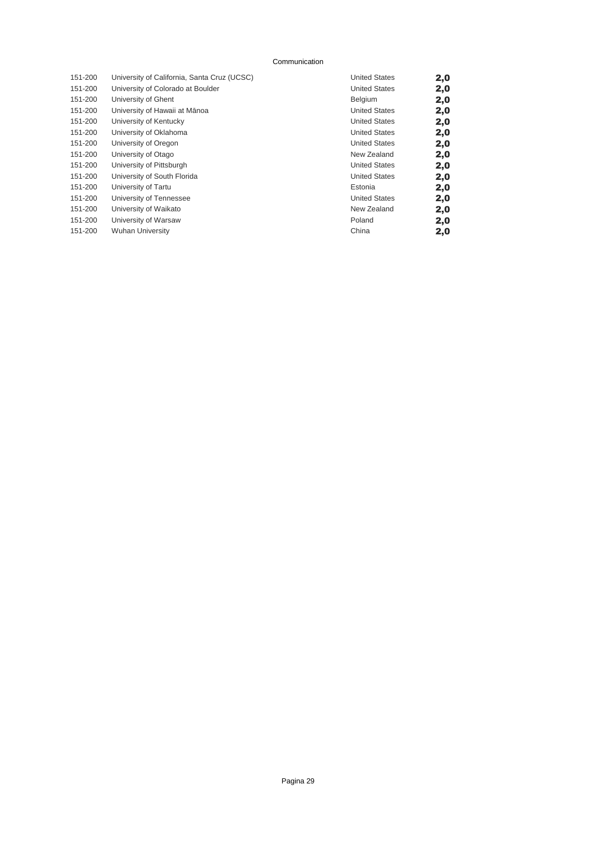#### Communication

| 151-200 | University of California, Santa Cruz (UCSC) | <b>United States</b> | 2,0 |
|---------|---------------------------------------------|----------------------|-----|
| 151-200 | University of Colorado at Boulder           | <b>United States</b> | 2,0 |
| 151-200 | University of Ghent                         | <b>Belgium</b>       | 2,0 |
| 151-200 | University of Hawaii at Mānoa               | <b>United States</b> | 2,0 |
| 151-200 | University of Kentucky                      | <b>United States</b> | 2,0 |
| 151-200 | University of Oklahoma                      | <b>United States</b> | 2,0 |
| 151-200 | University of Oregon                        | <b>United States</b> | 2,0 |
| 151-200 | University of Otago                         | New Zealand          | 2,0 |
| 151-200 | University of Pittsburgh                    | <b>United States</b> | 2,0 |
| 151-200 | University of South Florida                 | <b>United States</b> | 2,0 |
| 151-200 | University of Tartu                         | Estonia              | 2,0 |
| 151-200 | University of Tennessee                     | <b>United States</b> | 2,0 |
| 151-200 | University of Waikato                       | New Zealand          | 2,0 |
| 151-200 | University of Warsaw                        | Poland               | 2,0 |
| 151-200 | <b>Wuhan University</b>                     | China                | 2,0 |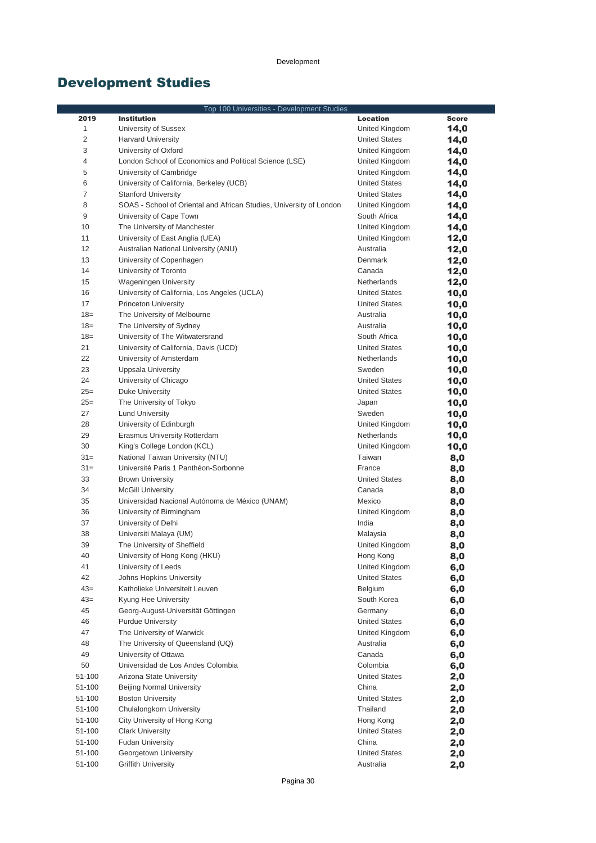# Development Studies

|                  | Top 100 Universities - Development Studies                          |                                   |              |
|------------------|---------------------------------------------------------------------|-----------------------------------|--------------|
| 2019             | <b>Institution</b>                                                  | Location                          | <b>Score</b> |
| 1                | University of Sussex                                                | United Kingdom                    | 14,0         |
| $\overline{c}$   | <b>Harvard University</b>                                           | <b>United States</b>              | 14,0         |
| 3                | University of Oxford                                                | United Kingdom                    | 14,0         |
| 4                | London School of Economics and Political Science (LSE)              | United Kingdom                    | 14,0         |
| 5                | University of Cambridge                                             | United Kingdom                    | 14,0         |
| 6                | University of California, Berkeley (UCB)                            | <b>United States</b>              | 14,0         |
| 7                | <b>Stanford University</b>                                          | <b>United States</b>              | 14,0         |
| 8                | SOAS - School of Oriental and African Studies, University of London | United Kingdom                    | 14,0         |
| 9                | University of Cape Town                                             | South Africa                      | 14,0         |
| 10               | The University of Manchester                                        | United Kingdom                    | 14,0         |
| 11               | University of East Anglia (UEA)                                     | United Kingdom                    | 12,0         |
| 12               | Australian National University (ANU)                                | Australia                         | 12,0         |
| 13               | University of Copenhagen                                            | Denmark                           | 12,0         |
| 14               | University of Toronto                                               | Canada                            | 12,0         |
| 15               | Wageningen University                                               | Netherlands                       | 12,0         |
| 16               | University of California, Los Angeles (UCLA)                        | United States                     | 10,0         |
| 17               | <b>Princeton University</b>                                         | <b>United States</b>              | 10,0         |
| $18=$            | The University of Melbourne                                         | Australia                         | 10,0         |
| $18=$            | The University of Sydney                                            | Australia                         | 10,0         |
| $18=$            | University of The Witwatersrand                                     | South Africa                      | 10,0         |
| 21               | University of California, Davis (UCD)                               | <b>United States</b>              | 10,0         |
| 22               | University of Amsterdam                                             | <b>Netherlands</b>                | 10,0         |
| 23               | Uppsala University                                                  | Sweden                            | 10,0         |
| 24               | University of Chicago                                               | <b>United States</b>              | 10,0         |
| $25=$            | Duke University                                                     | <b>United States</b>              | 10,0         |
| $25=$            | The University of Tokyo                                             | Japan                             | 10,0         |
| 27               | <b>Lund University</b>                                              | Sweden                            | 10,0         |
| 28               | University of Edinburgh                                             | United Kingdom                    | 10,0         |
| 29               | Erasmus University Rotterdam                                        | Netherlands                       | 10,0         |
| 30               | King's College London (KCL)                                         | United Kingdom                    | 10,0         |
| $31 =$           | National Taiwan University (NTU)                                    | Taiwan                            | 8,0          |
| $31 =$           | Université Paris 1 Panthéon-Sorbonne                                | France                            | 8,0          |
| 33               | <b>Brown University</b>                                             | <b>United States</b>              | 8,0          |
| 34               | <b>McGill University</b>                                            | Canada                            | 8,0          |
| 35               | Universidad Nacional Autónoma de México (UNAM)                      | Mexico                            | 8,0          |
| 36               | University of Birmingham                                            | United Kingdom                    | 8,0          |
| 37               | University of Delhi                                                 | India                             | 8,0          |
| 38               | Universiti Malaya (UM)                                              | Malaysia                          | 8,0          |
| 39               | The University of Sheffield                                         | United Kingdom                    | 8,0          |
| 40               | University of Hong Kong (HKU)                                       | Hong Kong                         | 8,0          |
| 41               | University of Leeds                                                 | United Kingdom                    | 6,0          |
| 42               | Johns Hopkins University                                            | <b>United States</b>              | 6,0          |
| $43=$            | Katholieke Universiteit Leuven                                      | Belgium                           | 6,0          |
| $43=$            | Kyung Hee University                                                | South Korea                       | 6,0          |
| 45               | Georg-August-Universität Göttingen                                  | Germany                           | 6,0          |
| 46               | <b>Purdue University</b>                                            | <b>United States</b>              | 6,0          |
| 47               | The University of Warwick                                           | United Kingdom                    | 6,0          |
| 48               | The University of Queensland (UQ)                                   | Australia                         | 6,0          |
| 49               | University of Ottawa                                                | Canada                            | 6,0          |
| 50<br>51-100     | Universidad de Los Andes Colombia<br>Arizona State University       | Colombia<br><b>United States</b>  | 6,0          |
|                  |                                                                     |                                   | 2,0          |
| 51-100           | Beijing Normal University                                           | China                             | 2,0          |
| 51-100           | <b>Boston University</b><br>Chulalongkorn University                | <b>United States</b><br>Thailand  | 2,0          |
| 51-100<br>51-100 | City University of Hong Kong                                        |                                   | 2,0          |
| 51-100           | <b>Clark University</b>                                             | Hong Kong<br><b>United States</b> | 2,0          |
| 51-100           | <b>Fudan University</b>                                             | China                             | 2,0          |
| 51-100           | Georgetown University                                               | <b>United States</b>              | 2,0          |
| 51-100           | <b>Griffith University</b>                                          | Australia                         | 2,0          |
|                  |                                                                     |                                   | 2,0          |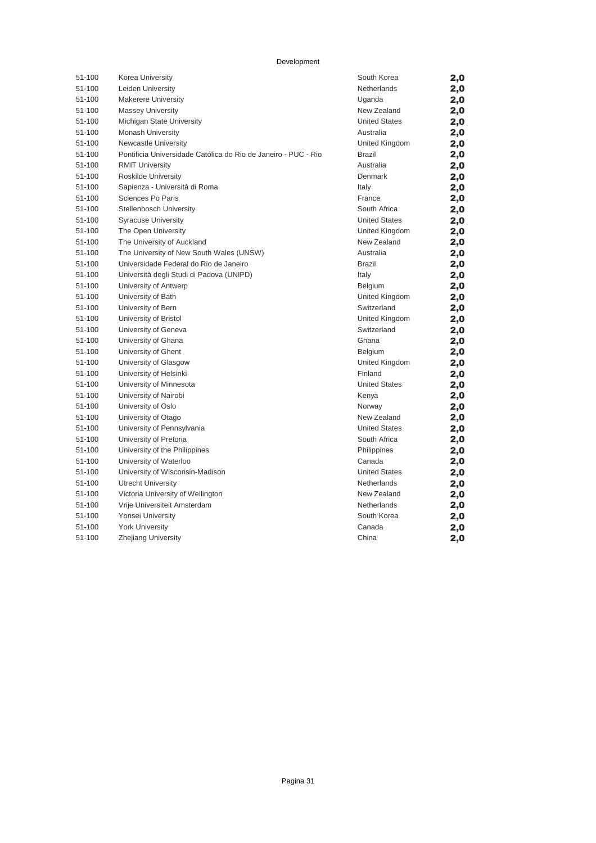Development

| 51-100 | Korea University                                               | South Korea          | 2,0 |
|--------|----------------------------------------------------------------|----------------------|-----|
| 51-100 | Leiden University                                              | Netherlands          | 2,0 |
| 51-100 | <b>Makerere University</b>                                     | Uganda               | 2,0 |
| 51-100 | <b>Massey University</b>                                       | New Zealand          | 2,0 |
| 51-100 | Michigan State University                                      | <b>United States</b> | 2,0 |
| 51-100 | Monash University                                              | Australia            | 2,0 |
| 51-100 | Newcastle University                                           | United Kingdom       | 2,0 |
| 51-100 | Pontificia Universidade Católica do Rio de Janeiro - PUC - Rio | <b>Brazil</b>        | 2,0 |
| 51-100 | <b>RMIT University</b>                                         | Australia            | 2,0 |
| 51-100 | Roskilde University                                            | Denmark              | 2,0 |
| 51-100 | Sapienza - Università di Roma                                  | Italy                | 2,0 |
| 51-100 | Sciences Po Paris                                              | France               | 2,0 |
| 51-100 | Stellenbosch University                                        | South Africa         | 2,0 |
| 51-100 | <b>Syracuse University</b>                                     | <b>United States</b> | 2,0 |
| 51-100 | The Open University                                            | United Kingdom       | 2,0 |
| 51-100 | The University of Auckland                                     | New Zealand          | 2,0 |
| 51-100 | The University of New South Wales (UNSW)                       | Australia            | 2,0 |
| 51-100 | Universidade Federal do Rio de Janeiro                         | <b>Brazil</b>        | 2,0 |
| 51-100 | Università degli Studi di Padova (UNIPD)                       | Italy                | 2,0 |
| 51-100 | University of Antwerp                                          | Belgium              | 2,0 |
| 51-100 | University of Bath                                             | United Kingdom       | 2,0 |
| 51-100 | University of Bern                                             | Switzerland          | 2,0 |
| 51-100 | University of Bristol                                          | United Kingdom       | 2,0 |
| 51-100 | University of Geneva                                           | Switzerland          | 2,0 |
| 51-100 | University of Ghana                                            | Ghana                | 2,0 |
| 51-100 | University of Ghent                                            | Belgium              | 2,0 |
| 51-100 | University of Glasgow                                          | United Kingdom       | 2,0 |
| 51-100 | University of Helsinki                                         | Finland              | 2,0 |
| 51-100 | University of Minnesota                                        | <b>United States</b> | 2,0 |
| 51-100 | University of Nairobi                                          | Kenya                | 2,0 |
| 51-100 | University of Oslo                                             | Norway               | 2,0 |
| 51-100 | University of Otago                                            | New Zealand          | 2,0 |
| 51-100 | University of Pennsylvania                                     | <b>United States</b> | 2,0 |
| 51-100 | University of Pretoria                                         | South Africa         | 2,0 |
| 51-100 | University of the Philippines                                  | Philippines          | 2,0 |
| 51-100 | University of Waterloo                                         | Canada               | 2,0 |
| 51-100 | University of Wisconsin-Madison                                | <b>United States</b> | 2,0 |
| 51-100 | <b>Utrecht University</b>                                      | Netherlands          | 2,0 |
| 51-100 | Victoria University of Wellington                              | New Zealand          | 2,0 |
| 51-100 | Vrije Universiteit Amsterdam                                   | Netherlands          | 2,0 |
| 51-100 | Yonsei University                                              | South Korea          | 2,0 |
| 51-100 | <b>York University</b>                                         | Canada               | 2,0 |
| 51-100 | <b>Zhejiang University</b>                                     | China                | 2,0 |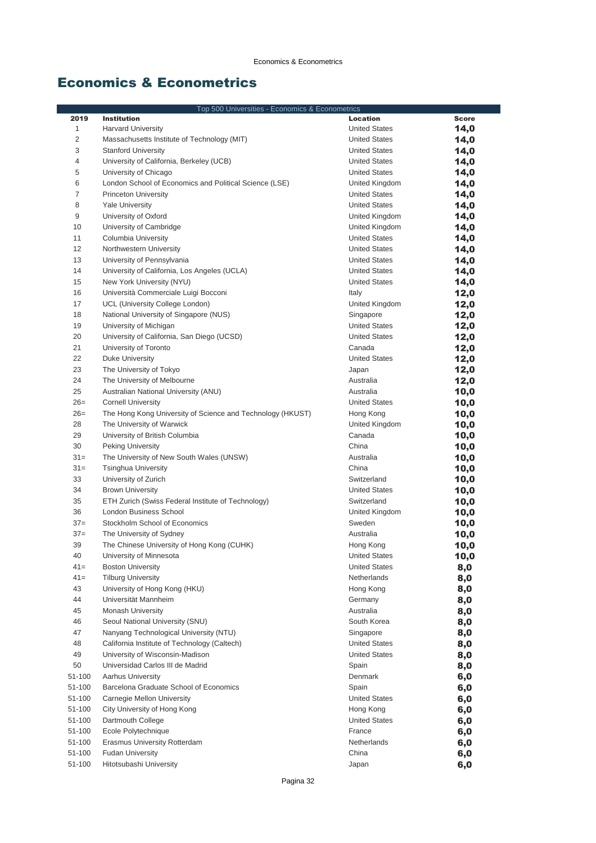| Top 500 Universities - Economics & Econometrics |                                                              |                                     |              |
|-------------------------------------------------|--------------------------------------------------------------|-------------------------------------|--------------|
| 2019                                            | <b>Institution</b>                                           | <b>Location</b>                     | <b>Score</b> |
| $\mathbf{1}$                                    | <b>Harvard University</b>                                    | <b>United States</b>                | 14,0         |
| $\overline{2}$                                  | Massachusetts Institute of Technology (MIT)                  | <b>United States</b>                | 14,0         |
| 3                                               | <b>Stanford University</b>                                   | <b>United States</b>                | 14,0         |
| $\overline{4}$                                  | University of California, Berkeley (UCB)                     | <b>United States</b>                | 14,0         |
| 5                                               | University of Chicago                                        | <b>United States</b>                | 14,0         |
| 6                                               | London School of Economics and Political Science (LSE)       | United Kingdom                      | 14,0         |
| $\overline{7}$                                  | <b>Princeton University</b>                                  | <b>United States</b>                | 14,0         |
| 8                                               | <b>Yale University</b>                                       | <b>United States</b>                | 14,0         |
| 9                                               | University of Oxford                                         | United Kingdom                      | 14,0         |
| 10                                              | University of Cambridge                                      | United Kingdom                      | 14,0         |
| 11                                              | Columbia University                                          | <b>United States</b>                | 14,0         |
| 12                                              | Northwestern University                                      | <b>United States</b>                | 14,0         |
| 13                                              | University of Pennsylvania                                   | <b>United States</b>                | 14,0         |
| 14                                              | University of California, Los Angeles (UCLA)                 | <b>United States</b>                | 14,0         |
| 15                                              | New York University (NYU)                                    | <b>United States</b>                | 14,0         |
| 16                                              | Università Commerciale Luigi Bocconi                         | Italy                               | 12,0         |
| 17                                              | UCL (University College London)                              | United Kingdom                      | 12,0         |
| 18                                              | National University of Singapore (NUS)                       | Singapore                           | 12,0         |
| 19                                              | University of Michigan                                       | <b>United States</b>                | 12,0         |
| 20                                              | University of California, San Diego (UCSD)                   | <b>United States</b>                | 12,0         |
| 21                                              | University of Toronto                                        | Canada                              | 12,0         |
| 22                                              | Duke University                                              | <b>United States</b>                | 12,0         |
| 23                                              | The University of Tokyo                                      | Japan                               | 12,0         |
| 24                                              | The University of Melbourne                                  | Australia                           | 12,0         |
| 25                                              | Australian National University (ANU)                         | Australia                           | 10,0         |
| $26=$                                           | <b>Cornell University</b>                                    | <b>United States</b>                | 10,0         |
| $26=$                                           | The Hong Kong University of Science and Technology (HKUST)   | Hong Kong                           | 10,0         |
| 28                                              | The University of Warwick                                    | United Kingdom                      | 10,0         |
| 29                                              | University of British Columbia                               | Canada                              | 10,0         |
| 30                                              | <b>Peking University</b>                                     | China                               | 10,0         |
| $31 =$                                          | The University of New South Wales (UNSW)                     | Australia                           | 10,0         |
| $31 =$                                          | <b>Tsinghua University</b>                                   | China                               | 10,0         |
| 33                                              | University of Zurich                                         | Switzerland                         | 10,0         |
| 34                                              | <b>Brown University</b>                                      | <b>United States</b>                | 10,0         |
| 35                                              | ETH Zurich (Swiss Federal Institute of Technology)           | Switzerland                         |              |
| 36                                              | London Business School                                       | United Kingdom                      | 10,0         |
| $37=$                                           | Stockholm School of Economics                                | Sweden                              | 10,0         |
| $37=$                                           | The University of Sydney                                     | Australia                           | 10,0         |
| 39                                              | The Chinese University of Hong Kong (CUHK)                   |                                     | 10,0         |
| 40                                              | University of Minnesota                                      | Hong Kong<br><b>United States</b>   | 10,0         |
| $41 =$                                          |                                                              |                                     | 10,0         |
| $41 =$                                          | <b>Boston University</b><br><b>Tilburg University</b>        | <b>United States</b><br>Netherlands | 8,0          |
| 43                                              | University of Hong Kong (HKU)                                |                                     | 8,0          |
| 44                                              | Universität Mannheim                                         | Hong Kong<br>Germany                | 8,0          |
| 45                                              | <b>Monash University</b>                                     | Australia                           | 8,0          |
|                                                 | Seoul National University (SNU)                              |                                     | 8,0          |
| 46<br>47                                        | Nanyang Technological University (NTU)                       | South Korea                         | 8,0          |
|                                                 | California Institute of Technology (Caltech)                 | Singapore                           | 8,0          |
| 48<br>49                                        |                                                              | <b>United States</b>                | 8,0          |
| 50                                              | University of Wisconsin-Madison                              | <b>United States</b>                | 8,0          |
| 51-100                                          | Universidad Carlos III de Madrid<br><b>Aarhus University</b> | Spain<br>Denmark                    | 8,0          |
|                                                 | Barcelona Graduate School of Economics                       |                                     | 6,0          |
| 51-100                                          |                                                              | Spain                               | 6,0          |
| 51-100                                          | Carnegie Mellon University                                   | <b>United States</b>                | 6,0          |
| 51-100<br>51-100                                | City University of Hong Kong                                 | Hong Kong                           | 6,0          |
|                                                 | Dartmouth College                                            | <b>United States</b>                | 6,0          |
| 51-100                                          | Ecole Polytechnique                                          | France                              | 6,0          |
| 51-100                                          | Erasmus University Rotterdam                                 | Netherlands                         | 6,0          |
| 51-100                                          | <b>Fudan University</b>                                      | China                               | 6,0          |
| 51-100                                          | Hitotsubashi University                                      | Japan                               | 6,0          |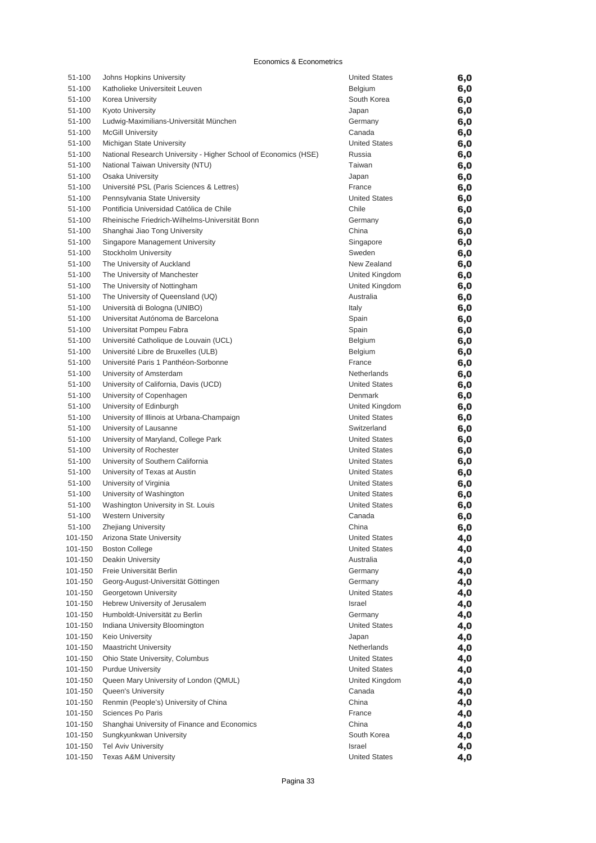| 51-100           | Johns Hopkins University                                        | <b>United States</b>                         | 6,0        |
|------------------|-----------------------------------------------------------------|----------------------------------------------|------------|
| 51-100           | Katholieke Universiteit Leuven                                  | Belgium                                      | 6,0        |
| 51-100           | Korea University                                                | South Korea                                  | 6,0        |
| 51-100           | <b>Kyoto University</b>                                         | Japan                                        | 6,0        |
| 51-100           | Ludwig-Maximilians-Universität München                          | Germany                                      | 6,0        |
| 51-100           | <b>McGill University</b>                                        | Canada                                       | 6,0        |
| 51-100           | Michigan State University                                       | <b>United States</b>                         | 6,0        |
| 51-100           | National Research University - Higher School of Economics (HSE) | Russia                                       | 6,0        |
| 51-100           | National Taiwan University (NTU)                                | Taiwan                                       | 6,0        |
| 51-100           | Osaka University                                                | Japan                                        | 6,0        |
| 51-100           | Université PSL (Paris Sciences & Lettres)                       | France                                       | 6,0        |
| 51-100           | Pennsylvania State University                                   | <b>United States</b>                         | 6,0        |
| 51-100           | Pontificia Universidad Católica de Chile                        | Chile                                        | 6,0        |
| 51-100           | Rheinische Friedrich-Wilhelms-Universität Bonn                  | Germany                                      | 6,0        |
| 51-100           | Shanghai Jiao Tong University                                   | China                                        | 6,0        |
| 51-100           | Singapore Management University                                 | Singapore                                    | 6,0        |
| 51-100           | Stockholm University                                            | Sweden                                       | 6,0        |
| 51-100           | The University of Auckland                                      | New Zealand                                  | 6,0        |
| 51-100           | The University of Manchester                                    | United Kingdom                               | 6,0        |
| 51-100           | The University of Nottingham                                    | United Kingdom                               | 6,0        |
| 51-100           | The University of Queensland (UQ)                               | Australia                                    | 6,0        |
| 51-100           | Università di Bologna (UNIBO)                                   | Italy                                        | 6,0        |
| 51-100           | Universitat Autónoma de Barcelona                               | Spain                                        | 6,0        |
| 51-100           | Universitat Pompeu Fabra                                        | Spain                                        | 6,0        |
| 51-100           | Université Catholique de Louvain (UCL)                          | Belgium                                      | 6,0        |
| 51-100           | Université Libre de Bruxelles (ULB)                             | Belgium                                      | 6,0        |
| 51-100           | Université Paris 1 Panthéon-Sorbonne                            | France                                       | 6,0        |
| 51-100           | University of Amsterdam                                         | Netherlands                                  | 6,0        |
| 51-100           | University of California, Davis (UCD)                           | <b>United States</b>                         | 6,0        |
| 51-100           | University of Copenhagen                                        | Denmark                                      | 6,0        |
| 51-100           | University of Edinburgh                                         | United Kingdom                               | 6,0        |
| 51-100           | University of Illinois at Urbana-Champaign                      | <b>United States</b>                         | 6,0        |
| 51-100           | University of Lausanne                                          | Switzerland                                  | 6,0        |
| 51-100           | University of Maryland, College Park                            | United States                                | 6,0        |
| 51-100           | University of Rochester                                         | <b>United States</b>                         | 6,0        |
| 51-100           | University of Southern California                               | <b>United States</b><br><b>United States</b> | 6,0        |
| 51-100<br>51-100 | University of Texas at Austin<br>University of Virginia         | <b>United States</b>                         | 6,0        |
| 51-100           | University of Washington                                        | <b>United States</b>                         | 6,0        |
| 51-100           | Washington University in St. Louis                              | <b>United States</b>                         | 6,0<br>6,0 |
| 51-100           | <b>Western University</b>                                       | Canada                                       | 6,0        |
| 51-100           | <b>Zhejiang University</b>                                      | China                                        |            |
| 101-150          | Arizona State University                                        | <b>United States</b>                         | 6,0<br>4,0 |
| 101-150          | <b>Boston College</b>                                           | <b>United States</b>                         | 4,0        |
| 101-150          | Deakin University                                               | Australia                                    | 4,0        |
| 101-150          | Freie Universität Berlin                                        | Germany                                      | 4,0        |
| 101-150          | Georg-August-Universität Göttingen                              | Germany                                      | 4,0        |
| 101-150          | Georgetown University                                           | <b>United States</b>                         | 4,0        |
| 101-150          | Hebrew University of Jerusalem                                  | Israel                                       | 4,0        |
| 101-150          | Humboldt-Universität zu Berlin                                  | Germany                                      | 4,0        |
| 101-150          | Indiana University Bloomington                                  | <b>United States</b>                         | 4,0        |
| 101-150          | Keio University                                                 | Japan                                        | 4,0        |
| 101-150          | <b>Maastricht University</b>                                    | Netherlands                                  | 4,0        |
| 101-150          | Ohio State University, Columbus                                 | <b>United States</b>                         | 4,0        |
| 101-150          | <b>Purdue University</b>                                        | <b>United States</b>                         | 4,0        |
| 101-150          | Queen Mary University of London (QMUL)                          | United Kingdom                               | 4,0        |
| 101-150          | Queen's University                                              | Canada                                       | 4,0        |
| 101-150          | Renmin (People's) University of China                           | China                                        | 4,0        |
| 101-150          | Sciences Po Paris                                               | France                                       | 4,0        |
| 101-150          | Shanghai University of Finance and Economics                    | China                                        | 4,0        |
| 101-150          | Sungkyunkwan University                                         | South Korea                                  | 4,0        |
| 101-150          | <b>Tel Aviv University</b>                                      | Israel                                       | 4,0        |
| 101-150          | <b>Texas A&amp;M University</b>                                 | <b>United States</b>                         | 4,0        |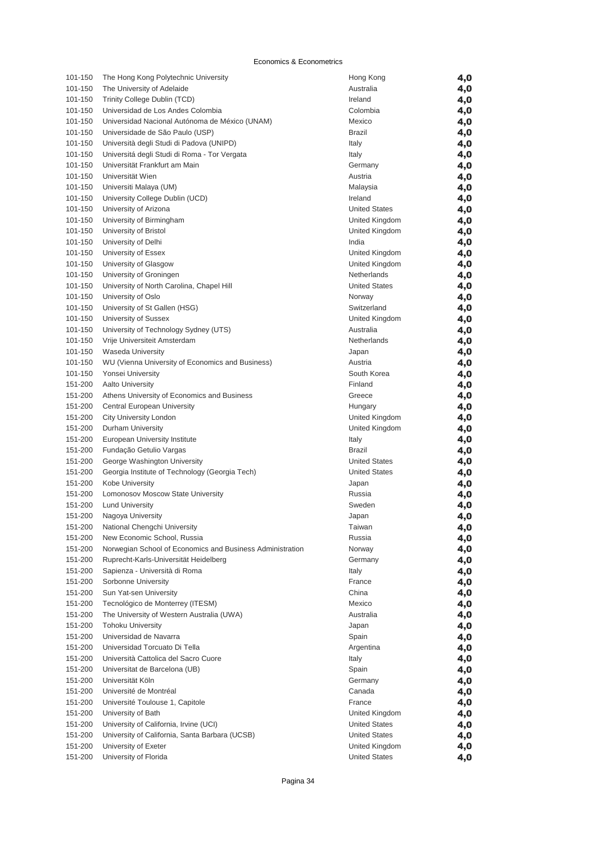| 101-150 | The Hong Kong Polytechnic University                      | Hong Kong            | 4,0        |
|---------|-----------------------------------------------------------|----------------------|------------|
| 101-150 | The University of Adelaide                                | Australia            | 4,0        |
| 101-150 | Trinity College Dublin (TCD)                              | Ireland              | 4,0        |
| 101-150 | Universidad de Los Andes Colombia                         | Colombia             | 4,0        |
| 101-150 | Universidad Nacional Autónoma de México (UNAM)            | Mexico               | 4,0        |
| 101-150 | Universidade de São Paulo (USP)                           | Brazil               | 4,0        |
| 101-150 | Università degli Studi di Padova (UNIPD)                  | Italy                | 4,0        |
| 101-150 | Universitá degli Studi di Roma - Tor Vergata              | Italy                |            |
|         |                                                           |                      | 4,0        |
| 101-150 | Universität Frankfurt am Main                             | Germany              | 4,0        |
| 101-150 | Universität Wien                                          | Austria              | 4,0        |
| 101-150 | Universiti Malaya (UM)                                    | Malaysia             | 4,0        |
| 101-150 | University College Dublin (UCD)                           | Ireland              | 4,0        |
| 101-150 | University of Arizona                                     | <b>United States</b> | 4,0        |
| 101-150 | University of Birmingham                                  | United Kingdom       | 4,0        |
| 101-150 | University of Bristol                                     | United Kingdom       | 4,0        |
| 101-150 | University of Delhi                                       | India                | 4,0        |
| 101-150 | University of Essex                                       | United Kingdom       | 4,0        |
| 101-150 | University of Glasgow                                     | United Kingdom       | 4,0        |
| 101-150 | University of Groningen                                   | Netherlands          | 4,0        |
| 101-150 | University of North Carolina, Chapel Hill                 | <b>United States</b> | 4,0        |
| 101-150 | University of Oslo                                        | Norway               | 4,0        |
| 101-150 | University of St Gallen (HSG)                             | Switzerland          | 4,0        |
| 101-150 | University of Sussex                                      | United Kingdom       |            |
| 101-150 | University of Technology Sydney (UTS)                     | Australia            | 4,0        |
|         |                                                           |                      | 4,0        |
| 101-150 | Vrije Universiteit Amsterdam                              | Netherlands          | 4,0        |
| 101-150 | <b>Waseda University</b>                                  | Japan                | 4,0        |
| 101-150 | WU (Vienna University of Economics and Business)          | Austria              | 4,0        |
| 101-150 | Yonsei University                                         | South Korea          | 4,0        |
| 151-200 | <b>Aalto University</b>                                   | Finland              | 4,0        |
| 151-200 | Athens University of Economics and Business               | Greece               | 4,0        |
| 151-200 | Central European University                               | Hungary              | 4,0        |
| 151-200 | City University London                                    | United Kingdom       | 4,0        |
| 151-200 | Durham University                                         | United Kingdom       | 4,0        |
| 151-200 | European University Institute                             | Italy                | 4,0        |
| 151-200 | Fundação Getulio Vargas                                   | Brazil               | 4,0        |
| 151-200 | George Washington University                              | <b>United States</b> | 4,0        |
| 151-200 | Georgia Institute of Technology (Georgia Tech)            | <b>United States</b> | 4,0        |
| 151-200 | Kobe University                                           | Japan                | 4,0        |
| 151-200 | Lomonosov Moscow State University                         | Russia               | 4,0        |
| 151-200 | <b>Lund University</b>                                    | Sweden               | 4,0        |
| 151-200 | Nagoya University                                         | Japan                | 4,0        |
| 151-200 | National Chengchi University                              | Taiwan               |            |
|         |                                                           |                      | 4,0        |
| 151-200 | New Economic School, Russia                               | Russia               | 4,0        |
| 151-200 | Norwegian School of Economics and Business Administration | Norway               | 4,0        |
| 151-200 | Ruprecht-Karls-Universität Heidelberg                     | Germany              | 4,0        |
| 151-200 | Sapienza - Università di Roma                             | Italy                | 4,0        |
| 151-200 | Sorbonne University                                       | France               | 4,0        |
| 151-200 | Sun Yat-sen University                                    | China                | 4,0        |
| 151-200 | Tecnológico de Monterrey (ITESM)                          | Mexico               | 4,0        |
| 151-200 | The University of Western Australia (UWA)                 | Australia            | 4,0        |
| 151-200 | <b>Tohoku University</b>                                  | Japan                | 4,0        |
| 151-200 | Universidad de Navarra                                    | Spain                | 4,0        |
| 151-200 | Universidad Torcuato Di Tella                             | Argentina            | 4,0        |
| 151-200 | Università Cattolica del Sacro Cuore                      | Italy                | 4,0        |
| 151-200 | Universitat de Barcelona (UB)                             | Spain                | 4,0        |
| 151-200 | Universität Köln                                          | Germany              | 4,0        |
| 151-200 | Université de Montréal                                    | Canada               | 4,0        |
| 151-200 | Université Toulouse 1, Capitole                           | France               | 4,0        |
| 151-200 | University of Bath                                        | United Kingdom       | 4,0        |
| 151-200 | University of California, Irvine (UCI)                    | <b>United States</b> | 4,0        |
| 151-200 | University of California, Santa Barbara (UCSB)            | <b>United States</b> |            |
| 151-200 | University of Exeter                                      | United Kingdom       | 4,0<br>4,0 |
| 151-200 | University of Florida                                     | <b>United States</b> |            |
|         |                                                           |                      | 4,0        |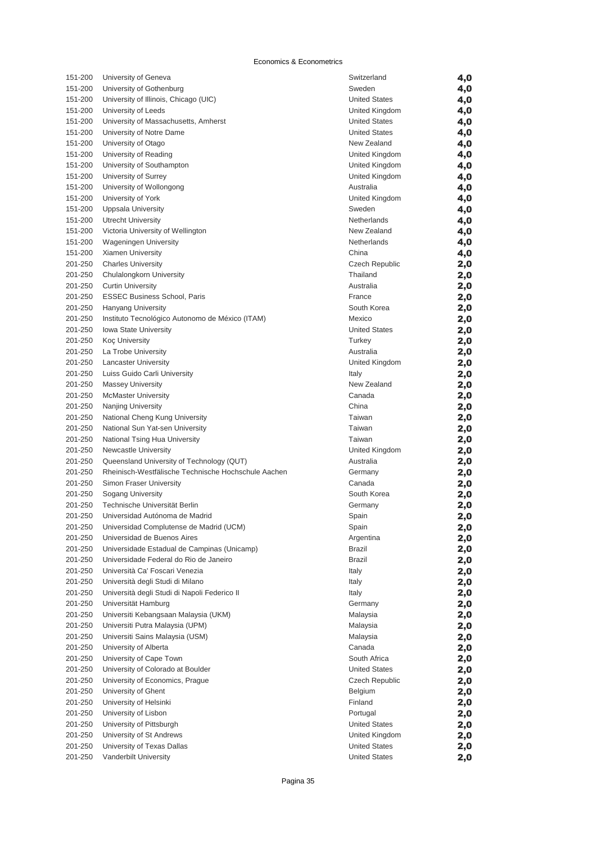| 151-200 | University of Geneva                                | Switzerland           | 4,0 |
|---------|-----------------------------------------------------|-----------------------|-----|
| 151-200 | University of Gothenburg                            | Sweden                | 4,0 |
| 151-200 | University of Illinois, Chicago (UIC)               | <b>United States</b>  | 4,0 |
| 151-200 | University of Leeds                                 | United Kingdom        | 4,0 |
| 151-200 | University of Massachusetts, Amherst                | <b>United States</b>  | 4,0 |
| 151-200 | University of Notre Dame                            | <b>United States</b>  | 4,0 |
| 151-200 | University of Otago                                 | New Zealand           | 4,0 |
| 151-200 | University of Reading                               | United Kingdom        | 4,0 |
| 151-200 | University of Southampton                           | United Kingdom        | 4,0 |
| 151-200 | University of Surrey                                | United Kingdom        | 4,0 |
| 151-200 | University of Wollongong                            | Australia             | 4,0 |
| 151-200 | University of York                                  | United Kingdom        | 4,0 |
| 151-200 | <b>Uppsala University</b>                           | Sweden                | 4,0 |
| 151-200 | <b>Utrecht University</b>                           | Netherlands           | 4,0 |
| 151-200 | Victoria University of Wellington                   | New Zealand           | 4,0 |
| 151-200 | <b>Wageningen University</b>                        | Netherlands           | 4,0 |
| 151-200 | Xiamen University                                   | China                 | 4,0 |
| 201-250 | <b>Charles University</b>                           | <b>Czech Republic</b> | 2,0 |
| 201-250 | Chulalongkorn University                            | Thailand              | 2,0 |
| 201-250 | <b>Curtin University</b>                            | Australia             | 2,0 |
| 201-250 | <b>ESSEC Business School, Paris</b>                 | France                | 2,0 |
| 201-250 | <b>Hanyang University</b>                           | South Korea           | 2,0 |
| 201-250 | Instituto Tecnológico Autonomo de México (ITAM)     | Mexico                | 2,0 |
| 201-250 | <b>Iowa State University</b>                        | <b>United States</b>  | 2,0 |
| 201-250 | <b>Koç University</b>                               | Turkey                | 2,0 |
| 201-250 | La Trobe University                                 | Australia             | 2,0 |
| 201-250 | <b>Lancaster University</b>                         | United Kingdom        | 2,0 |
| 201-250 | Luiss Guido Carli University                        | Italy                 | 2,0 |
| 201-250 | <b>Massey University</b>                            | New Zealand           | 2,0 |
| 201-250 | <b>McMaster University</b>                          | Canada                | 2,0 |
| 201-250 | Nanjing University                                  | China                 | 2,0 |
| 201-250 | National Cheng Kung University                      | Taiwan                | 2,0 |
| 201-250 | National Sun Yat-sen University                     | Taiwan                | 2,0 |
| 201-250 | National Tsing Hua University                       | Taiwan                | 2,0 |
| 201-250 | Newcastle University                                | United Kingdom        | 2,0 |
| 201-250 | Queensland University of Technology (QUT)           | Australia             | 2,0 |
| 201-250 | Rheinisch-Westfälische Technische Hochschule Aachen | Germany               | 2,0 |
| 201-250 | Simon Fraser University                             | Canada                | 2,0 |
| 201-250 | Sogang University                                   | South Korea           | 2,0 |
| 201-250 | Technische Universität Berlin                       | Germany               | 2,0 |
| 201-250 | Universidad Autónoma de Madrid                      | Spain                 | 2,0 |
| 201-250 | Universidad Complutense de Madrid (UCM)             | Spain                 | 2,0 |
| 201-250 | Universidad de Buenos Aires                         | Argentina             | 2,0 |
| 201-250 | Universidade Estadual de Campinas (Unicamp)         | Brazil                | 2,0 |
| 201-250 | Universidade Federal do Rio de Janeiro              | Brazil                | 2,0 |
| 201-250 | Università Ca' Foscari Venezia                      | Italy                 | 2,0 |
| 201-250 | Università degli Studi di Milano                    | Italy                 |     |
| 201-250 | Università degli Studi di Napoli Federico II        | Italy                 | 2,0 |
| 201-250 | Universität Hamburg                                 | Germany               | 2,0 |
| 201-250 | Universiti Kebangsaan Malaysia (UKM)                | Malaysia              | 2,0 |
| 201-250 |                                                     |                       | 2,0 |
| 201-250 | Universiti Putra Malaysia (UPM)                     | Malaysia              | 2,0 |
| 201-250 | Universiti Sains Malaysia (USM)                     | Malaysia              | 2,0 |
|         | University of Alberta                               | Canada                | 2,0 |
| 201-250 | University of Cape Town                             | South Africa          | 2,0 |
| 201-250 | University of Colorado at Boulder                   | <b>United States</b>  | 2,0 |
| 201-250 | University of Economics, Prague                     | Czech Republic        | 2,0 |
| 201-250 | University of Ghent                                 | Belgium               | 2,0 |
| 201-250 | University of Helsinki                              | Finland               | 2,0 |
| 201-250 | University of Lisbon                                | Portugal              | 2,0 |
| 201-250 | University of Pittsburgh                            | <b>United States</b>  | 2,0 |
| 201-250 | University of St Andrews                            | United Kingdom        | 2,0 |
| 201-250 | University of Texas Dallas                          | <b>United States</b>  | 2,0 |
| 201-250 | Vanderbilt University                               | <b>United States</b>  | 2,0 |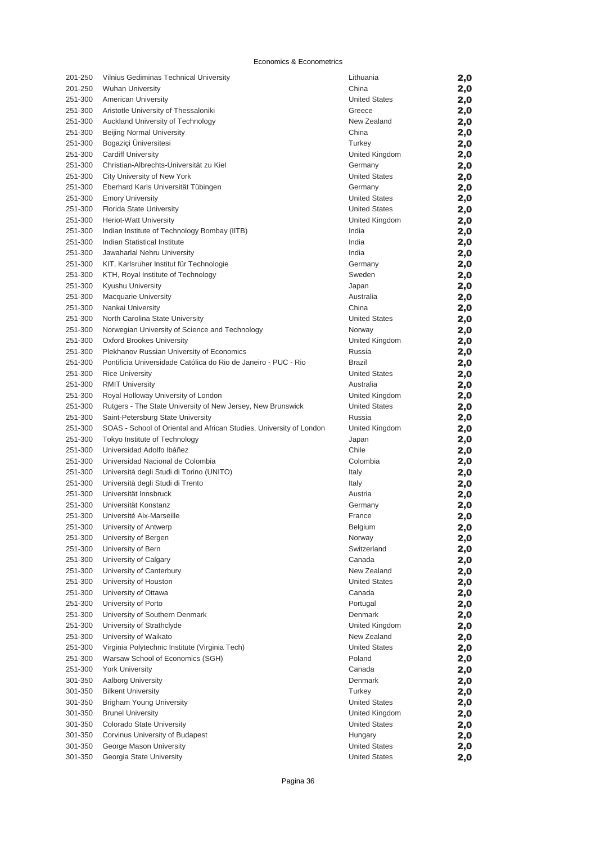| 201-250            | Vilnius Gediminas Technical University                              | Lithuania            | 2,0 |
|--------------------|---------------------------------------------------------------------|----------------------|-----|
| 201-250            | <b>Wuhan University</b>                                             | China                | 2,0 |
| 251-300            | <b>American University</b>                                          | <b>United States</b> | 2,0 |
| 251-300            | Aristotle University of Thessaloniki                                | Greece               | 2,0 |
| 251-300            | Auckland University of Technology                                   | New Zealand          | 2,0 |
| 251-300            | <b>Beijing Normal University</b>                                    | China                | 2,0 |
| 251-300            | Bogaziçi Üniversitesi                                               | Turkey               | 2,0 |
| 251-300            | <b>Cardiff University</b>                                           | United Kingdom       | 2,0 |
| 251-300            | Christian-Albrechts-Universität zu Kiel                             | Germany              | 2,0 |
| 251-300            | City University of New York                                         | <b>United States</b> | 2,0 |
| 251-300            | Eberhard Karls Universität Tübingen                                 | Germany              | 2,0 |
| 251-300            | <b>Emory University</b>                                             | <b>United States</b> | 2,0 |
| 251-300            | Florida State University                                            | <b>United States</b> | 2,0 |
| 251-300            | Heriot-Watt University                                              | United Kingdom       | 2,0 |
| 251-300            | Indian Institute of Technology Bombay (IITB)                        | India                | 2,0 |
| 251-300            | Indian Statistical Institute                                        | India                | 2,0 |
| 251-300            | Jawaharlal Nehru University                                         | India                | 2,0 |
| 251-300            | KIT, Karlsruher Institut für Technologie                            | Germany              | 2,0 |
| 251-300            | KTH, Royal Institute of Technology                                  | Sweden               | 2,0 |
| 251-300            | Kyushu University                                                   | Japan                | 2,0 |
| 251-300            | <b>Macquarie University</b>                                         | Australia            | 2,0 |
| 251-300            | Nankai University                                                   | China                | 2,0 |
| 251-300            | North Carolina State University                                     | <b>United States</b> | 2,0 |
| 251-300            | Norwegian University of Science and Technology                      | Norway               | 2,0 |
| 251-300            | <b>Oxford Brookes University</b>                                    | United Kingdom       | 2,0 |
| 251-300            | Plekhanov Russian University of Economics                           | Russia               | 2,0 |
| 251-300            | Pontificia Universidade Católica do Rio de Janeiro - PUC - Rio      | <b>Brazil</b>        | 2,0 |
| 251-300            | <b>Rice University</b>                                              | <b>United States</b> | 2,0 |
| 251-300            | <b>RMIT University</b>                                              | Australia            | 2,0 |
| 251-300            | Royal Holloway University of London                                 | United Kingdom       | 2,0 |
| 251-300            | Rutgers - The State University of New Jersey, New Brunswick         | <b>United States</b> | 2,0 |
| 251-300            | Saint-Petersburg State University                                   | Russia               | 2,0 |
| 251-300            | SOAS - School of Oriental and African Studies, University of London | United Kingdom       | 2,0 |
| 251-300            | Tokyo Institute of Technology                                       | Japan                | 2,0 |
| 251-300            | Universidad Adolfo Ibáñez                                           | Chile                | 2,0 |
| 251-300            | Universidad Nacional de Colombia                                    | Colombia             | 2,0 |
| 251-300            | Università degli Studi di Torino (UNITO)                            | Italy                | 2,0 |
| 251-300            | Università degli Studi di Trento                                    | Italy                | 2,0 |
| 251-300            | Universität Innsbruck                                               | Austria              | 2,0 |
| 251-300            | Universität Konstanz                                                | Germany              | 2,0 |
| 251-300            | Université Aix-Marseille                                            | France               | 2,0 |
| 251-300            | University of Antwerp                                               | Belgium              |     |
| 251-300            | University of Bergen                                                | Norway               | 2,0 |
|                    | University of Bern                                                  | Switzerland          | 2,0 |
| 251-300            | University of Calgary                                               |                      | 2,0 |
| 251-300<br>251-300 |                                                                     | Canada               | 2,0 |
|                    | University of Canterbury                                            | New Zealand          | 2,0 |
| 251-300            | University of Houston                                               | <b>United States</b> | 2,0 |
| 251-300            | University of Ottawa                                                | Canada               | 2,0 |
| 251-300            | University of Porto                                                 | Portugal             | 2,0 |
| 251-300            | University of Southern Denmark                                      | Denmark              | 2,0 |
| 251-300            | University of Strathclyde                                           | United Kingdom       | 2,0 |
| 251-300            | University of Waikato                                               | New Zealand          | 2,0 |
| 251-300            | Virginia Polytechnic Institute (Virginia Tech)                      | <b>United States</b> | 2,0 |
| 251-300            | Warsaw School of Economics (SGH)                                    | Poland               | 2,0 |
| 251-300            | <b>York University</b>                                              | Canada               | 2,0 |
| 301-350            | Aalborg University                                                  | Denmark              | 2,0 |
| 301-350            | <b>Bilkent University</b>                                           | Turkey               | 2,0 |
| 301-350            | Brigham Young University                                            | <b>United States</b> | 2,0 |
| 301-350            | <b>Brunel University</b>                                            | United Kingdom       | 2,0 |
| 301-350            | Colorado State University                                           | <b>United States</b> | 2,0 |
| 301-350            | Corvinus University of Budapest                                     | Hungary              | 2,0 |
| 301-350            | George Mason University                                             | <b>United States</b> | 2,0 |
| 301-350            | Georgia State University                                            | <b>United States</b> | 2,0 |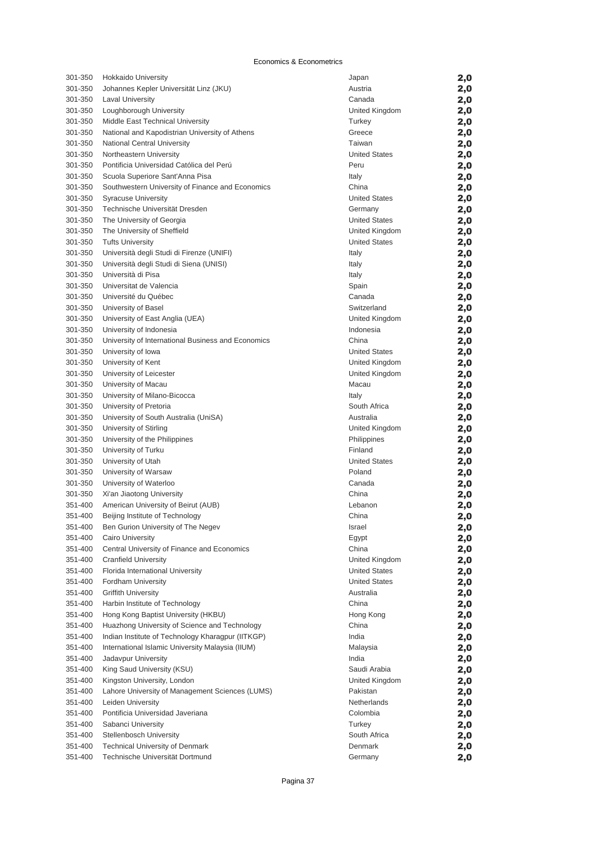| 301-350 | Hokkaido University                                | Japan                | 2,0        |
|---------|----------------------------------------------------|----------------------|------------|
| 301-350 | Johannes Kepler Universität Linz (JKU)             | Austria              | 2,0        |
| 301-350 | <b>Laval University</b>                            | Canada               | 2,0        |
| 301-350 | Loughborough University                            | United Kingdom       | 2,0        |
| 301-350 | Middle East Technical University                   | Turkey               | 2,0        |
| 301-350 | National and Kapodistrian University of Athens     | Greece               | 2,0        |
| 301-350 | National Central University                        | Taiwan               | 2,0        |
| 301-350 | Northeastern University                            | <b>United States</b> | 2,0        |
| 301-350 | Pontificia Universidad Católica del Perú           | Peru                 | 2,0        |
| 301-350 | Scuola Superiore Sant'Anna Pisa                    | Italy                | 2,0        |
| 301-350 | Southwestern University of Finance and Economics   | China                | 2,0        |
| 301-350 | <b>Syracuse University</b>                         | <b>United States</b> | 2,0        |
| 301-350 | Technische Universität Dresden                     | Germany              | 2,0        |
| 301-350 | The University of Georgia                          | <b>United States</b> | 2,0        |
| 301-350 | The University of Sheffield                        | United Kingdom       | 2,0        |
| 301-350 | <b>Tufts University</b>                            | <b>United States</b> | 2,0        |
| 301-350 | Università degli Studi di Firenze (UNIFI)          | Italy                | 2,0        |
| 301-350 | Università degli Studi di Siena (UNISI)            | Italy                | 2,0        |
| 301-350 | Università di Pisa                                 | Italy                | 2,0        |
| 301-350 | Universitat de Valencia                            | Spain                | 2,0        |
| 301-350 | Université du Québec                               | Canada               | 2,0        |
| 301-350 | University of Basel                                | Switzerland          | 2,0        |
| 301-350 | University of East Anglia (UEA)                    | United Kingdom       | 2,0        |
| 301-350 | University of Indonesia                            | Indonesia            | 2,0        |
| 301-350 | University of International Business and Economics | China                | 2,0        |
| 301-350 | University of Iowa                                 | <b>United States</b> | 2,0        |
| 301-350 | University of Kent                                 | United Kingdom       | 2,0        |
| 301-350 | University of Leicester                            | United Kingdom       | 2,0        |
| 301-350 | University of Macau                                | Macau                | 2,0        |
| 301-350 | University of Milano-Bicocca                       | Italy                | 2,0        |
| 301-350 | University of Pretoria                             | South Africa         | 2,0        |
| 301-350 | University of South Australia (UniSA)              | Australia            | 2,0        |
| 301-350 | University of Stirling                             | United Kingdom       |            |
| 301-350 | University of the Philippines                      | Philippines          | 2,0<br>2,0 |
| 301-350 |                                                    | Finland              |            |
| 301-350 | University of Turku<br>University of Utah          | <b>United States</b> | 2,0        |
| 301-350 |                                                    | Poland               | 2,0        |
| 301-350 | University of Warsaw                               | Canada               | 2,0        |
|         | University of Waterloo                             |                      | 2,0        |
| 301-350 | Xi'an Jiaotong University                          | China                | 2,0        |
| 351-400 | American University of Beirut (AUB)                | Lebanon              | 2,0        |
| 351-400 | Beijing Institute of Technology                    | China                | 2,0        |
| 351-400 | Ben Gurion University of The Negev                 | Israel               | 2,0        |
| 351-400 | <b>Cairo University</b>                            | Egypt                | 2,0        |
| 351-400 | Central University of Finance and Economics        | China                | 2,0        |
| 351-400 | <b>Cranfield University</b>                        | United Kingdom       | 2,0        |
| 351-400 | Florida International University                   | <b>United States</b> | 2,0        |
| 351-400 | Fordham University                                 | <b>United States</b> | 2,0        |
| 351-400 | <b>Griffith University</b>                         | Australia            | 2,0        |
| 351-400 | Harbin Institute of Technology                     | China                | 2,0        |
| 351-400 | Hong Kong Baptist University (HKBU)                | Hong Kong            | 2,0        |
| 351-400 | Huazhong University of Science and Technology      | China                | 2,0        |
| 351-400 | Indian Institute of Technology Kharagpur (IITKGP)  | India                | 2,0        |
| 351-400 | International Islamic University Malaysia (IIUM)   | Malaysia             | 2,0        |
| 351-400 | Jadavpur University                                | India                | 2,0        |
| 351-400 | King Saud University (KSU)                         | Saudi Arabia         | 2,0        |
| 351-400 | Kingston University, London                        | United Kingdom       | 2,0        |
| 351-400 | Lahore University of Management Sciences (LUMS)    | Pakistan             | 2,0        |
| 351-400 | Leiden University                                  | Netherlands          | 2,0        |
| 351-400 | Pontificia Universidad Javeriana                   | Colombia             | 2,0        |
| 351-400 | Sabanci University                                 | Turkey               | 2,0        |
| 351-400 | <b>Stellenbosch University</b>                     | South Africa         | 2,0        |
| 351-400 | <b>Technical University of Denmark</b>             | Denmark              | 2,0        |
| 351-400 | Technische Universität Dortmund                    | Germany              | 2,0        |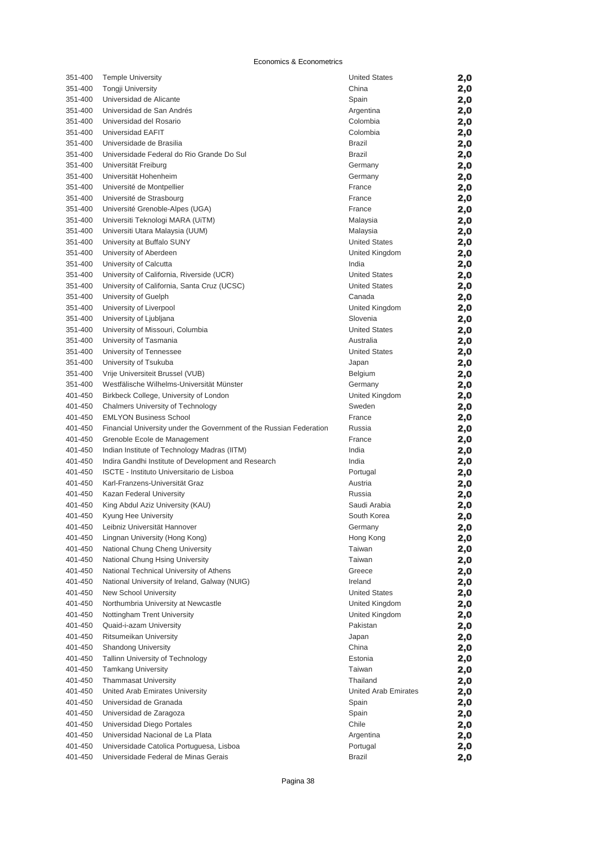| 351-400 | <b>Temple University</b>                                            | <b>United States</b>        | 2,0 |
|---------|---------------------------------------------------------------------|-----------------------------|-----|
| 351-400 | <b>Tongji University</b>                                            | China                       | 2,0 |
| 351-400 | Universidad de Alicante                                             | Spain                       | 2,0 |
| 351-400 | Universidad de San Andrés                                           | Argentina                   | 2,0 |
| 351-400 | Universidad del Rosario                                             | Colombia                    | 2,0 |
| 351-400 | Universidad EAFIT                                                   | Colombia                    | 2,0 |
| 351-400 | Universidade de Brasilia                                            | <b>Brazil</b>               | 2,0 |
| 351-400 | Universidade Federal do Rio Grande Do Sul                           | <b>Brazil</b>               | 2,0 |
| 351-400 | Universität Freiburg                                                | Germany                     | 2,0 |
| 351-400 | Universität Hohenheim                                               | Germany                     | 2,0 |
| 351-400 | Université de Montpellier                                           | France                      | 2,0 |
| 351-400 | Université de Strasbourg                                            | France                      | 2,0 |
| 351-400 | Université Grenoble-Alpes (UGA)                                     | France                      | 2,0 |
| 351-400 | Universiti Teknologi MARA (UiTM)                                    | Malaysia                    | 2,0 |
| 351-400 | Universiti Utara Malaysia (UUM)                                     | Malaysia                    | 2,0 |
| 351-400 | University at Buffalo SUNY                                          | <b>United States</b>        | 2,0 |
| 351-400 | University of Aberdeen                                              | United Kingdom              | 2,0 |
| 351-400 | University of Calcutta                                              | India                       | 2,0 |
| 351-400 | University of California, Riverside (UCR)                           | <b>United States</b>        | 2,0 |
| 351-400 | University of California, Santa Cruz (UCSC)                         | <b>United States</b>        | 2,0 |
| 351-400 | University of Guelph                                                | Canada                      | 2,0 |
| 351-400 | University of Liverpool                                             | United Kingdom              | 2,0 |
| 351-400 | University of Ljubljana                                             | Slovenia                    | 2,0 |
| 351-400 | University of Missouri, Columbia                                    | <b>United States</b>        | 2,0 |
| 351-400 | University of Tasmania                                              | Australia                   | 2,0 |
| 351-400 | University of Tennessee                                             | <b>United States</b>        | 2,0 |
| 351-400 | University of Tsukuba                                               | Japan                       | 2,0 |
| 351-400 | Vrije Universiteit Brussel (VUB)                                    | Belgium                     | 2,0 |
| 351-400 | Westfälische Wilhelms-Universität Münster                           | Germany                     | 2,0 |
| 401-450 | Birkbeck College, University of London                              | United Kingdom              | 2,0 |
| 401-450 | Chalmers University of Technology                                   | Sweden                      | 2,0 |
| 401-450 | <b>EMLYON Business School</b>                                       | France                      | 2,0 |
| 401-450 | Financial University under the Government of the Russian Federation | Russia                      | 2,0 |
| 401-450 | Grenoble Ecole de Management                                        | France                      |     |
| 401-450 | Indian Institute of Technology Madras (IITM)                        | India                       | 2,0 |
| 401-450 | Indira Gandhi Institute of Development and Research                 | India                       | 2,0 |
| 401-450 | ISCTE - Instituto Universitario de Lisboa                           | Portugal                    | 2,0 |
| 401-450 | Karl-Franzens-Universität Graz                                      | Austria                     | 2,0 |
|         |                                                                     | Russia                      | 2,0 |
| 401-450 | Kazan Federal University                                            |                             | 2,0 |
| 401-450 | King Abdul Aziz University (KAU)                                    | Saudi Arabia<br>South Korea | 2,0 |
| 401-450 | Kyung Hee University                                                |                             | 2,0 |
| 401-450 | Leibniz Universität Hannover                                        | Germany                     | 2,0 |
| 401-450 | Lingnan University (Hong Kong)                                      | Hong Kong                   | 2,0 |
| 401-450 | National Chung Cheng University                                     | Taiwan                      | 2,0 |
| 401-450 | National Chung Hsing University                                     | Taiwan                      | 2,0 |
| 401-450 | National Technical University of Athens                             | Greece                      | 2,0 |
| 401-450 | National University of Ireland, Galway (NUIG)                       | Ireland                     | 2,0 |
| 401-450 | <b>New School University</b>                                        | <b>United States</b>        | 2,0 |
| 401-450 | Northumbria University at Newcastle                                 | United Kingdom              | 2,0 |
| 401-450 | Nottingham Trent University                                         | United Kingdom              | 2,0 |
| 401-450 | Quaid-i-azam University                                             | Pakistan                    | 2,0 |
| 401-450 | Ritsumeikan University                                              | Japan                       | 2,0 |
| 401-450 | <b>Shandong University</b>                                          | China                       | 2,0 |
| 401-450 | Tallinn University of Technology                                    | Estonia                     | 2,0 |
| 401-450 | <b>Tamkang University</b>                                           | Taiwan                      | 2,0 |
| 401-450 | <b>Thammasat University</b>                                         | Thailand                    | 2,0 |
| 401-450 | United Arab Emirates University                                     | United Arab Emirates        | 2,0 |
| 401-450 | Universidad de Granada                                              | Spain                       | 2,0 |
| 401-450 | Universidad de Zaragoza                                             | Spain                       | 2,0 |
| 401-450 | Universidad Diego Portales                                          | Chile                       | 2,0 |
| 401-450 | Universidad Nacional de La Plata                                    | Argentina                   | 2,0 |
| 401-450 | Universidade Catolica Portuguesa, Lisboa                            | Portugal                    | 2,0 |
| 401-450 | Universidade Federal de Minas Gerais                                | <b>Brazil</b>               | 2,0 |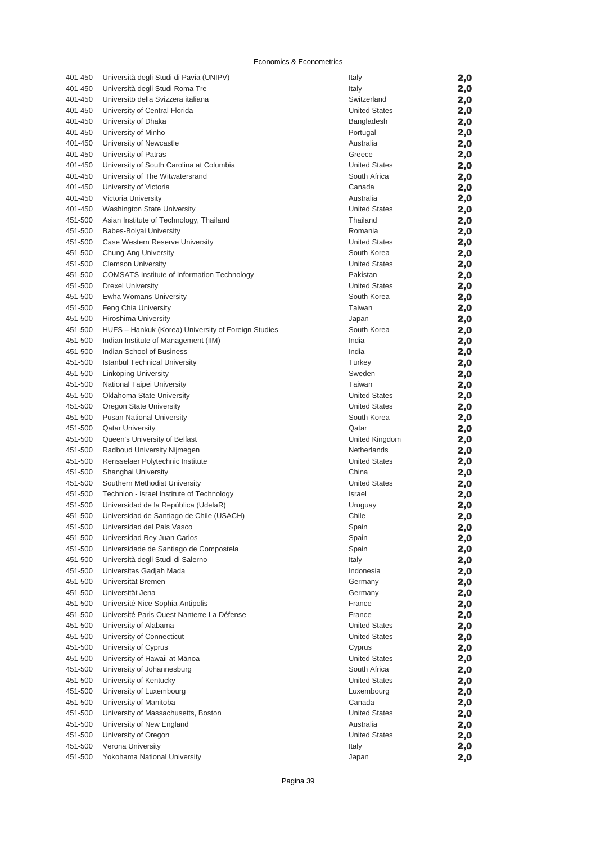| 401-450 | Università degli Studi di Pavia (UNIPV)             | Italy                                        | 2,0 |
|---------|-----------------------------------------------------|----------------------------------------------|-----|
| 401-450 | Università degli Studi Roma Tre                     | Italy                                        | 2,0 |
| 401-450 | Universitö della Svizzera italiana                  | Switzerland                                  | 2,0 |
| 401-450 | University of Central Florida                       | <b>United States</b>                         | 2,0 |
| 401-450 | University of Dhaka                                 | Bangladesh                                   | 2,0 |
| 401-450 | University of Minho                                 | Portugal                                     | 2,0 |
| 401-450 | University of Newcastle                             | Australia                                    | 2,0 |
| 401-450 | University of Patras                                | Greece                                       | 2,0 |
| 401-450 | University of South Carolina at Columbia            | <b>United States</b>                         | 2,0 |
| 401-450 | University of The Witwatersrand                     | South Africa                                 | 2,0 |
| 401-450 | University of Victoria                              | Canada                                       | 2,0 |
| 401-450 | Victoria University                                 | Australia                                    | 2,0 |
| 401-450 | Washington State University                         | <b>United States</b>                         | 2,0 |
| 451-500 | Asian Institute of Technology, Thailand             | Thailand                                     | 2,0 |
| 451-500 | Babes-Bolyai University                             | Romania                                      | 2,0 |
| 451-500 | Case Western Reserve University                     | <b>United States</b>                         | 2,0 |
| 451-500 | Chung-Ang University                                | South Korea                                  | 2,0 |
| 451-500 | <b>Clemson University</b>                           | <b>United States</b>                         | 2,0 |
| 451-500 | <b>COMSATS Institute of Information Technology</b>  | Pakistan                                     | 2,0 |
| 451-500 | <b>Drexel University</b>                            | <b>United States</b>                         | 2,0 |
| 451-500 | Ewha Womans University                              | South Korea                                  | 2,0 |
| 451-500 | Feng Chia University                                | Taiwan                                       | 2,0 |
| 451-500 | Hiroshima University                                | Japan                                        | 2,0 |
| 451-500 | HUFS - Hankuk (Korea) University of Foreign Studies | South Korea                                  | 2,0 |
| 451-500 | Indian Institute of Management (IIM)                | India                                        | 2,0 |
| 451-500 | Indian School of Business                           | India                                        | 2,0 |
| 451-500 | <b>Istanbul Technical University</b>                | Turkey                                       | 2,0 |
| 451-500 | Linköping University                                | Sweden                                       | 2,0 |
| 451-500 | National Taipei University                          | Taiwan                                       | 2,0 |
| 451-500 | Oklahoma State University                           | <b>United States</b>                         | 2,0 |
| 451-500 | Oregon State University                             | <b>United States</b>                         | 2,0 |
| 451-500 | <b>Pusan National University</b>                    | South Korea                                  | 2,0 |
| 451-500 | <b>Qatar University</b>                             | Qatar                                        | 2,0 |
| 451-500 | Queen's University of Belfast                       | United Kingdom                               | 2,0 |
| 451-500 | Radboud University Nijmegen                         | Netherlands                                  | 2,0 |
| 451-500 | Rensselaer Polytechnic Institute                    | <b>United States</b>                         | 2,0 |
| 451-500 | Shanghai University                                 | China                                        | 2,0 |
| 451-500 | Southern Methodist University                       | <b>United States</b>                         | 2,0 |
| 451-500 | Technion - Israel Institute of Technology           | Israel                                       | 2,0 |
| 451-500 | Universidad de la República (UdelaR)                | Uruguay                                      | 2,0 |
| 451-500 | Universidad de Santiago de Chile (USACH)            | Chile                                        | 2,0 |
| 451-500 | Universidad del Pais Vasco                          | Spain                                        | 2,0 |
| 451-500 | Universidad Rey Juan Carlos                         | Spain                                        | 2,0 |
| 451-500 | Universidade de Santiago de Compostela              | Spain                                        | 2,0 |
| 451-500 | Università degli Studi di Salerno                   | Italy                                        |     |
| 451-500 | Universitas Gadjah Mada                             | Indonesia                                    | 2,0 |
| 451-500 | Universität Bremen                                  | Germany                                      | 2,0 |
| 451-500 | Universität Jena                                    | Germany                                      | 2,0 |
|         | Université Nice Sophia-Antipolis                    |                                              | 2,0 |
| 451-500 |                                                     | France                                       | 2,0 |
| 451-500 | Université Paris Ouest Nanterre La Défense          | France                                       | 2,0 |
| 451-500 | University of Alabama                               | <b>United States</b><br><b>United States</b> | 2,0 |
| 451-500 | University of Connecticut                           |                                              | 2,0 |
| 451-500 | University of Cyprus                                | Cyprus                                       | 2,0 |
| 451-500 | University of Hawaii at Mānoa                       | <b>United States</b>                         | 2,0 |
| 451-500 | University of Johannesburg                          | South Africa                                 | 2,0 |
| 451-500 | University of Kentucky                              | <b>United States</b>                         | 2,0 |
| 451-500 | University of Luxembourg                            | Luxembourg                                   | 2,0 |
| 451-500 | University of Manitoba                              | Canada                                       | 2,0 |
| 451-500 | University of Massachusetts, Boston                 | <b>United States</b>                         | 2,0 |
| 451-500 | University of New England                           | Australia                                    | 2,0 |
| 451-500 | University of Oregon                                | <b>United States</b>                         | 2,0 |
| 451-500 | Verona University                                   | Italy                                        | 2,0 |
| 451-500 | Yokohama National University                        | Japan                                        | 2,0 |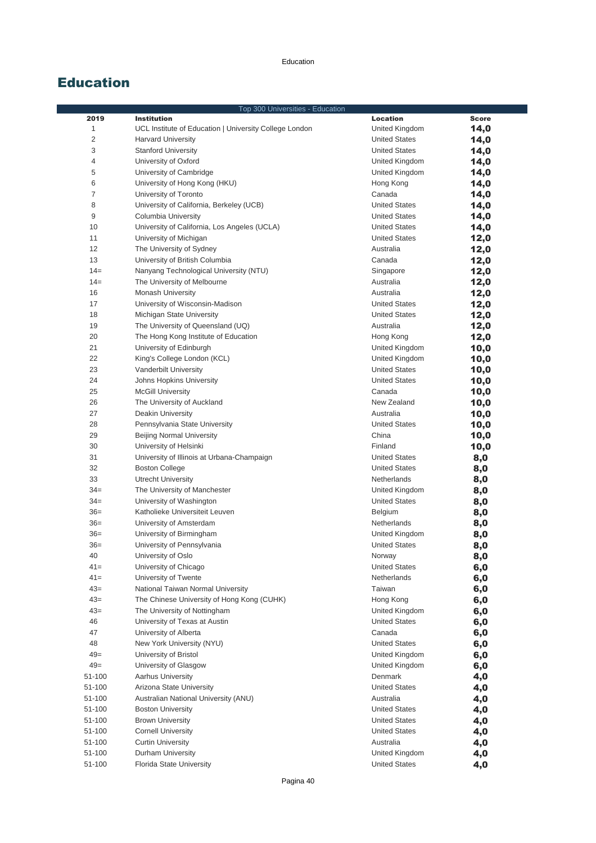|                | Top 300 Universities - Education                         |                      |              |
|----------------|----------------------------------------------------------|----------------------|--------------|
| 2019           | <b>Institution</b>                                       | <b>Location</b>      | <b>Score</b> |
| 1              | UCL Institute of Education   University College London   | United Kingdom       | 14,0         |
| $\overline{c}$ | <b>Harvard University</b>                                | <b>United States</b> | 14,0         |
| 3              | <b>Stanford University</b>                               | <b>United States</b> | 14,0         |
| 4              | University of Oxford                                     | United Kingdom       | 14,0         |
| 5              | University of Cambridge                                  | United Kingdom       | 14,0         |
| 6              | University of Hong Kong (HKU)                            | Hong Kong            | 14,0         |
| $\overline{7}$ | University of Toronto                                    | Canada               | 14,0         |
| 8              | University of California, Berkeley (UCB)                 | <b>United States</b> | 14,0         |
| 9              | Columbia University                                      | <b>United States</b> | 14,0         |
| 10             | University of California, Los Angeles (UCLA)             | <b>United States</b> | 14,0         |
| 11             | University of Michigan                                   | <b>United States</b> | 12,0         |
| 12             | The University of Sydney                                 | Australia            | 12,0         |
| 13             | University of British Columbia                           | Canada               | 12,0         |
| $14 =$         | Nanyang Technological University (NTU)                   | Singapore            | 12,0         |
| $14=$          | The University of Melbourne                              | Australia            | 12,0         |
| 16             | <b>Monash University</b>                                 | Australia            | 12,0         |
| 17             | University of Wisconsin-Madison                          | <b>United States</b> | 12,0         |
| 18             | Michigan State University                                | <b>United States</b> | 12,0         |
| 19             | The University of Queensland (UQ)                        | Australia            | 12,0         |
| 20             | The Hong Kong Institute of Education                     | Hong Kong            | 12,0         |
| 21             | University of Edinburgh                                  | United Kingdom       | 10,0         |
| 22             | King's College London (KCL)                              | United Kingdom       | 10,0         |
| 23             | Vanderbilt University                                    | <b>United States</b> | 10,0         |
| 24             | Johns Hopkins University                                 | <b>United States</b> | 10,0         |
| 25             | <b>McGill University</b>                                 | Canada               | 10,0         |
| 26             | The University of Auckland                               | New Zealand          | 10,0         |
| 27             | <b>Deakin University</b>                                 | Australia            | 10,0         |
| 28             | Pennsylvania State University                            | <b>United States</b> | 10,0         |
| 29             | <b>Beijing Normal University</b>                         | China                | 10,0         |
| 30             | University of Helsinki                                   | Finland              | 10,0         |
| 31             | University of Illinois at Urbana-Champaign               | <b>United States</b> | 8,0          |
| 32             | <b>Boston College</b>                                    | <b>United States</b> |              |
| 33             | <b>Utrecht University</b>                                | Netherlands          | 8,0          |
| $34 =$         |                                                          | United Kingdom       | 8,0          |
| $34 =$         | The University of Manchester<br>University of Washington | <b>United States</b> | 8,0          |
| $36=$          | Katholieke Universiteit Leuven                           |                      | 8,0          |
|                |                                                          | <b>Belgium</b>       | 8,0          |
| $36=$          | University of Amsterdam                                  | Netherlands          | 8,0          |
| $36=$          | University of Birmingham                                 | United Kingdom       | 8,0          |
| $36=$          | University of Pennsylvania                               | <b>United States</b> | 8,0          |
| 40             | University of Oslo                                       | Norway               | 8,0          |
| $41 =$         | University of Chicago                                    | <b>United States</b> | 6,0          |
| $41 =$         | University of Twente                                     | Netherlands          | 6,0          |
| $43=$          | National Taiwan Normal University                        | Taiwan               | 6,0          |
| $43=$          | The Chinese University of Hong Kong (CUHK)               | Hong Kong            | 6,0          |
| $43=$          | The University of Nottingham                             | United Kingdom       | 6,0          |
| 46             | University of Texas at Austin                            | <b>United States</b> | 6,0          |
| 47             | University of Alberta                                    | Canada               | 6,0          |
| 48             | New York University (NYU)                                | <b>United States</b> | 6,0          |
| $49=$          | University of Bristol                                    | United Kingdom       | 6,0          |
| $49=$          | University of Glasgow                                    | United Kingdom       | 6,0          |
| 51-100         | <b>Aarhus University</b>                                 | Denmark              | 4,0          |
| 51-100         | Arizona State University                                 | <b>United States</b> | 4,0          |
| 51-100         | Australian National University (ANU)                     | Australia            | 4,0          |
| 51-100         | <b>Boston University</b>                                 | <b>United States</b> | 4,0          |
| 51-100         | <b>Brown University</b>                                  | <b>United States</b> | 4,0          |
| 51-100         | <b>Cornell University</b>                                | <b>United States</b> | 4,0          |
| 51-100         | <b>Curtin University</b>                                 | Australia            | 4,0          |
| 51-100         | Durham University                                        | United Kingdom       | 4,0          |
| 51-100         | Florida State University                                 | <b>United States</b> | 4,0          |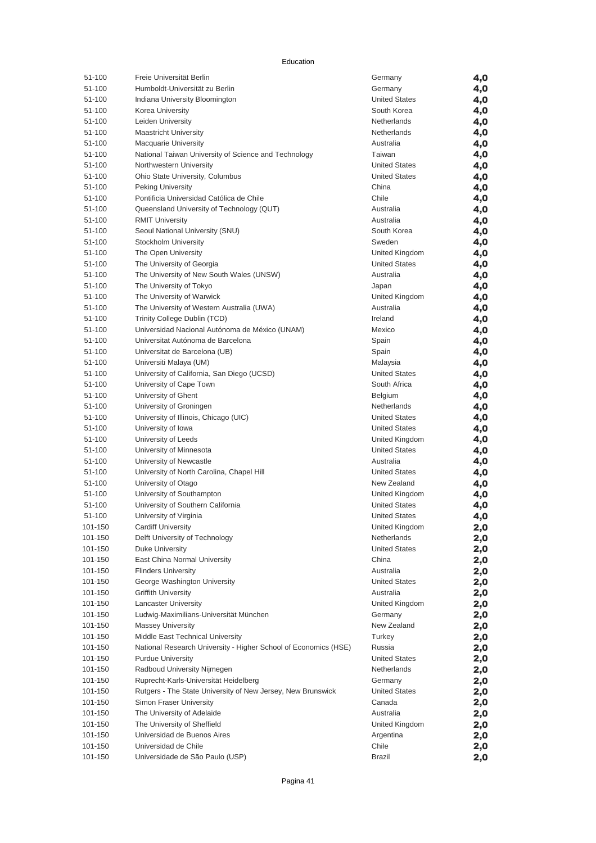| 51-100             | Freie Universität Berlin                                        | Germany                             | 4,0        |
|--------------------|-----------------------------------------------------------------|-------------------------------------|------------|
| 51-100             | Humboldt-Universität zu Berlin                                  | Germany                             | 4,0        |
| 51-100             | Indiana University Bloomington                                  | <b>United States</b>                | 4,0        |
| 51-100             | Korea University                                                | South Korea                         | 4,0        |
| 51-100             | Leiden University                                               | Netherlands                         | 4,0        |
| 51-100             | <b>Maastricht University</b>                                    | Netherlands                         | 4,0        |
| 51-100             | <b>Macquarie University</b>                                     | Australia                           | 4,0        |
| 51-100             | National Taiwan University of Science and Technology            | Taiwan                              | 4,0        |
| 51-100             | Northwestern University                                         | <b>United States</b>                | 4,0        |
| 51-100             | Ohio State University, Columbus                                 | <b>United States</b>                | 4,0        |
| 51-100             | <b>Peking University</b>                                        | China                               | 4,0        |
| 51-100             | Pontificia Universidad Católica de Chile                        | Chile                               | 4,0        |
| 51-100             | Queensland University of Technology (QUT)                       | Australia                           | 4,0        |
| 51-100             | <b>RMIT University</b>                                          | Australia                           | 4,0        |
| 51-100             | Seoul National University (SNU)                                 | South Korea                         | 4,0        |
| 51-100             | Stockholm University                                            | Sweden                              | 4,0        |
| 51-100             | The Open University                                             | United Kingdom                      | 4,0        |
| 51-100             | The University of Georgia                                       | <b>United States</b>                | 4,0        |
| 51-100             | The University of New South Wales (UNSW)                        | Australia                           | 4,0        |
| 51-100<br>51-100   | The University of Tokyo<br>The University of Warwick            | Japan                               | 4,0        |
| 51-100             | The University of Western Australia (UWA)                       | United Kingdom<br>Australia         | 4,0        |
| 51-100             | Trinity College Dublin (TCD)                                    | Ireland                             | 4,0<br>4,0 |
| 51-100             | Universidad Nacional Autónoma de México (UNAM)                  | Mexico                              | 4,0        |
| 51-100             | Universitat Autónoma de Barcelona                               | Spain                               | 4,0        |
| 51-100             | Universitat de Barcelona (UB)                                   | Spain                               | 4,0        |
| 51-100             | Universiti Malaya (UM)                                          | Malaysia                            | 4,0        |
| 51-100             | University of California, San Diego (UCSD)                      | <b>United States</b>                | 4,0        |
| 51-100             | University of Cape Town                                         | South Africa                        | 4,0        |
| 51-100             | University of Ghent                                             | <b>Belgium</b>                      | 4,0        |
| 51-100             | University of Groningen                                         | Netherlands                         | 4,0        |
| 51-100             | University of Illinois, Chicago (UIC)                           | <b>United States</b>                | 4,0        |
| 51-100             | University of Iowa                                              | <b>United States</b>                | 4,0        |
| 51-100             | University of Leeds                                             | United Kingdom                      | 4,0        |
| 51-100             | University of Minnesota                                         | <b>United States</b>                | 4,0        |
| 51-100             | University of Newcastle                                         | Australia                           | 4,0        |
| 51-100             | University of North Carolina, Chapel Hill                       | <b>United States</b>                | 4,0        |
| 51-100             | University of Otago                                             | New Zealand                         | 4,0        |
| 51-100             | University of Southampton                                       | United Kingdom                      | 4,0        |
| 51-100             | University of Southern California                               | <b>United States</b>                | 4,0        |
| 51-100             | University of Virginia                                          | <b>United States</b>                | 4,0        |
| 101-150            | <b>Cardiff University</b>                                       | United Kingdom                      | 2,0        |
| 101-150            | Delft University of Technology                                  | Netherlands                         | 2,0        |
| 101-150            | <b>Duke University</b>                                          | <b>United States</b>                | 2,0        |
| 101-150            | East China Normal University                                    | China                               | 2,0        |
| 101-150            | <b>Flinders University</b>                                      | Australia                           | 2,0        |
| 101-150            | George Washington University                                    | <b>United States</b>                | 2,0        |
| 101-150            | <b>Griffith University</b>                                      | Australia                           | 2,0        |
| 101-150            | <b>Lancaster University</b>                                     | United Kingdom                      | 2,0        |
| 101-150            | Ludwig-Maximilians-Universität München                          | Germany                             | 2,0        |
| 101-150            | <b>Massey University</b>                                        | New Zealand                         | 2,0        |
| 101-150            | Middle East Technical University                                | Turkey                              | 2,0        |
| 101-150            | National Research University - Higher School of Economics (HSE) | Russia                              | 2,0        |
| 101-150            | <b>Purdue University</b><br>Radboud University Nijmegen         | <b>United States</b><br>Netherlands | 2,0        |
| 101-150<br>101-150 | Ruprecht-Karls-Universität Heidelberg                           | Germany                             | 2,0        |
| 101-150            | Rutgers - The State University of New Jersey, New Brunswick     | <b>United States</b>                | 2,0        |
| 101-150            | <b>Simon Fraser University</b>                                  | Canada                              | 2,0        |
| 101-150            | The University of Adelaide                                      | Australia                           | 2,0<br>2,0 |
| 101-150            | The University of Sheffield                                     | United Kingdom                      | 2,0        |
| 101-150            | Universidad de Buenos Aires                                     | Argentina                           | 2,0        |
| 101-150            | Universidad de Chile                                            | Chile                               | 2,0        |
| 101-150            | Universidade de São Paulo (USP)                                 | Brazil                              | 2,0        |
|                    |                                                                 |                                     |            |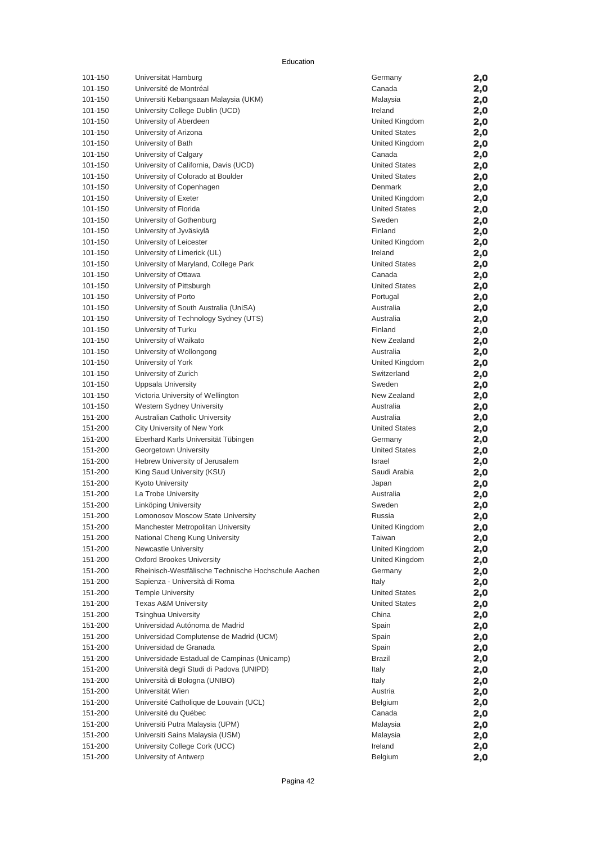| 101-150 | Universität Hamburg                                 | Germany              | 2,0 |
|---------|-----------------------------------------------------|----------------------|-----|
| 101-150 | Université de Montréal                              | Canada               | 2,0 |
| 101-150 | Universiti Kebangsaan Malaysia (UKM)                | Malaysia             | 2,0 |
| 101-150 | University College Dublin (UCD)                     | Ireland              | 2,0 |
| 101-150 | University of Aberdeen                              | United Kingdom       | 2,0 |
| 101-150 | University of Arizona                               | <b>United States</b> | 2,0 |
| 101-150 | University of Bath                                  | United Kingdom       | 2,0 |
| 101-150 | University of Calgary                               | Canada               | 2,0 |
| 101-150 | University of California, Davis (UCD)               | <b>United States</b> | 2,0 |
| 101-150 | University of Colorado at Boulder                   | <b>United States</b> | 2,0 |
| 101-150 | University of Copenhagen                            | Denmark              | 2,0 |
| 101-150 | University of Exeter                                | United Kingdom       | 2,0 |
| 101-150 | University of Florida                               | <b>United States</b> | 2,0 |
| 101-150 | University of Gothenburg                            | Sweden               | 2,0 |
| 101-150 | University of Jyväskylä                             | Finland              | 2,0 |
| 101-150 | University of Leicester                             | United Kingdom       | 2,0 |
| 101-150 | University of Limerick (UL)                         | Ireland              | 2,0 |
| 101-150 | University of Maryland, College Park                | <b>United States</b> | 2,0 |
| 101-150 | University of Ottawa                                | Canada               | 2,0 |
| 101-150 | University of Pittsburgh                            | <b>United States</b> | 2,0 |
| 101-150 | University of Porto                                 | Portugal             | 2,0 |
| 101-150 | University of South Australia (UniSA)               | Australia            | 2,0 |
| 101-150 | University of Technology Sydney (UTS)               | Australia            | 2,0 |
| 101-150 | University of Turku                                 | Finland              | 2,0 |
| 101-150 | University of Waikato                               | New Zealand          | 2,0 |
| 101-150 | University of Wollongong                            | Australia            | 2,0 |
| 101-150 | University of York                                  | United Kingdom       | 2,0 |
| 101-150 | University of Zurich                                | Switzerland          | 2,0 |
| 101-150 | Uppsala University                                  | Sweden               | 2,0 |
| 101-150 | Victoria University of Wellington                   | New Zealand          | 2,0 |
| 101-150 | <b>Western Sydney University</b>                    | Australia            | 2,0 |
| 151-200 | Australian Catholic University                      | Australia            | 2,0 |
| 151-200 | City University of New York                         | <b>United States</b> | 2,0 |
| 151-200 | Eberhard Karls Universität Tübingen                 | Germany              | 2,0 |
| 151-200 | Georgetown University                               | <b>United States</b> | 2,0 |
| 151-200 | Hebrew University of Jerusalem                      | Israel               | 2,0 |
| 151-200 | King Saud University (KSU)                          | Saudi Arabia         | 2,0 |
| 151-200 | Kyoto University                                    | Japan                | 2,0 |
| 151-200 | La Trobe University                                 | Australia            | 2,0 |
| 151-200 | Linköping University                                | Sweden               | 2,0 |
| 151-200 | Lomonosov Moscow State University                   | Russia               | 2,0 |
| 151-200 | Manchester Metropolitan University                  | United Kingdom       | 2,0 |
| 151-200 | National Cheng Kung University                      | Taiwan               | 2,0 |
| 151-200 | <b>Newcastle University</b>                         | United Kingdom       | 2,0 |
| 151-200 | <b>Oxford Brookes University</b>                    | United Kingdom       | 2,0 |
| 151-200 | Rheinisch-Westfälische Technische Hochschule Aachen | Germany              | 2,0 |
| 151-200 | Sapienza - Università di Roma                       | Italy                | 2,0 |
| 151-200 | <b>Temple University</b>                            | <b>United States</b> | 2,0 |
| 151-200 | <b>Texas A&amp;M University</b>                     | <b>United States</b> | 2,0 |
| 151-200 | <b>Tsinghua University</b>                          | China                | 2,0 |
| 151-200 | Universidad Autónoma de Madrid                      | Spain                | 2,0 |
| 151-200 | Universidad Complutense de Madrid (UCM)             | Spain                | 2,0 |
| 151-200 | Universidad de Granada                              | Spain                | 2,0 |
| 151-200 | Universidade Estadual de Campinas (Unicamp)         | Brazil               | 2,0 |
| 151-200 | Università degli Studi di Padova (UNIPD)            | Italy                | 2,0 |
| 151-200 | Università di Bologna (UNIBO)                       | Italy                | 2,0 |
| 151-200 | Universität Wien                                    | Austria              | 2,0 |
| 151-200 | Université Catholique de Louvain (UCL)              | Belgium              | 2,0 |
| 151-200 | Université du Québec                                | Canada               | 2,0 |
| 151-200 | Universiti Putra Malaysia (UPM)                     | Malaysia             | 2,0 |
| 151-200 | Universiti Sains Malaysia (USM)                     | Malaysia             | 2,0 |
| 151-200 | University College Cork (UCC)                       | Ireland              | 2,0 |
| 151-200 | University of Antwerp                               | Belgium              | 2,0 |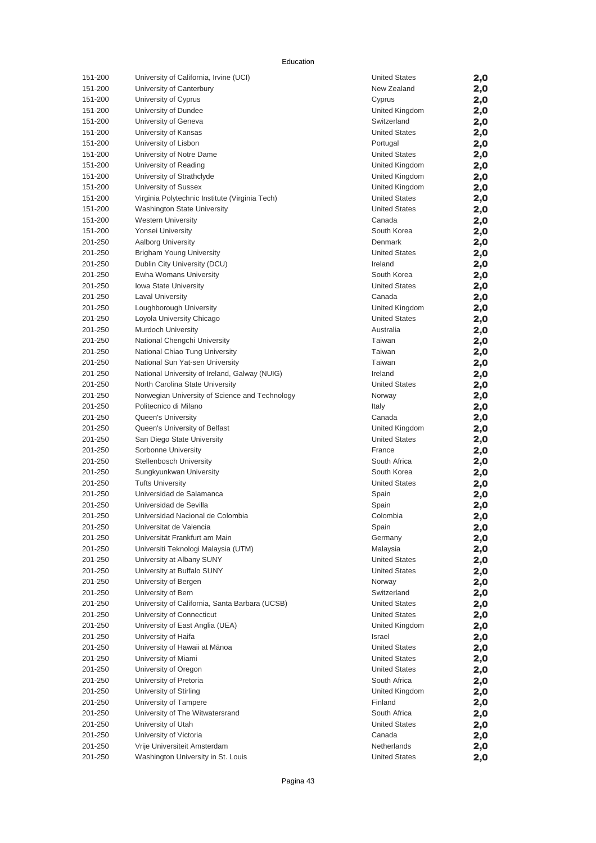| 151-200            | University of California, Irvine (UCI)                                      | <b>United States</b>                         | 2,0        |
|--------------------|-----------------------------------------------------------------------------|----------------------------------------------|------------|
| 151-200            | University of Canterbury                                                    | New Zealand                                  | 2,0        |
| 151-200            | University of Cyprus                                                        | Cyprus                                       | 2,0        |
| 151-200            | University of Dundee                                                        | United Kingdom                               | 2,0        |
| 151-200            | University of Geneva                                                        | Switzerland                                  | 2,0        |
| 151-200            | University of Kansas                                                        | <b>United States</b>                         | 2,0        |
| 151-200            | University of Lisbon                                                        | Portugal                                     | 2,0        |
| 151-200            | University of Notre Dame                                                    | <b>United States</b>                         | 2,0        |
| 151-200            | University of Reading                                                       | United Kingdom                               | 2,0        |
| 151-200            | University of Strathclyde                                                   | United Kingdom                               | 2,0        |
| 151-200            | University of Sussex                                                        | United Kingdom                               | 2,0        |
| 151-200            | Virginia Polytechnic Institute (Virginia Tech)                              | <b>United States</b>                         | 2,0        |
| 151-200            | Washington State University                                                 | <b>United States</b>                         | 2,0        |
| 151-200            | <b>Western University</b>                                                   | Canada                                       | 2,0        |
| 151-200            | Yonsei University                                                           | South Korea                                  | 2,0        |
| 201-250            | <b>Aalborg University</b>                                                   | Denmark                                      | 2,0        |
| 201-250            | <b>Brigham Young University</b>                                             | <b>United States</b>                         | 2,0        |
| 201-250            | Dublin City University (DCU)                                                | Ireland                                      | 2,0        |
| 201-250            | Ewha Womans University                                                      | South Korea                                  | 2,0        |
| 201-250            | <b>Iowa State University</b>                                                | <b>United States</b>                         | 2,0        |
| 201-250            | <b>Laval University</b>                                                     | Canada                                       | 2,0        |
| 201-250            | Loughborough University                                                     | United Kingdom                               | 2,0        |
| 201-250            | Loyola University Chicago                                                   | <b>United States</b>                         | 2,0        |
| 201-250            | Murdoch University                                                          | Australia                                    | 2,0        |
| 201-250            | National Chengchi University                                                | Taiwan                                       | 2,0        |
| 201-250            | National Chiao Tung University                                              | Taiwan                                       | 2,0        |
| 201-250            | National Sun Yat-sen University                                             | Taiwan                                       | 2,0        |
| 201-250            | National University of Ireland, Galway (NUIG)                               | Ireland                                      | 2,0        |
| 201-250            | North Carolina State University                                             | <b>United States</b>                         | 2,0        |
| 201-250            | Norwegian University of Science and Technology                              | Norway                                       | 2,0        |
| 201-250            | Politecnico di Milano                                                       | Italy                                        | 2,0        |
| 201-250            | Queen's University                                                          | Canada                                       | 2,0        |
| 201-250            | Queen's University of Belfast                                               | United Kingdom                               | 2,0        |
| 201-250            | San Diego State University                                                  | <b>United States</b>                         | 2,0        |
| 201-250            | Sorbonne University                                                         | France                                       | 2,0        |
| 201-250            | Stellenbosch University                                                     | South Africa                                 | 2,0        |
| 201-250            | Sungkyunkwan University                                                     | South Korea                                  | 2,0        |
| 201-250            | <b>Tufts University</b>                                                     | <b>United States</b>                         | 2,0        |
| 201-250            | Universidad de Salamanca                                                    | Spain                                        | 2,0        |
| 201-250            | Universidad de Sevilla                                                      | Spain                                        | 2,0        |
| 201-250            | Universidad Nacional de Colombia                                            | Colombia                                     | 2,0        |
| 201-250            | Universitat de Valencia<br>Universität Frankfurt am Main                    | Spain                                        | 2,0        |
| 201-250            |                                                                             | Germany                                      | 2,0        |
| 201-250            | Universiti Teknologi Malaysia (UTM)                                         | Malaysia                                     | 2,0        |
| 201-250<br>201-250 | University at Albany SUNY<br>University at Buffalo SUNY                     | <b>United States</b><br><b>United States</b> | 2,0        |
| 201-250            |                                                                             |                                              | 2,0        |
| 201-250            | University of Bergen<br>University of Bern                                  | Norway<br>Switzerland                        | 2,0        |
| 201-250            |                                                                             | <b>United States</b>                         | 2,0        |
| 201-250            | University of California, Santa Barbara (UCSB)<br>University of Connecticut | <b>United States</b>                         | 2,0        |
| 201-250            | University of East Anglia (UEA)                                             | United Kingdom                               | 2,0        |
| 201-250            | University of Haifa                                                         | Israel                                       | 2,0        |
| 201-250            | University of Hawaii at Mānoa                                               | <b>United States</b>                         | 2,0        |
| 201-250            | University of Miami                                                         | <b>United States</b>                         | 2,0        |
| 201-250            | University of Oregon                                                        | <b>United States</b>                         | 2,0<br>2,0 |
| 201-250            | University of Pretoria                                                      | South Africa                                 | 2,0        |
| 201-250            | University of Stirling                                                      | United Kingdom                               |            |
| 201-250            | University of Tampere                                                       | Finland                                      | 2,0<br>2,0 |
| 201-250            | University of The Witwatersrand                                             | South Africa                                 | 2,0        |
| 201-250            | University of Utah                                                          | <b>United States</b>                         | 2,0        |
| 201-250            | University of Victoria                                                      | Canada                                       | 2,0        |
| 201-250            | Vrije Universiteit Amsterdam                                                | Netherlands                                  | 2,0        |
| 201-250            | Washington University in St. Louis                                          | <b>United States</b>                         | 2,0        |
|                    |                                                                             |                                              |            |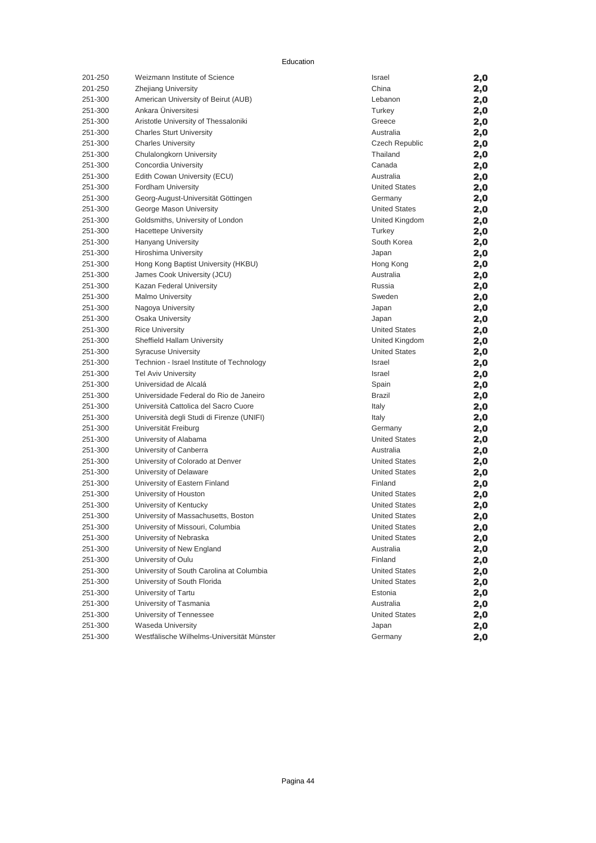| 201-250 | Weizmann Institute of Science             | Israel               | 2,0 |
|---------|-------------------------------------------|----------------------|-----|
| 201-250 | <b>Zhejiang University</b>                | China                | 2,0 |
| 251-300 | American University of Beirut (AUB)       | Lebanon              | 2,0 |
| 251-300 | Ankara Üniversitesi                       | Turkey               | 2,0 |
| 251-300 | Aristotle University of Thessaloniki      | Greece               | 2,0 |
| 251-300 | <b>Charles Sturt University</b>           | Australia            | 2,0 |
| 251-300 | <b>Charles University</b>                 | Czech Republic       | 2,0 |
| 251-300 | Chulalongkorn University                  | Thailand             | 2,0 |
| 251-300 | Concordia University                      | Canada               | 2,0 |
| 251-300 | Edith Cowan University (ECU)              | Australia            | 2,0 |
| 251-300 | Fordham University                        | <b>United States</b> | 2,0 |
| 251-300 | Georg-August-Universität Göttingen        | Germany              | 2,0 |
| 251-300 | George Mason University                   | <b>United States</b> | 2,0 |
| 251-300 | Goldsmiths, University of London          | United Kingdom       | 2,0 |
| 251-300 | <b>Hacettepe University</b>               | Turkey               | 2,0 |
| 251-300 | Hanyang University                        | South Korea          | 2,0 |
| 251-300 | Hiroshima University                      | Japan                | 2,0 |
| 251-300 | Hong Kong Baptist University (HKBU)       | Hong Kong            | 2,0 |
| 251-300 | James Cook University (JCU)               | Australia            | 2,0 |
| 251-300 | Kazan Federal University                  | Russia               | 2,0 |
| 251-300 | <b>Malmo University</b>                   | Sweden               | 2,0 |
| 251-300 | Nagoya University                         | Japan                | 2,0 |
| 251-300 | Osaka University                          | Japan                | 2,0 |
| 251-300 | <b>Rice University</b>                    | <b>United States</b> | 2,0 |
| 251-300 | Sheffield Hallam University               | United Kingdom       | 2,0 |
| 251-300 | <b>Syracuse University</b>                | <b>United States</b> | 2,0 |
| 251-300 | Technion - Israel Institute of Technology | Israel               | 2,0 |
| 251-300 | <b>Tel Aviv University</b>                | Israel               | 2,0 |
| 251-300 | Universidad de Alcalá                     | Spain                | 2,0 |
| 251-300 | Universidade Federal do Rio de Janeiro    | <b>Brazil</b>        | 2,0 |
| 251-300 | Università Cattolica del Sacro Cuore      | Italy                | 2,0 |
| 251-300 | Università degli Studi di Firenze (UNIFI) | Italy                | 2,0 |
| 251-300 | Universität Freiburg                      | Germany              | 2,0 |
| 251-300 | University of Alabama                     | <b>United States</b> | 2,0 |
| 251-300 | University of Canberra                    | Australia            | 2,0 |
| 251-300 | University of Colorado at Denver          | <b>United States</b> | 2,0 |
| 251-300 | University of Delaware                    | <b>United States</b> | 2,0 |
| 251-300 | University of Eastern Finland             | Finland              | 2,0 |
| 251-300 | University of Houston                     | <b>United States</b> | 2,0 |
| 251-300 | University of Kentucky                    | <b>United States</b> | 2,0 |
| 251-300 | University of Massachusetts, Boston       | <b>United States</b> | 2,0 |
| 251-300 | University of Missouri, Columbia          | <b>United States</b> | 2,0 |
| 251-300 | University of Nebraska                    | <b>United States</b> | 2,0 |
| 251-300 | University of New England                 | Australia            | 2,0 |
| 251-300 | University of Oulu                        | Finland              | 2,0 |
| 251-300 | University of South Carolina at Columbia  | <b>United States</b> | 2,0 |
| 251-300 | University of South Florida               | <b>United States</b> | 2,0 |
| 251-300 | University of Tartu                       | Estonia              | 2,0 |
| 251-300 | University of Tasmania                    | Australia            | 2,0 |
| 251-300 | University of Tennessee                   | <b>United States</b> | 2,0 |
| 251-300 | Waseda University                         | Japan                | 2,0 |
| 251-300 | Westfälische Wilhelms-Universität Münster | Germany              | 2,0 |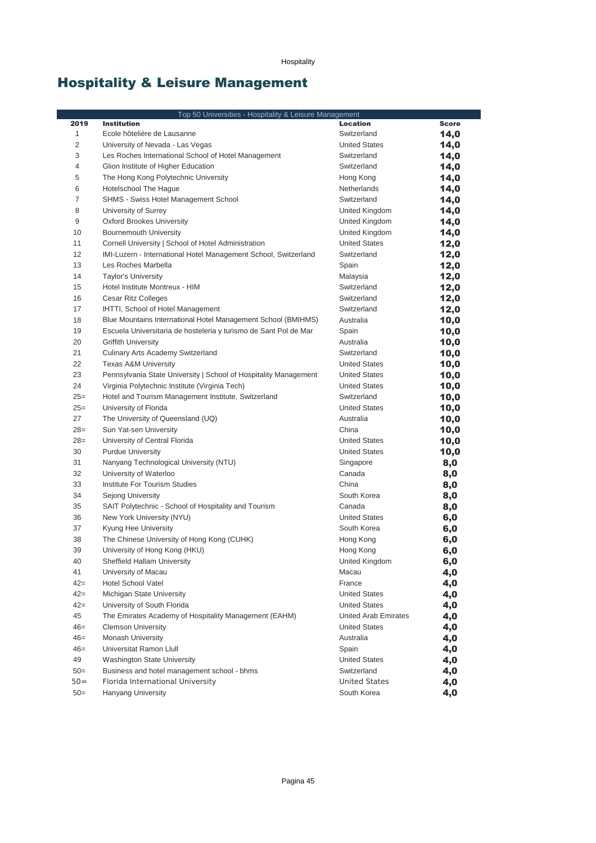# Hospitality & Leisure Management

|                | Top 50 Universities - Hospitality & Leisure Management           |                      |              |
|----------------|------------------------------------------------------------------|----------------------|--------------|
| 2019           | <b>Institution</b>                                               | <b>Location</b>      | <b>Score</b> |
| $\mathbf{1}$   | Ecole hôtelière de Lausanne                                      | Switzerland          | 14,0         |
| $\overline{c}$ | University of Nevada - Las Vegas                                 | <b>United States</b> | 14,0         |
| 3              | Les Roches International School of Hotel Management              | Switzerland          | 14,0         |
| 4              | Glion Institute of Higher Education                              | Switzerland          | 14,0         |
| 5              | The Hong Kong Polytechnic University                             | Hong Kong            | 14,0         |
| 6              | Hotelschool The Hague                                            | Netherlands          | 14,0         |
| $\overline{7}$ | SHMS - Swiss Hotel Management School                             | Switzerland          | 14,0         |
| 8              | University of Surrey                                             | United Kingdom       | 14,0         |
| 9              | <b>Oxford Brookes University</b>                                 | United Kingdom       | 14,0         |
| 10             | <b>Bournemouth University</b>                                    | United Kingdom       | 14,0         |
| 11             | Cornell University   School of Hotel Administration              | <b>United States</b> | 12,0         |
| 12             | IMI-Luzern - International Hotel Management School, Switzerland  | Switzerland          | 12,0         |
| 13             | Les Roches Marbella                                              | Spain                | 12,0         |
| 14             | <b>Taylor's University</b>                                       | Malaysia             | 12,0         |
| 15             | Hotel Institute Montreux - HIM                                   | Switzerland          | 12,0         |
| 16             | Cesar Ritz Colleges                                              | Switzerland          | 12,0         |
| 17             | IHTTI, School of Hotel Management                                | Switzerland          | 12,0         |
| 18             | Blue Mountains International Hotel Management School (BMIHMS)    | Australia            | 10,0         |
| 19             | Escuela Universitaria de hosteleria y turismo de Sant Pol de Mar | Spain                | 10,0         |
| 20             | <b>Griffith University</b>                                       | Australia            | 10,0         |
| 21             | Culinary Arts Academy Switzerland                                | Switzerland          | 10,0         |
| 22             | <b>Texas A&amp;M University</b>                                  | <b>United States</b> | 10,0         |
| 23             | Pennsylvania State University   School of Hospitality Management | <b>United States</b> | 10,0         |
| 24             | Virginia Polytechnic Institute (Virginia Tech)                   | <b>United States</b> | 10,0         |
| $25=$          | Hotel and Tourism Management Institute, Switzerland              | Switzerland          | 10,0         |
| $25=$          | University of Florida                                            | <b>United States</b> | 10,0         |
| 27             | The University of Queensland (UQ)                                | Australia            | 10,0         |
| $28=$          | Sun Yat-sen University                                           | China                | 10,0         |
| $28=$          | University of Central Florida                                    | <b>United States</b> | 10,0         |
| 30             | <b>Purdue University</b>                                         | <b>United States</b> | 10,0         |
| 31             | Nanyang Technological University (NTU)                           | Singapore            | 8,0          |
| 32             | University of Waterloo                                           | Canada               | 8,0          |
| 33             | Institute For Tourism Studies                                    | China                | 8,0          |
| 34             | Sejong University                                                | South Korea          | 8,0          |
| 35             | SAIT Polytechnic - School of Hospitality and Tourism             | Canada               | 8,0          |
| 36             | New York University (NYU)                                        | <b>United States</b> | 6,0          |
| 37             | Kyung Hee University                                             | South Korea          | 6,0          |
| 38             | The Chinese University of Hong Kong (CUHK)                       | Hong Kong            | 6,0          |
| 39             | University of Hong Kong (HKU)                                    | Hong Kong            | 6,0          |
| 40             | Sheffield Hallam University                                      | United Kingdom       | 6,0          |
| 41             | University of Macau                                              | Macau                | 4,0          |
| $42=$          | <b>Hotel School Vatel</b>                                        | France               | 4,0          |
| $42=$          | Michigan State University                                        | <b>United States</b> | 4,0          |
| $42 =$         | University of South Florida                                      | <b>United States</b> | 4,0          |
| 45             | The Emirates Academy of Hospitality Management (EAHM)            | United Arab Emirates | 4,0          |
| $46=$          | <b>Clemson University</b>                                        | <b>United States</b> | 4,0          |
| $46=$          | Monash University                                                | Australia            | 4,0          |
| $46=$          | Universitat Ramon Llull                                          | Spain                | 4,0          |
| 49             | <b>Washington State University</b>                               | <b>United States</b> | 4,0          |
| $50=$          | Business and hotel management school - bhms                      | Switzerland          | 4,0          |
| $50=$          | Florida International University                                 | <b>United States</b> | 4,0          |
| $50=$          | Hanyang University                                               | South Korea          | 4,0          |
|                |                                                                  |                      |              |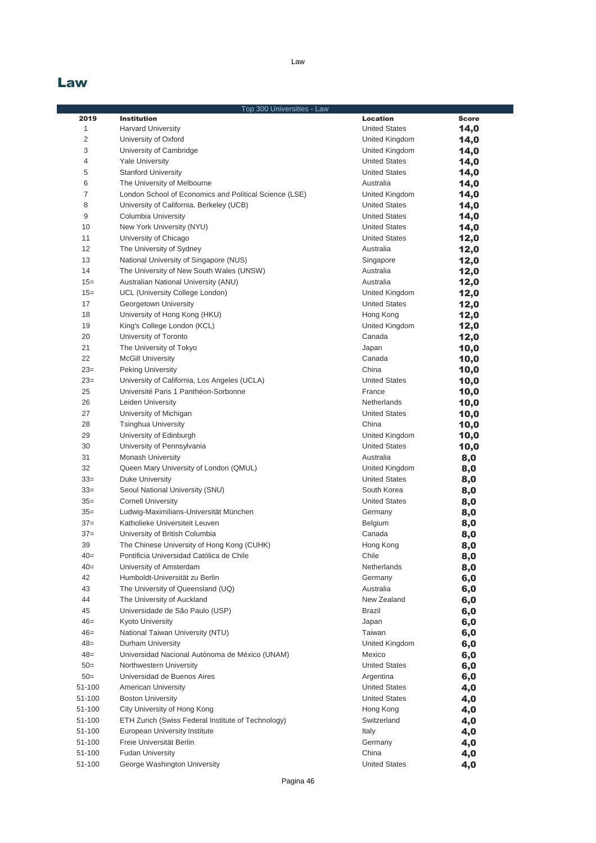### Law

|                | Top 300 Universities - Law                             |                             |              |
|----------------|--------------------------------------------------------|-----------------------------|--------------|
| 2019           | <b>Institution</b>                                     | <b>Location</b>             | <b>Score</b> |
| 1              | <b>Harvard University</b>                              | <b>United States</b>        | 14,0         |
| $\overline{2}$ | University of Oxford                                   | United Kingdom              | 14,0         |
| 3              | University of Cambridge                                | United Kingdom              | 14,0         |
| 4              | <b>Yale University</b>                                 | <b>United States</b>        | 14,0         |
| 5              | <b>Stanford University</b>                             | <b>United States</b>        | 14,0         |
| 6              | The University of Melbourne                            | Australia                   | 14,0         |
| $\overline{7}$ | London School of Economics and Political Science (LSE) | United Kingdom              | 14,0         |
| 8              | University of California, Berkeley (UCB)               | <b>United States</b>        | 14,0         |
| 9              | Columbia University                                    | <b>United States</b>        | 14,0         |
| 10             | New York University (NYU)                              | <b>United States</b>        | 14,0         |
| 11             | University of Chicago                                  | <b>United States</b>        | 12,0         |
| 12             | The University of Sydney                               | Australia                   | 12,0         |
| 13             | National University of Singapore (NUS)                 | Singapore                   | 12,0         |
| 14             | The University of New South Wales (UNSW)               | Australia                   | 12,0         |
| $15=$          | Australian National University (ANU)                   | Australia                   | 12,0         |
| $15 =$         | UCL (University College London)                        | United Kingdom              | 12,0         |
| 17             | Georgetown University                                  | <b>United States</b>        |              |
| 18             |                                                        |                             | 12,0         |
| 19             | University of Hong Kong (HKU)                          | Hong Kong<br>United Kingdom | 12,0         |
|                | King's College London (KCL)                            |                             | 12,0         |
| 20             | University of Toronto                                  | Canada                      | 12,0         |
| 21             | The University of Tokyo                                | Japan                       | 10,0         |
| 22             | <b>McGill University</b>                               | Canada                      | 10,0         |
| $23=$          | Peking University                                      | China                       | 10,0         |
| $23=$          | University of California, Los Angeles (UCLA)           | <b>United States</b>        | 10,0         |
| 25             | Université Paris 1 Panthéon-Sorbonne                   | France                      | 10,0         |
| 26             | Leiden University                                      | Netherlands                 | 10,0         |
| 27             | University of Michigan                                 | <b>United States</b>        | 10,0         |
| 28             | <b>Tsinghua University</b>                             | China                       | 10,0         |
| 29             | University of Edinburgh                                | United Kingdom              | 10,0         |
| 30             | University of Pennsylvania                             | <b>United States</b>        | 10,0         |
| 31             | <b>Monash University</b>                               | Australia                   | 8,0          |
| 32             | Queen Mary University of London (QMUL)                 | United Kingdom              | 8,0          |
| $33=$          | Duke University                                        | <b>United States</b>        | 8,0          |
| $33=$          | Seoul National University (SNU)                        | South Korea                 | 8,0          |
| $35=$          | <b>Cornell University</b>                              | <b>United States</b>        | 8,0          |
| $35=$          | Ludwig-Maximilians-Universität München                 | Germany                     | 8,0          |
| $37=$          | Katholieke Universiteit Leuven                         | Belgium                     | 8,0          |
| $37=$          | University of British Columbia                         | Canada                      | 8,0          |
| 39             | The Chinese University of Hong Kong (CUHK)             | Hong Kong                   | 8,0          |
| $40=$          | Pontificia Universidad Católica de Chile               | Chile                       | 8,0          |
| $40=$          | University of Amsterdam                                | Netherlands                 | 8,0          |
| 42             | Humboldt-Universität zu Berlin                         | Germany                     | 6,0          |
| 43             | The University of Queensland (UQ)                      | Australia                   | 6,0          |
| 44             | The University of Auckland                             | New Zealand                 | 6,0          |
| 45             | Universidade de São Paulo (USP)                        | Brazil                      | 6,0          |
| $46=$          | Kyoto University                                       | Japan                       | 6,0          |
| $46=$          | National Taiwan University (NTU)                       | Taiwan                      | 6,0          |
| $48=$          | Durham University                                      | United Kingdom              | 6,0          |
| $48 =$         | Universidad Nacional Autónoma de México (UNAM)         | Mexico                      | 6,0          |
| $50=$          | Northwestern University                                | <b>United States</b>        | 6,0          |
| $50=$          | Universidad de Buenos Aires                            | Argentina                   | 6,0          |
| 51-100         | <b>American University</b>                             | <b>United States</b>        | 4,0          |
| 51-100         | <b>Boston University</b>                               | <b>United States</b>        | 4,0          |
| 51-100         | City University of Hong Kong                           | Hong Kong                   | 4,0          |
| 51-100         | ETH Zurich (Swiss Federal Institute of Technology)     | Switzerland                 |              |
| 51-100         |                                                        |                             | 4,0          |
|                | European University Institute                          | Italy                       | 4,0          |
| 51-100         | Freie Universität Berlin                               | Germany                     | 4,0          |
| 51-100         | <b>Fudan University</b>                                | China                       | 4,0          |
| 51-100         | George Washington University                           | <b>United States</b>        | 4,0          |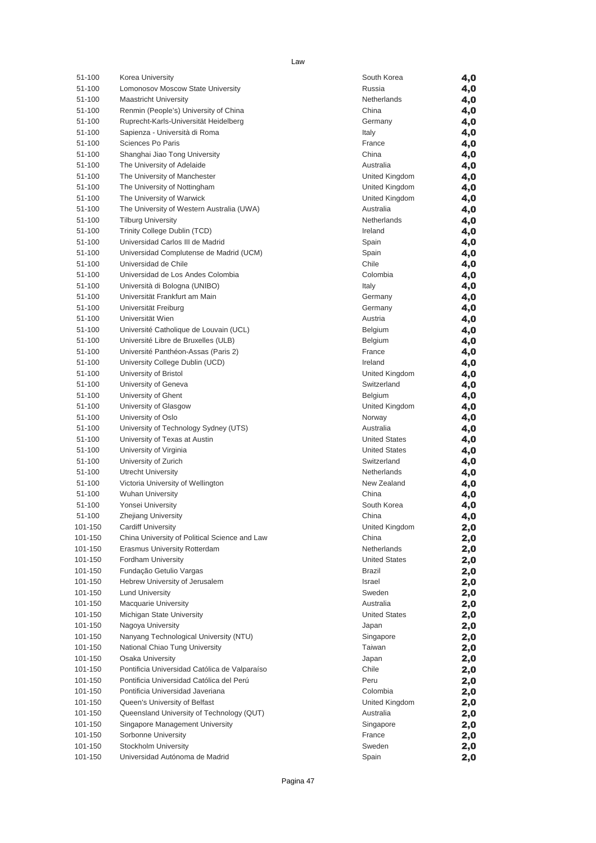| 51-100            | Korea University                                 | South Korea             | 4,0        |
|-------------------|--------------------------------------------------|-------------------------|------------|
| 51-100            | Lomonosov Moscow State University                | Russia                  | 4,0        |
| 51-100            | <b>Maastricht University</b>                     | Netherlands             | 4,0        |
| 51-100            | Renmin (People's) University of China            | China                   | 4,0        |
| 51-100            | Ruprecht-Karls-Universität Heidelberg            | Germany                 | 4,0        |
| 51-100            | Sapienza - Università di Roma                    | Italy                   | 4,0        |
| 51-100            | Sciences Po Paris                                | France                  | 4,0        |
| 51-100            | Shanghai Jiao Tong University                    | China                   | 4,0        |
| 51-100            | The University of Adelaide                       | Australia               | 4,0        |
| 51-100            | The University of Manchester                     | United Kingdom          | 4,0        |
| 51-100            | The University of Nottingham                     | United Kingdom          | 4,0        |
| 51-100            | The University of Warwick                        | United Kingdom          | 4,0        |
| 51-100            | The University of Western Australia (UWA)        | Australia               | 4,0        |
| 51-100            | <b>Tilburg University</b>                        | Netherlands             | 4,0        |
| 51-100            | Trinity College Dublin (TCD)                     | Ireland                 | 4,0        |
| 51-100            | Universidad Carlos III de Madrid                 | Spain                   | 4,0        |
| 51-100            | Universidad Complutense de Madrid (UCM)          | Spain                   | 4,0        |
| 51-100            | Universidad de Chile                             | Chile                   | 4,0        |
| 51-100            | Universidad de Los Andes Colombia                | Colombia                | 4,0        |
| 51-100            | Università di Bologna (UNIBO)                    | Italy                   | 4,0        |
| 51-100            | Universität Frankfurt am Main                    | Germany                 | 4,0        |
| 51-100            | Universität Freiburg                             | Germany                 | 4,0        |
| 51-100            | Universität Wien                                 | Austria                 | 4,0        |
| 51-100            | Université Catholique de Louvain (UCL)           | Belgium                 | 4,0        |
| 51-100            | Université Libre de Bruxelles (ULB)              | Belgium                 | 4,0        |
| 51-100            | Université Panthéon-Assas (Paris 2)              | France                  | 4,0        |
| 51-100            | University College Dublin (UCD)                  | Ireland                 | 4,0        |
| 51-100            | University of Bristol                            | United Kingdom          | 4,0        |
| 51-100            | University of Geneva                             | Switzerland             | 4,0        |
| 51-100            | University of Ghent                              | Belgium                 |            |
| 51-100            | University of Glasgow                            | United Kingdom          | 4,0        |
| 51-100            | University of Oslo                               | Norway                  | 4,0        |
| 51-100            | University of Technology Sydney (UTS)            | Australia               | 4,0<br>4,0 |
| 51-100            | University of Texas at Austin                    | <b>United States</b>    |            |
| 51-100            | University of Virginia                           | <b>United States</b>    | 4,0        |
| 51-100            | University of Zurich                             | Switzerland             | 4,0        |
| 51-100            | Utrecht University                               | Netherlands             | 4,0        |
| 51-100            | Victoria University of Wellington                | New Zealand             | 4,0        |
| 51-100            | <b>Wuhan University</b>                          | China                   | 4,0        |
| 51-100            | Yonsei University                                | South Korea             | 4,0<br>4,0 |
|                   |                                                  |                         |            |
| 51-100<br>101-150 | Zhejiang University<br><b>Cardiff University</b> | China                   | 4,0        |
| 101-150           |                                                  | United Kingdom<br>China | 2,0        |
|                   | China University of Political Science and Law    |                         | 2,0        |
| 101-150           | Erasmus University Rotterdam                     | Netherlands             | 2,0        |
| 101-150           | Fordham University                               | <b>United States</b>    | 2,0        |
| 101-150           | Fundação Getulio Vargas                          | Brazil                  | 2,0        |
| 101-150           | Hebrew University of Jerusalem                   | Israel                  | 2,0        |
| 101-150           | <b>Lund University</b>                           | Sweden                  | 2,0        |
| 101-150           | <b>Macquarie University</b>                      | Australia               | 2,0        |
| 101-150           | Michigan State University                        | <b>United States</b>    | 2,0        |
| 101-150           | Nagoya University                                | Japan                   | 2,0        |
| 101-150           | Nanyang Technological University (NTU)           | Singapore               | 2,0        |
| 101-150           | National Chiao Tung University                   | Taiwan                  | 2,0        |
| 101-150           | <b>Osaka University</b>                          | Japan                   | 2,0        |
| 101-150           | Pontificia Universidad Católica de Valparaíso    | Chile                   | 2,0        |
| 101-150           | Pontificia Universidad Católica del Perú         | Peru                    | 2,0        |
| 101-150           | Pontificia Universidad Javeriana                 | Colombia                | 2,0        |
| 101-150           | Queen's University of Belfast                    | United Kingdom          | 2,0        |
| 101-150           | Queensland University of Technology (QUT)        | Australia               | 2,0        |
| 101-150           | Singapore Management University                  | Singapore               | 2,0        |
| 101-150           | Sorbonne University                              | France                  | 2,0        |
| 101-150           | Stockholm University                             | Sweden                  | 2,0        |
| 101-150           | Universidad Autónoma de Madrid                   | Spain                   | 2,0        |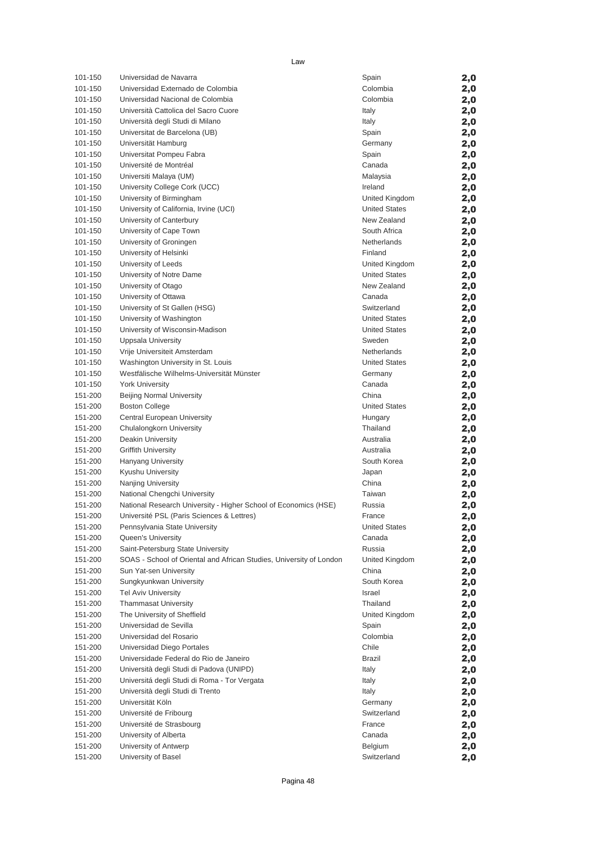| 101-150 | Universidad de Navarra                                              | Spain                | 2,0 |
|---------|---------------------------------------------------------------------|----------------------|-----|
| 101-150 | Universidad Externado de Colombia                                   | Colombia             | 2,0 |
| 101-150 | Universidad Nacional de Colombia                                    | Colombia             | 2,0 |
| 101-150 | Università Cattolica del Sacro Cuore                                | Italy                | 2,0 |
| 101-150 | Università degli Studi di Milano                                    | Italy                | 2,0 |
| 101-150 | Universitat de Barcelona (UB)                                       | Spain                | 2,0 |
| 101-150 | Universität Hamburg                                                 | Germany              | 2,0 |
| 101-150 | Universitat Pompeu Fabra                                            | Spain                |     |
|         |                                                                     |                      | 2,0 |
| 101-150 | Université de Montréal                                              | Canada               | 2,0 |
| 101-150 | Universiti Malaya (UM)                                              | Malaysia             | 2,0 |
| 101-150 | University College Cork (UCC)                                       | Ireland              | 2,0 |
| 101-150 | University of Birmingham                                            | United Kingdom       | 2,0 |
| 101-150 | University of California, Irvine (UCI)                              | <b>United States</b> | 2,0 |
| 101-150 | University of Canterbury                                            | New Zealand          | 2,0 |
| 101-150 | University of Cape Town                                             | South Africa         | 2,0 |
| 101-150 | University of Groningen                                             | Netherlands          | 2,0 |
| 101-150 | University of Helsinki                                              | Finland              | 2,0 |
| 101-150 | University of Leeds                                                 | United Kingdom       | 2,0 |
| 101-150 | University of Notre Dame                                            | <b>United States</b> | 2,0 |
| 101-150 | University of Otago                                                 | New Zealand          | 2,0 |
| 101-150 | University of Ottawa                                                | Canada               |     |
| 101-150 |                                                                     | Switzerland          | 2,0 |
|         | University of St Gallen (HSG)                                       |                      | 2,0 |
| 101-150 | University of Washington                                            | <b>United States</b> | 2,0 |
| 101-150 | University of Wisconsin-Madison                                     | <b>United States</b> | 2,0 |
| 101-150 | Uppsala University                                                  | Sweden               | 2,0 |
| 101-150 | Vrije Universiteit Amsterdam                                        | Netherlands          | 2,0 |
| 101-150 | Washington University in St. Louis                                  | <b>United States</b> | 2,0 |
| 101-150 | Westfälische Wilhelms-Universität Münster                           | Germany              | 2,0 |
| 101-150 | <b>York University</b>                                              | Canada               | 2,0 |
| 151-200 | <b>Beijing Normal University</b>                                    | China                | 2,0 |
| 151-200 | <b>Boston College</b>                                               | <b>United States</b> | 2,0 |
| 151-200 | Central European University                                         | Hungary              | 2,0 |
| 151-200 | Chulalongkorn University                                            | Thailand             | 2,0 |
| 151-200 | Deakin University                                                   | Australia            | 2,0 |
| 151-200 | <b>Griffith University</b>                                          | Australia            | 2,0 |
| 151-200 | <b>Hanyang University</b>                                           | South Korea          | 2,0 |
| 151-200 | Kyushu University                                                   | Japan                |     |
| 151-200 | Nanjing University                                                  | China                | 2,0 |
| 151-200 | National Chengchi University                                        | Taiwan               | 2,0 |
|         |                                                                     |                      | 2,0 |
| 151-200 | National Research University - Higher School of Economics (HSE)     | Russia               | 2,0 |
| 151-200 | Université PSL (Paris Sciences & Lettres)                           | France               | 2,0 |
| 151-200 | Pennsylvania State University                                       | <b>United States</b> | 2,0 |
| 151-200 | <b>Oueen's University</b>                                           | Canada               | 2,0 |
| 151-200 | Saint-Petersburg State University                                   | Russia               | 2,0 |
| 151-200 | SOAS - School of Oriental and African Studies, University of London | United Kingdom       | 2,0 |
| 151-200 | Sun Yat-sen University                                              | China                | 2,0 |
| 151-200 | Sungkyunkwan University                                             | South Korea          | 2,0 |
| 151-200 | <b>Tel Aviv University</b>                                          | Israel               | 2,0 |
| 151-200 | <b>Thammasat University</b>                                         | Thailand             | 2,0 |
| 151-200 | The University of Sheffield                                         | United Kingdom       | 2,0 |
| 151-200 | Universidad de Sevilla                                              | Spain                | 2,0 |
| 151-200 | Universidad del Rosario                                             | Colombia             | 2,0 |
| 151-200 | Universidad Diego Portales                                          | Chile                | 2,0 |
| 151-200 | Universidade Federal do Rio de Janeiro                              | <b>Brazil</b>        | 2,0 |
| 151-200 | Università degli Studi di Padova (UNIPD)                            | Italy                | 2,0 |
| 151-200 | Universitá degli Studi di Roma - Tor Vergata                        | Italy                |     |
|         | Università degli Studi di Trento                                    |                      | 2,0 |
| 151-200 |                                                                     | Italy                | 2,0 |
| 151-200 | Universität Köln                                                    | Germany              | 2,0 |
| 151-200 | Université de Fribourg                                              | Switzerland          | 2,0 |
| 151-200 | Université de Strasbourg                                            | France               | 2,0 |
| 151-200 | University of Alberta                                               | Canada               | 2,0 |
| 151-200 | University of Antwerp                                               | Belgium              | 2,0 |
| 151-200 | University of Basel                                                 | Switzerland          | 2,0 |

Law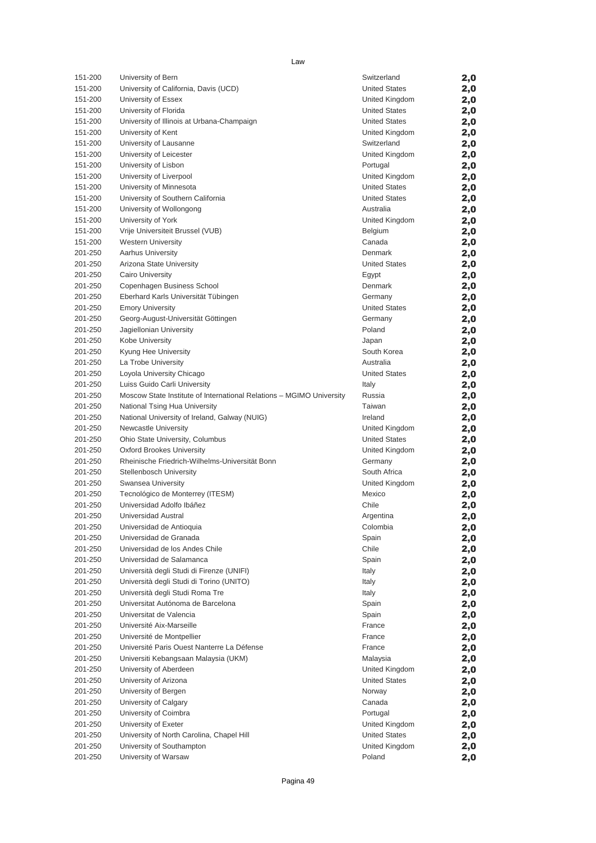| 151-200 | University of Bern                                                   | Switzerland          | 2,0 |
|---------|----------------------------------------------------------------------|----------------------|-----|
| 151-200 | University of California, Davis (UCD)                                | <b>United States</b> | 2,0 |
| 151-200 | University of Essex                                                  | United Kingdom       | 2,0 |
| 151-200 | University of Florida                                                | <b>United States</b> | 2,0 |
| 151-200 | University of Illinois at Urbana-Champaign                           | <b>United States</b> | 2,0 |
| 151-200 | University of Kent                                                   | United Kingdom       | 2,0 |
| 151-200 | University of Lausanne                                               | Switzerland          | 2,0 |
| 151-200 | University of Leicester                                              | United Kingdom       | 2,0 |
| 151-200 | University of Lisbon                                                 | Portugal             | 2,0 |
| 151-200 | University of Liverpool                                              | United Kingdom       | 2,0 |
| 151-200 | University of Minnesota                                              | <b>United States</b> | 2,0 |
| 151-200 | University of Southern California                                    | <b>United States</b> | 2,0 |
| 151-200 | University of Wollongong                                             | Australia            | 2,0 |
| 151-200 | University of York                                                   | United Kingdom       | 2,0 |
| 151-200 | Vrije Universiteit Brussel (VUB)                                     | Belgium              | 2,0 |
| 151-200 | <b>Western University</b>                                            | Canada               | 2,0 |
| 201-250 | <b>Aarhus University</b>                                             | Denmark              | 2,0 |
| 201-250 | Arizona State University                                             | <b>United States</b> | 2,0 |
| 201-250 | Cairo University                                                     | Egypt                | 2,0 |
| 201-250 | Copenhagen Business School                                           | Denmark              | 2,0 |
| 201-250 | Eberhard Karls Universität Tübingen                                  | Germany              | 2,0 |
| 201-250 | <b>Emory University</b>                                              | <b>United States</b> | 2,0 |
| 201-250 | Georg-August-Universität Göttingen                                   | Germany              | 2,0 |
| 201-250 | Jagiellonian University                                              | Poland               | 2,0 |
| 201-250 | Kobe University                                                      | Japan                | 2,0 |
| 201-250 | Kyung Hee University                                                 | South Korea          | 2,0 |
| 201-250 | La Trobe University                                                  | Australia            | 2,0 |
| 201-250 | Loyola University Chicago                                            | <b>United States</b> | 2,0 |
| 201-250 | Luiss Guido Carli University                                         | Italy                | 2,0 |
| 201-250 | Moscow State Institute of International Relations - MGIMO University | Russia               | 2,0 |
| 201-250 | National Tsing Hua University                                        | Taiwan               | 2,0 |
| 201-250 | National University of Ireland, Galway (NUIG)                        | Ireland              | 2,0 |
| 201-250 | <b>Newcastle University</b>                                          | United Kingdom       | 2,0 |
| 201-250 | Ohio State University, Columbus                                      | <b>United States</b> | 2,0 |
| 201-250 | <b>Oxford Brookes University</b>                                     | United Kingdom       | 2,0 |
| 201-250 | Rheinische Friedrich-Wilhelms-Universität Bonn                       | Germany              | 2,0 |
| 201-250 | <b>Stellenbosch University</b>                                       | South Africa         | 2,0 |
| 201-250 | Swansea University                                                   | United Kingdom       | 2,0 |
| 201-250 | Tecnológico de Monterrey (ITESM)                                     | Mexico               | 2,0 |
| 201-250 | Universidad Adolfo Ibáñez                                            | Chile                | 2,0 |
| 201-250 | Universidad Austral                                                  | Argentina            | 2,0 |
| 201-250 | Universidad de Antioquia                                             | Colombia             | 2,0 |
| 201-250 | Universidad de Granada                                               | Spain                | 2,0 |
| 201-250 | Universidad de los Andes Chile                                       | Chile                | 2,0 |
| 201-250 | Universidad de Salamanca                                             | Spain                | 2,0 |
| 201-250 | Università degli Studi di Firenze (UNIFI)                            | Italy                | 2,0 |
| 201-250 | Università degli Studi di Torino (UNITO)                             | Italy                | 2,0 |
| 201-250 | Università degli Studi Roma Tre                                      | Italy                | 2,0 |
| 201-250 | Universitat Autónoma de Barcelona                                    | Spain                | 2,0 |
| 201-250 | Universitat de Valencia                                              | Spain                | 2,0 |
| 201-250 | Université Aix-Marseille                                             | France               | 2,0 |
| 201-250 | Université de Montpellier                                            | France               | 2,0 |
| 201-250 | Université Paris Ouest Nanterre La Défense                           | France               | 2,0 |
| 201-250 | Universiti Kebangsaan Malaysia (UKM)                                 | Malaysia             | 2,0 |
| 201-250 | University of Aberdeen                                               | United Kingdom       | 2,0 |
| 201-250 | University of Arizona                                                | <b>United States</b> | 2,0 |
| 201-250 | University of Bergen                                                 | Norway               | 2,0 |
| 201-250 | University of Calgary                                                | Canada               | 2,0 |
| 201-250 | University of Coimbra                                                | Portugal             | 2,0 |
| 201-250 | University of Exeter                                                 | United Kingdom       | 2,0 |
| 201-250 | University of North Carolina, Chapel Hill                            | <b>United States</b> | 2,0 |
| 201-250 | University of Southampton                                            | United Kingdom       | 2,0 |
| 201-250 | University of Warsaw                                                 | Poland               | 2,0 |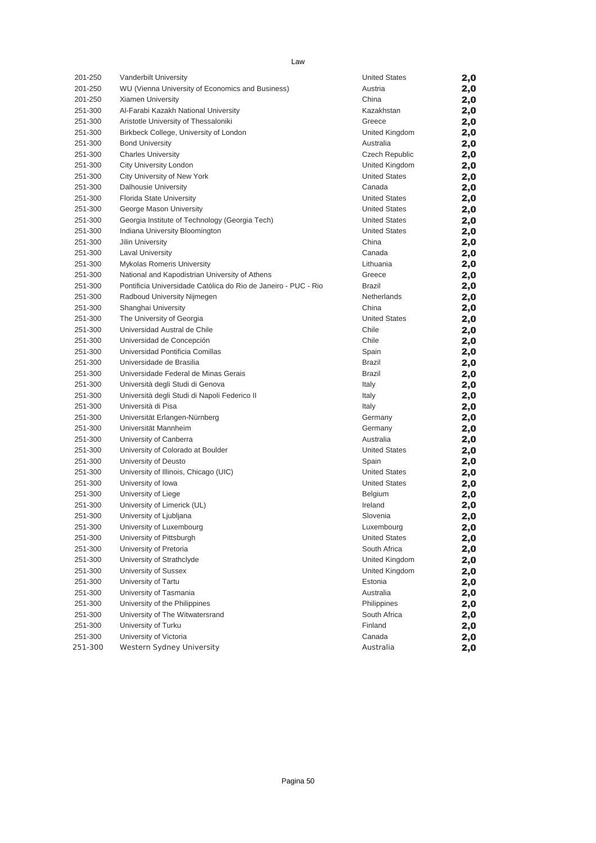| 201-250 | Vanderbilt University                                          | <b>United States</b> | 2,0 |
|---------|----------------------------------------------------------------|----------------------|-----|
| 201-250 | WU (Vienna University of Economics and Business)               | Austria              | 2,0 |
| 201-250 | <b>Xiamen University</b>                                       | China                | 2,0 |
| 251-300 | Al-Farabi Kazakh National University                           | Kazakhstan           | 2,0 |
| 251-300 | Aristotle University of Thessaloniki                           | Greece               | 2,0 |
| 251-300 | Birkbeck College, University of London                         | United Kingdom       | 2,0 |
| 251-300 | <b>Bond University</b>                                         | Australia            | 2,0 |
| 251-300 | <b>Charles University</b>                                      | Czech Republic       | 2,0 |
| 251-300 | City University London                                         | United Kingdom       | 2,0 |
| 251-300 | City University of New York                                    | <b>United States</b> | 2,0 |
| 251-300 | Dalhousie University                                           | Canada               | 2,0 |
| 251-300 | Florida State University                                       | <b>United States</b> | 2,0 |
| 251-300 | George Mason University                                        | <b>United States</b> | 2,0 |
| 251-300 | Georgia Institute of Technology (Georgia Tech)                 | <b>United States</b> | 2,0 |
| 251-300 | Indiana University Bloomington                                 | <b>United States</b> | 2,0 |
| 251-300 | Jilin University                                               | China                | 2,0 |
| 251-300 | <b>Laval University</b>                                        | Canada               | 2,0 |
| 251-300 | <b>Mykolas Romeris University</b>                              | Lithuania            | 2,0 |
| 251-300 | National and Kapodistrian University of Athens                 | Greece               | 2,0 |
| 251-300 | Pontificia Universidade Católica do Rio de Janeiro - PUC - Rio | Brazil               | 2,0 |
| 251-300 | Radboud University Nijmegen                                    | Netherlands          | 2,0 |
| 251-300 | Shanghai University                                            | China                | 2,0 |
| 251-300 | The University of Georgia                                      | <b>United States</b> | 2,0 |
| 251-300 | Universidad Austral de Chile                                   | Chile                | 2,0 |
| 251-300 | Universidad de Concepción                                      | Chile                | 2,0 |
| 251-300 | Universidad Pontificia Comillas                                | Spain                | 2,0 |
| 251-300 | Universidade de Brasilia                                       | <b>Brazil</b>        | 2,0 |
| 251-300 | Universidade Federal de Minas Gerais                           | Brazil               | 2,0 |
| 251-300 | Università degli Studi di Genova                               | Italy                | 2,0 |
| 251-300 | Università degli Studi di Napoli Federico II                   | Italy                | 2,0 |
| 251-300 | Università di Pisa                                             | Italy                | 2,0 |
| 251-300 | Universität Erlangen-Nürnberg                                  | Germany              | 2,0 |
| 251-300 | Universität Mannheim                                           | Germany              | 2,0 |
| 251-300 | University of Canberra                                         | Australia            | 2,0 |
| 251-300 | University of Colorado at Boulder                              | <b>United States</b> | 2,0 |
| 251-300 | University of Deusto                                           | Spain                | 2,0 |
| 251-300 | University of Illinois, Chicago (UIC)                          | <b>United States</b> | 2,0 |
| 251-300 | University of Iowa                                             | <b>United States</b> | 2,0 |
| 251-300 | University of Liege                                            | Belgium              | 2,0 |
| 251-300 | University of Limerick (UL)                                    | Ireland              | 2,0 |
| 251-300 | University of Ljubljana                                        | Slovenia             | 2,0 |
| 251-300 | University of Luxembourg                                       | Luxembourg           | 2,0 |
| 251-300 | University of Pittsburgh                                       | <b>United States</b> | 2,0 |
| 251-300 | University of Pretoria                                         | South Africa         | 2,0 |
| 251-300 | University of Strathclyde                                      | United Kingdom       | 2,0 |
| 251-300 | University of Sussex                                           | United Kingdom       | 2,0 |
| 251-300 | University of Tartu                                            | Estonia              | 2,0 |
| 251-300 | University of Tasmania                                         | Australia            | 2,0 |
| 251-300 | University of the Philippines                                  | Philippines          | 2,0 |
| 251-300 | University of The Witwatersrand                                | South Africa         | 2,0 |
| 251-300 | University of Turku                                            | Finland              | 2,0 |
| 251-300 | University of Victoria                                         | Canada               | 2,0 |
| 251-300 | Western Sydney University                                      | Australia            | 2,0 |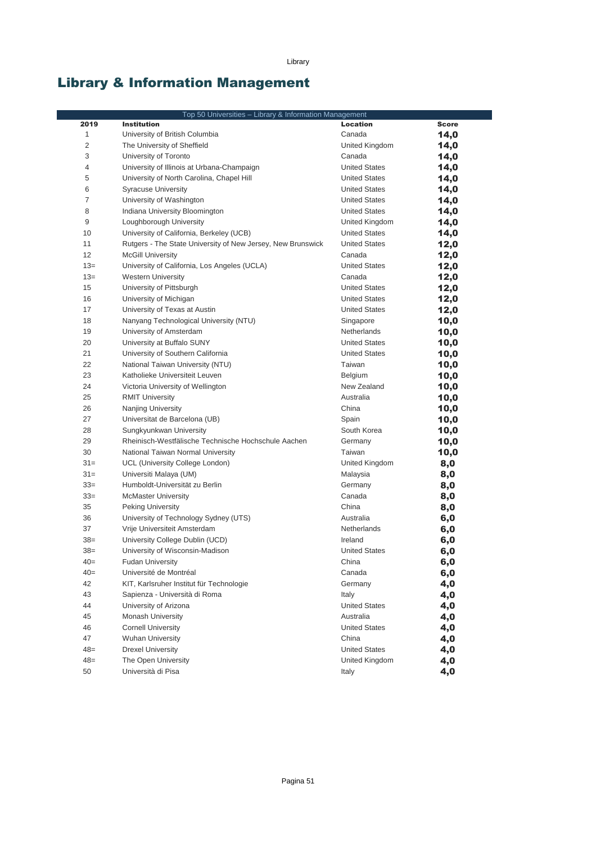Library

# Library & Information Management

|                | Top 50 Universities - Library & Information Management      |                      |              |
|----------------|-------------------------------------------------------------|----------------------|--------------|
| 2019           | <b>Institution</b>                                          | <b>Location</b>      | <b>Score</b> |
| $\mathbf{1}$   | University of British Columbia                              | Canada               | 14,0         |
| 2              | The University of Sheffield                                 | United Kingdom       | 14,0         |
| 3              | University of Toronto                                       | Canada               | 14,0         |
| 4              | University of Illinois at Urbana-Champaign                  | <b>United States</b> | 14,0         |
| 5              | University of North Carolina, Chapel Hill                   | <b>United States</b> | 14,0         |
| 6              | <b>Syracuse University</b>                                  | <b>United States</b> | 14,0         |
| $\overline{7}$ | University of Washington                                    | <b>United States</b> | 14,0         |
| 8              | Indiana University Bloomington                              | <b>United States</b> | 14,0         |
| 9              | Loughborough University                                     | United Kingdom       | 14,0         |
| 10             | University of California, Berkeley (UCB)                    | <b>United States</b> | 14,0         |
| 11             | Rutgers - The State University of New Jersey, New Brunswick | <b>United States</b> | 12,0         |
| 12             | <b>McGill University</b>                                    | Canada               | 12,0         |
| $13=$          | University of California, Los Angeles (UCLA)                | <b>United States</b> | 12,0         |
| $13=$          | <b>Western University</b>                                   | Canada               | 12,0         |
| 15             | University of Pittsburgh                                    | <b>United States</b> | 12,0         |
| 16             | University of Michigan                                      | <b>United States</b> | 12,0         |
| 17             | University of Texas at Austin                               | <b>United States</b> | 12,0         |
| 18             | Nanyang Technological University (NTU)                      | Singapore            | 10,0         |
| 19             | University of Amsterdam                                     | <b>Netherlands</b>   | 10,0         |
| 20             | University at Buffalo SUNY                                  | <b>United States</b> | 10,0         |
| 21             | University of Southern California                           | <b>United States</b> | 10,0         |
| 22             | National Taiwan University (NTU)                            | Taiwan               | 10,0         |
| 23             | Katholieke Universiteit Leuven                              | Belgium              | 10,0         |
| 24             | Victoria University of Wellington                           | New Zealand          | 10,0         |
| 25             | <b>RMIT University</b>                                      | Australia            | 10,0         |
| 26             | Nanjing University                                          | China                | 10,0         |
| 27             | Universitat de Barcelona (UB)                               | Spain                | 10,0         |
| 28             | Sungkyunkwan University                                     | South Korea          | 10,0         |
| 29             | Rheinisch-Westfälische Technische Hochschule Aachen         | Germany              | 10,0         |
| 30             | National Taiwan Normal University                           | Taiwan               | 10,0         |
| $31 =$         | UCL (University College London)                             | United Kingdom       | 8,0          |
| $31 =$         | Universiti Malaya (UM)                                      | Malaysia             | 8,0          |
| $33=$          | Humboldt-Universität zu Berlin                              | Germany              | 8,0          |
| $33=$          | <b>McMaster University</b>                                  | Canada               | 8,0          |
| 35             | <b>Peking University</b>                                    | China                | 8,0          |
| 36             | University of Technology Sydney (UTS)                       | Australia            | 6,0          |
| 37             | Vrije Universiteit Amsterdam                                | Netherlands          | 6,0          |
| $38=$          | University College Dublin (UCD)                             | Ireland              | 6,0          |
| $38=$          | University of Wisconsin-Madison                             | <b>United States</b> | 6,0          |
| $40=$          | <b>Fudan University</b>                                     | China                | 6,0          |
| $40=$          | Université de Montréal                                      | Canada               | 6,0          |
| 42             | KIT, Karlsruher Institut für Technologie                    | Germany              | 4,0          |
| 43             | Sapienza - Università di Roma                               | Italy                | 4,0          |
| 44             | University of Arizona                                       | <b>United States</b> | 4,0          |
| 45             | <b>Monash University</b>                                    | Australia            | 4,0          |
| 46             | <b>Cornell University</b>                                   | <b>United States</b> | 4,0          |
| 47             | <b>Wuhan University</b>                                     | China                | 4,0          |
| $48=$          | <b>Drexel University</b>                                    | <b>United States</b> | 4,0          |
| $48=$          | The Open University                                         | United Kingdom       | 4,0          |
| 50             | Università di Pisa                                          | Italy                | 4,0          |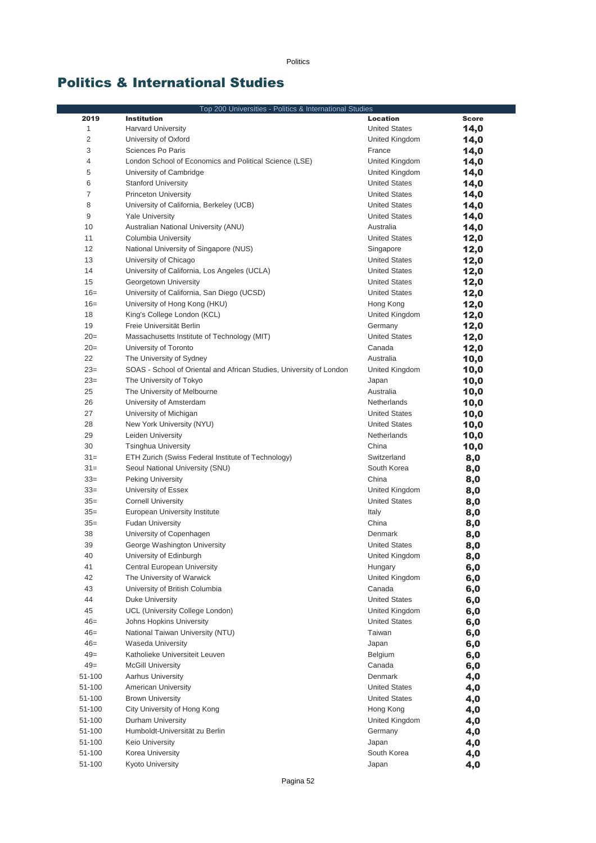Politics

### Politics & International Studies

|        | Top 200 Universities - Politics & International Studies             |                      |              |
|--------|---------------------------------------------------------------------|----------------------|--------------|
| 2019   | <b>Institution</b>                                                  | <b>Location</b>      | <b>Score</b> |
| 1      | <b>Harvard University</b>                                           | <b>United States</b> | 14,0         |
| 2      | University of Oxford                                                | United Kingdom       | 14,0         |
| 3      | Sciences Po Paris                                                   | France               | 14,0         |
| 4      | London School of Economics and Political Science (LSE)              | United Kingdom       | 14,0         |
| 5      | University of Cambridge                                             | United Kingdom       | 14,0         |
| 6      | <b>Stanford University</b>                                          | <b>United States</b> | 14,0         |
| 7      | <b>Princeton University</b>                                         | <b>United States</b> | 14,0         |
| 8      | University of California, Berkeley (UCB)                            | <b>United States</b> | 14,0         |
| 9      | <b>Yale University</b>                                              | <b>United States</b> | 14,0         |
| 10     | Australian National University (ANU)                                | Australia            | 14,0         |
| 11     | Columbia University                                                 | <b>United States</b> | 12,0         |
| 12     | National University of Singapore (NUS)                              | Singapore            | 12,0         |
| 13     | University of Chicago                                               | <b>United States</b> | 12,0         |
| 14     | University of California, Los Angeles (UCLA)                        | <b>United States</b> | 12,0         |
| 15     | Georgetown University                                               | <b>United States</b> | 12,0         |
| $16=$  | University of California, San Diego (UCSD)                          | <b>United States</b> |              |
| $16=$  |                                                                     |                      | 12,0         |
|        | University of Hong Kong (HKU)                                       | Hong Kong            | 12,0         |
| 18     | King's College London (KCL)                                         | United Kingdom       | 12,0         |
| 19     | Freie Universität Berlin                                            | Germany              | 12,0         |
| $20=$  | Massachusetts Institute of Technology (MIT)                         | <b>United States</b> | 12,0         |
| $20=$  | University of Toronto                                               | Canada               | 12,0         |
| 22     | The University of Sydney                                            | Australia            | 10,0         |
| $23=$  | SOAS - School of Oriental and African Studies, University of London | United Kingdom       | 10,0         |
| $23=$  | The University of Tokyo                                             | Japan                | 10,0         |
| 25     | The University of Melbourne                                         | Australia            | 10,0         |
| 26     | University of Amsterdam                                             | Netherlands          | 10,0         |
| 27     | University of Michigan                                              | <b>United States</b> | 10,0         |
| 28     | New York University (NYU)                                           | <b>United States</b> | 10,0         |
| 29     | Leiden University                                                   | Netherlands          | 10,0         |
| 30     | <b>Tsinghua University</b>                                          | China                | 10,0         |
| $31 =$ | ETH Zurich (Swiss Federal Institute of Technology)                  | Switzerland          | 8,0          |
| $31 =$ | Seoul National University (SNU)                                     | South Korea          | 8,0          |
| $33=$  | <b>Peking University</b>                                            | China                | 8,0          |
| $33=$  | University of Essex                                                 | United Kingdom       | 8,0          |
| $35=$  | <b>Cornell University</b>                                           | <b>United States</b> | 8,0          |
| $35=$  | European University Institute                                       | Italy                | 8,0          |
| $35=$  | <b>Fudan University</b>                                             | China                | 8,0          |
| 38     | University of Copenhagen                                            | Denmark              | 8,0          |
| 39     | George Washington University                                        | <b>United States</b> | 8,0          |
| 40     | University of Edinburgh                                             | United Kingdom       | 8,0          |
| 41     | Central European University                                         | Hungary              | 6,0          |
| 42     | The University of Warwick                                           | United Kingdom       | 6,0          |
| 43     | University of British Columbia                                      | Canada               | 6,0          |
| 44     | Duke University                                                     | <b>United States</b> | 6,0          |
| 45     | UCL (University College London)                                     | United Kingdom       | 6,0          |
| $46=$  | Johns Hopkins University                                            | <b>United States</b> | 6,0          |
| $46=$  | National Taiwan University (NTU)                                    | Taiwan               | 6,0          |
| $46=$  | Waseda University                                                   | Japan                | 6,0          |
| $49=$  | Katholieke Universiteit Leuven                                      | Belgium              | 6,0          |
| $49=$  | <b>McGill University</b>                                            | Canada               | 6,0          |
| 51-100 | Aarhus University                                                   | Denmark              | 4,0          |
| 51-100 | <b>American University</b>                                          | <b>United States</b> | 4,0          |
| 51-100 | <b>Brown University</b>                                             | <b>United States</b> | 4,0          |
| 51-100 | City University of Hong Kong                                        | Hong Kong            | 4,0          |
| 51-100 | Durham University                                                   | United Kingdom       | 4,0          |
| 51-100 | Humboldt-Universität zu Berlin                                      | Germany              | 4,0          |
| 51-100 | <b>Keio University</b>                                              | Japan                | 4,0          |
| 51-100 | Korea University                                                    | South Korea          | 4,0          |
| 51-100 | Kyoto University                                                    | Japan                | 4,0          |
|        |                                                                     |                      |              |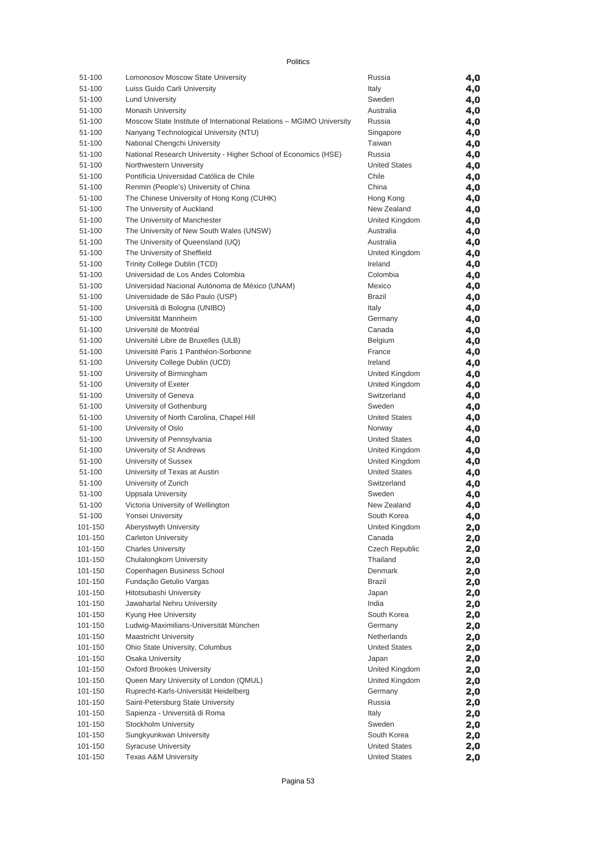| ılıtıd |  |
|--------|--|
|--------|--|

| 51-100  | Lomonosov Moscow State University                                    | Russia                 | 4,0        |
|---------|----------------------------------------------------------------------|------------------------|------------|
| 51-100  | Luiss Guido Carli University                                         | Italy                  | 4,0        |
| 51-100  | <b>Lund University</b>                                               | Sweden                 | 4,0        |
| 51-100  | <b>Monash University</b>                                             | Australia              | 4,0        |
| 51-100  | Moscow State Institute of International Relations - MGIMO University | Russia                 | 4,0        |
| 51-100  | Nanyang Technological University (NTU)                               | Singapore              | 4,0        |
| 51-100  | National Chengchi University                                         | Taiwan                 | 4,0        |
| 51-100  | National Research University - Higher School of Economics (HSE)      | Russia                 | 4,0        |
| 51-100  | Northwestern University                                              | <b>United States</b>   | 4,0        |
| 51-100  | Pontificia Universidad Católica de Chile                             | Chile                  | 4,0        |
| 51-100  | Renmin (People's) University of China                                | China                  | 4,0        |
| 51-100  | The Chinese University of Hong Kong (CUHK)                           | Hong Kong              | 4,0        |
| 51-100  | The University of Auckland                                           | New Zealand            | 4,0        |
| 51-100  | The University of Manchester                                         | United Kingdom         | 4,0        |
| 51-100  | The University of New South Wales (UNSW)                             | Australia              | 4,0        |
| 51-100  | The University of Queensland (UQ)                                    | Australia              | 4,0        |
| 51-100  | The University of Sheffield                                          | United Kingdom         | 4,0        |
| 51-100  | Trinity College Dublin (TCD)                                         | Ireland                | 4,0        |
| 51-100  | Universidad de Los Andes Colombia                                    | Colombia               | 4,0        |
| 51-100  | Universidad Nacional Autónoma de México (UNAM)                       | Mexico                 | 4,0        |
| 51-100  | Universidade de São Paulo (USP)                                      | <b>Brazil</b>          | 4,0        |
| 51-100  | Università di Bologna (UNIBO)                                        | Italy                  | 4,0        |
| 51-100  | Universität Mannheim                                                 | Germany                | 4,0        |
| 51-100  | Université de Montréal                                               | Canada                 | 4,0        |
| 51-100  | Université Libre de Bruxelles (ULB)                                  | Belgium                | 4,0        |
| 51-100  | Université Paris 1 Panthéon-Sorbonne                                 | France                 | 4,0        |
| 51-100  | University College Dublin (UCD)                                      | Ireland                | 4,0        |
| 51-100  | University of Birmingham                                             | United Kingdom         | 4,0        |
| 51-100  | University of Exeter                                                 | United Kingdom         | 4,0        |
| 51-100  | University of Geneva                                                 | Switzerland            | 4,0        |
| 51-100  | University of Gothenburg                                             | Sweden                 | 4,0        |
| 51-100  | University of North Carolina, Chapel Hill                            | <b>United States</b>   | 4,0        |
| 51-100  | University of Oslo                                                   | Norway                 | 4,0        |
| 51-100  | University of Pennsylvania                                           | <b>United States</b>   | 4,0        |
| 51-100  | University of St Andrews                                             | United Kingdom         | 4,0        |
| 51-100  | University of Sussex                                                 | United Kingdom         | 4,0        |
| 51-100  | University of Texas at Austin                                        | <b>United States</b>   | 4,0        |
| 51-100  | University of Zurich                                                 | Switzerland            | 4,0        |
| 51-100  | <b>Uppsala University</b>                                            | Sweden                 | 4,0        |
| 51-100  | Victoria University of Wellington                                    | New Zealand            | 4,0        |
| 51-100  | Yonsei University                                                    | South Korea            | 4,0        |
| 101-150 | Aberystwyth University                                               | United Kingdom         | 2,0        |
| 101-150 | <b>Carleton University</b>                                           | Canada                 | 2,0        |
| 101-150 | <b>Charles University</b>                                            | <b>Czech Republic</b>  | 2,0        |
| 101-150 | Chulalongkorn University                                             | Thailand               |            |
| 101-150 | Copenhagen Business School                                           | Denmark                | 2,0<br>2,0 |
| 101-150 | Fundação Getulio Vargas                                              | <b>Brazil</b>          |            |
| 101-150 | Hitotsubashi University                                              | Japan                  | 2,0        |
|         | Jawaharlal Nehru University                                          | India                  | 2,0        |
| 101-150 |                                                                      |                        | 2,0        |
| 101-150 | Kyung Hee University<br>Ludwig-Maximilians-Universität München       | South Korea            | 2,0        |
| 101-150 |                                                                      | Germany<br>Netherlands | 2,0        |
| 101-150 | <b>Maastricht University</b>                                         |                        | 2,0        |
| 101-150 | Ohio State University, Columbus                                      | <b>United States</b>   | 2,0        |
| 101-150 | Osaka University                                                     | Japan                  | 2,0        |
| 101-150 | <b>Oxford Brookes University</b>                                     | United Kingdom         | 2,0        |
| 101-150 | Queen Mary University of London (QMUL)                               | United Kingdom         | 2,0        |
| 101-150 | Ruprecht-Karls-Universität Heidelberg                                | Germany                | 2,0        |
| 101-150 | Saint-Petersburg State University                                    | Russia                 | 2,0        |
| 101-150 | Sapienza - Università di Roma                                        | Italy                  | 2,0        |
| 101-150 | Stockholm University                                                 | Sweden                 | 2,0        |
| 101-150 | Sungkyunkwan University                                              | South Korea            | 2,0        |
| 101-150 | <b>Syracuse University</b>                                           | <b>United States</b>   | 2,0        |
| 101-150 | <b>Texas A&amp;M University</b>                                      | <b>United States</b>   | 2,0        |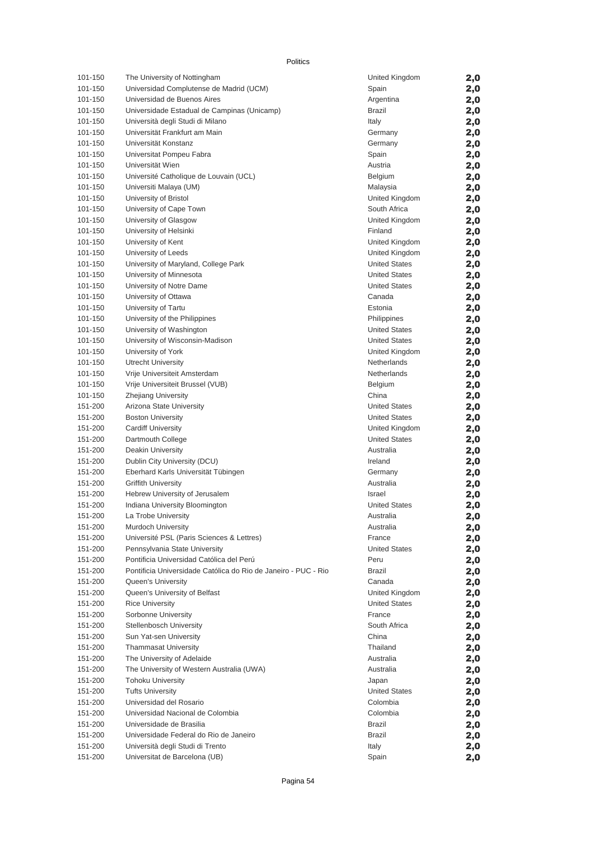#### Politics

| 101-150 | The University of Nottingham                                   | United Kingdom       | 2,0 |
|---------|----------------------------------------------------------------|----------------------|-----|
| 101-150 | Universidad Complutense de Madrid (UCM)                        | Spain                | 2,0 |
| 101-150 | Universidad de Buenos Aires                                    | Argentina            | 2,0 |
| 101-150 | Universidade Estadual de Campinas (Unicamp)                    | Brazil               | 2,0 |
| 101-150 | Università degli Studi di Milano                               | Italy                | 2,0 |
| 101-150 | Universität Frankfurt am Main                                  | Germany              | 2,0 |
| 101-150 | Universität Konstanz                                           | Germany              | 2,0 |
| 101-150 | Universitat Pompeu Fabra                                       | Spain                | 2,0 |
| 101-150 | Universität Wien                                               | Austria              | 2,0 |
| 101-150 | Université Catholique de Louvain (UCL)                         | Belgium              | 2,0 |
| 101-150 | Universiti Malaya (UM)                                         | Malaysia             | 2,0 |
| 101-150 | University of Bristol                                          | United Kingdom       | 2,0 |
| 101-150 | University of Cape Town                                        | South Africa         | 2,0 |
| 101-150 | University of Glasgow                                          | United Kingdom       | 2,0 |
| 101-150 | University of Helsinki                                         | Finland              | 2,0 |
| 101-150 | University of Kent                                             | United Kingdom       | 2,0 |
| 101-150 | University of Leeds                                            | United Kingdom       | 2,0 |
| 101-150 | University of Maryland, College Park                           | <b>United States</b> | 2,0 |
| 101-150 | University of Minnesota                                        | <b>United States</b> | 2,0 |
| 101-150 | University of Notre Dame                                       | <b>United States</b> | 2,0 |
| 101-150 | University of Ottawa                                           | Canada               | 2,0 |
| 101-150 | University of Tartu                                            | Estonia              | 2,0 |
| 101-150 | University of the Philippines                                  | Philippines          | 2,0 |
| 101-150 | University of Washington                                       | <b>United States</b> | 2,0 |
| 101-150 | University of Wisconsin-Madison                                | <b>United States</b> | 2,0 |
| 101-150 | University of York                                             | United Kingdom       | 2,0 |
| 101-150 | <b>Utrecht University</b>                                      | Netherlands          | 2,0 |
| 101-150 | Vrije Universiteit Amsterdam                                   | Netherlands          | 2,0 |
| 101-150 | Vrije Universiteit Brussel (VUB)                               | Belgium              | 2,0 |
| 101-150 | Zhejiang University                                            | China                | 2,0 |
| 151-200 | Arizona State University                                       | <b>United States</b> | 2,0 |
| 151-200 | <b>Boston University</b>                                       | <b>United States</b> | 2,0 |
| 151-200 | <b>Cardiff University</b>                                      | United Kingdom       | 2,0 |
| 151-200 | Dartmouth College                                              | <b>United States</b> | 2,0 |
| 151-200 | Deakin University                                              | Australia            | 2,0 |
| 151-200 | Dublin City University (DCU)                                   | Ireland              | 2,0 |
| 151-200 | Eberhard Karls Universität Tübingen                            | Germany              | 2,0 |
| 151-200 | <b>Griffith University</b>                                     | Australia            | 2,0 |
| 151-200 | Hebrew University of Jerusalem                                 | <b>Israel</b>        | 2,0 |
| 151-200 | Indiana University Bloomington                                 | <b>United States</b> | 2,0 |
| 151-200 | La Trobe University                                            | Australia            | 2,0 |
| 151-200 | Murdoch University                                             | Australia            | 2,0 |
| 151-200 | Université PSL (Paris Sciences & Lettres)                      | France               | 2,0 |
| 151-200 | Pennsylvania State University                                  | <b>United States</b> | 2,0 |
| 151-200 | Pontificia Universidad Católica del Perú                       | Peru                 | 2,0 |
| 151-200 | Pontificia Universidade Católica do Rio de Janeiro - PUC - Rio | Brazil               | 2,0 |
| 151-200 | Queen's University                                             | Canada               | 2,0 |
| 151-200 | Queen's University of Belfast                                  | United Kingdom       | 2,0 |
| 151-200 | <b>Rice University</b>                                         | <b>United States</b> | 2,0 |
| 151-200 | Sorbonne University                                            | France               | 2,0 |
| 151-200 | <b>Stellenbosch University</b>                                 | South Africa         | 2,0 |
| 151-200 | Sun Yat-sen University                                         | China                | 2,0 |
| 151-200 | <b>Thammasat University</b>                                    | Thailand             | 2,0 |
| 151-200 | The University of Adelaide                                     | Australia            | 2,0 |
| 151-200 | The University of Western Australia (UWA)                      | Australia            | 2,0 |
| 151-200 | <b>Tohoku University</b>                                       | Japan                | 2,0 |
| 151-200 | <b>Tufts University</b>                                        | <b>United States</b> | 2,0 |
| 151-200 | Universidad del Rosario                                        | Colombia             | 2,0 |
| 151-200 | Universidad Nacional de Colombia                               | Colombia             | 2,0 |
| 151-200 | Universidade de Brasilia                                       | Brazil               | 2,0 |
| 151-200 | Universidade Federal do Rio de Janeiro                         | Brazil               | 2,0 |
| 151-200 | Università degli Studi di Trento                               | Italy                | 2,0 |
| 151-200 | Universitat de Barcelona (UB)                                  | Spain                | 2,0 |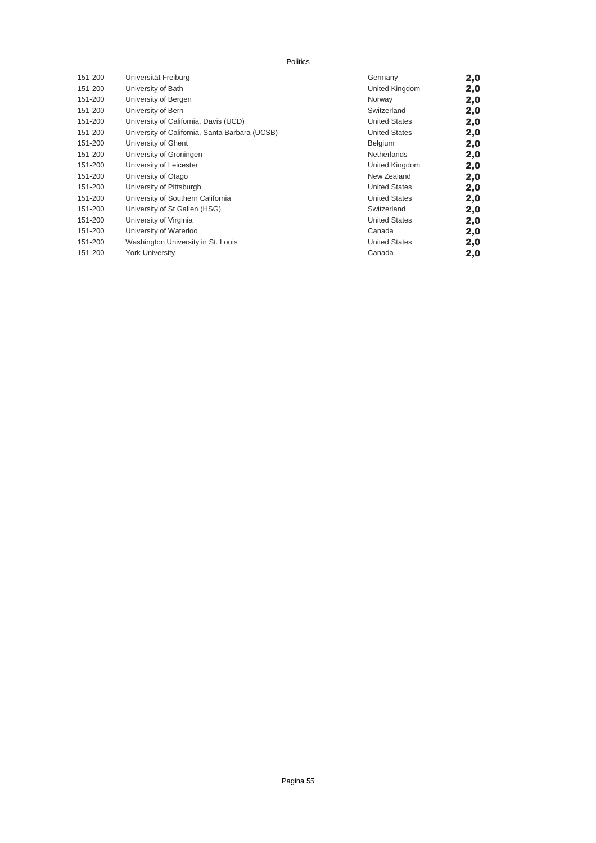#### Politics

| 151-200 | Universität Freiburg                           | Germany              | 2,0 |
|---------|------------------------------------------------|----------------------|-----|
| 151-200 | University of Bath                             | United Kingdom       | 2,0 |
| 151-200 | University of Bergen                           | Norway               | 2,0 |
| 151-200 | University of Bern                             | Switzerland          | 2,0 |
| 151-200 | University of California, Davis (UCD)          | <b>United States</b> | 2,0 |
| 151-200 | University of California, Santa Barbara (UCSB) | <b>United States</b> | 2,0 |
| 151-200 | University of Ghent                            | <b>Belgium</b>       | 2,0 |
| 151-200 | University of Groningen                        | <b>Netherlands</b>   | 2,0 |
| 151-200 | University of Leicester                        | United Kingdom       | 2,0 |
| 151-200 | University of Otago                            | New Zealand          | 2,0 |
| 151-200 | University of Pittsburgh                       | <b>United States</b> | 2,0 |
| 151-200 | University of Southern California              | <b>United States</b> | 2,0 |
| 151-200 | University of St Gallen (HSG)                  | Switzerland          | 2,0 |
| 151-200 | University of Virginia                         | <b>United States</b> | 2,0 |
| 151-200 | University of Waterloo                         | Canada               | 2,0 |
| 151-200 | Washington University in St. Louis             | <b>United States</b> | 2,0 |
| 151-200 | York University                                | Canada               | 2,0 |
|         |                                                |                      |     |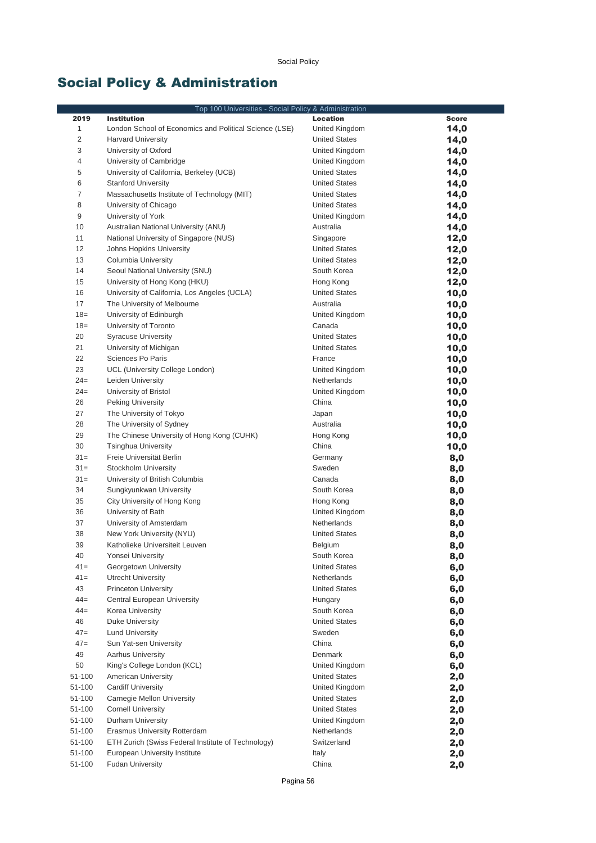# Social Policy & Administration

| Top 100 Universities - Social Policy & Administration |                                                        |                         |              |
|-------------------------------------------------------|--------------------------------------------------------|-------------------------|--------------|
| 2019                                                  | <b>Institution</b>                                     | Location                | <b>Score</b> |
| $\mathbf{1}$                                          | London School of Economics and Political Science (LSE) | United Kingdom          | 14,0         |
| 2                                                     | <b>Harvard University</b>                              | <b>United States</b>    | 14,0         |
| 3                                                     | University of Oxford                                   | United Kingdom          | 14,0         |
| 4                                                     | University of Cambridge                                | United Kingdom          | 14,0         |
| 5                                                     | University of California, Berkeley (UCB)               | <b>United States</b>    | 14,0         |
| 6                                                     | <b>Stanford University</b>                             | <b>United States</b>    | 14,0         |
| 7                                                     | Massachusetts Institute of Technology (MIT)            | <b>United States</b>    | 14,0         |
| 8                                                     | University of Chicago                                  | <b>United States</b>    | 14,0         |
| 9                                                     | University of York                                     | United Kingdom          | 14,0         |
| 10                                                    | Australian National University (ANU)                   | Australia               | 14,0         |
| 11                                                    | National University of Singapore (NUS)                 | Singapore               | 12,0         |
| 12                                                    | Johns Hopkins University                               | <b>United States</b>    | 12,0         |
| 13                                                    | Columbia University                                    | <b>United States</b>    | 12,0         |
| 14                                                    | Seoul National University (SNU)                        | South Korea             | 12,0         |
| 15                                                    | University of Hong Kong (HKU)                          | Hong Kong               | 12,0         |
| 16                                                    | University of California, Los Angeles (UCLA)           | <b>United States</b>    | 10,0         |
| 17                                                    | The University of Melbourne                            | Australia               | 10,0         |
| $18 =$                                                | University of Edinburgh                                | United Kingdom          | 10,0         |
| $18 =$                                                | University of Toronto                                  | Canada                  | 10,0         |
| 20                                                    | <b>Syracuse University</b>                             | <b>United States</b>    | 10,0         |
| 21                                                    | University of Michigan                                 | <b>United States</b>    | 10,0         |
| 22                                                    | Sciences Po Paris                                      | France                  | 10,0         |
| 23                                                    | UCL (University College London)                        | United Kingdom          | 10,0         |
| $24=$<br>$24=$                                        | Leiden University                                      | Netherlands             | 10,0         |
| 26                                                    | University of Bristol                                  | United Kingdom<br>China | 10,0         |
| 27                                                    | <b>Peking University</b><br>The University of Tokyo    | Japan                   | 10,0         |
| 28                                                    | The University of Sydney                               | Australia               | 10,0         |
| 29                                                    | The Chinese University of Hong Kong (CUHK)             | Hong Kong               | 10,0<br>10,0 |
| 30                                                    | <b>Tsinghua University</b>                             | China                   | 10,0         |
| $31 =$                                                | Freie Universität Berlin                               | Germany                 | 8,0          |
| $31 =$                                                | Stockholm University                                   | Sweden                  | 8,0          |
| $31 =$                                                | University of British Columbia                         | Canada                  | 8,0          |
| 34                                                    | Sungkyunkwan University                                | South Korea             | 8,0          |
| 35                                                    | City University of Hong Kong                           | Hong Kong               | 8,0          |
| 36                                                    | University of Bath                                     | United Kingdom          | 8,0          |
| 37                                                    | University of Amsterdam                                | Netherlands             | 8,0          |
| 38                                                    | New York University (NYU)                              | <b>United States</b>    | 8,0          |
| 39                                                    | Katholieke Universiteit Leuven                         | <b>Belgium</b>          | 8,0          |
| 40                                                    | Yonsei University                                      | South Korea             | 8,0          |
| $41 =$                                                | Georgetown University                                  | <b>United States</b>    | 6,0          |
| $41 =$                                                | <b>Utrecht University</b>                              | Netherlands             | 6,0          |
| 43                                                    | <b>Princeton University</b>                            | <b>United States</b>    | 6,0          |
| $44 =$                                                | Central European University                            | Hungary                 | 6,0          |
| $44 =$                                                | Korea University                                       | South Korea             | 6,0          |
| 46                                                    | Duke University                                        | <b>United States</b>    | 6,0          |
| $47=$                                                 | <b>Lund University</b>                                 | Sweden                  | 6,0          |
| $47=$                                                 | Sun Yat-sen University                                 | China                   | 6,0          |
| 49                                                    | <b>Aarhus University</b>                               | Denmark                 | 6,0          |
| 50                                                    | King's College London (KCL)                            | United Kingdom          | 6,0          |
| 51-100                                                | American University                                    | <b>United States</b>    | 2,0          |
| 51-100                                                | <b>Cardiff University</b>                              | United Kingdom          | 2,0          |
| 51-100                                                | Carnegie Mellon University                             | <b>United States</b>    | 2,0          |
| 51-100                                                | <b>Cornell University</b>                              | <b>United States</b>    | 2,0          |
| 51-100                                                | Durham University                                      | United Kingdom          | 2,0          |
| 51-100                                                | Erasmus University Rotterdam                           | Netherlands             | 2,0          |
| 51-100                                                | ETH Zurich (Swiss Federal Institute of Technology)     | Switzerland             | 2,0          |
| 51-100                                                | European University Institute                          | Italy                   | 2,0          |
| 51-100                                                | <b>Fudan University</b>                                | China                   | 2,0          |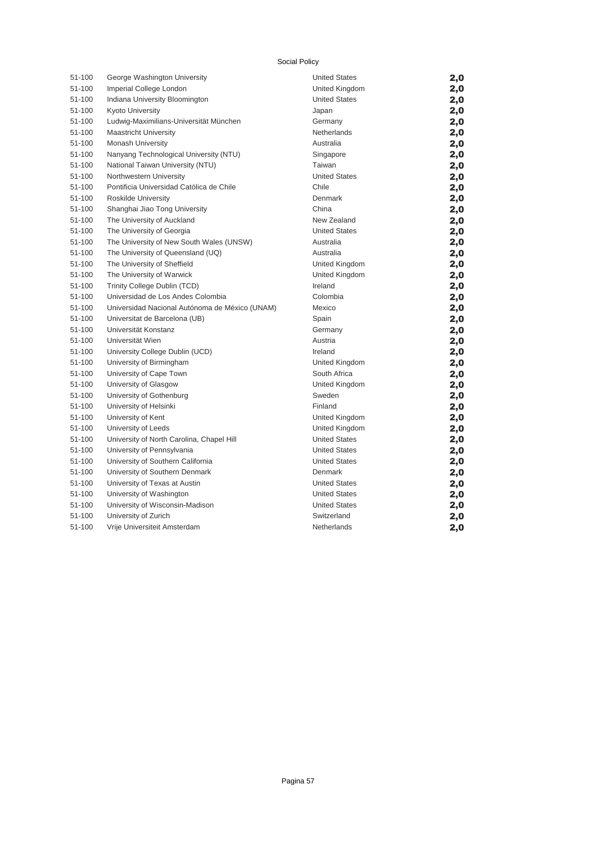#### Social Policy

| 51-100 | George Washington University                   | <b>United States</b> | 2,0 |
|--------|------------------------------------------------|----------------------|-----|
| 51-100 | Imperial College London                        | United Kingdom       | 2,0 |
| 51-100 | Indiana University Bloomington                 | <b>United States</b> | 2,0 |
| 51-100 | Kyoto University                               | Japan                | 2,0 |
| 51-100 | Ludwig-Maximilians-Universität München         | Germany              | 2,0 |
| 51-100 | <b>Maastricht University</b>                   | Netherlands          | 2,0 |
| 51-100 | Monash University                              | Australia            | 2,0 |
| 51-100 | Nanyang Technological University (NTU)         | Singapore            | 2,0 |
| 51-100 | National Taiwan University (NTU)               | Taiwan               | 2,0 |
| 51-100 | Northwestern University                        | <b>United States</b> | 2,0 |
| 51-100 | Pontificia Universidad Católica de Chile       | Chile                | 2,0 |
| 51-100 | Roskilde University                            | Denmark              | 2,0 |
| 51-100 | Shanghai Jiao Tong University                  | China                | 2,0 |
| 51-100 | The University of Auckland                     | New Zealand          | 2,0 |
| 51-100 | The University of Georgia                      | <b>United States</b> | 2,0 |
| 51-100 | The University of New South Wales (UNSW)       | Australia            | 2,0 |
| 51-100 | The University of Queensland (UQ)              | Australia            | 2,0 |
| 51-100 | The University of Sheffield                    | United Kingdom       | 2,0 |
| 51-100 | The University of Warwick                      | United Kingdom       | 2,0 |
| 51-100 | Trinity College Dublin (TCD)                   | Ireland              | 2,0 |
| 51-100 | Universidad de Los Andes Colombia              | Colombia             | 2,0 |
| 51-100 | Universidad Nacional Autónoma de México (UNAM) | Mexico               | 2,0 |
| 51-100 | Universitat de Barcelona (UB)                  | Spain                | 2,0 |
| 51-100 | Universität Konstanz                           | Germany              | 2,0 |
| 51-100 | Universität Wien                               | Austria              | 2,0 |
| 51-100 | University College Dublin (UCD)                | Ireland              | 2,0 |
| 51-100 | University of Birmingham                       | United Kingdom       | 2,0 |
| 51-100 | University of Cape Town                        | South Africa         | 2,0 |
| 51-100 | University of Glasgow                          | United Kingdom       | 2,0 |
| 51-100 | University of Gothenburg                       | Sweden               | 2,0 |
| 51-100 | University of Helsinki                         | Finland              | 2,0 |
| 51-100 | University of Kent                             | United Kingdom       | 2,0 |
| 51-100 | University of Leeds                            | United Kingdom       | 2,0 |
| 51-100 | University of North Carolina, Chapel Hill      | <b>United States</b> | 2,0 |
| 51-100 | University of Pennsylvania                     | <b>United States</b> | 2,0 |
| 51-100 | University of Southern California              | <b>United States</b> | 2,0 |
| 51-100 | University of Southern Denmark                 | Denmark              | 2,0 |
| 51-100 | University of Texas at Austin                  | <b>United States</b> | 2,0 |
| 51-100 | University of Washington                       | <b>United States</b> | 2,0 |
| 51-100 | University of Wisconsin-Madison                | <b>United States</b> | 2,0 |
| 51-100 | University of Zurich                           | Switzerland          | 2,0 |
| 51-100 | Vrije Universiteit Amsterdam                   | Netherlands          | 2,0 |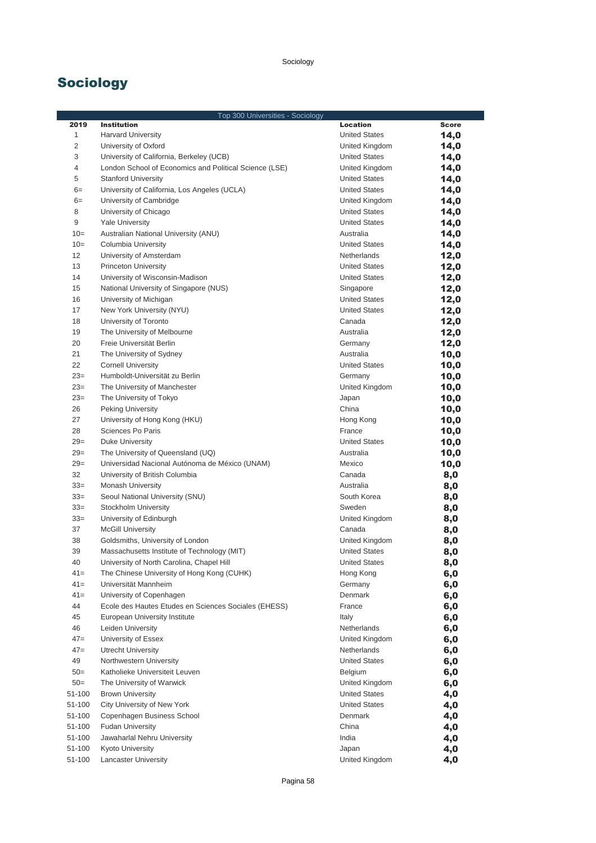## Sociology

|        | Top 300 Universities - Sociology                       |                      |              |  |
|--------|--------------------------------------------------------|----------------------|--------------|--|
| 2019   | <b>Institution</b>                                     | <b>Location</b>      | <b>Score</b> |  |
| 1      | <b>Harvard University</b>                              | <b>United States</b> | 14,0         |  |
| 2      | University of Oxford                                   | United Kingdom       | 14,0         |  |
| 3      | University of California, Berkeley (UCB)               | <b>United States</b> | 14,0         |  |
| 4      | London School of Economics and Political Science (LSE) | United Kingdom       | 14,0         |  |
| 5      | <b>Stanford University</b>                             | <b>United States</b> | 14,0         |  |
| $6=$   | University of California, Los Angeles (UCLA)           | <b>United States</b> | 14,0         |  |
| $6=$   | University of Cambridge                                | United Kingdom       | 14,0         |  |
| 8      | University of Chicago                                  | <b>United States</b> | 14,0         |  |
| $9\,$  | <b>Yale University</b>                                 | <b>United States</b> | 14,0         |  |
| $10=$  | Australian National University (ANU)                   | Australia            | 14,0         |  |
| $10=$  | Columbia University                                    | <b>United States</b> | 14,0         |  |
| 12     | University of Amsterdam                                | Netherlands          |              |  |
| 13     |                                                        | <b>United States</b> | 12,0         |  |
| 14     | <b>Princeton University</b>                            |                      | 12,0         |  |
|        | University of Wisconsin-Madison                        | <b>United States</b> | 12,0         |  |
| 15     | National University of Singapore (NUS)                 | Singapore            | 12,0         |  |
| 16     | University of Michigan                                 | <b>United States</b> | 12,0         |  |
| 17     | New York University (NYU)                              | <b>United States</b> | 12,0         |  |
| 18     | University of Toronto                                  | Canada               | 12,0         |  |
| 19     | The University of Melbourne                            | Australia            | 12,0         |  |
| 20     | Freie Universität Berlin                               | Germany              | 12,0         |  |
| 21     | The University of Sydney                               | Australia            | 10,0         |  |
| 22     | <b>Cornell University</b>                              | <b>United States</b> | 10,0         |  |
| $23=$  | Humboldt-Universität zu Berlin                         | Germany              | 10,0         |  |
| $23=$  | The University of Manchester                           | United Kingdom       | 10,0         |  |
| $23=$  | The University of Tokyo                                | Japan                | 10,0         |  |
| 26     | <b>Peking University</b>                               | China                | 10,0         |  |
| 27     | University of Hong Kong (HKU)                          | Hong Kong            | 10,0         |  |
| 28     | Sciences Po Paris                                      | France               | 10,0         |  |
| $29=$  | Duke University                                        | <b>United States</b> | 10,0         |  |
| $29=$  | The University of Queensland (UQ)                      | Australia            | 10,0         |  |
| $29=$  | Universidad Nacional Autónoma de México (UNAM)         | Mexico               | 10,0         |  |
| 32     | University of British Columbia                         | Canada               | 8,0          |  |
| $33=$  | <b>Monash University</b>                               | Australia            | 8,0          |  |
| $33=$  | Seoul National University (SNU)                        | South Korea          | 8,0          |  |
| $33=$  | Stockholm University                                   | Sweden               | 8,0          |  |
| $33=$  | University of Edinburgh                                | United Kingdom       | 8,0          |  |
| 37     | <b>McGill University</b>                               | Canada               | 8,0          |  |
| 38     | Goldsmiths, University of London                       | United Kingdom       |              |  |
| 39     | Massachusetts Institute of Technology (MIT)            | <b>United States</b> | 8,0          |  |
| 40     |                                                        |                      | 8,0          |  |
|        | University of North Carolina, Chapel Hill              | <b>United States</b> | 8,0          |  |
| $41 =$ | The Chinese University of Hong Kong (CUHK)             | Hong Kong            | 6,0          |  |
| $41 =$ | Universität Mannheim                                   | Germany              | 6,0          |  |
| $41 =$ | University of Copenhagen                               | Denmark              | 6,0          |  |
| 44     | Ecole des Hautes Etudes en Sciences Sociales (EHESS)   | France               | 6,0          |  |
| 45     | European University Institute                          | Italy                | 6,0          |  |
| 46     | Leiden University                                      | Netherlands          | 6,0          |  |
| $47=$  | University of Essex                                    | United Kingdom       | 6,0          |  |
| $47=$  | <b>Utrecht University</b>                              | Netherlands          | 6,0          |  |
| 49     | Northwestern University                                | <b>United States</b> | 6,0          |  |
| $50=$  | Katholieke Universiteit Leuven                         | Belgium              | 6,0          |  |
| $50=$  | The University of Warwick                              | United Kingdom       | 6,0          |  |
| 51-100 | <b>Brown University</b>                                | <b>United States</b> | 4,0          |  |
| 51-100 | City University of New York                            | <b>United States</b> | 4,0          |  |
| 51-100 | Copenhagen Business School                             | Denmark              | 4,0          |  |
| 51-100 | <b>Fudan University</b>                                | China                | 4,0          |  |
| 51-100 | Jawaharlal Nehru University                            | India                | 4,0          |  |
| 51-100 | <b>Kyoto University</b>                                | Japan                | 4,0          |  |
| 51-100 | <b>Lancaster University</b>                            | United Kingdom       | 4,0          |  |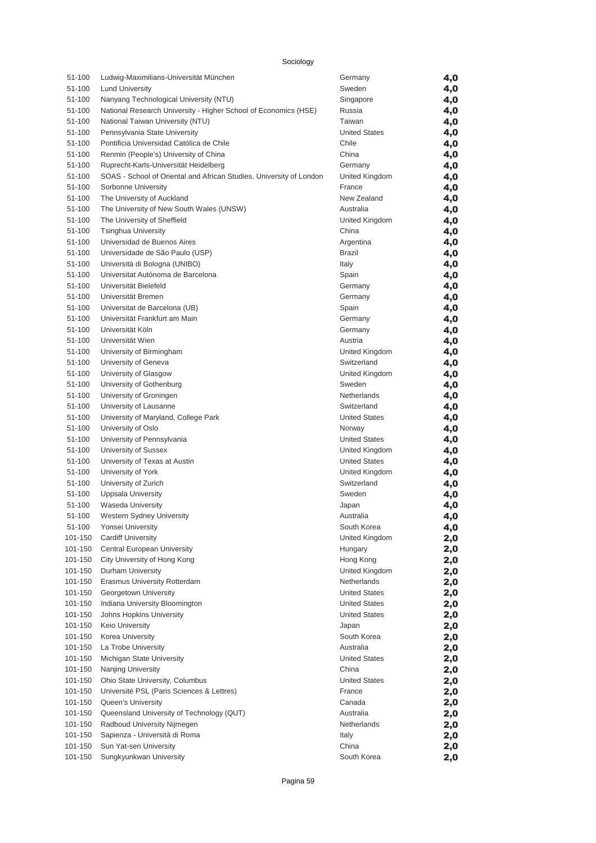|  | Sociology |
|--|-----------|
|  |           |

| 51-100             | Ludwig-Maximilians-Universität München                              | Germany              | 4,0        |
|--------------------|---------------------------------------------------------------------|----------------------|------------|
| 51-100             | <b>Lund University</b>                                              | Sweden               | 4,0        |
| 51-100             | Nanyang Technological University (NTU)                              | Singapore            | 4,0        |
| 51-100             | National Research University - Higher School of Economics (HSE)     | Russia               | 4,0        |
| 51-100             | National Taiwan University (NTU)                                    | Taiwan               | 4,0        |
| 51-100             | Pennsylvania State University                                       | <b>United States</b> | 4,0        |
| 51-100             | Pontificia Universidad Católica de Chile                            | Chile                | 4,0        |
| 51-100             | Renmin (People's) University of China                               | China                | 4,0        |
| 51-100             | Ruprecht-Karls-Universität Heidelberg                               | Germany              | 4,0        |
| 51-100             | SOAS - School of Oriental and African Studies, University of London | United Kingdom       | 4,0        |
| 51-100             | Sorbonne University                                                 | France               | 4,0        |
| 51-100             | The University of Auckland                                          | New Zealand          | 4,0        |
| 51-100             | The University of New South Wales (UNSW)                            | Australia            | 4,0        |
| 51-100             | The University of Sheffield                                         | United Kingdom       | 4,0        |
| 51-100             | <b>Tsinghua University</b>                                          | China                | 4,0        |
| 51-100             | Universidad de Buenos Aires                                         | Argentina            | 4,0        |
| 51-100             | Universidade de São Paulo (USP)                                     | <b>Brazil</b>        | 4,0        |
| 51-100             | Università di Bologna (UNIBO)                                       | Italy                | 4,0        |
| 51-100             | Universitat Autónoma de Barcelona                                   | Spain                | 4,0        |
| 51-100             | Universität Bielefeld                                               | Germany              | 4,0        |
| 51-100             | Universität Bremen                                                  | Germany              | 4,0        |
| 51-100             | Universitat de Barcelona (UB)                                       | Spain                | 4,0        |
| 51-100             | Universität Frankfurt am Main                                       | Germany              | 4,0        |
| 51-100             | Universität Köln                                                    | Germany              | 4,0        |
| 51-100             | Universität Wien                                                    | Austria              | 4,0        |
| 51-100             | University of Birmingham                                            | United Kingdom       | 4,0        |
| 51-100             | University of Geneva                                                | Switzerland          | 4,0        |
| 51-100             | University of Glasgow                                               | United Kingdom       | 4,0        |
| 51-100             | University of Gothenburg                                            | Sweden               | 4,0        |
| 51-100             | University of Groningen                                             | Netherlands          | 4,0        |
| 51-100             | University of Lausanne                                              | Switzerland          | 4,0        |
| 51-100             | University of Maryland, College Park                                | <b>United States</b> | 4,0        |
| 51-100             | University of Oslo                                                  | Norway               | 4,0        |
| 51-100             | University of Pennsylvania                                          | <b>United States</b> | 4,0        |
| 51-100             | University of Sussex                                                | United Kingdom       | 4,0        |
| 51-100             | University of Texas at Austin                                       | <b>United States</b> | 4,0        |
| 51-100             | University of York                                                  | United Kingdom       | 4,0        |
| 51-100             | University of Zurich                                                | Switzerland          | 4,0        |
| 51-100             | <b>Uppsala University</b>                                           | Sweden               | 4,0        |
| 51-100             | Waseda University                                                   | Japan                | 4,0        |
| 51-100             | Western Sydney University                                           | Australia            | 4,0        |
| 51-100             | Yonsei University                                                   | South Korea          |            |
| 101-150            | <b>Cardiff University</b>                                           | United Kingdom       | 4,0        |
| 101-150            | Central European University                                         | Hungary              | 2,0<br>2,0 |
| 101-150            | City University of Hong Kong                                        | Hong Kong            | 2,0        |
| 101-150            | Durham University                                                   | United Kingdom       |            |
| 101-150            | Erasmus University Rotterdam                                        | Netherlands          | 2,0        |
| 101-150            | Georgetown University                                               | <b>United States</b> | 2,0        |
|                    | Indiana University Bloomington                                      |                      | 2,0        |
| 101-150<br>101-150 | Johns Hopkins University                                            | <b>United States</b> | 2,0        |
| 101-150            | Keio University                                                     | <b>United States</b> | 2,0        |
|                    |                                                                     | Japan<br>South Korea | 2,0        |
| 101-150            | Korea University                                                    | Australia            | 2,0        |
| 101-150            | La Trobe University                                                 |                      | 2,0        |
| 101-150            | Michigan State University                                           | <b>United States</b> | 2,0        |
| 101-150            | Nanjing University                                                  | China                | 2,0        |
| 101-150            | Ohio State University, Columbus                                     | <b>United States</b> | 2,0        |
| 101-150            | Université PSL (Paris Sciences & Lettres)                           | France               | 2,0        |
| 101-150            | Queen's University                                                  | Canada               | 2,0        |
| 101-150            | Queensland University of Technology (QUT)                           | Australia            | 2,0        |
| 101-150            | Radboud University Nijmegen                                         | Netherlands          | 2,0        |
| 101-150            | Sapienza - Università di Roma                                       | Italy                | 2,0        |
| 101-150            | Sun Yat-sen University                                              | China                | 2,0        |
| 101-150            | Sungkyunkwan University                                             | South Korea          | 2,0        |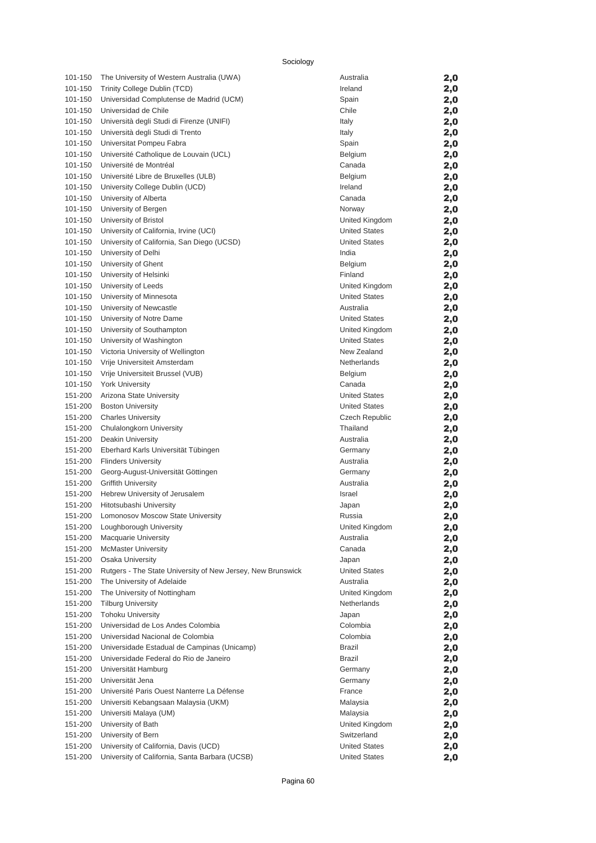| 101-150 | The University of Western Australia (UWA)                   | Australia            | 2,0 |
|---------|-------------------------------------------------------------|----------------------|-----|
| 101-150 | Trinity College Dublin (TCD)                                | Ireland              | 2,0 |
| 101-150 | Universidad Complutense de Madrid (UCM)                     | Spain                | 2,0 |
| 101-150 | Universidad de Chile                                        | Chile                | 2,0 |
| 101-150 | Università degli Studi di Firenze (UNIFI)                   | Italy                | 2,0 |
| 101-150 | Università degli Studi di Trento                            | Italy                | 2,0 |
| 101-150 | Universitat Pompeu Fabra                                    | Spain                | 2,0 |
| 101-150 | Université Catholique de Louvain (UCL)                      | Belgium              | 2,0 |
| 101-150 | Université de Montréal                                      | Canada               | 2,0 |
| 101-150 | Université Libre de Bruxelles (ULB)                         | Belgium              | 2,0 |
| 101-150 | University College Dublin (UCD)                             | Ireland              | 2,0 |
| 101-150 | University of Alberta                                       | Canada               | 2,0 |
| 101-150 | University of Bergen                                        | Norway               | 2,0 |
| 101-150 | University of Bristol                                       | United Kingdom       | 2,0 |
| 101-150 | University of California, Irvine (UCI)                      | <b>United States</b> | 2,0 |
| 101-150 | University of California, San Diego (UCSD)                  | <b>United States</b> | 2,0 |
| 101-150 | University of Delhi                                         | India                | 2,0 |
| 101-150 | University of Ghent                                         | Belgium              | 2,0 |
| 101-150 | University of Helsinki                                      | Finland              | 2,0 |
| 101-150 | University of Leeds                                         | United Kingdom       | 2,0 |
| 101-150 | University of Minnesota                                     | <b>United States</b> | 2,0 |
| 101-150 | University of Newcastle                                     | Australia            | 2,0 |
| 101-150 | University of Notre Dame                                    | <b>United States</b> | 2,0 |
| 101-150 | University of Southampton                                   | United Kingdom       | 2,0 |
| 101-150 | University of Washington                                    | <b>United States</b> | 2,0 |
| 101-150 | Victoria University of Wellington                           | New Zealand          | 2,0 |
| 101-150 | Vrije Universiteit Amsterdam                                | Netherlands          | 2,0 |
| 101-150 | Vrije Universiteit Brussel (VUB)                            | Belgium              | 2,0 |
| 101-150 | <b>York University</b>                                      | Canada               | 2,0 |
| 151-200 | Arizona State University                                    | <b>United States</b> | 2,0 |
| 151-200 | <b>Boston University</b>                                    | <b>United States</b> | 2,0 |
| 151-200 | <b>Charles University</b>                                   | Czech Republic       | 2,0 |
| 151-200 | Chulalongkorn University                                    | Thailand             | 2,0 |
| 151-200 | Deakin University                                           | Australia            | 2,0 |
| 151-200 | Eberhard Karls Universität Tübingen                         | Germany              | 2,0 |
| 151-200 | <b>Flinders University</b>                                  | Australia            | 2,0 |
| 151-200 | Georg-August-Universität Göttingen                          | Germany              | 2,0 |
| 151-200 | <b>Griffith University</b>                                  | Australia            | 2,0 |
| 151-200 | Hebrew University of Jerusalem                              | Israel               | 2,0 |
| 151-200 | Hitotsubashi University                                     | Japan                | 2,0 |
| 151-200 | Lomonosov Moscow State University                           | Russia               | 2,0 |
| 151-200 | Loughborough University                                     | United Kingdom       | 2,0 |
| 151-200 | <b>Macquarie University</b>                                 | Australia            | 2,0 |
| 151-200 | <b>McMaster University</b>                                  | Canada               | 2,0 |
| 151-200 | Osaka University                                            | Japan                | 2,0 |
| 151-200 | Rutgers - The State University of New Jersey, New Brunswick | <b>United States</b> | 2,0 |
| 151-200 | The University of Adelaide                                  | Australia            | 2,0 |
| 151-200 | The University of Nottingham                                | United Kingdom       | 2,0 |
| 151-200 | <b>Tilburg University</b>                                   | Netherlands          | 2,0 |
| 151-200 | <b>Tohoku University</b>                                    | Japan                | 2,0 |
| 151-200 | Universidad de Los Andes Colombia                           | Colombia             | 2,0 |
| 151-200 | Universidad Nacional de Colombia                            | Colombia             | 2,0 |
| 151-200 | Universidade Estadual de Campinas (Unicamp)                 | <b>Brazil</b>        | 2,0 |
| 151-200 | Universidade Federal do Rio de Janeiro                      | Brazil               | 2,0 |
| 151-200 | Universität Hamburg                                         | Germany              | 2,0 |
| 151-200 | Universität Jena                                            | Germany              | 2,0 |
| 151-200 | Université Paris Ouest Nanterre La Défense                  | France               | 2,0 |
| 151-200 | Universiti Kebangsaan Malaysia (UKM)                        | Malaysia             | 2,0 |
| 151-200 | Universiti Malaya (UM)                                      | Malaysia             | 2,0 |
| 151-200 | University of Bath                                          | United Kingdom       | 2,0 |
| 151-200 | University of Bern                                          | Switzerland          | 2,0 |
| 151-200 | University of California, Davis (UCD)                       | <b>United States</b> | 2,0 |
| 151-200 | University of California, Santa Barbara (UCSB)              | <b>United States</b> | 2,0 |
|         |                                                             |                      |     |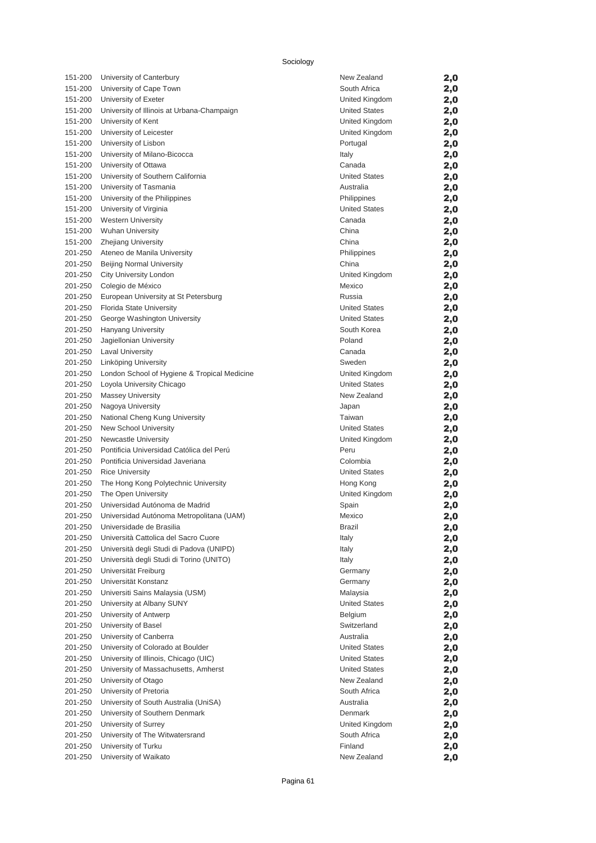| 151-200            | University of Canterbury                      | New Zealand                            | 2,0        |
|--------------------|-----------------------------------------------|----------------------------------------|------------|
| 151-200            | University of Cape Town                       | South Africa                           | 2,0        |
| 151-200            | University of Exeter                          | United Kingdom                         | 2,0        |
| 151-200            | University of Illinois at Urbana-Champaign    | <b>United States</b>                   | 2,0        |
| 151-200            | University of Kent                            | United Kingdom                         | 2,0        |
| 151-200            | University of Leicester                       | United Kingdom                         | 2,0        |
| 151-200            | University of Lisbon                          | Portugal                               | 2,0        |
| 151-200            | University of Milano-Bicocca                  | Italy                                  | 2,0        |
| 151-200            | University of Ottawa                          | Canada                                 | 2,0        |
| 151-200            | University of Southern California             | <b>United States</b>                   | 2,0        |
| 151-200            | University of Tasmania                        | Australia                              | 2,0        |
| 151-200            | University of the Philippines                 | Philippines                            | 2,0        |
| 151-200            | University of Virginia                        | <b>United States</b>                   | 2,0        |
| 151-200            | <b>Western University</b>                     | Canada                                 | 2,0        |
| 151-200            | <b>Wuhan University</b>                       | China                                  | 2,0        |
| 151-200            | <b>Zhejiang University</b>                    | China                                  | 2,0        |
| 201-250            | Ateneo de Manila University                   | Philippines                            | 2,0        |
| 201-250            | <b>Beijing Normal University</b>              | China                                  | 2,0        |
| 201-250            | City University London                        | United Kingdom                         | 2,0        |
| 201-250            | Colegio de México                             | Mexico                                 | 2,0        |
| 201-250            | European University at St Petersburg          | Russia                                 | 2,0        |
| 201-250            | Florida State University                      | <b>United States</b>                   | 2,0        |
| 201-250            | George Washington University                  | <b>United States</b>                   | 2,0        |
| 201-250            | Hanyang University                            | South Korea                            | 2,0        |
| 201-250            | Jagiellonian University                       | Poland                                 | 2,0        |
| 201-250            | <b>Laval University</b>                       | Canada                                 | 2,0        |
| 201-250            | Linköping University                          | Sweden                                 | 2,0        |
| 201-250            | London School of Hygiene & Tropical Medicine  | United Kingdom<br><b>United States</b> | 2,0        |
| 201-250<br>201-250 | Loyola University Chicago                     | New Zealand                            | 2,0        |
| 201-250            | <b>Massey University</b><br>Nagoya University |                                        | 2,0        |
| 201-250            | National Cheng Kung University                | Japan<br>Taiwan                        | 2,0        |
| 201-250            | New School University                         | <b>United States</b>                   | 2,0        |
| 201-250            | Newcastle University                          | United Kingdom                         | 2,0        |
| 201-250            | Pontificia Universidad Católica del Perú      | Peru                                   | 2,0<br>2,0 |
| 201-250            | Pontificia Universidad Javeriana              | Colombia                               | 2,0        |
| 201-250            | <b>Rice University</b>                        | <b>United States</b>                   | 2,0        |
| 201-250            | The Hong Kong Polytechnic University          | Hong Kong                              | 2,0        |
| 201-250            | The Open University                           | United Kingdom                         | 2,0        |
| 201-250            | Universidad Autónoma de Madrid                | Spain                                  | 2,0        |
| 201-250            | Universidad Autónoma Metropolitana (UAM)      | Mexico                                 | 2,0        |
| 201-250            | Universidade de Brasilia                      | Brazil                                 | 2,0        |
| 201-250            | Università Cattolica del Sacro Cuore          | Italy                                  | 2,0        |
| 201-250            | Università degli Studi di Padova (UNIPD)      | Italy                                  | 2,0        |
| 201-250            | Università degli Studi di Torino (UNITO)      | Italy                                  | 2,0        |
| 201-250            | Universität Freiburg                          | Germany                                | 2,0        |
| 201-250            | Universität Konstanz                          | Germany                                | 2,0        |
| 201-250            | Universiti Sains Malaysia (USM)               | Malaysia                               | 2,0        |
| 201-250            | University at Albany SUNY                     | <b>United States</b>                   | 2,0        |
| 201-250            | University of Antwerp                         | <b>Belgium</b>                         | 2,0        |
| 201-250            | University of Basel                           | Switzerland                            | 2,0        |
| 201-250            | University of Canberra                        | Australia                              | 2,0        |
| 201-250            | University of Colorado at Boulder             | <b>United States</b>                   | 2,0        |
| 201-250            | University of Illinois, Chicago (UIC)         | <b>United States</b>                   | 2,0        |
| 201-250            | University of Massachusetts, Amherst          | <b>United States</b>                   | 2,0        |
| 201-250            | University of Otago                           | New Zealand                            | 2,0        |
| 201-250            | University of Pretoria                        | South Africa                           | 2,0        |
| 201-250            | University of South Australia (UniSA)         | Australia                              | 2,0        |
| 201-250            | University of Southern Denmark                | Denmark                                | 2,0        |
| 201-250            | University of Surrey                          | United Kingdom                         | 2,0        |
| 201-250            | University of The Witwatersrand               | South Africa                           | 2,0        |
| 201-250            | University of Turku                           | Finland                                | 2,0        |
| 201-250            | University of Waikato                         | New Zealand                            | 2,0        |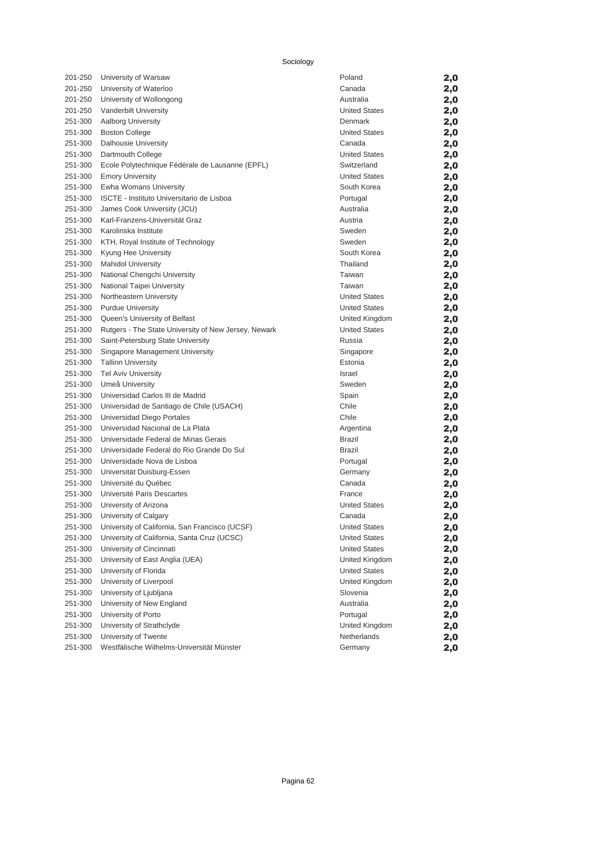| 201-250 | University of Warsaw                                 | Poland               | 2,0 |
|---------|------------------------------------------------------|----------------------|-----|
| 201-250 | University of Waterloo                               | Canada               | 2,0 |
| 201-250 | University of Wollongong                             | Australia            | 2,0 |
| 201-250 | Vanderbilt University                                | <b>United States</b> | 2,0 |
| 251-300 | Aalborg University                                   | Denmark              | 2,0 |
| 251-300 | <b>Boston College</b>                                | <b>United States</b> | 2,0 |
| 251-300 | <b>Dalhousie University</b>                          | Canada               | 2,0 |
| 251-300 | Dartmouth College                                    | <b>United States</b> | 2,0 |
| 251-300 | Ecole Polytechnique Fédérale de Lausanne (EPFL)      | Switzerland          | 2,0 |
| 251-300 | <b>Emory University</b>                              | <b>United States</b> | 2,0 |
| 251-300 | Ewha Womans University                               | South Korea          | 2,0 |
| 251-300 | ISCTE - Instituto Universitario de Lisboa            | Portugal             | 2,0 |
| 251-300 | James Cook University (JCU)                          | Australia            | 2,0 |
| 251-300 | Karl-Franzens-Universität Graz                       | Austria              | 2,0 |
| 251-300 | Karolinska Institute                                 | Sweden               | 2,0 |
| 251-300 | KTH, Royal Institute of Technology                   | Sweden               | 2,0 |
| 251-300 | Kyung Hee University                                 | South Korea          | 2,0 |
| 251-300 | <b>Mahidol University</b>                            | Thailand             | 2,0 |
| 251-300 | National Chengchi University                         | Taiwan               | 2,0 |
| 251-300 | National Taipei University                           | Taiwan               | 2,0 |
| 251-300 | Northeastern University                              | <b>United States</b> | 2,0 |
| 251-300 | <b>Purdue University</b>                             | <b>United States</b> | 2,0 |
| 251-300 | Queen's University of Belfast                        | United Kingdom       | 2,0 |
| 251-300 | Rutgers - The State University of New Jersey, Newark | <b>United States</b> | 2,0 |
| 251-300 | Saint-Petersburg State University                    | Russia               | 2,0 |
| 251-300 | Singapore Management University                      | Singapore            | 2,0 |
| 251-300 | <b>Tallinn University</b>                            | Estonia              | 2,0 |
| 251-300 | <b>Tel Aviv University</b>                           | <b>Israel</b>        | 2,0 |
| 251-300 | Umeå University                                      | Sweden               | 2,0 |
| 251-300 | Universidad Carlos III de Madrid                     | Spain                | 2,0 |
| 251-300 | Universidad de Santiago de Chile (USACH)             | Chile                | 2,0 |
| 251-300 | Universidad Diego Portales                           | Chile                | 2,0 |
| 251-300 | Universidad Nacional de La Plata                     | Argentina            | 2,0 |
| 251-300 | Universidade Federal de Minas Gerais                 | <b>Brazil</b>        | 2,0 |
| 251-300 | Universidade Federal do Rio Grande Do Sul            | <b>Brazil</b>        | 2,0 |
| 251-300 | Universidade Nova de Lisboa                          | Portugal             | 2,0 |
| 251-300 | Universität Duisburg-Essen                           | Germany              | 2,0 |
| 251-300 | Université du Québec                                 | Canada               | 2,0 |
| 251-300 | Université Paris Descartes                           | France               | 2,0 |
| 251-300 | University of Arizona                                | <b>United States</b> | 2,0 |
| 251-300 | University of Calgary                                | Canada               | 2,0 |
| 251-300 | University of California, San Francisco (UCSF)       | <b>United States</b> | 2,0 |
| 251-300 | University of California, Santa Cruz (UCSC)          | <b>United States</b> | 2,0 |
| 251-300 | University of Cincinnati                             | <b>United States</b> | 2,0 |
| 251-300 | University of East Anglia (UEA)                      | United Kingdom       | 2,0 |
| 251-300 | University of Florida                                | <b>United States</b> | 2,0 |
| 251-300 | University of Liverpool                              | United Kingdom       | 2,0 |
| 251-300 | University of Ljubljana                              | Slovenia             | 2,0 |
| 251-300 | University of New England                            | Australia            | 2,0 |
| 251-300 | University of Porto                                  | Portugal             | 2,0 |
| 251-300 | University of Strathclyde                            | United Kingdom       | 2,0 |
| 251-300 | University of Twente                                 | Netherlands          | 2,0 |

251-300 Westfälische Wilhelms-Universität Münster  $2,0$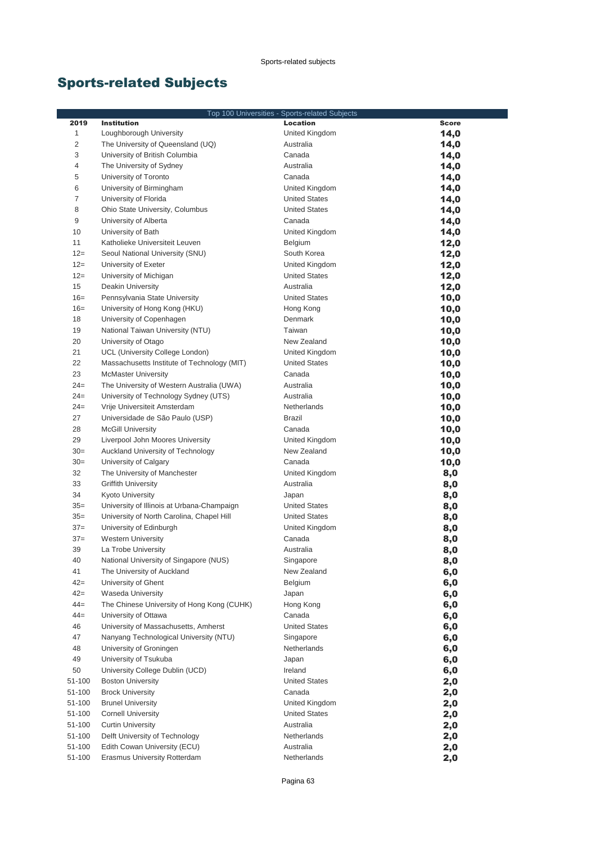# Sports-related Subjects

| Top 100 Universities - Sports-related Subjects |                                                                                |                      |              |
|------------------------------------------------|--------------------------------------------------------------------------------|----------------------|--------------|
| 2019                                           | <b>Institution</b>                                                             | <b>Location</b>      | <b>Score</b> |
| $\mathbf{1}$                                   | Loughborough University                                                        | United Kingdom       | 14,0         |
| $\overline{c}$                                 | The University of Queensland (UQ)                                              | Australia            | 14,0         |
| 3                                              | University of British Columbia                                                 | Canada               | 14,0         |
| $\overline{4}$                                 | The University of Sydney                                                       | Australia            | 14,0         |
| 5                                              | University of Toronto                                                          | Canada               | 14,0         |
| 6                                              | University of Birmingham                                                       | United Kingdom       | 14,0         |
| $\overline{7}$                                 | University of Florida                                                          | <b>United States</b> | 14,0         |
| 8                                              | Ohio State University, Columbus                                                | <b>United States</b> | 14,0         |
| 9                                              | University of Alberta                                                          | Canada               | 14,0         |
| 10                                             | University of Bath                                                             | United Kingdom       | 14,0         |
| 11                                             | Katholieke Universiteit Leuven                                                 | Belgium              | 12,0         |
| $12 =$                                         | Seoul National University (SNU)                                                | South Korea          | 12,0         |
| $12 =$                                         | University of Exeter                                                           | United Kingdom       | 12,0         |
| $12 =$                                         | University of Michigan                                                         | <b>United States</b> | 12,0         |
| 15                                             | Deakin University                                                              | Australia            | 12,0         |
| $16=$                                          | Pennsylvania State University                                                  | <b>United States</b> | 10,0         |
| $16=$                                          | University of Hong Kong (HKU)                                                  | Hong Kong            | 10,0         |
| 18                                             | University of Copenhagen                                                       | Denmark              |              |
| 19                                             | National Taiwan University (NTU)                                               | Taiwan               | 10,0         |
| 20                                             | University of Otago                                                            | New Zealand          | 10,0         |
| 21                                             |                                                                                | United Kingdom       | 10,0         |
| 22                                             | UCL (University College London)<br>Massachusetts Institute of Technology (MIT) | <b>United States</b> | 10,0         |
| 23                                             | <b>McMaster University</b>                                                     | Canada               | 10,0         |
| $24=$                                          |                                                                                |                      | 10,0         |
|                                                | The University of Western Australia (UWA)                                      | Australia            | 10,0         |
| $24 =$                                         | University of Technology Sydney (UTS)                                          | Australia            | 10,0         |
| $24=$                                          | Vrije Universiteit Amsterdam                                                   | Netherlands          | 10,0         |
| 27                                             | Universidade de São Paulo (USP)                                                | <b>Brazil</b>        | 10,0         |
| 28                                             | <b>McGill University</b>                                                       | Canada               | 10,0         |
| 29                                             | Liverpool John Moores University                                               | United Kingdom       | 10,0         |
| $30=$                                          | Auckland University of Technology                                              | New Zealand          | 10,0         |
| $30=$                                          | University of Calgary                                                          | Canada               | 10,0         |
| 32                                             | The University of Manchester                                                   | United Kingdom       | 8,0          |
| 33                                             | <b>Griffith University</b>                                                     | Australia            | 8,0          |
| 34                                             | <b>Kyoto University</b>                                                        | Japan                | 8,0          |
| $35=$                                          | University of Illinois at Urbana-Champaign                                     | <b>United States</b> | 8,0          |
| $35=$                                          | University of North Carolina, Chapel Hill                                      | <b>United States</b> | 8,0          |
| $37=$                                          | University of Edinburgh                                                        | United Kingdom       | 8,0          |
| $37=$                                          | <b>Western University</b>                                                      | Canada<br>Australia  | 8,0          |
| 39                                             | La Trobe University                                                            |                      | 8,0          |
| 40                                             | National University of Singapore (NUS)                                         | Singapore            | 8,0          |
| 41                                             | The University of Auckland                                                     | New Zealand          | 6,0          |
| $42 =$                                         | University of Ghent                                                            | Belgium              | 6,0          |
| $42 =$                                         | Waseda University                                                              | Japan                | 6,0          |
| $44 =$                                         | The Chinese University of Hong Kong (CUHK)                                     | Hong Kong            | 6,0          |
| $44 =$                                         | University of Ottawa                                                           | Canada               | 6,0          |
| 46                                             | University of Massachusetts, Amherst                                           | <b>United States</b> | 6,0          |
| 47                                             | Nanyang Technological University (NTU)                                         | Singapore            | 6,0          |
| 48                                             | University of Groningen                                                        | Netherlands          | 6,0          |
| 49                                             | University of Tsukuba                                                          | Japan                | 6,0          |
| 50                                             | University College Dublin (UCD)                                                | Ireland              | 6,0          |
| 51-100                                         | <b>Boston University</b>                                                       | <b>United States</b> | 2,0          |
| 51-100                                         | <b>Brock University</b>                                                        | Canada               | 2,0          |
| 51-100                                         | <b>Brunel University</b>                                                       | United Kingdom       | 2,0          |
| 51-100                                         | <b>Cornell University</b>                                                      | <b>United States</b> | 2,0          |
| 51-100                                         | <b>Curtin University</b>                                                       | Australia            | 2,0          |
| 51-100                                         | Delft University of Technology                                                 | Netherlands          | 2,0          |
| 51-100                                         | Edith Cowan University (ECU)                                                   | Australia            | 2,0          |
| 51-100                                         | Erasmus University Rotterdam                                                   | Netherlands          | 2,0          |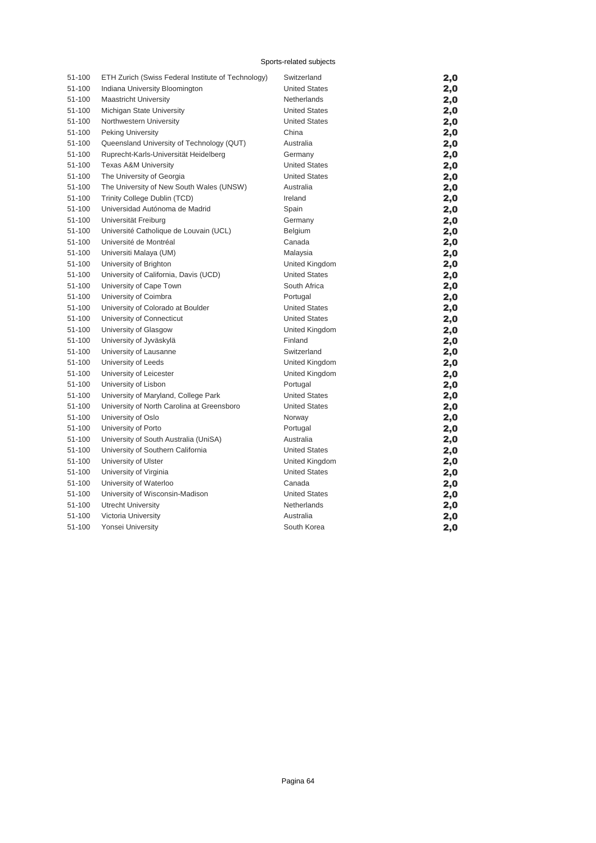#### Sports-related subjects

| 51-100 | ETH Zurich (Swiss Federal Institute of Technology) | Switzerland          | 2,0 |
|--------|----------------------------------------------------|----------------------|-----|
| 51-100 | Indiana University Bloomington                     | <b>United States</b> | 2,0 |
| 51-100 | <b>Maastricht University</b>                       | Netherlands          | 2,0 |
| 51-100 | Michigan State University                          | <b>United States</b> | 2,0 |
| 51-100 | Northwestern University                            | <b>United States</b> | 2,0 |
| 51-100 | <b>Peking University</b>                           | China                | 2,0 |
| 51-100 | Queensland University of Technology (QUT)          | Australia            | 2,0 |
| 51-100 | Ruprecht-Karls-Universität Heidelberg              | Germany              | 2,0 |
| 51-100 | Texas A&M University                               | <b>United States</b> | 2,0 |
| 51-100 | The University of Georgia                          | <b>United States</b> | 2,0 |
| 51-100 | The University of New South Wales (UNSW)           | Australia            | 2,0 |
| 51-100 | Trinity College Dublin (TCD)                       | Ireland              | 2,0 |
| 51-100 | Universidad Autónoma de Madrid                     | Spain                | 2,0 |
| 51-100 | Universität Freiburg                               | Germany              | 2,0 |
| 51-100 | Université Catholique de Louvain (UCL)             | Belgium              | 2,0 |
| 51-100 | Université de Montréal                             | Canada               | 2,0 |
| 51-100 | Universiti Malaya (UM)                             | Malaysia             | 2,0 |
| 51-100 | University of Brighton                             | United Kingdom       | 2,0 |
| 51-100 | University of California, Davis (UCD)              | <b>United States</b> | 2,0 |
| 51-100 | University of Cape Town                            | South Africa         | 2,0 |
| 51-100 | University of Coimbra                              | Portugal             | 2,0 |
| 51-100 | University of Colorado at Boulder                  | <b>United States</b> | 2,0 |
| 51-100 | University of Connecticut                          | <b>United States</b> | 2,0 |
| 51-100 | University of Glasgow                              | United Kingdom       | 2,0 |
| 51-100 | University of Jyväskylä                            | Finland              | 2,0 |
| 51-100 | University of Lausanne                             | Switzerland          | 2,0 |
| 51-100 | University of Leeds                                | United Kingdom       | 2,0 |
| 51-100 | University of Leicester                            | United Kingdom       | 2,0 |
| 51-100 | University of Lisbon                               | Portugal             | 2,0 |
| 51-100 | University of Maryland, College Park               | United States        | 2,0 |
| 51-100 | University of North Carolina at Greensboro         | <b>United States</b> | 2,0 |
| 51-100 | University of Oslo                                 | Norway               | 2,0 |
| 51-100 | University of Porto                                | Portugal             | 2,0 |
| 51-100 | University of South Australia (UniSA)              | Australia            | 2,0 |
| 51-100 | University of Southern California                  | <b>United States</b> | 2,0 |
| 51-100 | University of Ulster                               | United Kingdom       | 2,0 |
| 51-100 | University of Virginia                             | <b>United States</b> | 2,0 |
| 51-100 | University of Waterloo                             | Canada               | 2,0 |
| 51-100 | University of Wisconsin-Madison                    | <b>United States</b> | 2,0 |
| 51-100 | <b>Utrecht University</b>                          | Netherlands          | 2,0 |
| 51-100 | Victoria University                                | Australia            | 2,0 |
| 51-100 | Yonsei University                                  | South Korea          | 2,0 |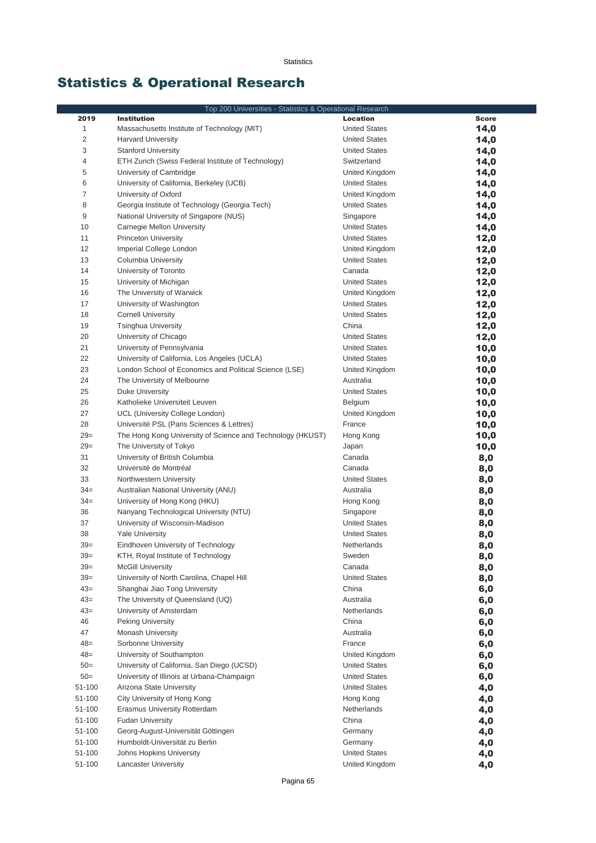# Statistics & Operational Research

|                  | Top 200 Universities - Statistics & Operational Research                              |                      |              |
|------------------|---------------------------------------------------------------------------------------|----------------------|--------------|
| 2019             | <b>Institution</b>                                                                    | <b>Location</b>      | <b>Score</b> |
| $\mathbf{1}$     | Massachusetts Institute of Technology (MIT)                                           | <b>United States</b> | 14,0         |
| $\overline{c}$   | <b>Harvard University</b>                                                             | <b>United States</b> | 14,0         |
| 3                | <b>Stanford University</b>                                                            | <b>United States</b> | 14,0         |
| 4                | ETH Zurich (Swiss Federal Institute of Technology)                                    | Switzerland          | 14,0         |
| 5                | University of Cambridge                                                               | United Kingdom       | 14,0         |
| 6                | University of California, Berkeley (UCB)                                              | <b>United States</b> | 14,0         |
| 7                | University of Oxford                                                                  | United Kingdom       | 14,0         |
| 8                | Georgia Institute of Technology (Georgia Tech)                                        | <b>United States</b> | 14,0         |
| 9                | National University of Singapore (NUS)                                                | Singapore            | 14,0         |
| 10               | Carnegie Mellon University                                                            | <b>United States</b> | 14,0         |
| 11               | <b>Princeton University</b>                                                           | <b>United States</b> | 12,0         |
| 12               | Imperial College London                                                               | United Kingdom       | 12,0         |
| 13               | Columbia University                                                                   | <b>United States</b> | 12,0         |
| 14               | University of Toronto                                                                 | Canada               | 12,0         |
| 15               | University of Michigan                                                                | <b>United States</b> | 12,0         |
| 16               | The University of Warwick                                                             | United Kingdom       | 12,0         |
| 17               | University of Washington                                                              | <b>United States</b> | 12,0         |
| 18               | <b>Cornell University</b>                                                             | <b>United States</b> | 12,0         |
| 19               | <b>Tsinghua University</b>                                                            | China                | 12,0         |
| 20               | University of Chicago                                                                 | <b>United States</b> | 12,0         |
| 21               | University of Pennsylvania                                                            | <b>United States</b> | 10,0         |
| 22               | University of California, Los Angeles (UCLA)                                          | <b>United States</b> | 10,0         |
| 23               | London School of Economics and Political Science (LSE)                                | United Kingdom       | 10,0         |
| 24               | The University of Melbourne                                                           | Australia            | 10,0         |
| 25               | Duke University                                                                       | <b>United States</b> | 10,0         |
| 26               | Katholieke Universiteit Leuven                                                        | Belgium              | 10,0         |
| 27               | UCL (University College London)                                                       | United Kingdom       | 10,0         |
| 28               | Université PSL (Paris Sciences & Lettres)                                             | France               | 10,0         |
| $29=$<br>$29=$   | The Hong Kong University of Science and Technology (HKUST)<br>The University of Tokyo | Hong Kong<br>Japan   | 10,0         |
| 31               | University of British Columbia                                                        | Canada               | 10,0         |
| 32               | Université de Montréal                                                                | Canada               | 8,0<br>8,0   |
| 33               | Northwestern University                                                               | <b>United States</b> | 8,0          |
| $34 =$           | Australian National University (ANU)                                                  | Australia            | 8,0          |
| $34 =$           | University of Hong Kong (HKU)                                                         | Hong Kong            | 8,0          |
| 36               | Nanyang Technological University (NTU)                                                | Singapore            | 8,0          |
| 37               | University of Wisconsin-Madison                                                       | <b>United States</b> | 8,0          |
| 38               | <b>Yale University</b>                                                                | <b>United States</b> | 8,0          |
| $39=$            | Eindhoven University of Technology                                                    | Netherlands          | 8,0          |
| $39=$            | KTH, Royal Institute of Technology                                                    | Sweden               | 8,0          |
| $39=$            | <b>McGill University</b>                                                              | Canada               | 8,0          |
| $39=$            | University of North Carolina, Chapel Hill                                             | <b>United States</b> | 8,0          |
| $43=$            | Shanghai Jiao Tong University                                                         | China                | 6,0          |
| $43=$            | The University of Queensland (UQ)                                                     | Australia            | 6,0          |
| $43=$            | University of Amsterdam                                                               | Netherlands          | 6,0          |
| 46               | <b>Peking University</b>                                                              | China                | 6,0          |
| 47               | Monash University                                                                     | Australia            | 6,0          |
| $48=$            | Sorbonne University                                                                   | France               | 6,0          |
| $48=$            | University of Southampton                                                             | United Kingdom       | 6,0          |
| $50=$            | University of California, San Diego (UCSD)                                            | <b>United States</b> | 6,0          |
| $50=$            | University of Illinois at Urbana-Champaign                                            | <b>United States</b> | 6,0          |
| 51-100           | Arizona State University                                                              | <b>United States</b> | 4,0          |
| 51-100           | City University of Hong Kong                                                          | Hong Kong            | 4,0          |
| 51-100           | Erasmus University Rotterdam                                                          | Netherlands          | 4,0          |
| 51-100<br>51-100 | <b>Fudan University</b>                                                               | China                | 4,0          |
| 51-100           | Georg-August-Universität Göttingen<br>Humboldt-Universität zu Berlin                  | Germany<br>Germany   | 4,0<br>4,0   |
| 51-100           | Johns Hopkins University                                                              | <b>United States</b> | 4,0          |
| 51-100           | <b>Lancaster University</b>                                                           | United Kingdom       | 4,0          |
|                  |                                                                                       |                      |              |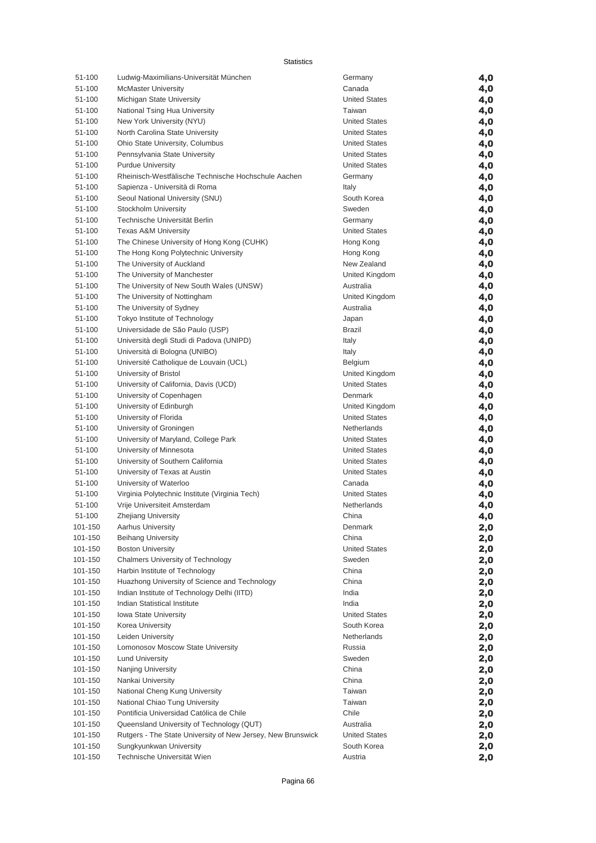Statistics

| 51-100           | Ludwig-Maximilians-Universität München                       | Germany                                      | 4,0        |
|------------------|--------------------------------------------------------------|----------------------------------------------|------------|
| 51-100           | <b>McMaster University</b>                                   | Canada                                       | 4,0        |
| 51-100           | Michigan State University                                    | <b>United States</b>                         | 4,0        |
| 51-100           | National Tsing Hua University                                | Taiwan                                       | 4,0        |
| 51-100           | New York University (NYU)                                    | <b>United States</b>                         | 4,0        |
| 51-100           | North Carolina State University                              | <b>United States</b>                         | 4,0        |
| 51-100           | Ohio State University, Columbus                              | <b>United States</b>                         | 4,0        |
| 51-100           | Pennsylvania State University                                | <b>United States</b>                         | 4,0        |
| 51-100           | <b>Purdue University</b>                                     | <b>United States</b>                         | 4,0        |
| 51-100           | Rheinisch-Westfälische Technische Hochschule Aachen          | Germany                                      | 4,0        |
| 51-100           | Sapienza - Università di Roma                                | Italy                                        | 4,0        |
| 51-100           | Seoul National University (SNU)                              | South Korea                                  | 4,0        |
| 51-100           | Stockholm University                                         | Sweden                                       | 4,0        |
| 51-100           | Technische Universität Berlin                                | Germany                                      | 4,0        |
| 51-100           | <b>Texas A&amp;M University</b>                              | <b>United States</b>                         | 4,0        |
| 51-100           | The Chinese University of Hong Kong (CUHK)                   | Hong Kong                                    | 4,0        |
| 51-100           | The Hong Kong Polytechnic University                         | Hong Kong                                    | 4,0        |
| 51-100           | The University of Auckland                                   | New Zealand                                  | 4,0        |
| 51-100           | The University of Manchester                                 | United Kingdom                               | 4,0        |
| 51-100           | The University of New South Wales (UNSW)                     | Australia                                    | 4,0        |
| 51-100           | The University of Nottingham                                 | United Kingdom                               | 4,0        |
| 51-100           | The University of Sydney                                     | Australia                                    | 4,0        |
| 51-100           | Tokyo Institute of Technology                                | Japan                                        | 4,0        |
| 51-100           | Universidade de São Paulo (USP)                              | <b>Brazil</b>                                | 4,0        |
| 51-100           | Università degli Studi di Padova (UNIPD)                     | Italy                                        | 4,0        |
| 51-100           | Università di Bologna (UNIBO)                                | Italy                                        | 4,0        |
| 51-100           | Université Catholique de Louvain (UCL)                       | Belgium                                      | 4,0        |
| 51-100           | University of Bristol                                        | United Kingdom                               | 4,0        |
| 51-100           | University of California, Davis (UCD)                        | <b>United States</b>                         | 4,0        |
| 51-100           | University of Copenhagen                                     | Denmark                                      | 4,0        |
| 51-100           | University of Edinburgh                                      | United Kingdom                               | 4,0        |
| 51-100           | University of Florida                                        | <b>United States</b>                         | 4,0        |
| 51-100           | University of Groningen                                      | Netherlands<br><b>United States</b>          | 4,0        |
| 51-100           | University of Maryland, College Park                         |                                              | 4,0        |
| 51-100<br>51-100 | University of Minnesota<br>University of Southern California | <b>United States</b><br><b>United States</b> | 4,0        |
| 51-100           | University of Texas at Austin                                | <b>United States</b>                         | 4,0        |
| 51-100           | University of Waterloo                                       | Canada                                       | 4,0<br>4,0 |
| 51-100           | Virginia Polytechnic Institute (Virginia Tech)               | <b>United States</b>                         | 4,0        |
| 51-100           | Vrije Universiteit Amsterdam                                 | Netherlands                                  | 4,0        |
| 51-100           | Zhejiang University                                          | China                                        | 4,0        |
| 101-150          | <b>Aarhus University</b>                                     | Denmark                                      | 2,0        |
| 101-150          | <b>Beihang University</b>                                    | China                                        | 2,0        |
| 101-150          | <b>Boston University</b>                                     | <b>United States</b>                         | 2,0        |
| 101-150          | Chalmers University of Technology                            | Sweden                                       | 2,0        |
| 101-150          | Harbin Institute of Technology                               | China                                        | 2,0        |
| 101-150          | Huazhong University of Science and Technology                | China                                        | 2,0        |
| 101-150          | Indian Institute of Technology Delhi (IITD)                  | India                                        | 2,0        |
| 101-150          | Indian Statistical Institute                                 | India                                        | 2,0        |
| 101-150          | <b>Iowa State University</b>                                 | <b>United States</b>                         | 2,0        |
| 101-150          | Korea University                                             | South Korea                                  | 2,0        |
| 101-150          | Leiden University                                            | Netherlands                                  | 2,0        |
| 101-150          | Lomonosov Moscow State University                            | Russia                                       | 2,0        |
| 101-150          | <b>Lund University</b>                                       | Sweden                                       | 2,0        |
| 101-150          | Nanjing University                                           | China                                        | 2,0        |
| 101-150          | Nankai University                                            | China                                        | 2,0        |
| 101-150          | National Cheng Kung University                               | Taiwan                                       | 2,0        |
| 101-150          | National Chiao Tung University                               | Taiwan                                       | 2,0        |
| 101-150          | Pontificia Universidad Católica de Chile                     | Chile                                        | 2,0        |
| 101-150          | Queensland University of Technology (QUT)                    | Australia                                    | 2,0        |
| 101-150          | Rutgers - The State University of New Jersey, New Brunswick  | <b>United States</b>                         | 2,0        |
| 101-150          | Sungkyunkwan University                                      | South Korea                                  | 2,0        |
| 101-150          | Technische Universität Wien                                  | Austria                                      | 2,0        |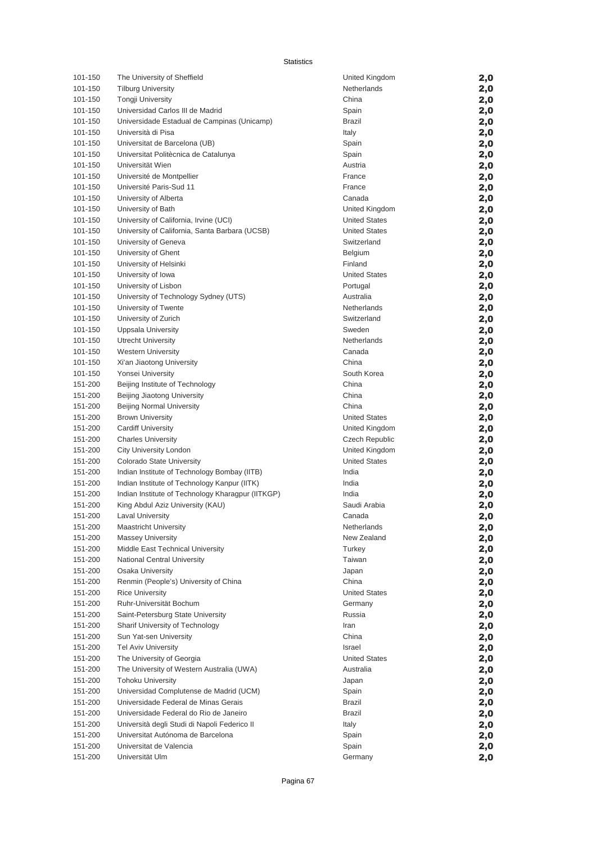Statistics

| 101-150 | The University of Sheffield                       | United Kingdom       | 2,0 |
|---------|---------------------------------------------------|----------------------|-----|
| 101-150 | <b>Tilburg University</b>                         | Netherlands          | 2,0 |
| 101-150 | <b>Tongji University</b>                          | China                | 2,0 |
| 101-150 | Universidad Carlos III de Madrid                  | Spain                | 2,0 |
| 101-150 | Universidade Estadual de Campinas (Unicamp)       | Brazil               | 2,0 |
| 101-150 | Università di Pisa                                | Italy                | 2,0 |
| 101-150 | Universitat de Barcelona (UB)                     | Spain                | 2,0 |
| 101-150 | Universitat Politècnica de Catalunya              | Spain                |     |
| 101-150 | Universität Wien                                  | Austria              | 2,0 |
| 101-150 | Université de Montpellier                         | France               | 2,0 |
| 101-150 | Université Paris-Sud 11                           | France               | 2,0 |
| 101-150 | University of Alberta                             | Canada               | 2,0 |
| 101-150 |                                                   | United Kingdom       | 2,0 |
| 101-150 | University of Bath                                | <b>United States</b> | 2,0 |
|         | University of California, Irvine (UCI)            |                      | 2,0 |
| 101-150 | University of California, Santa Barbara (UCSB)    | <b>United States</b> | 2,0 |
| 101-150 | University of Geneva                              | Switzerland          | 2,0 |
| 101-150 | University of Ghent                               | Belgium              | 2,0 |
| 101-150 | University of Helsinki                            | Finland              | 2,0 |
| 101-150 | University of Iowa                                | <b>United States</b> | 2,0 |
| 101-150 | University of Lisbon                              | Portugal             | 2,0 |
| 101-150 | University of Technology Sydney (UTS)             | Australia            | 2,0 |
| 101-150 | University of Twente                              | Netherlands          | 2,0 |
| 101-150 | University of Zurich                              | Switzerland          | 2,0 |
| 101-150 | Uppsala University                                | Sweden               | 2,0 |
| 101-150 | <b>Utrecht University</b>                         | Netherlands          | 2,0 |
| 101-150 | <b>Western University</b>                         | Canada               | 2,0 |
| 101-150 | Xi'an Jiaotong University                         | China                | 2,0 |
| 101-150 | Yonsei University                                 | South Korea          | 2,0 |
| 151-200 | Beijing Institute of Technology                   | China                | 2,0 |
| 151-200 | Beijing Jiaotong University                       | China                | 2,0 |
| 151-200 | <b>Beijing Normal University</b>                  | China                | 2,0 |
| 151-200 | <b>Brown University</b>                           | <b>United States</b> | 2,0 |
| 151-200 | <b>Cardiff University</b>                         | United Kingdom       | 2,0 |
| 151-200 | <b>Charles University</b>                         | Czech Republic       | 2,0 |
| 151-200 | City University London                            | United Kingdom       | 2,0 |
| 151-200 | Colorado State University                         | <b>United States</b> | 2,0 |
| 151-200 | Indian Institute of Technology Bombay (IITB)      | India                | 2,0 |
| 151-200 | Indian Institute of Technology Kanpur (IITK)      | India                | 2,0 |
| 151-200 | Indian Institute of Technology Kharagpur (IITKGP) | India                | 2,0 |
| 151-200 | King Abdul Aziz University (KAU)                  | Saudi Arabia         | 2,0 |
| 151-200 | <b>Laval University</b>                           | Canada               | 2,0 |
| 151-200 | <b>Maastricht University</b>                      | Netherlands          | 2,0 |
| 151-200 | <b>Massey University</b>                          | New Zealand          | 2,0 |
| 151-200 | Middle East Technical University                  | Turkey               | 2,0 |
| 151-200 | National Central University                       | Taiwan               | 2,0 |
| 151-200 | Osaka University                                  | Japan                | 2,0 |
| 151-200 | Renmin (People's) University of China             | China                | 2,0 |
| 151-200 | <b>Rice University</b>                            | <b>United States</b> | 2,0 |
| 151-200 | Ruhr-Universität Bochum                           | Germany              | 2,0 |
| 151-200 | Saint-Petersburg State University                 | Russia               | 2,0 |
| 151-200 | Sharif University of Technology                   | Iran                 | 2,0 |
| 151-200 | Sun Yat-sen University                            | China                | 2,0 |
| 151-200 | <b>Tel Aviv University</b>                        | Israel               | 2,0 |
| 151-200 | The University of Georgia                         | <b>United States</b> | 2,0 |
| 151-200 | The University of Western Australia (UWA)         | Australia            | 2,0 |
| 151-200 | <b>Tohoku University</b>                          | Japan                | 2,0 |
| 151-200 | Universidad Complutense de Madrid (UCM)           | Spain                | 2,0 |
| 151-200 | Universidade Federal de Minas Gerais              | Brazil               | 2,0 |
| 151-200 | Universidade Federal do Rio de Janeiro            | Brazil               | 2,0 |
| 151-200 | Università degli Studi di Napoli Federico II      | Italy                | 2,0 |
| 151-200 | Universitat Autónoma de Barcelona                 | Spain                | 2,0 |
| 151-200 | Universitat de Valencia                           | Spain                | 2,0 |
| 151-200 | Universität Ulm                                   | Germany              | 2,0 |